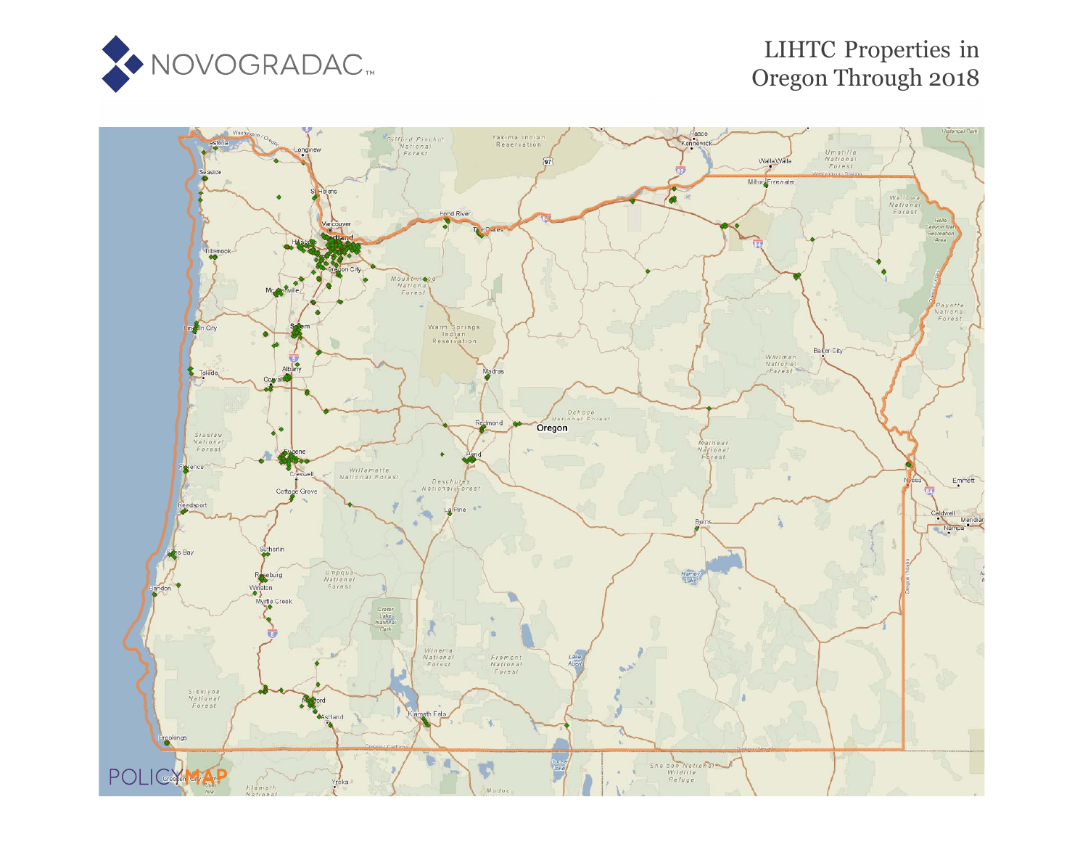

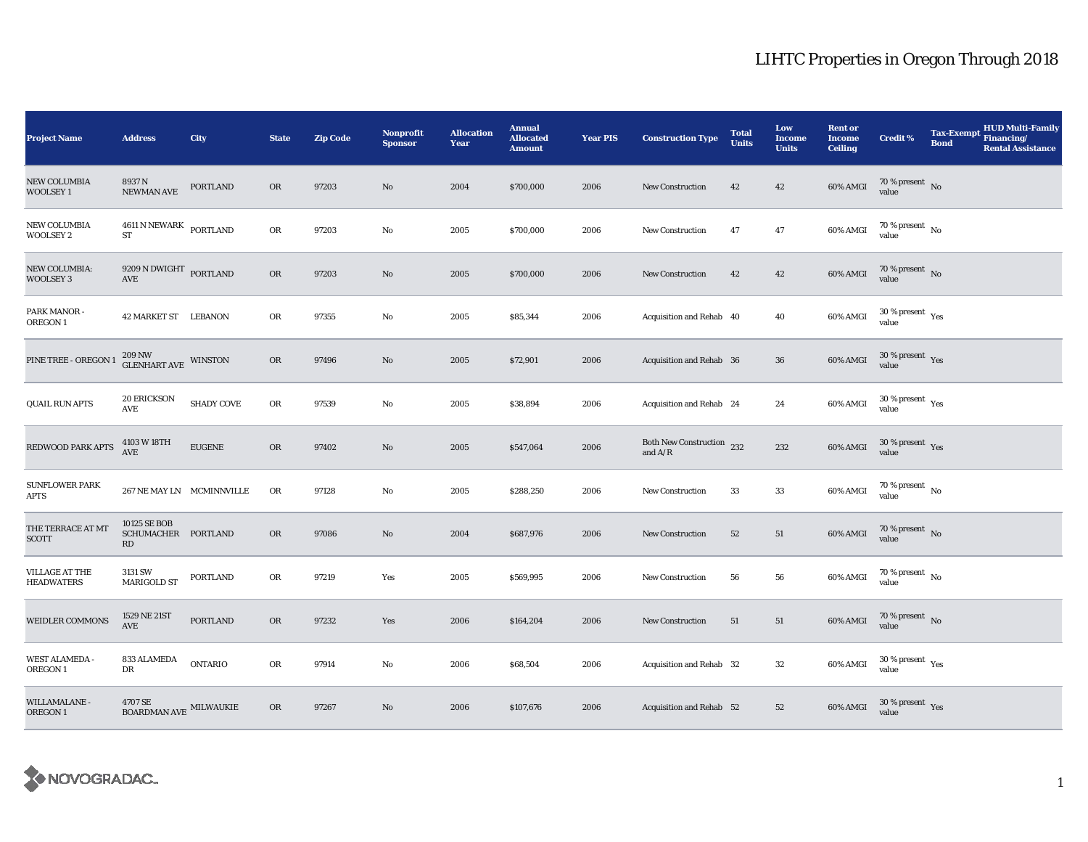| <b>Project Name</b>                        | <b>Address</b>                                                                     | <b>City</b>       | <b>State</b> | <b>Zip Code</b> | <b>Nonprofit</b><br><b>Sponsor</b> | <b>Allocation</b><br>Year | <b>Annual</b><br><b>Allocated</b><br><b>Amount</b> | <b>Year PIS</b> | <b>Construction Type</b>               | <b>Total</b><br><b>Units</b> | Low<br><b>Income</b><br><b>Units</b> | <b>Rent or</b><br><b>Income</b><br><b>Ceiling</b> | <b>Credit %</b>                          | <b>Tax-Exempt</b><br><b>Bond</b> | <b>HUD Multi-Family</b><br>Financing/<br><b>Rental Assistance</b> |
|--------------------------------------------|------------------------------------------------------------------------------------|-------------------|--------------|-----------------|------------------------------------|---------------------------|----------------------------------------------------|-----------------|----------------------------------------|------------------------------|--------------------------------------|---------------------------------------------------|------------------------------------------|----------------------------------|-------------------------------------------------------------------|
| <b>NEW COLUMBIA</b><br><b>WOOLSEY1</b>     | 8937N<br>NEWMAN AVE                                                                | <b>PORTLAND</b>   | OR           | 97203           | No                                 | 2004                      | \$700,000                                          | 2006            | <b>New Construction</b>                | 42                           | 42                                   | 60% AMGI                                          | $70\,\%$ present $\,$ No value           |                                  |                                                                   |
| NEW COLUMBIA<br><b>WOOLSEY 2</b>           | $4611$ N NEWARK $\,$ PORTLAND<br>ST                                                |                   | OR           | 97203           | $\rm No$                           | 2005                      | \$700,000                                          | 2006            | New Construction                       | 47                           | 47                                   | 60% AMGI                                          | 70 % present $\hbox{~No}$<br>value       |                                  |                                                                   |
| NEW COLUMBIA:<br><b>WOOLSEY 3</b>          | $9209$ N DWIGHT $\,$ PORTLAND<br>AVE                                               |                   | OR           | 97203           | $\rm No$                           | 2005                      | \$700,000                                          | 2006            | <b>New Construction</b>                | 42                           | 42                                   | 60% AMGI                                          | $70\,\%$ present $\,$ No value           |                                  |                                                                   |
| PARK MANOR -<br>OREGON 1                   | 42 MARKET ST LEBANON                                                               |                   | OR           | 97355           | No                                 | 2005                      | \$85,344                                           | 2006            | Acquisition and Rehab 40               |                              | 40                                   | 60% AMGI                                          | $30\,\%$ present $\,$ Yes value          |                                  |                                                                   |
| PINE TREE - OREGON 1                       | $209\,\mathrm{NW}$<br><br>WINSTON GLENHART AVE<br><br><br><br><br><br><br><br><br> |                   | OR           | 97496           | No                                 | 2005                      | \$72,901                                           | 2006            | Acquisition and Rehab 36               |                              | 36                                   | 60% AMGI                                          | $30\,\%$ present $\,$ Yes value          |                                  |                                                                   |
| <b>QUAIL RUN APTS</b>                      | <b>20 ERICKSON</b><br>$\operatorname{AVE}$                                         | <b>SHADY COVE</b> | OR           | 97539           | $\rm No$                           | 2005                      | \$38,894                                           | 2006            | Acquisition and Rehab 24               |                              | 24                                   | 60% AMGI                                          | $30\,\%$ present $\,$ $\rm Yes$<br>value |                                  |                                                                   |
| REDWOOD PARK APTS                          | 4103 W 18TH<br><b>AVE</b>                                                          | <b>EUGENE</b>     | OR           | 97402           | No                                 | 2005                      | \$547,064                                          | 2006            | Both New Construction 232<br>and $A/R$ |                              | 232                                  | 60% AMGI                                          | $30\,\%$ present $\,$ Yes value          |                                  |                                                                   |
| <b>SUNFLOWER PARK</b><br>APTS              | 267 NE MAY LN MCMINNVILLE                                                          |                   | OR           | 97128           | No                                 | 2005                      | \$288,250                                          | 2006            | <b>New Construction</b>                | 33                           | 33                                   | 60% AMGI                                          | $70\,\%$ present $\,$ No value           |                                  |                                                                   |
| THE TERRACE AT MT<br><b>SCOTT</b>          | 10125 SE BOB<br>SCHUMACHER PORTLAND<br>RD                                          |                   | OR           | 97086           | No                                 | 2004                      | \$687,976                                          | 2006            | New Construction                       | 52                           | 51                                   | 60% AMGI                                          | $70\,\%$ present $\,$ No value           |                                  |                                                                   |
| <b>VILLAGE AT THE</b><br><b>HEADWATERS</b> | 3131 SW<br><b>MARIGOLD ST</b>                                                      | <b>PORTLAND</b>   | OR           | 97219           | Yes                                | 2005                      | \$569,995                                          | 2006            | <b>New Construction</b>                | 56                           | 56                                   | 60% AMGI                                          | 70 % present $\hbox{~No}$<br>value       |                                  |                                                                   |
| <b>WEIDLER COMMONS</b>                     | 1529 NE 21ST<br><b>AVE</b>                                                         | <b>PORTLAND</b>   | <b>OR</b>    | 97232           | Yes                                | 2006                      | \$164,204                                          | 2006            | <b>New Construction</b>                | 51                           | 51                                   | 60% AMGI                                          | $70\,\%$ present $\,$ No value           |                                  |                                                                   |
| <b>WEST ALAMEDA -</b><br>OREGON 1          | 833 ALAMEDA<br>DR                                                                  | <b>ONTARIO</b>    | OR           | 97914           | No                                 | 2006                      | \$68,504                                           | 2006            | Acquisition and Rehab 32               |                              | $32\,$                               | 60% AMGI                                          | $30\,\%$ present $\,$ Yes value          |                                  |                                                                   |
| WILLAMALANE -<br>OREGON 1                  | $4707\,\mathrm{SE}$<br>$\operatorname{\mathsf{BOARDMAN\,AVE}}$ MILWAUKIE           |                   | OR           | 97267           | No                                 | 2006                      | \$107,676                                          | 2006            | Acquisition and Rehab 52               |                              | 52                                   | 60% AMGI                                          | $30\,\%$ present $\,$ Yes value          |                                  |                                                                   |

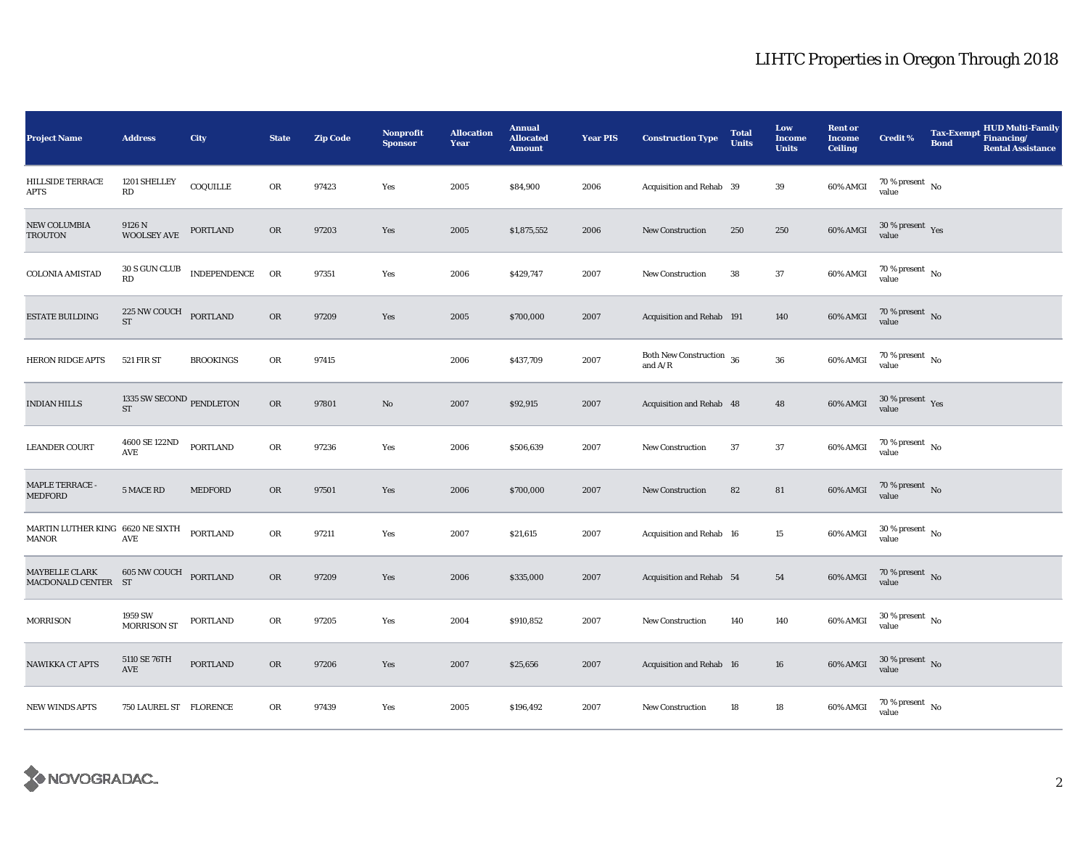| <b>Project Name</b>                       | <b>Address</b>                                                          | <b>City</b>      | <b>State</b> | <b>Zip Code</b> | Nonprofit<br><b>Sponsor</b> | <b>Allocation</b><br>Year | <b>Annual</b><br><b>Allocated</b><br><b>Amount</b> | <b>Year PIS</b> | <b>Construction Type</b>                   | <b>Total</b><br><b>Units</b> | Low<br><b>Income</b><br><b>Units</b> | <b>Rent or</b><br><b>Income</b><br><b>Ceiling</b> | Credit %                               | <b>Tax-Exempt</b><br><b>Bond</b> | <b>HUD Multi-Family</b><br>Financing/<br><b>Rental Assistance</b> |
|-------------------------------------------|-------------------------------------------------------------------------|------------------|--------------|-----------------|-----------------------------|---------------------------|----------------------------------------------------|-----------------|--------------------------------------------|------------------------------|--------------------------------------|---------------------------------------------------|----------------------------------------|----------------------------------|-------------------------------------------------------------------|
| HILLSIDE TERRACE<br>APTS                  | 1201 SHELLEY<br>RD                                                      | COQUILLE         | OR           | 97423           | Yes                         | 2005                      | \$84,900                                           | 2006            | Acquisition and Rehab 39                   |                              | 39                                   | 60% AMGI                                          | 70 % present $\hbox{~No}$<br>value     |                                  |                                                                   |
| <b>NEW COLUMBIA</b><br>TROUTON            | 9126 N<br><b>WOOLSEY AVE</b>                                            | <b>PORTLAND</b>  | OR           | 97203           | Yes                         | 2005                      | \$1,875,552                                        | 2006            | New Construction                           | 250                          | 250                                  | 60% AMGI                                          | $30$ % present $\,$ $\rm Yes$<br>value |                                  |                                                                   |
| <b>COLONIA AMISTAD</b>                    | $30$ S GUN CLUB<br>RD                                                   | INDEPENDENCE     | OR           | 97351           | Yes                         | 2006                      | \$429,747                                          | 2007            | New Construction                           | 38                           | 37                                   | 60% AMGI                                          | $70\,\%$ present $$$ No value          |                                  |                                                                   |
| <b>ESTATE BUILDING</b>                    | $225\,\mathrm{NW}\,\mathrm{COUCH}\quad$ PORTLAND<br>$\operatorname{ST}$ |                  | ${\rm OR}$   | 97209           | Yes                         | 2005                      | \$700,000                                          | 2007            | Acquisition and Rehab 191                  |                              | 140                                  | 60% AMGI                                          | 70 % present $\,$ No $\,$<br>value     |                                  |                                                                   |
| <b>HERON RIDGE APTS</b>                   | <b>521 FIR ST</b>                                                       | <b>BROOKINGS</b> | ${\rm OR}$   | 97415           |                             | 2006                      | \$437,709                                          | 2007            | Both New Construction $\,$ 36<br>and $A/R$ |                              | ${\bf 36}$                           | 60% AMGI                                          | 70 % present $\hbox{~No}$<br>value     |                                  |                                                                   |
| <b>INDIAN HILLS</b>                       | 1335 SW SECOND PENDLETON<br>${\rm ST}$                                  |                  | OR           | 97801           | $\mathbf{No}$               | 2007                      | \$92,915                                           | 2007            | Acquisition and Rehab 48                   |                              | 48                                   | 60% AMGI                                          | $30\,\%$ present $\,$ Yes<br>value     |                                  |                                                                   |
| <b>LEANDER COURT</b>                      | 4600 SE 122ND<br>AVE                                                    | <b>PORTLAND</b>  | OR           | 97236           | Yes                         | 2006                      | \$506,639                                          | 2007            | <b>New Construction</b>                    | 37                           | 37                                   | 60% AMGI                                          | $70\,\%$ present $\,$ No value         |                                  |                                                                   |
| MAPLE TERRACE -<br>MEDFORD                | 5 MACE RD                                                               | MEDFORD          | ${\rm OR}$   | 97501           | Yes                         | 2006                      | \$700,000                                          | 2007            | New Construction                           | 82                           | ${\bf 81}$                           | 60% AMGI                                          | $70\,\%$ present $\,$ No value         |                                  |                                                                   |
| MARTIN LUTHER KING 6620 NE SIXTH<br>MANOR | AVE                                                                     | <b>PORTLAND</b>  | ${\rm OR}$   | 97211           | Yes                         | 2007                      | \$21,615                                           | 2007            | Acquisition and Rehab 16                   |                              | 15                                   | 60% AMGI                                          | $30$ % present $\,$ No $\,$<br>value   |                                  |                                                                   |
| MAYBELLE CLARK<br>MACDONALD CENTER ST     | <b>605 NW COUCH PORTLAND</b>                                            |                  | OR           | 97209           | Yes                         | 2006                      | \$335,000                                          | 2007            | Acquisition and Rehab 54                   |                              | 54                                   | 60% AMGI                                          | $70$ % present $\,$ No $\,$<br>value   |                                  |                                                                   |
| <b>MORRISON</b>                           | 1959 SW<br><b>MORRISON ST</b>                                           | <b>PORTLAND</b>  | ${\sf OR}$   | 97205           | Yes                         | 2004                      | \$910,852                                          | 2007            | <b>New Construction</b>                    | 140                          | 140                                  | 60% AMGI                                          | $30$ % present $\,$ No $\,$<br>value   |                                  |                                                                   |
| NAWIKKA CT APTS                           | 5110 SE 76TH<br>AVE                                                     | PORTLAND         | ${\rm OR}$   | 97206           | Yes                         | 2007                      | \$25,656                                           | 2007            | Acquisition and Rehab 16                   |                              | 16                                   | $60\%$ AMGI                                       | $30\,\%$ present $\,$ No value         |                                  |                                                                   |
| <b>NEW WINDS APTS</b>                     | 750 LAUREL ST FLORENCE                                                  |                  | OR           | 97439           | Yes                         | 2005                      | \$196,492                                          | 2007            | <b>New Construction</b>                    | 18                           | 18                                   | 60% AMGI                                          | $70\,\%$ present $\,$ No value         |                                  |                                                                   |

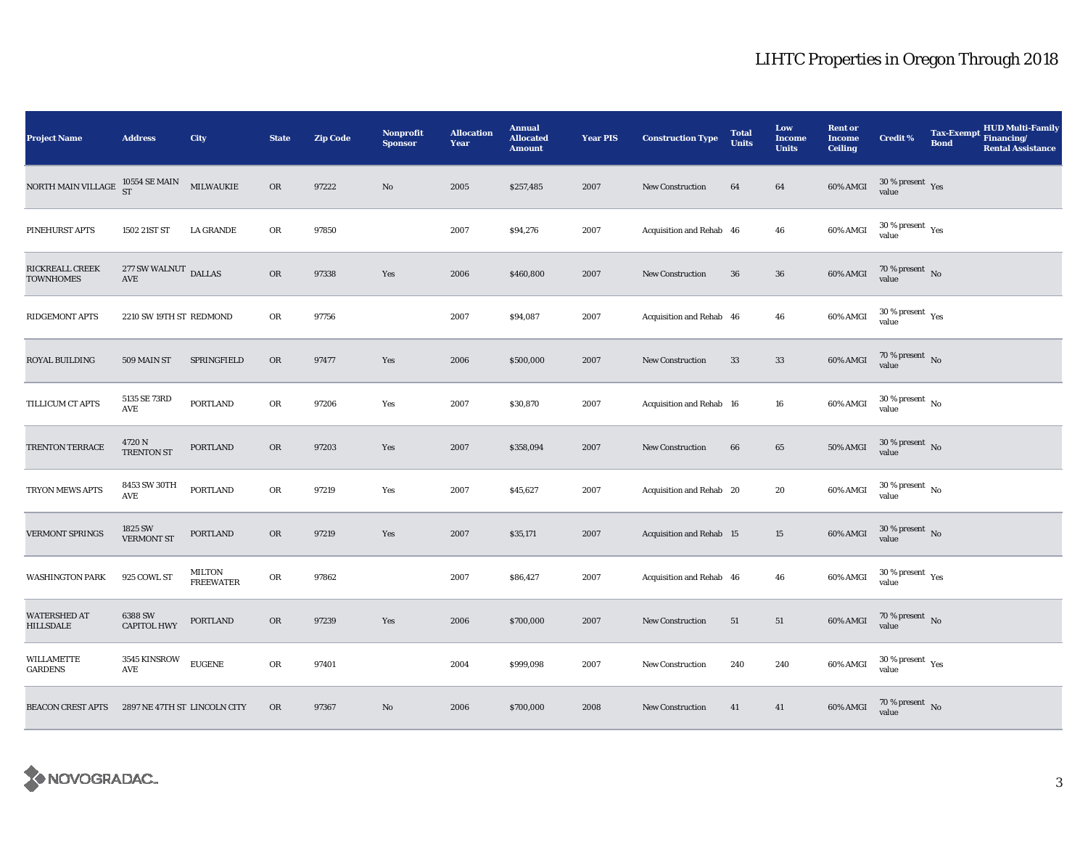| <b>Project Name</b>                 | <b>Address</b>                                                     | <b>City</b>                | <b>State</b> | <b>Zip Code</b> | Nonprofit<br><b>Sponsor</b> | <b>Allocation</b><br>Year | <b>Annual</b><br><b>Allocated</b><br><b>Amount</b> | <b>Year PIS</b> | <b>Construction Type</b> | <b>Total</b><br><b>Units</b> | Low<br><b>Income</b><br><b>Units</b> | <b>Rent or</b><br>Income<br><b>Ceiling</b> | <b>Credit %</b>                        | <b>Tax-Exempt</b><br><b>Bond</b> | <b>HUD Multi-Family</b><br>Financing/<br><b>Rental Assistance</b> |
|-------------------------------------|--------------------------------------------------------------------|----------------------------|--------------|-----------------|-----------------------------|---------------------------|----------------------------------------------------|-----------------|--------------------------|------------------------------|--------------------------------------|--------------------------------------------|----------------------------------------|----------------------------------|-------------------------------------------------------------------|
| NORTH MAIN VILLAGE                  | $10554$ SE MAIN MILWAUKIE ST                                       |                            | OR           | 97222           | $\mathbf{N}\mathbf{o}$      | 2005                      | \$257,485                                          | 2007            | <b>New Construction</b>  | 64                           | 64                                   | 60% AMGI                                   | $30\,\%$ present $\,$ Yes value        |                                  |                                                                   |
| PINEHURST APTS                      | 1502 21ST ST                                                       | <b>LA GRANDE</b>           | OR           | 97850           |                             | 2007                      | \$94,276                                           | 2007            | Acquisition and Rehab 46 |                              | ${\bf 46}$                           | 60% AMGI                                   | $30$ % present $\,$ $\rm Yes$<br>value |                                  |                                                                   |
| RICKREALL CREEK<br><b>TOWNHOMES</b> | $277\,\mathrm{SW}\,\mathrm{WALNUT}$ DALLAS<br>$\operatorname{AVE}$ |                            | OR           | 97338           | Yes                         | 2006                      | \$460,800                                          | 2007            | New Construction         | 36                           | 36                                   | 60% AMGI                                   | $70\,\%$ present $\,$ No value         |                                  |                                                                   |
| RIDGEMONT APTS                      | 2210 SW 19TH ST REDMOND                                            |                            | OR           | 97756           |                             | 2007                      | \$94,087                                           | 2007            | Acquisition and Rehab 46 |                              | 46                                   | 60% AMGI                                   | $30\,\%$ present $\,$ Yes value        |                                  |                                                                   |
| ROYAL BUILDING                      | 509 MAIN ST                                                        | SPRINGFIELD                | OR           | 97477           | Yes                         | 2006                      | \$500,000                                          | 2007            | <b>New Construction</b>  | 33                           | 33                                   | 60% AMGI                                   | $70\,\%$ present $\,$ No value         |                                  |                                                                   |
| TILLICUM CT APTS                    | 5135 SE 73RD<br>AVE                                                | <b>PORTLAND</b>            | OR           | 97206           | Yes                         | 2007                      | \$30,870                                           | 2007            | Acquisition and Rehab 16 |                              | ${\bf 16}$                           | 60% AMGI                                   | $30$ % present $\,$ No $\,$<br>value   |                                  |                                                                   |
| TRENTON TERRACE                     | $4720\,\mathrm{N}$ TRENTON ST                                      | <b>PORTLAND</b>            | OR           | 97203           | Yes                         | 2007                      | \$358,094                                          | 2007            | <b>New Construction</b>  | 66                           | 65                                   | 50% AMGI                                   | $30\,\%$ present $\,$ No value         |                                  |                                                                   |
| TRYON MEWS APTS                     | 8453 SW 30TH<br><b>AVE</b>                                         | <b>PORTLAND</b>            | OR           | 97219           | Yes                         | 2007                      | \$45,627                                           | 2007            | Acquisition and Rehab 20 |                              | 20                                   | 60% AMGI                                   | $30\,\%$ present $\,$ No value         |                                  |                                                                   |
| <b>VERMONT SPRINGS</b>              | 1825 SW<br><b>VERMONT ST</b>                                       | PORTLAND                   | OR           | 97219           | Yes                         | 2007                      | \$35,171                                           | 2007            | Acquisition and Rehab 15 |                              | 15                                   | $60\%$ AMGI                                | $30\,\%$ present $\,$ No value         |                                  |                                                                   |
| <b>WASHINGTON PARK</b>              | 925 COWL ST                                                        | MILTON<br><b>FREEWATER</b> | OR           | 97862           |                             | 2007                      | \$86,427                                           | 2007            | Acquisition and Rehab 46 |                              | 46                                   | 60% AMGI                                   | $30\,\%$ present $\,$ Yes value        |                                  |                                                                   |
| WATERSHED AT<br><b>HILLSDALE</b>    | 6388 SW<br><b>CAPITOL HWY</b>                                      | <b>PORTLAND</b>            | OR           | 97239           | Yes                         | 2006                      | \$700,000                                          | 2007            | New Construction         | 51                           | 51                                   | 60% AMGI                                   | $70$ % present $\,$ No $\,$<br>value   |                                  |                                                                   |
| WILLAMETTE<br>GARDENS               | 3545 KINSROW<br>AVE                                                | <b>EUGENE</b>              | OR           | 97401           |                             | 2004                      | \$999,098                                          | 2007            | <b>New Construction</b>  | 240                          | 240                                  | 60% AMGI                                   | $30\,\%$ present $\,$ Yes value        |                                  |                                                                   |
| <b>BEACON CREST APTS</b>            | 2897 NE 47TH ST LINCOLN CITY                                       |                            | OR           | 97367           | $\mathbf{N}\mathbf{o}$      | 2006                      | \$700,000                                          | 2008            | <b>New Construction</b>  | 41                           | 41                                   | 60% AMGI                                   | $70$ % present $\,$ No value           |                                  |                                                                   |

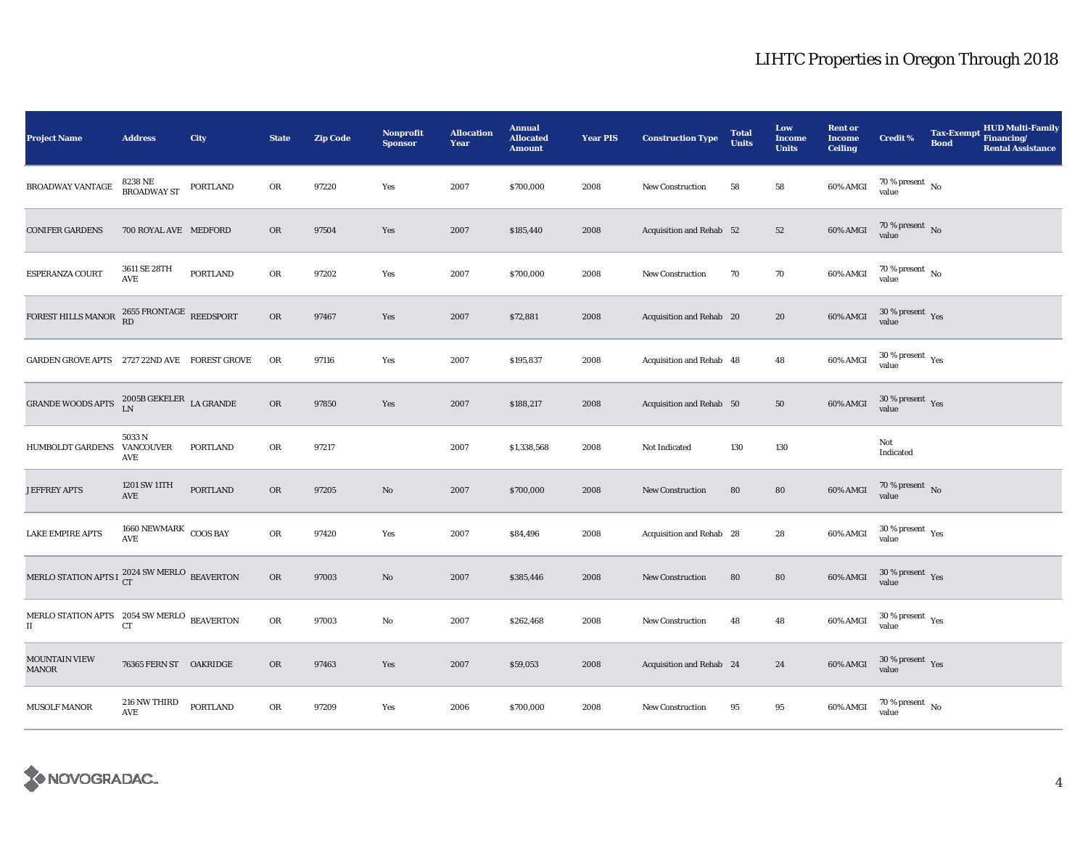| <b>Project Name</b>                                                  | <b>Address</b>                                | <b>City</b>     | <b>State</b> | <b>Zip Code</b> | Nonprofit<br><b>Sponsor</b> | <b>Allocation</b><br>Year | <b>Annual</b><br><b>Allocated</b><br><b>Amount</b> | <b>Year PIS</b> | <b>Construction Type</b> | <b>Total</b><br><b>Units</b> | Low<br><b>Income</b><br><b>Units</b> | <b>Rent or</b><br><b>Income</b><br><b>Ceiling</b> | <b>Credit %</b>                          | <b>Tax-Exempt</b><br><b>Bond</b> | <b>HUD Multi-Family</b><br>Financing/<br><b>Rental Assistance</b> |
|----------------------------------------------------------------------|-----------------------------------------------|-----------------|--------------|-----------------|-----------------------------|---------------------------|----------------------------------------------------|-----------------|--------------------------|------------------------------|--------------------------------------|---------------------------------------------------|------------------------------------------|----------------------------------|-------------------------------------------------------------------|
| BROADWAY VANTAGE                                                     | 8238 NE<br>BROADWAY ST                        | PORTLAND        | OR           | 97220           | Yes                         | 2007                      | \$700,000                                          | 2008            | New Construction         | 58                           | 58                                   | 60% AMGI                                          | $70\,\%$ present $\,$ No value           |                                  |                                                                   |
| <b>CONIFER GARDENS</b>                                               | 700 ROYAL AVE MEDFORD                         |                 | OR           | 97504           | Yes                         | 2007                      | \$185,440                                          | 2008            | Acquisition and Rehab 52 |                              | ${\bf 52}$                           | 60% AMGI                                          | $70\,\%$ present $\,$ No value           |                                  |                                                                   |
| <b>ESPERANZA COURT</b>                                               | 3611 SE 28TH<br>$\operatorname{\mathbf{AVE}}$ | PORTLAND        | OR           | 97202           | Yes                         | 2007                      | \$700,000                                          | 2008            | <b>New Construction</b>  | 70                           | $70\,$                               | 60% AMGI                                          | $70\,\%$ present $\,$ No value           |                                  |                                                                   |
| FOREST HILLS MANOR                                                   | $2655$ FRONTAGE REEDSPORT RD                  |                 | OR           | 97467           | Yes                         | 2007                      | \$72,881                                           | 2008            | Acquisition and Rehab 20 |                              | 20                                   | 60% AMGI                                          | $30\,\%$ present $\,$ Yes value          |                                  |                                                                   |
| GARDEN GROVE APTS 2727 22ND AVE FOREST GROVE                         |                                               |                 | OR           | 97116           | Yes                         | 2007                      | \$195,837                                          | 2008            | Acquisition and Rehab 48 |                              | 48                                   | 60% AMGI                                          | $30\,\%$ present $\,$ Yes value          |                                  |                                                                   |
| GRANDE WOODS APTS $$\rm \,LN$$ $\,$ LA GRANDE $\rm \,LA$ GRANDE      |                                               |                 | ${\rm OR}$   | 97850           | Yes                         | 2007                      | \$188,217                                          | 2008            | Acquisition and Rehab 50 |                              | 50                                   | 60% AMGI                                          | $30\,\%$ present $\,$ Yes value          |                                  |                                                                   |
| HUMBOLDT GARDENS VANCOUVER                                           | 5033N<br><b>AVE</b>                           | PORTLAND        | OR           | 97217           |                             | 2007                      | \$1,338,568                                        | 2008            | Not Indicated            | 130                          | 130                                  |                                                   | Not<br>Indicated                         |                                  |                                                                   |
| <b>JEFFREY APTS</b>                                                  | 1201 SW 11TH<br><b>AVE</b>                    | <b>PORTLAND</b> | OR           | 97205           | No                          | 2007                      | \$700,000                                          | 2008            | <b>New Construction</b>  | 80                           | ${\bf 80}$                           | 60% AMGI                                          | $70\,\%$ present $\,$ No value           |                                  |                                                                   |
| <b>LAKE EMPIRE APTS</b>                                              | $1660$ NEWMARK $\,$ COOS BAY<br>AVE           |                 | ${\rm OR}$   | 97420           | Yes                         | 2007                      | \$84,496                                           | 2008            | Acquisition and Rehab 28 |                              | $\bf 28$                             | 60% AMGI                                          | $30\,\%$ present $\,$ Yes value          |                                  |                                                                   |
| MERLO STATION APTS I $_{\rm CT}^{2024}$ SW MERLO BEAVERTON           |                                               |                 | OR           | 97003           | No                          | 2007                      | \$385,446                                          | 2008            | New Construction         | 80                           | 80                                   | $60\%$ AMGI                                       | $30\,\%$ present $\,$ Yes value          |                                  |                                                                   |
| MERLO STATION APTS $2054$ SW MERLO BEAVERTON<br>$\scriptstyle\rm II$ | CT                                            |                 | OR           | 97003           | No                          | 2007                      | \$262,468                                          | 2008            | New Construction         | 48                           | $\bf 48$                             | 60% AMGI                                          | $30\,\%$ present $\,$ $\rm Yes$<br>value |                                  |                                                                   |
| <b>MOUNTAIN VIEW</b><br>MANOR                                        | 76365 FERN ST OAKRIDGE                        |                 | OR           | 97463           | Yes                         | 2007                      | \$59,053                                           | 2008            | Acquisition and Rehab 24 |                              | 24                                   | 60% AMGI                                          | $30\,\%$ present $\,$ Yes value          |                                  |                                                                   |
| MUSOLF MANOR                                                         | 216 NW THIRD<br>$\operatorname{\mathbf{AVE}}$ | PORTLAND        | OR           | 97209           | Yes                         | 2006                      | \$700,000                                          | 2008            | <b>New Construction</b>  | 95                           | 95                                   | 60% AMGI                                          | $70$ % present $\,$ No $\,$<br>value     |                                  |                                                                   |

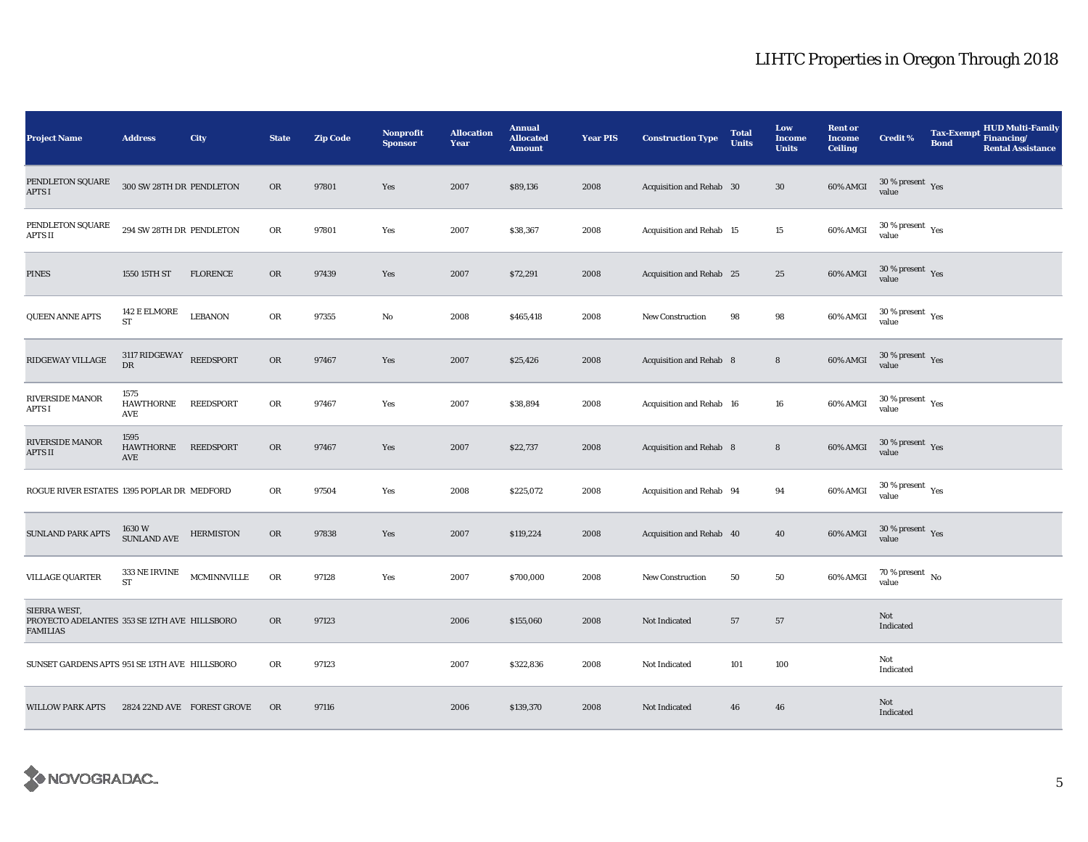| <b>Project Name</b>                                                      | <b>Address</b>                          | <b>City</b>        | <b>State</b> | <b>Zip Code</b> | Nonprofit<br><b>Sponsor</b> | <b>Allocation</b><br>Year | <b>Annual</b><br><b>Allocated</b><br><b>Amount</b> | <b>Year PIS</b> | <b>Construction Type</b>       | <b>Total</b><br><b>Units</b> | Low<br><b>Income</b><br><b>Units</b> | <b>Rent or</b><br><b>Income</b><br><b>Ceiling</b> | <b>Credit %</b>                                       | <b>Tax-Exempt</b><br><b>Bond</b> | <b>HUD Multi-Family</b><br>Financing/<br><b>Rental Assistance</b> |
|--------------------------------------------------------------------------|-----------------------------------------|--------------------|--------------|-----------------|-----------------------------|---------------------------|----------------------------------------------------|-----------------|--------------------------------|------------------------------|--------------------------------------|---------------------------------------------------|-------------------------------------------------------|----------------------------------|-------------------------------------------------------------------|
| PENDLETON SQUARE<br><b>APTS I</b>                                        | 300 SW 28TH DR PENDLETON                |                    | <b>OR</b>    | 97801           | Yes                         | 2007                      | \$89,136                                           | 2008            | Acquisition and Rehab 30       |                              | 30                                   | 60% AMGI                                          | $30\,\%$ present $\,$ Yes<br>value                    |                                  |                                                                   |
| PENDLETON SQUARE<br>APTS II                                              | 294 SW 28TH DR PENDLETON                |                    | ${\rm OR}$   | 97801           | Yes                         | 2007                      | \$38,367                                           | 2008            | Acquisition and Rehab 15       |                              | 15                                   | 60% AMGI                                          | $30$ % present $\,$ $\rm Yes$<br>value                |                                  |                                                                   |
| <b>PINES</b>                                                             | 1550 15TH ST                            | <b>FLORENCE</b>    | OR           | 97439           | Yes                         | 2007                      | \$72,291                                           | 2008            | Acquisition and Rehab 25       |                              | 25                                   | 60% AMGI                                          | $30\,\%$ present $\,$ $\rm Yes$<br>value              |                                  |                                                                   |
| <b>QUEEN ANNE APTS</b>                                                   | $142\to$ ELMORE<br><b>ST</b>            | <b>LEBANON</b>     | OR           | 97355           | $\rm No$                    | 2008                      | \$465,418                                          | 2008            | New Construction               | 98                           | 98                                   | 60% AMGI                                          | $30$ % present $\rm\thinspace\,Yes$<br>value          |                                  |                                                                   |
| RIDGEWAY VILLAGE                                                         | $3117$ RIDGEWAY REEDSPORT<br>${\rm DR}$ |                    | OR           | 97467           | Yes                         | 2007                      | \$25,426                                           | 2008            | Acquisition and Rehab 8        |                              | $\bf8$                               | 60% AMGI                                          | $30$ % present $\,$ $\rm Yes$<br>value                |                                  |                                                                   |
| RIVERSIDE MANOR<br>APTS I                                                | 1575<br><b>HAWTHORNE</b><br>AVE         | REEDSPORT          | OR           | 97467           | Yes                         | 2007                      | \$38,894                                           | 2008            | Acquisition and Rehab 16       |                              | 16                                   | 60% AMGI                                          | 30 % present $\rm\thinspace\gamma_{\rm e s}$<br>value |                                  |                                                                   |
| RIVERSIDE MANOR<br>APTS II                                               | 1595<br>HAWTHORNE REEDSPORT<br>AVE      |                    | <b>OR</b>    | 97467           | Yes                         | 2007                      | \$22,737                                           | 2008            | <b>Acquisition and Rehab 8</b> |                              | $\bf8$                               | $60\%$ AMGI                                       | $30\,\%$ present $\,$ Yes value                       |                                  |                                                                   |
| ROGUE RIVER ESTATES 1395 POPLAR DR MEDFORD                               |                                         |                    | OR           | 97504           | Yes                         | 2008                      | \$225,072                                          | 2008            | Acquisition and Rehab 94       |                              | 94                                   | 60% AMGI                                          | $30$ % present $\,$ $\rm Yes$<br>value                |                                  |                                                                   |
| <b>SUNLAND PARK APTS</b>                                                 | 1630 W<br>SUNLAND AVE                   | <b>HERMISTON</b>   | OR           | 97838           | Yes                         | 2007                      | \$119,224                                          | 2008            | Acquisition and Rehab 40       |                              | 40                                   | 60% AMGI                                          | $30\,\%$ present $\,$ Yes value                       |                                  |                                                                   |
| <b>VILLAGE QUARTER</b>                                                   | 333 NE IRVINE<br><b>ST</b>              | <b>MCMINNVILLE</b> | OR           | 97128           | Yes                         | 2007                      | \$700,000                                          | 2008            | <b>New Construction</b>        | 50                           | 50                                   | 60% AMGI                                          | $70\,\%$ present $\,$ No value                        |                                  |                                                                   |
| SIERRA WEST.<br>PROYECTO ADELANTES 353 SE 12TH AVE HILLSBORO<br>FAMILIAS |                                         |                    | <b>OR</b>    | 97123           |                             | 2006                      | \$155,060                                          | 2008            | Not Indicated                  | 57                           | 57                                   |                                                   | Not<br>Indicated                                      |                                  |                                                                   |
| SUNSET GARDENS APTS 951 SE 13TH AVE HILLSBORO                            |                                         |                    | OR           | 97123           |                             | 2007                      | \$322,836                                          | 2008            | Not Indicated                  | 101                          | 100                                  |                                                   | Not<br>Indicated                                      |                                  |                                                                   |
| <b>WILLOW PARK APTS</b>                                                  | 2824 22ND AVE FOREST GROVE              |                    | OR           | 97116           |                             | 2006                      | \$139,370                                          | 2008            | Not Indicated                  | 46                           | 46                                   |                                                   | Not<br>Indicated                                      |                                  |                                                                   |

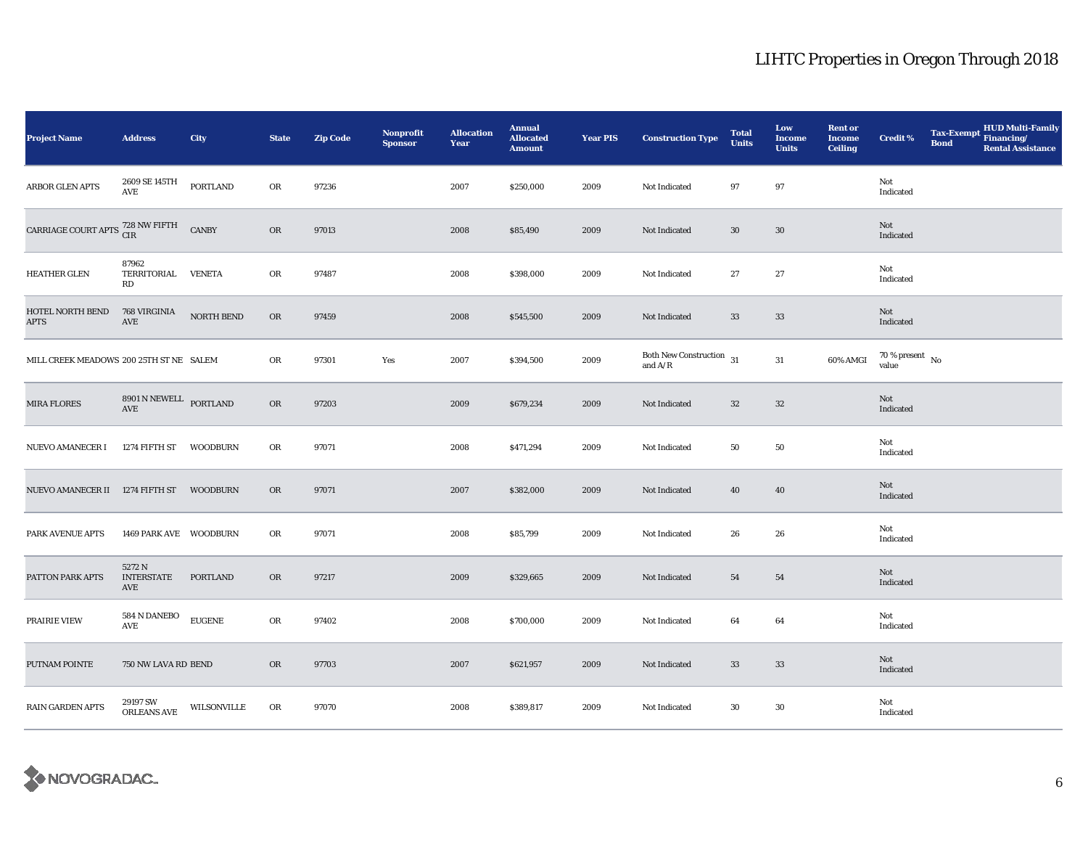| <b>Project Name</b>                                  | <b>Address</b>                     | City            | <b>State</b> | <b>Zip Code</b> | <b>Nonprofit</b><br><b>Sponsor</b> | <b>Allocation</b><br>Year | <b>Annual</b><br><b>Allocated</b><br><b>Amount</b> | <b>Year PIS</b> | <b>Construction Type</b>                                                                    | <b>Total</b><br><b>Units</b> | Low<br><b>Income</b><br><b>Units</b> | <b>Rent or</b><br><b>Income</b><br><b>Ceiling</b> | <b>Credit %</b>                | <b>Bond</b> | Tax-Exempt HUD Multi-Family<br><b>Rental Assistance</b> |
|------------------------------------------------------|------------------------------------|-----------------|--------------|-----------------|------------------------------------|---------------------------|----------------------------------------------------|-----------------|---------------------------------------------------------------------------------------------|------------------------------|--------------------------------------|---------------------------------------------------|--------------------------------|-------------|---------------------------------------------------------|
| <b>ARBOR GLEN APTS</b>                               | 2609 SE 145TH<br>AVE               | <b>PORTLAND</b> | OR           | 97236           |                                    | 2007                      | \$250,000                                          | 2009            | Not Indicated                                                                               | 97                           | 97                                   |                                                   | Not<br>Indicated               |             |                                                         |
| CARRIAGE COURT APTS $\frac{728}{CIR}$ NW FIFTH CANBY |                                    |                 | OR           | 97013           |                                    | 2008                      | \$85,490                                           | 2009            | Not Indicated                                                                               | $30\,$                       | $30\,$                               |                                                   | Not<br>Indicated               |             |                                                         |
| <b>HEATHER GLEN</b>                                  | 87962<br>TERRITORIAL VENETA<br>RD  |                 | OR           | 97487           |                                    | 2008                      | \$398,000                                          | 2009            | Not Indicated                                                                               | 27                           | $\bf 27$                             |                                                   | Not<br>Indicated               |             |                                                         |
| HOTEL NORTH BEND<br><b>APTS</b>                      | 768 VIRGINIA<br>AVE                | NORTH BEND      | OR           | 97459           |                                    | 2008                      | \$545,500                                          | 2009            | Not Indicated                                                                               | 33                           | $33\,$                               |                                                   | Not<br>Indicated               |             |                                                         |
| MILL CREEK MEADOWS 200 25TH ST NE SALEM              |                                    |                 | OR           | 97301           | Yes                                | 2007                      | \$394,500                                          | 2009            | Both New Construction $\,$ 31 $\,$<br>and $\ensuremath{\mathrm{A}}/\ensuremath{\mathrm{R}}$ |                              | 31                                   | 60% AMGI                                          | $70\,\%$ present $\,$ No value |             |                                                         |
| <b>MIRA FLORES</b>                                   | $8901$ N NEWELL $\;$ PORTLAND AVE  |                 | OR           | 97203           |                                    | 2009                      | \$679,234                                          | 2009            | Not Indicated                                                                               | $32\,$                       | $32\,$                               |                                                   | Not<br>Indicated               |             |                                                         |
| NUEVO AMANECER I                                     | 1274 FIFTH ST                      | WOODBURN        | OR           | 97071           |                                    | 2008                      | \$471,294                                          | 2009            | Not Indicated                                                                               | 50                           | 50                                   |                                                   | Not<br>Indicated               |             |                                                         |
| NUEVO AMANECER II 1274 FIFTH ST                      |                                    | WOODBURN        | OR           | 97071           |                                    | 2007                      | \$382,000                                          | 2009            | Not Indicated                                                                               | 40                           | 40                                   |                                                   | Not<br>Indicated               |             |                                                         |
| PARK AVENUE APTS                                     | 1469 PARK AVE WOODBURN             |                 | OR           | 97071           |                                    | 2008                      | \$85,799                                           | 2009            | Not Indicated                                                                               | 26                           | 26                                   |                                                   | Not<br>Indicated               |             |                                                         |
| PATTON PARK APTS                                     | 5272 N<br><b>INTERSTATE</b><br>AVE | PORTLAND        | OR           | 97217           |                                    | 2009                      | \$329,665                                          | 2009            | Not Indicated                                                                               | 54                           | 54                                   |                                                   | Not<br>Indicated               |             |                                                         |
| PRAIRIE VIEW                                         | 584 N DANEBO<br>AVE                | <b>EUGENE</b>   | ${\rm OR}$   | 97402           |                                    | 2008                      | \$700,000                                          | 2009            | Not Indicated                                                                               | 64                           | 64                                   |                                                   | Not<br>Indicated               |             |                                                         |
| PUTNAM POINTE                                        | 750 NW LAVA RD BEND                |                 | OR           | 97703           |                                    | 2007                      | \$621,957                                          | 2009            | Not Indicated                                                                               | 33                           | 33                                   |                                                   | Not<br>Indicated               |             |                                                         |
| <b>RAIN GARDEN APTS</b>                              | 29197 SW<br>ORLEANS AVE            | WILSONVILLE     | OR           | 97070           |                                    | 2008                      | \$389,817                                          | 2009            | Not Indicated                                                                               | 30                           | 30                                   |                                                   | Not<br>Indicated               |             |                                                         |

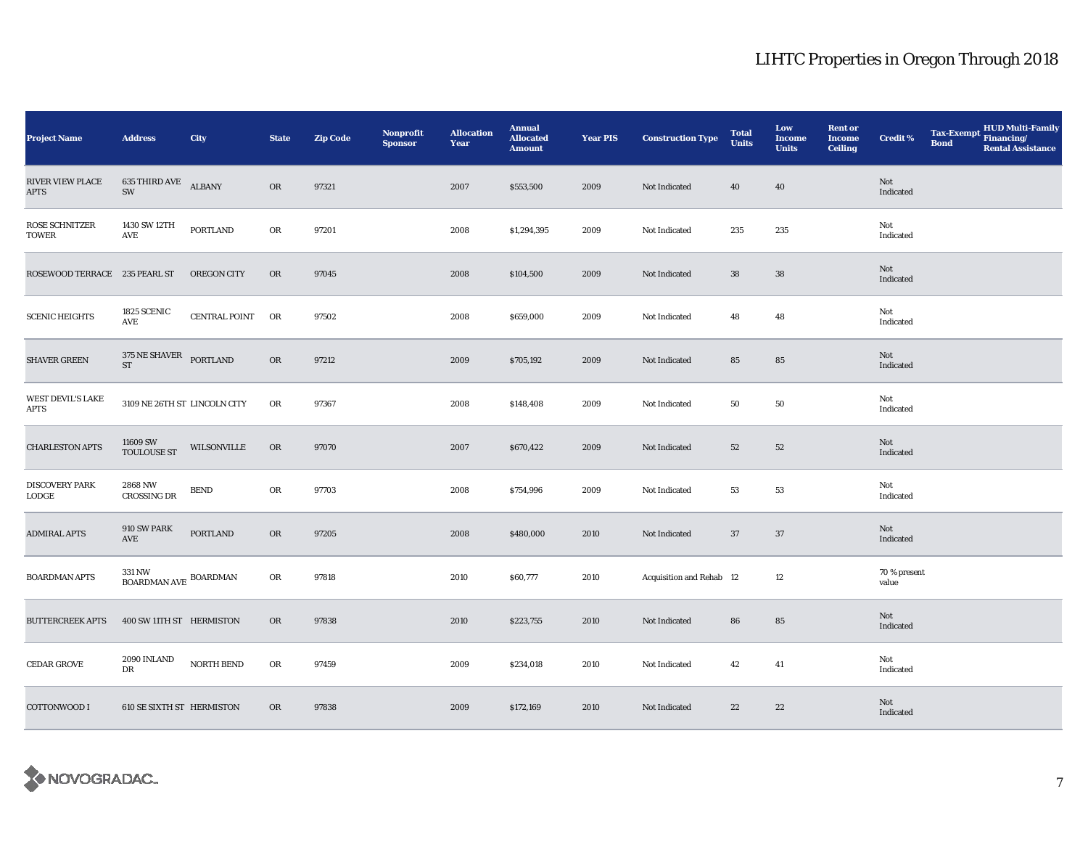| <b>Project Name</b>                   | <b>Address</b>                                    | City               | <b>State</b> | <b>Zip Code</b> | Nonprofit<br><b>Sponsor</b> | <b>Allocation</b><br>Year | <b>Annual</b><br><b>Allocated</b><br><b>Amount</b> | <b>Year PIS</b> | <b>Construction Type</b> | <b>Total</b><br><b>Units</b> | Low<br><b>Income</b><br><b>Units</b> | <b>Rent or</b><br><b>Income</b><br><b>Ceiling</b> | <b>Credit %</b>       | <b>Tax-Exempt</b><br><b>Bond</b> | HUD Multi-Family<br>Financing/<br><b>Rental Assistance</b> |
|---------------------------------------|---------------------------------------------------|--------------------|--------------|-----------------|-----------------------------|---------------------------|----------------------------------------------------|-----------------|--------------------------|------------------------------|--------------------------------------|---------------------------------------------------|-----------------------|----------------------------------|------------------------------------------------------------|
| RIVER VIEW PLACE<br><b>APTS</b>       | <b>635 THIRD AVE ALBANY</b><br>$\text{SW}\xspace$ |                    | OR           | 97321           |                             | 2007                      | \$553,500                                          | 2009            | Not Indicated            | 40                           | 40                                   |                                                   | Not<br>Indicated      |                                  |                                                            |
| ROSE SCHNITZER<br>TOWER               | 1430 SW 12TH<br>AVE                               | PORTLAND           | OR           | 97201           |                             | 2008                      | \$1,294,395                                        | 2009            | Not Indicated            | 235                          | 235                                  |                                                   | Not<br>Indicated      |                                  |                                                            |
| ROSEWOOD TERRACE 235 PEARL ST         |                                                   | <b>OREGON CITY</b> | OR           | 97045           |                             | 2008                      | \$104,500                                          | 2009            | Not Indicated            | ${\bf 38}$                   | ${\bf 38}$                           |                                                   | Not<br>Indicated      |                                  |                                                            |
| <b>SCENIC HEIGHTS</b>                 | 1825 SCENIC<br>$\operatorname{\mathbf{AVE}}$      | CENTRAL POINT OR   |              | 97502           |                             | 2008                      | \$659,000                                          | 2009            | Not Indicated            | 48                           | 48                                   |                                                   | Not<br>Indicated      |                                  |                                                            |
| <b>SHAVER GREEN</b>                   | 375 NE SHAVER PORTLAND<br>$\operatorname{ST}$     |                    | OR           | 97212           |                             | 2009                      | \$705,192                                          | 2009            | Not Indicated            | 85                           | 85                                   |                                                   | Not<br>Indicated      |                                  |                                                            |
| WEST DEVIL'S LAKE<br><b>APTS</b>      | 3109 NE 26TH ST LINCOLN CITY                      |                    | OR           | 97367           |                             | 2008                      | \$148,408                                          | 2009            | Not Indicated            | 50                           | 50                                   |                                                   | Not<br>Indicated      |                                  |                                                            |
| <b>CHARLESTON APTS</b>                | 11609 SW<br><b>TOULOUSE ST</b>                    | WILSONVILLE        | OR           | 97070           |                             | 2007                      | \$670,422                                          | 2009            | Not Indicated            | 52                           | 52                                   |                                                   | Not<br>Indicated      |                                  |                                                            |
| <b>DISCOVERY PARK</b><br><b>LODGE</b> | 2868 NW<br><b>CROSSING DR</b>                     | <b>BEND</b>        | OR           | 97703           |                             | 2008                      | \$754,996                                          | 2009            | Not Indicated            | 53                           | 53                                   |                                                   | Not<br>Indicated      |                                  |                                                            |
| <b>ADMIRAL APTS</b>                   | 910 SW PARK<br>AVE                                | PORTLAND           | OR           | 97205           |                             | 2008                      | \$480,000                                          | 2010            | Not Indicated            | 37                           | 37                                   |                                                   | Not<br>Indicated      |                                  |                                                            |
| <b>BOARDMAN APTS</b>                  | 331 NW<br>$$\tt .\atop$$ BOARDMAN AVE BOARDMAN    |                    | OR           | 97818           |                             | 2010                      | \$60,777                                           | 2010            | Acquisition and Rehab 12 |                              | 12                                   |                                                   | 70 % present<br>value |                                  |                                                            |
| <b>BUTTERCREEK APTS</b>               | 400 SW 11TH ST HERMISTON                          |                    | OR           | 97838           |                             | 2010                      | \$223,755                                          | 2010            | Not Indicated            | 86                           | ${\bf 85}$                           |                                                   | Not<br>Indicated      |                                  |                                                            |
| <b>CEDAR GROVE</b>                    | 2090 INLAND<br>DR                                 | NORTH BEND         | OR           | 97459           |                             | 2009                      | \$234,018                                          | 2010            | Not Indicated            | 42                           | 41                                   |                                                   | Not<br>Indicated      |                                  |                                                            |
| <b>COTTONWOOD I</b>                   | <b>610 SE SIXTH ST HERMISTON</b>                  |                    | OR           | 97838           |                             | 2009                      | \$172,169                                          | 2010            | Not Indicated            | 22                           | 22                                   |                                                   | Not<br>Indicated      |                                  |                                                            |

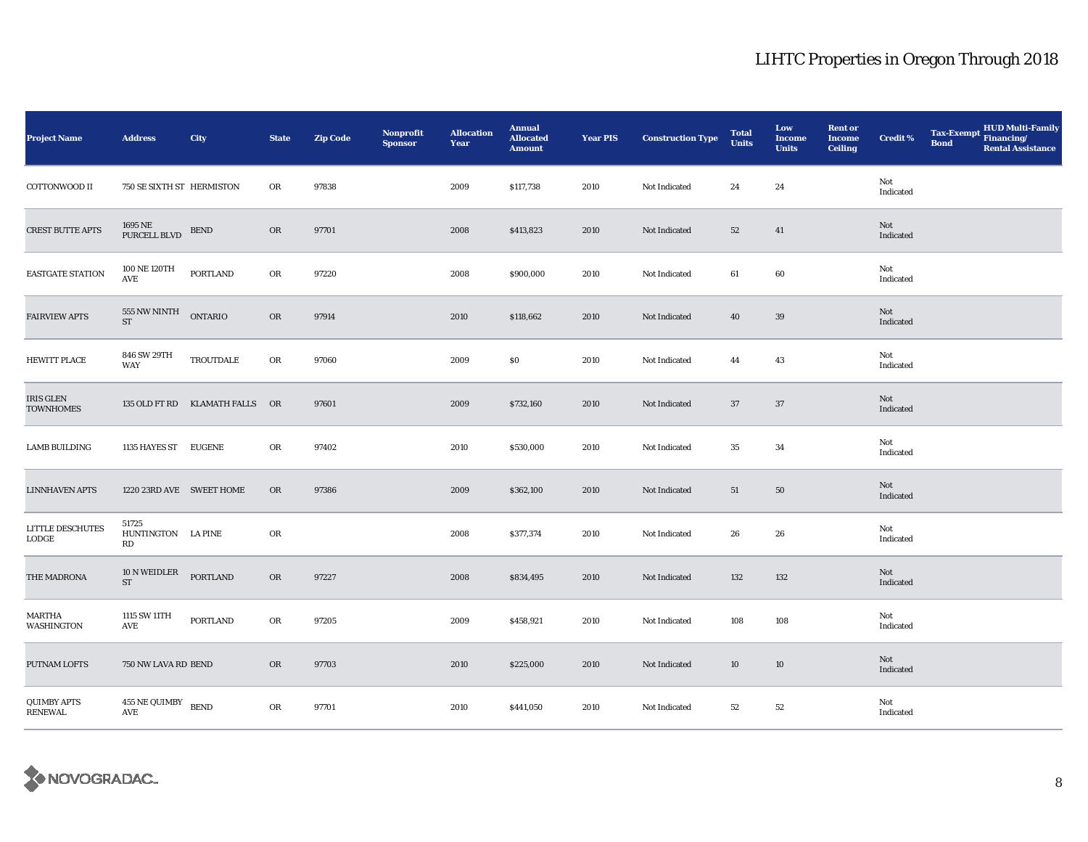| <b>Project Name</b>                     | <b>Address</b>                                | City                           | <b>State</b> | <b>Zip Code</b> | <b>Nonprofit</b><br><b>Sponsor</b> | <b>Allocation</b><br>Year | <b>Annual</b><br><b>Allocated</b><br><b>Amount</b> | <b>Year PIS</b> | <b>Construction Type</b> | <b>Total</b><br><b>Units</b> | Low<br><b>Income</b><br><b>Units</b> | <b>Rent or</b><br><b>Income</b><br><b>Ceiling</b> | Credit <sup>%</sup> | <b>Tax-Exempt</b><br><b>Bond</b> | HUD Multi-Family<br>Financing/<br><b>Rental Assistance</b> |
|-----------------------------------------|-----------------------------------------------|--------------------------------|--------------|-----------------|------------------------------------|---------------------------|----------------------------------------------------|-----------------|--------------------------|------------------------------|--------------------------------------|---------------------------------------------------|---------------------|----------------------------------|------------------------------------------------------------|
| COTTONWOOD II                           | 750 SE SIXTH ST HERMISTON                     |                                | OR           | 97838           |                                    | 2009                      | \$117,738                                          | 2010            | Not Indicated            | 24                           | 24                                   |                                                   | Not<br>Indicated    |                                  |                                                            |
| <b>CREST BUTTE APTS</b>                 | 1695 NE<br>PURCELL BLVD                       | <b>BEND</b>                    | OR           | 97701           |                                    | 2008                      | \$413,823                                          | 2010            | Not Indicated            | 52                           | 41                                   |                                                   | Not<br>Indicated    |                                  |                                                            |
| EASTGATE STATION                        | 100 NE 120TH<br>$\operatorname{\mathsf{AVE}}$ | <b>PORTLAND</b>                | ${\bf OR}$   | 97220           |                                    | 2008                      | \$900,000                                          | 2010            | Not Indicated            | 61                           | 60                                   |                                                   | Not<br>Indicated    |                                  |                                                            |
| <b>FAIRVIEW APTS</b>                    | 555 NW NINTH<br>ST                            | <b>ONTARIO</b>                 | OR           | 97914           |                                    | 2010                      | \$118,662                                          | 2010            | Not Indicated            | 40                           | $39\,$                               |                                                   | Not<br>Indicated    |                                  |                                                            |
| <b>HEWITT PLACE</b>                     | 846 SW 29TH<br>WAY                            | TROUTDALE                      | ${\bf OR}$   | 97060           |                                    | 2009                      | \$0                                                | 2010            | Not Indicated            | 44                           | 43                                   |                                                   | Not<br>Indicated    |                                  |                                                            |
| IRIS GLEN<br><b>TOWNHOMES</b>           |                                               | 135 OLD FT RD KLAMATH FALLS OR |              | 97601           |                                    | 2009                      | \$732,160                                          | 2010            | Not Indicated            | 37                           | 37                                   |                                                   | Not<br>Indicated    |                                  |                                                            |
| <b>LAMB BUILDING</b>                    | 1135 HAYES ST EUGENE                          |                                | OR           | 97402           |                                    | 2010                      | \$530,000                                          | 2010            | Not Indicated            | 35                           | 34                                   |                                                   | Not<br>Indicated    |                                  |                                                            |
| <b>LINNHAVEN APTS</b>                   | 1220 23RD AVE SWEET HOME                      |                                | OR           | 97386           |                                    | 2009                      | \$362,100                                          | 2010            | Not Indicated            | 51                           | 50                                   |                                                   | Not<br>Indicated    |                                  |                                                            |
| <b>LITTLE DESCHUTES</b><br><b>LODGE</b> | 51725<br>HUNTINGTON LA PINE<br><b>RD</b>      |                                | OR           |                 |                                    | 2008                      | \$377,374                                          | 2010            | Not Indicated            | 26                           | 26                                   |                                                   | Not<br>Indicated    |                                  |                                                            |
| THE MADRONA                             | 10 N WEIDLER PORTLAND<br><b>ST</b>            |                                | OR           | 97227           |                                    | 2008                      | \$834,495                                          | 2010            | Not Indicated            | 132                          | 132                                  |                                                   | Not<br>Indicated    |                                  |                                                            |
| MARTHA<br>WASHINGTON                    | 1115 SW 11TH<br>AVE                           | PORTLAND                       | ${\rm OR}$   | 97205           |                                    | 2009                      | \$458,921                                          | 2010            | Not Indicated            | 108                          | 108                                  |                                                   | Not<br>Indicated    |                                  |                                                            |
| PUTNAM LOFTS                            | 750 NW LAVA RD BEND                           |                                | OR           | 97703           |                                    | 2010                      | \$225,000                                          | 2010            | Not Indicated            | 10                           | 10                                   |                                                   | Not<br>Indicated    |                                  |                                                            |
| QUIMBY APTS<br><b>RENEWAL</b>           | $455$ NE QUIMBY $\,$ BEND<br>AVE              |                                | OR           | 97701           |                                    | 2010                      | \$441,050                                          | 2010            | Not Indicated            | $^{\rm 52}$                  | 52                                   |                                                   | Not<br>Indicated    |                                  |                                                            |

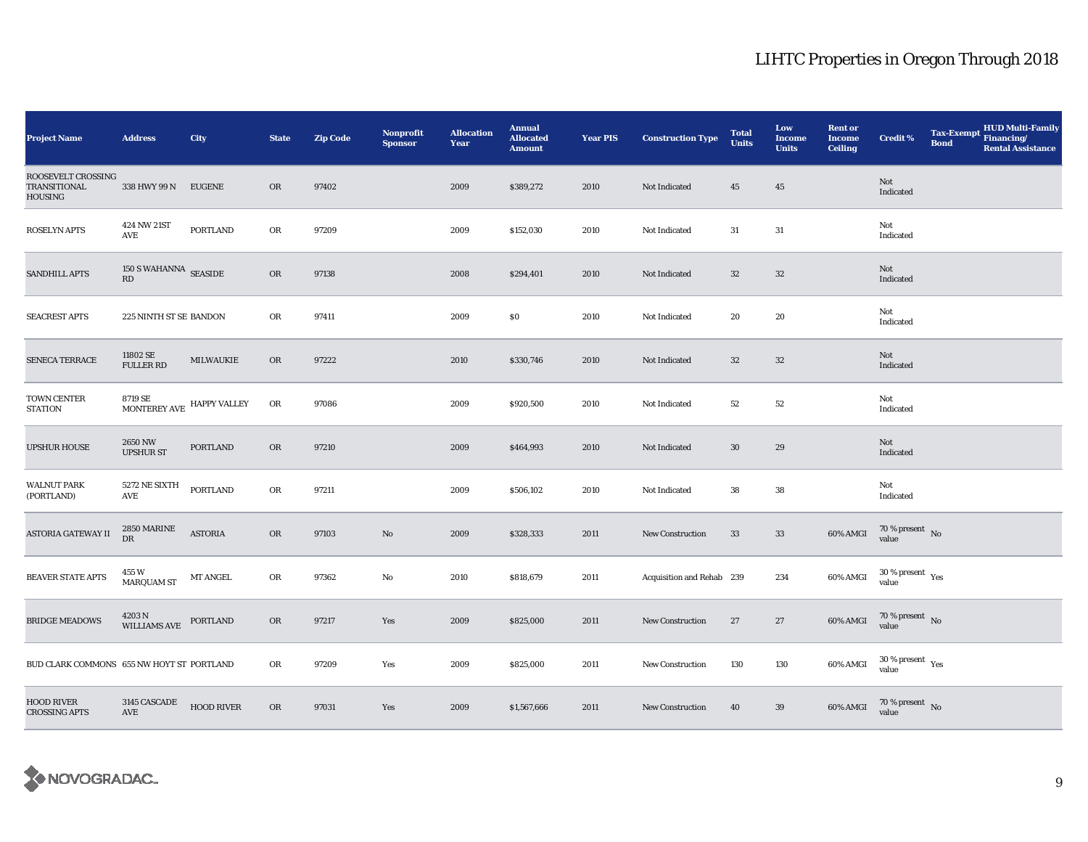| <b>Project Name</b>                                         | <b>Address</b>                       | <b>City</b>       | <b>State</b> | <b>Zip Code</b> | Nonprofit<br><b>Sponsor</b> | <b>Allocation</b><br>Year | <b>Annual</b><br><b>Allocated</b><br><b>Amount</b> | <b>Year PIS</b> | <b>Construction Type</b>  | <b>Total</b><br><b>Units</b> | Low<br><b>Income</b><br><b>Units</b> | <b>Rent or</b><br><b>Income</b><br><b>Ceiling</b> | <b>Credit %</b>                 | <b>Tax-Exempt</b><br><b>Bond</b> | <b>HUD Multi-Family</b><br>Financing/<br><b>Rental Assistance</b> |
|-------------------------------------------------------------|--------------------------------------|-------------------|--------------|-----------------|-----------------------------|---------------------------|----------------------------------------------------|-----------------|---------------------------|------------------------------|--------------------------------------|---------------------------------------------------|---------------------------------|----------------------------------|-------------------------------------------------------------------|
| ROOSEVELT CROSSING<br><b>TRANSITIONAL</b><br><b>HOUSING</b> | 338 HWY 99 N                         | <b>EUGENE</b>     | <b>OR</b>    | 97402           |                             | 2009                      | \$389,272                                          | 2010            | Not Indicated             | 45                           | 45                                   |                                                   | Not<br>Indicated                |                                  |                                                                   |
| <b>ROSELYN APTS</b>                                         | 424 NW 21ST<br>AVE                   | PORTLAND          | OR           | 97209           |                             | 2009                      | \$152,030                                          | 2010            | Not Indicated             | 31                           | 31                                   |                                                   | Not<br>Indicated                |                                  |                                                                   |
| <b>SANDHILL APTS</b>                                        | $150$ S WAHANNA $\,$ SEASIDE RD      |                   | ${\rm OR}$   | 97138           |                             | 2008                      | \$294,401                                          | 2010            | Not Indicated             | $32\,$                       | $32\,$                               |                                                   | Not<br>Indicated                |                                  |                                                                   |
| <b>SEACREST APTS</b>                                        | 225 NINTH ST SE BANDON               |                   | OR           | 97411           |                             | 2009                      | \$0                                                | 2010            | Not Indicated             | 20                           | 20                                   |                                                   | Not<br>Indicated                |                                  |                                                                   |
| SENECA TERRACE                                              | 11802 SE<br><b>FULLER RD</b>         | MILWAUKIE         | OR           | 97222           |                             | 2010                      | \$330,746                                          | 2010            | Not Indicated             | $32\,$                       | $32\,$                               |                                                   | Not<br>Indicated                |                                  |                                                                   |
| TOWN CENTER<br><b>STATION</b>                               | 8719 SE<br>MONTEREY AVE HAPPY VALLEY |                   | ${\rm OR}$   | 97086           |                             | 2009                      | \$920,500                                          | 2010            | Not Indicated             | 52                           | 52                                   |                                                   | Not<br>Indicated                |                                  |                                                                   |
| <b>UPSHUR HOUSE</b>                                         | 2650 NW<br><b>UPSHUR ST</b>          | PORTLAND          | OR           | 97210           |                             | 2009                      | \$464,993                                          | 2010            | Not Indicated             | $30\,$                       | 29                                   |                                                   | Not<br>Indicated                |                                  |                                                                   |
| <b>WALNUT PARK</b><br>(PORTLAND)                            | 5272 NE SIXTH<br>AVE                 | <b>PORTLAND</b>   | ${\rm OR}$   | 97211           |                             | 2009                      | \$506,102                                          | 2010            | Not Indicated             | 38                           | ${\bf 38}$                           |                                                   | Not<br>Indicated                |                                  |                                                                   |
| ASTORIA GATEWAY II                                          | $2850\, \mathrm{MARINE}$ DR          | <b>ASTORIA</b>    | OR           | 97103           | $\mathbf{N}\mathbf{o}$      | 2009                      | \$328,333                                          | 2011            | New Construction          | 33                           | $33\,$                               | 60% AMGI                                          | $70\,\%$ present $\,$ No value  |                                  |                                                                   |
| <b>BEAVER STATE APTS</b>                                    | 455 W<br><b>MARQUAM ST</b>           | MT ANGEL          | OR           | 97362           | No                          | 2010                      | \$818,679                                          | 2011            | Acquisition and Rehab 239 |                              | 234                                  | 60% AMGI                                          | $30\,\%$ present $\,$ Yes value |                                  |                                                                   |
| <b>BRIDGE MEADOWS</b>                                       | 4203 N<br>WILLIAMS AVE               | PORTLAND          | ${\rm OR}$   | 97217           | Yes                         | 2009                      | \$825,000                                          | 2011            | New Construction          | 27                           | 27                                   | 60% AMGI                                          | $70\,\%$ present $\,$ No value  |                                  |                                                                   |
| BUD CLARK COMMONS 655 NW HOYT ST PORTLAND                   |                                      |                   | OR           | 97209           | Yes                         | 2009                      | \$825,000                                          | 2011            | New Construction          | 130                          | 130                                  | 60% AMGI                                          | $30\,\%$ present $\,$ Yes value |                                  |                                                                   |
| <b>HOOD RIVER</b><br><b>CROSSING APTS</b>                   | 3145 CASCADE<br>AVE                  | <b>HOOD RIVER</b> | ${\rm OR}$   | 97031           | Yes                         | 2009                      | \$1,567,666                                        | 2011            | New Construction          | 40                           | 39                                   | 60% AMGI                                          | $70\,\%$ present $\,$ No value  |                                  |                                                                   |

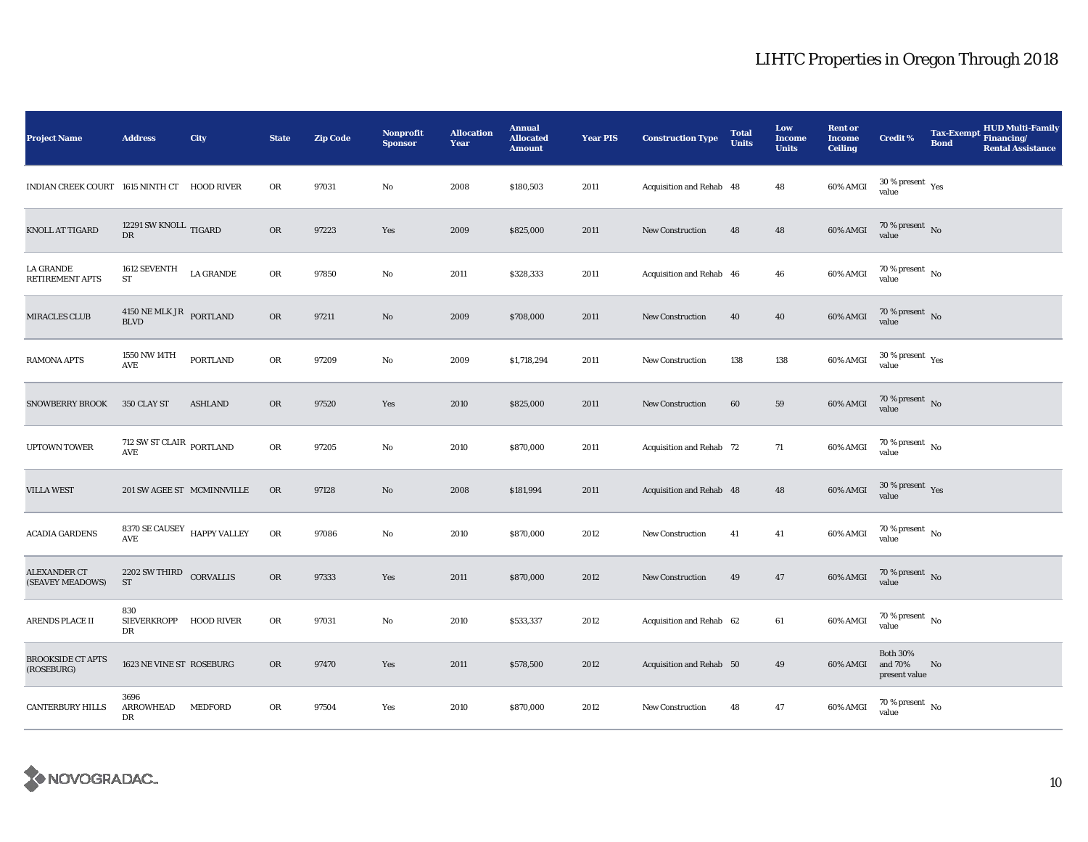| <b>Project Name</b>                         | <b>Address</b>                                                   | City             | <b>State</b> | <b>Zip Code</b> | <b>Nonprofit</b><br><b>Sponsor</b> | <b>Allocation</b><br>Year | <b>Annual</b><br><b>Allocated</b><br><b>Amount</b> | <b>Year PIS</b> | <b>Construction Type</b> | <b>Total</b><br><b>Units</b> | Low<br><b>Income</b><br><b>Units</b> | <b>Rent or</b><br><b>Income</b><br><b>Ceiling</b> | <b>Credit %</b>                              | <b>Tax-Exempt</b><br><b>Bond</b> | <b>HUD Multi-Family</b><br>Financing/<br><b>Rental Assistance</b> |
|---------------------------------------------|------------------------------------------------------------------|------------------|--------------|-----------------|------------------------------------|---------------------------|----------------------------------------------------|-----------------|--------------------------|------------------------------|--------------------------------------|---------------------------------------------------|----------------------------------------------|----------------------------------|-------------------------------------------------------------------|
| INDIAN CREEK COURT 1615 NINTH CT HOOD RIVER |                                                                  |                  | OR           | 97031           | No                                 | 2008                      | \$180,503                                          | 2011            | Acquisition and Rehab 48 |                              | 48                                   | 60% AMGI                                          | $30\,\%$ present $\,$ Yes value              |                                  |                                                                   |
| <b>KNOLL AT TIGARD</b>                      | 12291 SW KNOLL TIGARD<br>${\rm DR}$                              |                  | OR           | 97223           | Yes                                | 2009                      | \$825,000                                          | 2011            | <b>New Construction</b>  | 48                           | 48                                   | 60% AMGI                                          | $70\,\%$ present $\,$ No value               |                                  |                                                                   |
| LA GRANDE<br><b>RETIREMENT APTS</b>         | 1612 SEVENTH<br>ST                                               | <b>LA GRANDE</b> | ${\rm OR}$   | 97850           | No                                 | 2011                      | \$328,333                                          | 2011            | Acquisition and Rehab 46 |                              | 46                                   | 60% AMGI                                          | 70 % present $\hbox{~No}$<br>value           |                                  |                                                                   |
| <b>MIRACLES CLUB</b>                        | 4150 NE MLK JR PORTLAND<br><b>BLVD</b>                           |                  | OR           | 97211           | $\mathbf{No}$                      | 2009                      | \$708,000                                          | 2011            | New Construction         | 40                           | 40                                   | 60% AMGI                                          | $70\,\%$ present $\,$ No value               |                                  |                                                                   |
| <b>RAMONA APTS</b>                          | 1550 NW 14TH<br>AVE                                              | <b>PORTLAND</b>  | ${\rm OR}$   | 97209           | No                                 | 2009                      | \$1,718,294                                        | 2011            | New Construction         | 138                          | 138                                  | 60% AMGI                                          | $30$ % present $\rm\thinspace\,Yes$<br>value |                                  |                                                                   |
| <b>SNOWBERRY BROOK</b>                      | 350 CLAY ST                                                      | <b>ASHLAND</b>   | OR           | 97520           | Yes                                | 2010                      | \$825,000                                          | 2011            | New Construction         | 60                           | 59                                   | 60% AMGI                                          | $70\,\%$ present $\,$ No value               |                                  |                                                                   |
| <b>UPTOWN TOWER</b>                         | $712$ SW ST CLAIR $\,$ PORTLAND<br>$\operatorname{\mathsf{AVE}}$ |                  | ${\sf OR}$   | 97205           | No                                 | 2010                      | \$870,000                                          | 2011            | Acquisition and Rehab 72 |                              | 71                                   | 60% AMGI                                          | $70$ % present $\,$ No $\,$<br>value         |                                  |                                                                   |
| <b>VILLA WEST</b>                           | 201 SW AGEE ST MCMINNVILLE                                       |                  | OR           | 97128           | $\mathbf{No}$                      | 2008                      | \$181,994                                          | 2011            | Acquisition and Rehab 48 |                              | 48                                   | 60% AMGI                                          | $30\,\%$ present $\,$ Yes value              |                                  |                                                                   |
| <b>ACADIA GARDENS</b>                       | 8370 SE CAUSEY HAPPY VALLEY<br>$\operatorname{\mathbf{AVE}}$     |                  | ${\rm OR}$   | 97086           | No                                 | 2010                      | \$870,000                                          | 2012            | <b>New Construction</b>  | 41                           | 41                                   | 60% AMGI                                          | $70\,\%$ present $\,$ No value               |                                  |                                                                   |
| ALEXANDER CT<br>(SEAVEY MEADOWS)            | 2202 SW THIRD CORVALLIS<br><b>ST</b>                             |                  | OR           | 97333           | Yes                                | 2011                      | \$870,000                                          | 2012            | <b>New Construction</b>  | 49                           | 47                                   | 60% AMGI                                          | $70\,\%$ present $\,$ No value               |                                  |                                                                   |
| ARENDS PLACE II                             | 830<br>SIEVERKROPP HOOD RIVER<br>DR                              |                  | ${\rm OR}$   | 97031           | No                                 | 2010                      | \$533,337                                          | 2012            | Acquisition and Rehab 62 |                              | 61                                   | 60% AMGI                                          | $70\,\%$ present $\,$ No value               |                                  |                                                                   |
| <b>BROOKSIDE CT APTS</b><br>(ROSEBURG)      | 1623 NE VINE ST ROSEBURG                                         |                  | <b>OR</b>    | 97470           | Yes                                | 2011                      | \$578,500                                          | 2012            | Acquisition and Rehab 50 |                              | 49                                   | 60% AMGI                                          | <b>Both 30%</b><br>and 70%<br>present value  | No                               |                                                                   |
| <b>CANTERBURY HILLS</b>                     | 3696<br>ARROWHEAD<br>DR                                          | MEDFORD          | OR           | 97504           | Yes                                | 2010                      | \$870,000                                          | 2012            | <b>New Construction</b>  | 48                           | 47                                   | 60% AMGI                                          | $70\,\%$ present $\,$ No value               |                                  |                                                                   |

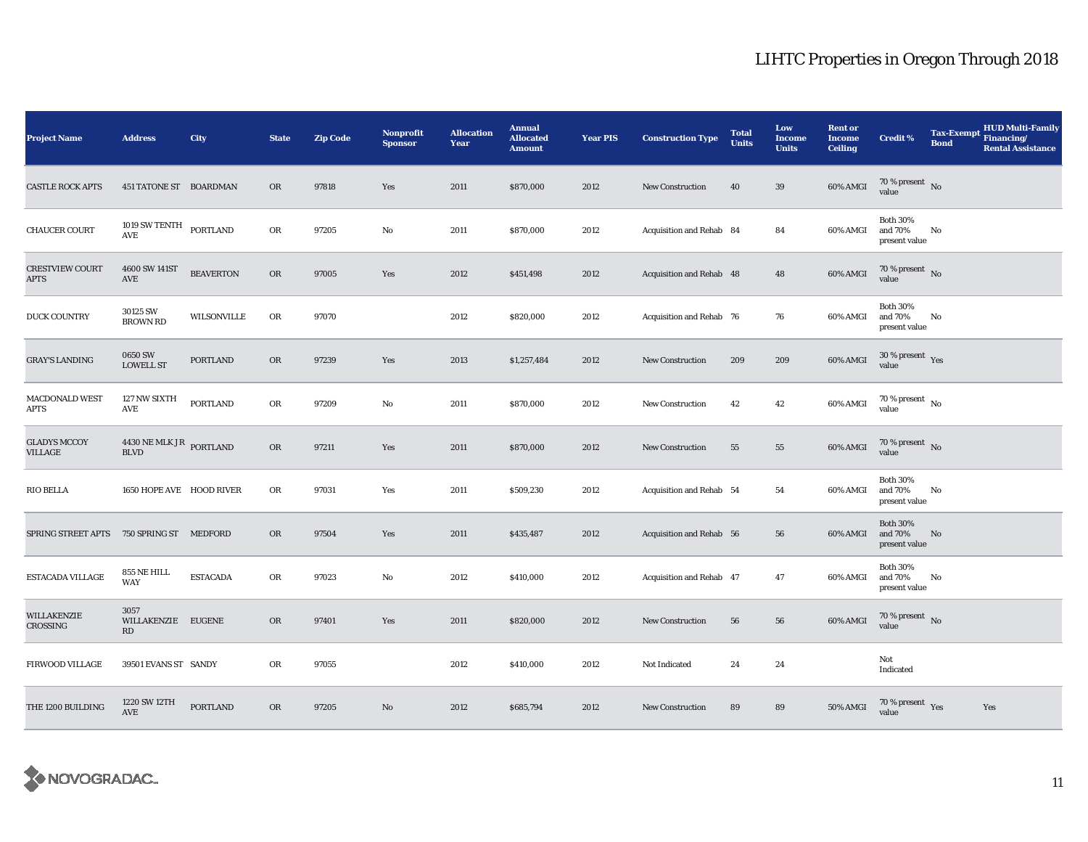| <b>Project Name</b>                   | <b>Address</b>                                     | City             | <b>State</b> | <b>Zip Code</b> | Nonprofit<br><b>Sponsor</b> | <b>Allocation</b><br>Year | <b>Annual</b><br><b>Allocated</b><br><b>Amount</b> | <b>Year PIS</b> | <b>Construction Type</b> | <b>Total</b><br><b>Units</b> | Low<br><b>Income</b><br><b>Units</b> | <b>Rent or</b><br><b>Income</b><br><b>Ceiling</b> | <b>Credit %</b>                             | <b>Tax-Exempt</b><br><b>Bond</b> | <b>HUD Multi-Family</b><br>Financing/<br><b>Rental Assistance</b> |
|---------------------------------------|----------------------------------------------------|------------------|--------------|-----------------|-----------------------------|---------------------------|----------------------------------------------------|-----------------|--------------------------|------------------------------|--------------------------------------|---------------------------------------------------|---------------------------------------------|----------------------------------|-------------------------------------------------------------------|
| <b>CASTLE ROCK APTS</b>               | <b>451 TATONE ST BOARDMAN</b>                      |                  | OR           | 97818           | Yes                         | 2011                      | \$870,000                                          | 2012            | <b>New Construction</b>  | 40                           | 39                                   | 60% AMGI                                          | $70\,\%$ present $\,$ No value              |                                  |                                                                   |
| <b>CHAUCER COURT</b>                  | $1019$ SW TENTH $_{\rm{PORTLAND}}$<br>AVE          |                  | OR           | 97205           | $\rm No$                    | 2011                      | \$870,000                                          | 2012            | Acquisition and Rehab 84 |                              | 84                                   | 60% AMGI                                          | <b>Both 30%</b><br>and 70%<br>present value | No                               |                                                                   |
| <b>CRESTVIEW COURT</b><br><b>APTS</b> | 4600 SW 141ST<br>$\operatorname{AVE}$              | <b>BEAVERTON</b> | OR           | 97005           | Yes                         | 2012                      | \$451,498                                          | 2012            | Acquisition and Rehab 48 |                              | 48                                   | 60% AMGI                                          | $70\,\%$ present $\,$ No value              |                                  |                                                                   |
| DUCK COUNTRY                          | 30125 SW<br><b>BROWN RD</b>                        | WILSONVILLE      | OR           | 97070           |                             | 2012                      | \$820,000                                          | 2012            | Acquisition and Rehab 76 |                              | 76                                   | 60% AMGI                                          | <b>Both 30%</b><br>and 70%<br>present value | No                               |                                                                   |
| <b>GRAY'S LANDING</b>                 | <b>0650 SW</b><br><b>LOWELL ST</b>                 | <b>PORTLAND</b>  | <b>OR</b>    | 97239           | Yes                         | 2013                      | \$1,257,484                                        | 2012            | <b>New Construction</b>  | 209                          | 209                                  | 60% AMGI                                          | $30\,\%$ present $\,$ Yes<br>value          |                                  |                                                                   |
| MACDONALD WEST<br>APTS                | 127 NW SIXTH<br>$\operatorname{AVE}$               | <b>PORTLAND</b>  | OR           | 97209           | $\rm No$                    | 2011                      | \$870,000                                          | 2012            | <b>New Construction</b>  | 42                           | 42                                   | 60% AMGI                                          | $70$ % present $\,$ No $\,$<br>value        |                                  |                                                                   |
| <b>GLADYS MCCOY</b><br>VILLAGE        | $4430$ NE MLK JR $_{\rm{PORTLAND}}$<br><b>BLVD</b> |                  | <b>OR</b>    | 97211           | Yes                         | 2011                      | \$870,000                                          | 2012            | <b>New Construction</b>  | 55                           | 55                                   | 60% AMGI                                          | $70\,\%$ present $\,$ No value              |                                  |                                                                   |
| <b>RIO BELLA</b>                      | 1650 HOPE AVE HOOD RIVER                           |                  | OR           | 97031           | Yes                         | 2011                      | \$509,230                                          | 2012            | Acquisition and Rehab 54 |                              | 54                                   | 60% AMGI                                          | <b>Both 30%</b><br>and 70%<br>present value | No                               |                                                                   |
| SPRING STREET APTS                    | 750 SPRING ST MEDFORD                              |                  | OR           | 97504           | Yes                         | 2011                      | \$435,487                                          | 2012            | Acquisition and Rehab 56 |                              | 56                                   | 60% AMGI                                          | <b>Both 30%</b><br>and 70%<br>present value | No                               |                                                                   |
| ESTACADA VILLAGE                      | 855 NE HILL<br>WAY                                 | <b>ESTACADA</b>  | ${\rm OR}$   | 97023           | No                          | 2012                      | \$410,000                                          | 2012            | Acquisition and Rehab 47 |                              | 47                                   | 60% AMGI                                          | <b>Both 30%</b><br>and 70%<br>present value | No                               |                                                                   |
| WILLAKENZIE<br>CROSSING               | 3057<br>WILLAKENZIE EUGENE<br>RD                   |                  | <b>OR</b>    | 97401           | Yes                         | 2011                      | \$820,000                                          | 2012            | <b>New Construction</b>  | 56                           | 56                                   | 60% AMGI                                          | $70$ % present $\,$ No $\,$<br>value        |                                  |                                                                   |
| FIRWOOD VILLAGE                       | 39501 EVANS ST SANDY                               |                  | OR           | 97055           |                             | 2012                      | \$410,000                                          | 2012            | Not Indicated            | 24                           | 24                                   |                                                   | Not<br>Indicated                            |                                  |                                                                   |
| THE 1200 BUILDING                     | 1220 SW 12TH<br>$\operatorname{AVE}$               | <b>PORTLAND</b>  | OR           | 97205           | No                          | 2012                      | \$685,794                                          | 2012            | New Construction         | 89                           | 89                                   | 50% AMGI                                          | $70\,\%$ present $\,$ Yes value             |                                  | Yes                                                               |

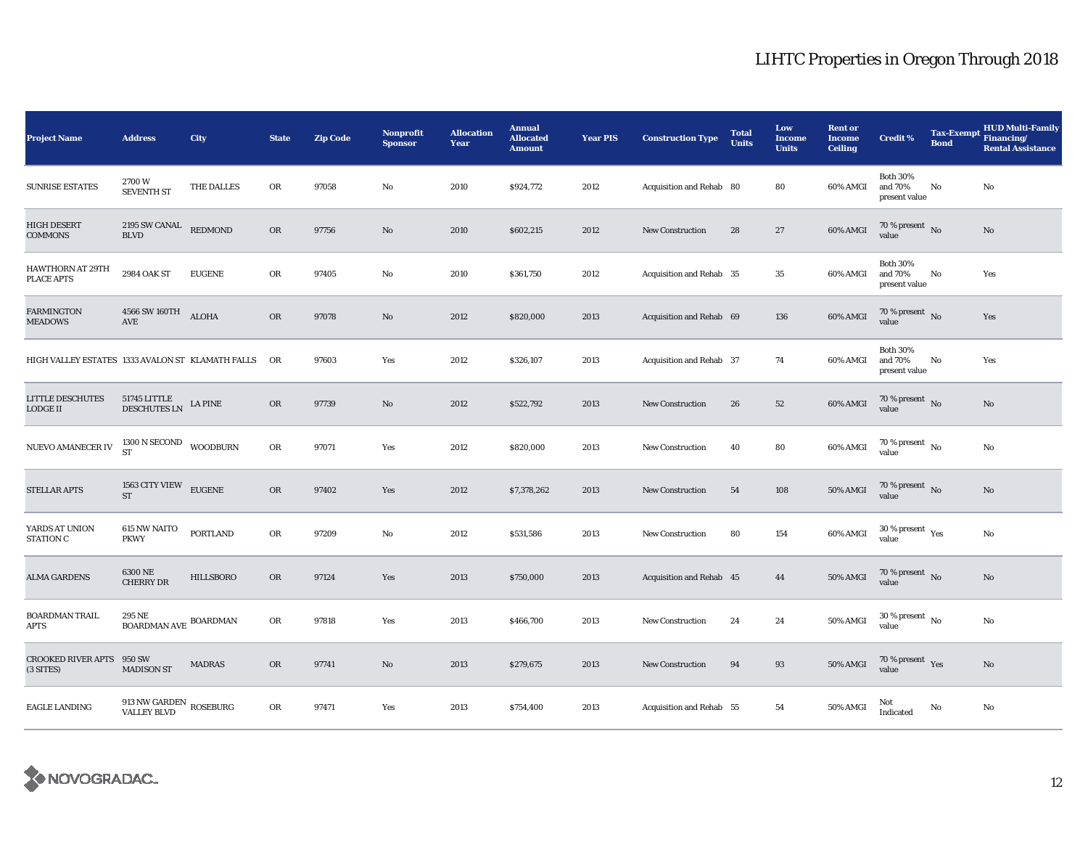| <b>Project Name</b>                              | <b>Address</b>                                             | <b>City</b>    | <b>State</b> | <b>Zip Code</b> | Nonprofit<br><b>Sponsor</b> | <b>Allocation</b><br>Year | <b>Annual</b><br><b>Allocated</b><br><b>Amount</b> | <b>Year PIS</b> | <b>Construction Type</b> | <b>Total</b><br><b>Units</b> | Low<br><b>Income</b><br><b>Units</b> | <b>Rent or</b><br><b>Income</b><br><b>Ceiling</b> | <b>Credit %</b>                                       | <b>Tax-Exempt</b><br><b>Bond</b> | <b>HUD Multi-Family</b><br>Financing/<br><b>Rental Assistance</b> |
|--------------------------------------------------|------------------------------------------------------------|----------------|--------------|-----------------|-----------------------------|---------------------------|----------------------------------------------------|-----------------|--------------------------|------------------------------|--------------------------------------|---------------------------------------------------|-------------------------------------------------------|----------------------------------|-------------------------------------------------------------------|
| <b>SUNRISE ESTATES</b>                           | 2700W<br><b>SEVENTH ST</b>                                 | THE DALLES     | OR           | 97058           | $\mathbf{No}$               | 2010                      | \$924,772                                          | 2012            | Acquisition and Rehab 80 |                              | 80                                   | 60% AMGI                                          | <b>Both 30%</b><br>and 70%<br>present value           | No                               | No                                                                |
| <b>HIGH DESERT</b><br><b>COMMONS</b>             | 2195 SW CANAL<br><b>BLVD</b>                               | <b>REDMOND</b> | OR           | 97756           | $\mathbf{N}\mathbf{o}$      | 2010                      | \$602,215                                          | 2012            | New Construction         | 28                           | 27                                   | 60% AMGI                                          | $70\%$ present No<br>value                            |                                  | No                                                                |
| HAWTHORN AT 29TH<br>PLACE APTS                   | 2984 OAK ST                                                | <b>EUGENE</b>  | ${\rm OR}$   | 97405           | No                          | 2010                      | \$361,750                                          | 2012            | Acquisition and Rehab 35 |                              | 35                                   | 60% AMGI                                          | <b>Both 30%</b><br>and 70%<br>present value           | No                               | Yes                                                               |
| <b>FARMINGTON</b><br><b>MEADOWS</b>              | 4566 SW 160TH<br>$\operatorname{AVE}$                      | <b>ALOHA</b>   | OR           | 97078           | $\mathbf{N}\mathbf{o}$      | 2012                      | \$820,000                                          | 2013            | Acquisition and Rehab 69 |                              | 136                                  | 60% AMGI                                          | 70 % present $\hbox{~No}$<br>value                    |                                  | Yes                                                               |
| HIGH VALLEY ESTATES 1333 AVALON ST KLAMATH FALLS |                                                            |                | OR           | 97603           | Yes                         | 2012                      | \$326,107                                          | 2013            | Acquisition and Rehab 37 |                              | 74                                   | 60% AMGI                                          | <b>Both 30%</b><br>and 70%<br>present value           | No                               | Yes                                                               |
| <b>LITTLE DESCHUTES</b><br><b>LODGE II</b>       | $51745$ LITTLE $$\tt{LA}~\tt{PINE}$                        |                | OR           | 97739           | No                          | 2012                      | \$522,792                                          | 2013            | New Construction         | 26                           | 52                                   | 60% AMGI                                          | 70 % present $\hbox{~No}$<br>value                    |                                  | No                                                                |
| NUEVO AMANECER IV                                | $1300$ N SECOND $$\tt WOODBURN$$ ST                        |                | OR           | 97071           | Yes                         | 2012                      | \$820,000                                          | 2013            | New Construction         | 40                           | 80                                   | 60% AMGI                                          | 70 % present $\hbox{~No}$<br>value                    |                                  | No                                                                |
| <b>STELLAR APTS</b>                              | 1563 CITY VIEW EUGENE<br><b>ST</b>                         |                | OR           | 97402           | Yes                         | 2012                      | \$7,378,262                                        | 2013            | <b>New Construction</b>  | 54                           | 108                                  | <b>50% AMGI</b>                                   | $70\,\%$ present $\,$ No value                        |                                  | $\mathbf{No}$                                                     |
| YARDS AT UNION<br><b>STATION C</b>               | <b>615 NW NAITO</b><br><b>PKWY</b>                         | PORTLAND       | ${\rm OR}$   | 97209           | No                          | 2012                      | \$531,586                                          | 2013            | New Construction         | 80                           | 154                                  | 60% AMGI                                          | 30 % present $\rm\thinspace\gamma_{\rm e s}$<br>value |                                  | No                                                                |
| <b>ALMA GARDENS</b>                              | 6300 NE<br><b>CHERRY DR</b>                                | HILLSBORO      | OR           | 97124           | Yes                         | 2013                      | \$750,000                                          | 2013            | Acquisition and Rehab 45 |                              | 44                                   | 50% AMGI                                          | 70 % present $\hbox{~No}$<br>value                    |                                  | $\mathbf{No}$                                                     |
| <b>BOARDMAN TRAIL</b><br>APTS                    | 295 NE<br>$\operatorname{\mathsf{BOARDMAN\,AVE}}$ BOARDMAN |                | ${\rm OR}$   | 97818           | Yes                         | 2013                      | \$466,700                                          | 2013            | New Construction         | 24                           | 24                                   | 50% AMGI                                          | $30$ % present $\,$ No $\,$<br>value                  |                                  | No                                                                |
| <b>CROOKED RIVER APTS</b><br>(3 SITES)           | 950 SW<br><b>MADISON ST</b>                                | <b>MADRAS</b>  | <b>OR</b>    | 97741           | No                          | 2013                      | \$279,675                                          | 2013            | <b>New Construction</b>  | 94                           | 93                                   | 50% AMGI                                          | $70\,\%$ present $\,$ Yes value                       |                                  | No                                                                |
| <b>EAGLE LANDING</b>                             | $913$ NW GARDEN $\,$ ROSEBURG VALLEY BLVD                  |                | OR           | 97471           | Yes                         | 2013                      | \$754,400                                          | 2013            | Acquisition and Rehab 55 |                              | 54                                   | 50% AMGI                                          | Not<br>Indicated                                      | $\mathbf{No}$                    | No                                                                |

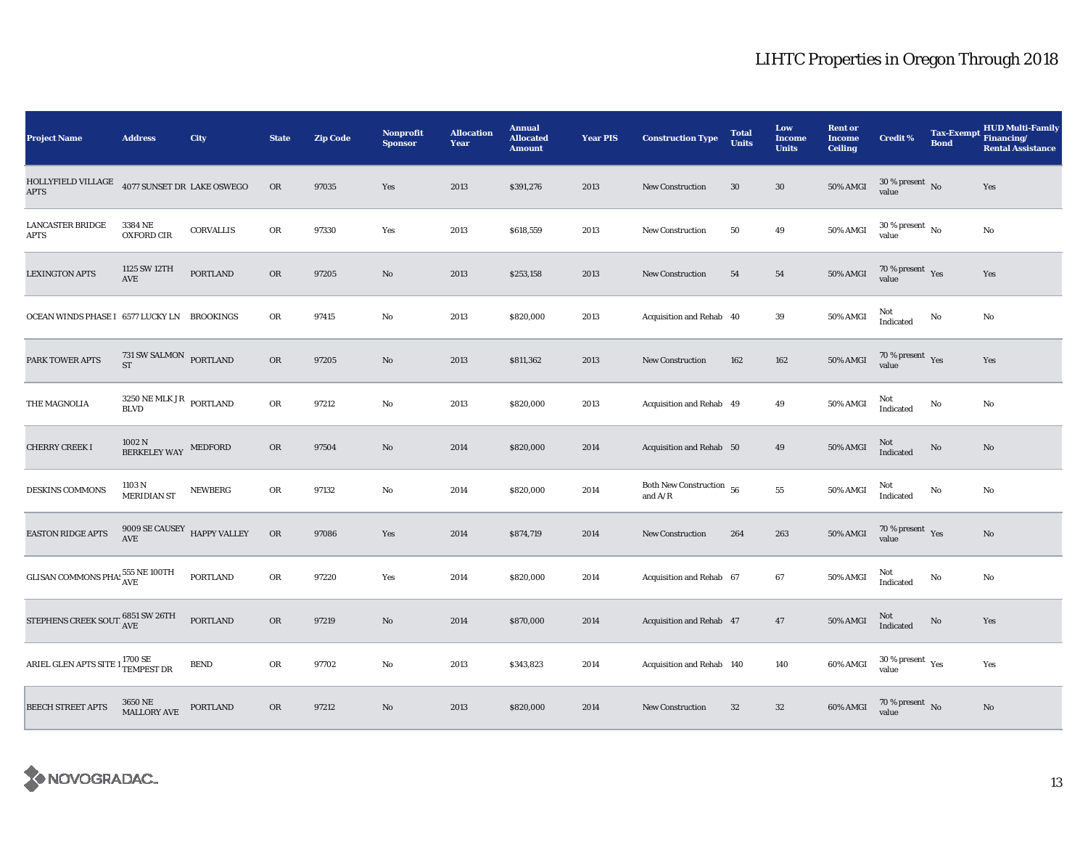| <b>Project Name</b>                                              | <b>Address</b>                                               | City            | <b>State</b> | <b>Zip Code</b> | <b>Nonprofit</b><br><b>Sponsor</b> | <b>Allocation</b><br>Year | <b>Annual</b><br><b>Allocated</b><br><b>Amount</b> | <b>Year PIS</b> | <b>Construction Type</b>              | <b>Total</b><br><b>Units</b> | Low<br><b>Income</b><br><b>Units</b> | <b>Rent or</b><br><b>Income</b><br><b>Ceiling</b> | <b>Credit %</b>                             | <b>Tax-Exempt</b><br><b>Bond</b> | <b>HUD Multi-Family</b><br>Financing/<br><b>Rental Assistance</b> |
|------------------------------------------------------------------|--------------------------------------------------------------|-----------------|--------------|-----------------|------------------------------------|---------------------------|----------------------------------------------------|-----------------|---------------------------------------|------------------------------|--------------------------------------|---------------------------------------------------|---------------------------------------------|----------------------------------|-------------------------------------------------------------------|
| HOLLYFIELD VILLAGE<br><b>APTS</b>                                | 4077 SUNSET DR LAKE OSWEGO                                   |                 | <b>OR</b>    | 97035           | Yes                                | 2013                      | \$391,276                                          | 2013            | <b>New Construction</b>               | 30                           | 30                                   | <b>50% AMGI</b>                                   | $30\,\%$ present $\,$ No value              |                                  | Yes                                                               |
| <b>LANCASTER BRIDGE</b><br>APTS                                  | 3384 NE<br><b>OXFORD CIR</b>                                 | CORVALLIS       | OR           | 97330           | Yes                                | 2013                      | \$618,559                                          | 2013            | <b>New Construction</b>               | 50                           | 49                                   | 50% AMGI                                          | $30$ % present $\,$ No $\,$<br>value        |                                  | No                                                                |
| <b>LEXINGTON APTS</b>                                            | 1125 SW 12TH<br>AVE                                          | <b>PORTLAND</b> | OR           | 97205           | $\rm No$                           | 2013                      | \$253,158                                          | 2013            | New Construction                      | 54                           | ${\bf 54}$                           | <b>50% AMGI</b>                                   | $70\,\%$ present $\;\;\chi_{\rm e s}$ value |                                  | Yes                                                               |
| OCEAN WINDS PHASE I 6577 LUCKY LN BROOKINGS                      |                                                              |                 | OR           | 97415           | No                                 | 2013                      | \$820,000                                          | 2013            | Acquisition and Rehab 40              |                              | 39                                   | 50% AMGI                                          | Not<br>Indicated                            | $\rm No$                         | No                                                                |
| PARK TOWER APTS                                                  | $731$ SW SALMON $\,$ PORTLAND<br><b>ST</b>                   |                 | OR           | 97205           | $\mathbf{N}\mathbf{o}$             | 2013                      | \$811,362                                          | 2013            | <b>New Construction</b>               | 162                          | 162                                  | <b>50% AMGI</b>                                   | $70\,\%$ present $\,$ Yes value             |                                  | Yes                                                               |
| THE MAGNOLIA                                                     | $3250\,\mathrm{NE}\,\mathrm{MLK}\,\mathrm{JR}$ PORTLAND BLVD |                 | OR           | 97212           | No                                 | 2013                      | \$820,000                                          | 2013            | Acquisition and Rehab 49              |                              | 49                                   | <b>50% AMGI</b>                                   | Not<br>Indicated                            | No                               | No                                                                |
| <b>CHERRY CREEK I</b>                                            | $1002$ N $\,$ BERKELEY WAY                                   | MEDFORD         | OR           | 97504           | $\mathbf{N}\mathbf{o}$             | 2014                      | \$820,000                                          | 2014            | Acquisition and Rehab 50              |                              | 49                                   | <b>50% AMGI</b>                                   | Not<br>Indicated                            | $\rm No$                         | No                                                                |
| <b>DESKINS COMMONS</b>                                           | 1103 N<br><b>MERIDIAN ST</b>                                 | <b>NEWBERG</b>  | OR           | 97132           | No                                 | 2014                      | \$820,000                                          | 2014            | Both New Construction 56<br>and $A/R$ |                              | ${\bf 55}$                           | 50% AMGI                                          | Not<br>Indicated                            | No                               | No                                                                |
| <b>EASTON RIDGE APTS</b>                                         | $9009$ SE CAUSEY $$\,$ HAPPY VALLEY AVE                      |                 | ${\rm OR}$   | 97086           | Yes                                | 2014                      | \$874,719                                          | 2014            | <b>New Construction</b>               | 264                          | 263                                  | $50\%$ AMGI                                       | $70\,\%$ present $\,$ Yes value             |                                  | No                                                                |
| GLISAN COMMONS PHA: 555 NE 100TH                                 |                                                              | PORTLAND        | OR           | 97220           | Yes                                | 2014                      | \$820,000                                          | 2014            | Acquisition and Rehab 67              |                              | 67                                   | 50% AMGI                                          | Not<br>Indicated                            | $\rm No$                         | No                                                                |
| STEPHENS CREEK SOUT $_{\rm AVE}^{6851}$ SW 26TH                  |                                                              | <b>PORTLAND</b> | OR           | 97219           | No                                 | 2014                      | \$870,000                                          | 2014            | Acquisition and Rehab 47              |                              | 47                                   | <b>50% AMGI</b>                                   | Not<br>Indicated                            | $\rm No$                         | Yes                                                               |
| ARIEL GLEN APTS SITE $1\frac{1700\text{ SE}}{\text{TEMPEST DR}}$ |                                                              | <b>BEND</b>     | OR           | 97702           | $\rm No$                           | 2013                      | \$343,823                                          | 2014            | Acquisition and Rehab 140             |                              | 140                                  | 60% AMGI                                          | $30\,\%$ present $\,$ $\rm Yes$<br>value    |                                  | Yes                                                               |
| <b>BEECH STREET APTS</b>                                         | 3650 NE<br>MALLORY AVE                                       | PORTLAND        | OR           | 97212           | No                                 | 2013                      | \$820,000                                          | 2014            | <b>New Construction</b>               | 32                           | $32\phantom{.0}$                     | 60% AMGI                                          | $70\,\%$ present $\,$ No value              |                                  | $\rm No$                                                          |

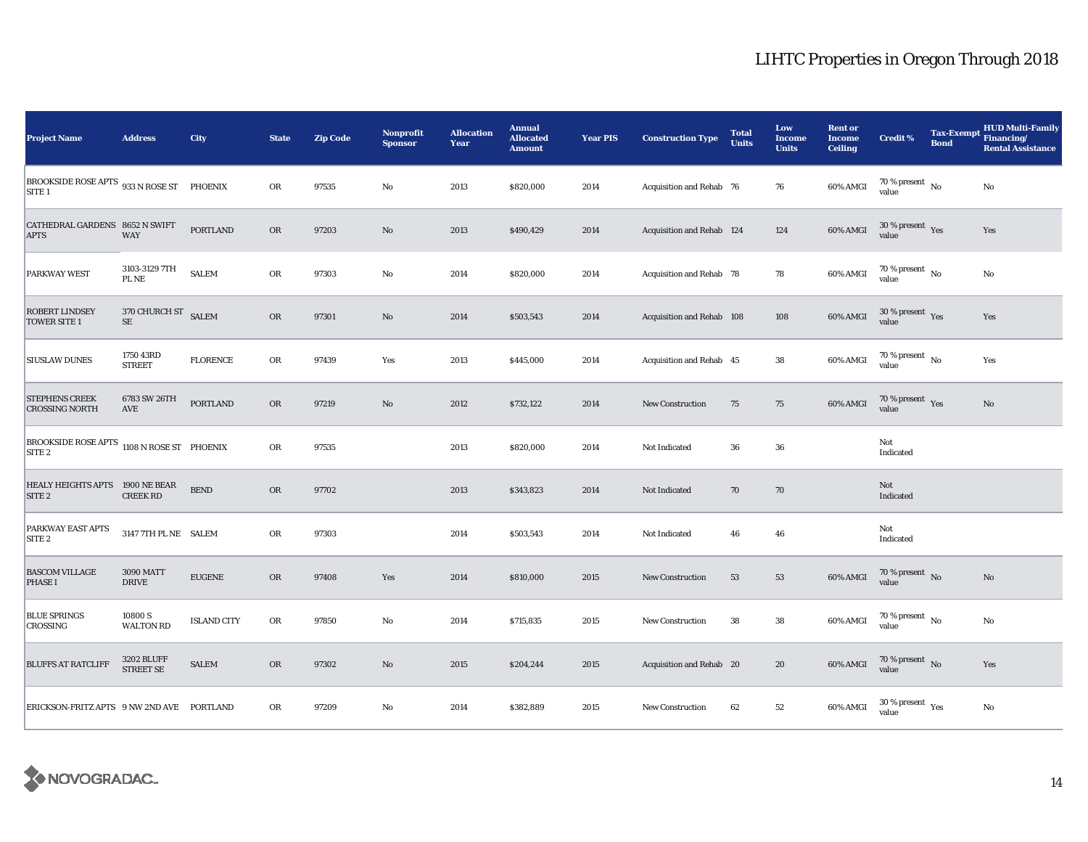| <b>Project Name</b>                                             | <b>Address</b>                        | City               | <b>State</b> | <b>Zip Code</b> | <b>Nonprofit</b><br><b>Sponsor</b> | <b>Allocation</b><br>Year | <b>Annual</b><br><b>Allocated</b><br><b>Amount</b> | <b>Year PIS</b> | <b>Construction Type</b>  | <b>Total</b><br><b>Units</b> | Low<br><b>Income</b><br><b>Units</b> | <b>Rent or</b><br><b>Income</b><br><b>Ceiling</b> | <b>Credit %</b>                          | <b>Tax-Exempt</b><br><b>Bond</b> | <b>HUD Multi-Family</b><br>Financing/<br><b>Rental Assistance</b> |
|-----------------------------------------------------------------|---------------------------------------|--------------------|--------------|-----------------|------------------------------------|---------------------------|----------------------------------------------------|-----------------|---------------------------|------------------------------|--------------------------------------|---------------------------------------------------|------------------------------------------|----------------------------------|-------------------------------------------------------------------|
| BROOKSIDE ROSE APTS 933 N ROSE ST PHOENIX<br>SITE <sub>1</sub>  |                                       |                    | OR           | 97535           | $_{\rm No}$                        | 2013                      | \$820,000                                          | 2014            | Acquisition and Rehab 76  |                              | 76                                   | 60% AMGI                                          | 70 % present $\hbox{~No}$<br>value       |                                  | $\rm No$                                                          |
| CATHEDRAL GARDENS 8652 N SWIFT<br><b>APTS</b>                   | <b>WAY</b>                            | <b>PORTLAND</b>    | OR           | 97203           | $\rm No$                           | 2013                      | \$490,429                                          | 2014            | Acquisition and Rehab 124 |                              | 124                                  | 60% AMGI                                          | $30\,\%$ present $\,$ Yes<br>value       |                                  | Yes                                                               |
| PARKWAY WEST                                                    | 3103-3129 7TH<br>PL NE                | <b>SALEM</b>       | ${\rm OR}$   | 97303           | $\rm No$                           | 2014                      | \$820,000                                          | 2014            | Acquisition and Rehab 78  |                              | 78                                   | 60% AMGI                                          | 70 % present $\hbox{~No}$<br>value       |                                  | $\rm No$                                                          |
| <b>ROBERT LINDSEY</b><br><b>TOWER SITE 1</b>                    | 370 CHURCH ST SALEM<br>$\rm SE$       |                    | OR           | 97301           | No                                 | 2014                      | \$503,543                                          | 2014            | Acquisition and Rehab 108 |                              | 108                                  | 60% AMGI                                          | $30\,\%$ present $\,$ Yes value          |                                  | Yes                                                               |
| <b>SIUSLAW DUNES</b>                                            | 1750 43RD<br><b>STREET</b>            | <b>FLORENCE</b>    | OR           | 97439           | Yes                                | 2013                      | \$445,000                                          | 2014            | Acquisition and Rehab 45  |                              | ${\bf 38}$                           | 60% AMGI                                          | 70 % present $\hbox{~No}$<br>value       |                                  | Yes                                                               |
| STEPHENS CREEK<br><b>CROSSING NORTH</b>                         | 6783 SW 26TH<br>$\operatorname{AVE}$  | <b>PORTLAND</b>    | OR           | 97219           | $\rm No$                           | 2012                      | \$732,122                                          | 2014            | <b>New Construction</b>   | 75                           | 75                                   | 60% AMGI                                          | 70 % present $\gamma_{\rm e s}$<br>value |                                  | $\mathbf{No}$                                                     |
| BROOKSIDE ROSE APTS 1108 N ROSE ST PHOENIX<br>SITE <sub>2</sub> |                                       |                    | OR           | 97535           |                                    | 2013                      | \$820,000                                          | 2014            | Not Indicated             | 36                           | 36                                   |                                                   | Not<br>Indicated                         |                                  |                                                                   |
| HEALY HEIGHTS APTS 1900 NE BEAR<br>SITE <sub>2</sub>            | <b>CREEK RD</b>                       | ${\tt BEND}$       | OR           | 97702           |                                    | 2013                      | \$343,823                                          | 2014            | Not Indicated             | 70                           | 70                                   |                                                   | Not<br>Indicated                         |                                  |                                                                   |
| PARKWAY EAST APTS<br>SITE <sub>2</sub>                          | 3147 7TH PL NE SALEM                  |                    | ${\sf OR}$   | 97303           |                                    | 2014                      | \$503,543                                          | 2014            | Not Indicated             | 46                           | 46                                   |                                                   | Not<br>Indicated                         |                                  |                                                                   |
| <b>BASCOM VILLAGE</b><br><b>PHASE I</b>                         | <b>3090 MATT</b><br><b>DRIVE</b>      | <b>EUGENE</b>      | OR           | 97408           | Yes                                | 2014                      | \$810,000                                          | 2015            | New Construction          | 53                           | 53                                   | 60% AMGI                                          | 70 % present $\hbox{No}$<br>value        |                                  | No                                                                |
| <b>BLUE SPRINGS</b><br><b>CROSSING</b>                          | 10800 S<br><b>WALTON RD</b>           | <b>ISLAND CITY</b> | OR           | 97850           | $\rm No$                           | 2014                      | \$715,835                                          | 2015            | New Construction          | 38                           | 38                                   | 60% AMGI                                          | 70 % present $\hbox{~No}$<br>value       |                                  | No                                                                |
| <b>BLUFFS AT RATCLIFF</b>                                       | <b>3202 BLUFF</b><br><b>STREET SE</b> | <b>SALEM</b>       | OR           | 97302           | $\rm No$                           | 2015                      | \$204,244                                          | 2015            | Acquisition and Rehab 20  |                              | 20                                   | 60% AMGI                                          | $70\,\%$ present $\,$ No value           |                                  | Yes                                                               |
| ERICKSON-FRITZ APTS 9 NW 2ND AVE PORTLAND                       |                                       |                    | ${\rm OR}$   | 97209           | $\mathbf{No}$                      | 2014                      | \$382,889                                          | 2015            | <b>New Construction</b>   | 62                           | 52                                   | 60% AMGI                                          | 30 % present $\rm\,Yes$<br>value         |                                  | $\rm No$                                                          |

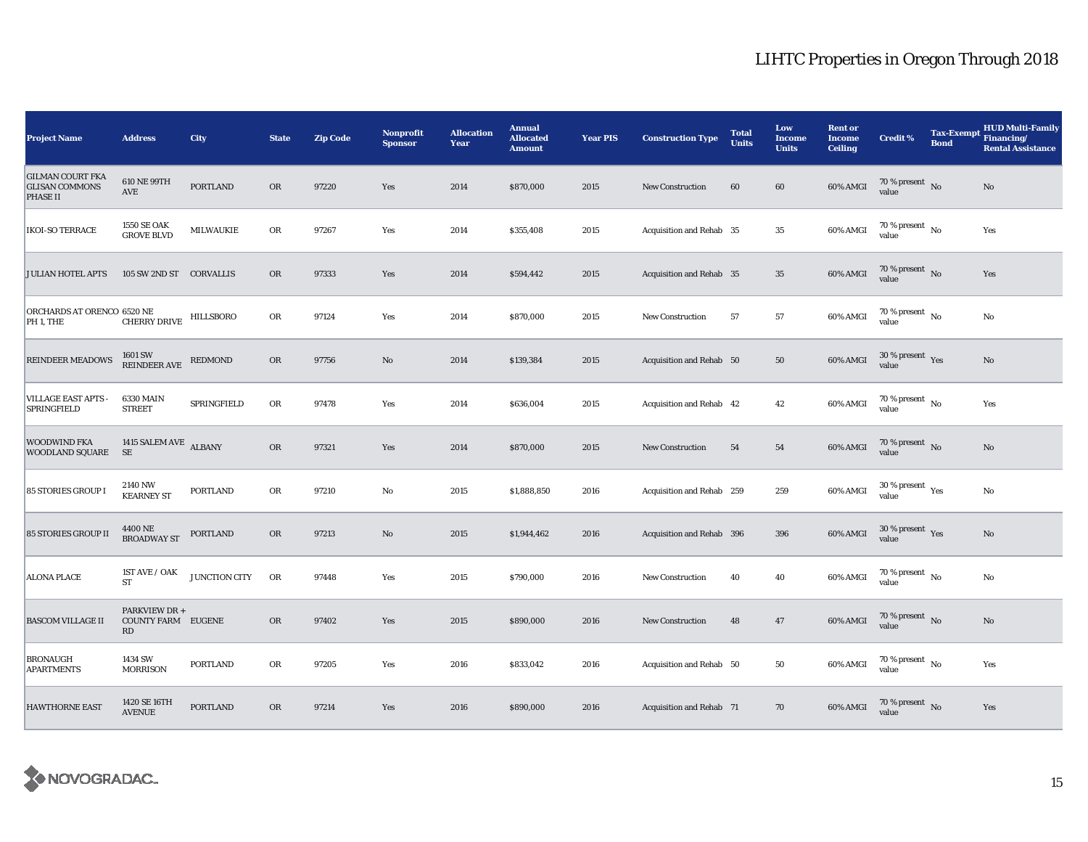| <b>Project Name</b>                                                 | <b>Address</b>                                   | City            | <b>State</b> | <b>Zip Code</b> | <b>Nonprofit</b><br><b>Sponsor</b> | <b>Allocation</b><br>Year | <b>Annual</b><br><b>Allocated</b><br><b>Amount</b> | <b>Year PIS</b> | <b>Construction Type</b>  | <b>Total</b><br><b>Units</b> | Low<br><b>Income</b><br><b>Units</b> | <b>Rent or</b><br><b>Income</b><br><b>Ceiling</b> | <b>Credit %</b>                        | <b>Tax-Exempt</b><br><b>Bond</b> | <b>HUD Multi-Family</b><br>Financing/<br><b>Rental Assistance</b> |
|---------------------------------------------------------------------|--------------------------------------------------|-----------------|--------------|-----------------|------------------------------------|---------------------------|----------------------------------------------------|-----------------|---------------------------|------------------------------|--------------------------------------|---------------------------------------------------|----------------------------------------|----------------------------------|-------------------------------------------------------------------|
| <b>GILMAN COURT FKA</b><br><b>GLISAN COMMONS</b><br><b>PHASE II</b> | 610 NE 99TH<br>AVE                               | <b>PORTLAND</b> | <b>OR</b>    | 97220           | Yes                                | 2014                      | \$870,000                                          | 2015            | <b>New Construction</b>   | 60                           | 60                                   | 60% AMGI                                          | 70 % present $\,$ No $\,$<br>value     |                                  | No                                                                |
| <b>IKOI-SO TERRACE</b>                                              | 1550 SE OAK<br><b>GROVE BLVD</b>                 | MILWAUKIE       | OR           | 97267           | Yes                                | 2014                      | \$355,408                                          | 2015            | Acquisition and Rehab 35  |                              | $35\,$                               | 60% AMGI                                          | $70$ % present $\,$ No $\,$<br>value   |                                  | Yes                                                               |
| <b>JULIAN HOTEL APTS</b>                                            | 105 SW 2ND ST CORVALLIS                          |                 | <b>OR</b>    | 97333           | Yes                                | 2014                      | \$594,442                                          | 2015            | Acquisition and Rehab 35  |                              | $35\,$                               | 60% AMGI                                          | $70\,\%$ present $\,$ No value         |                                  | Yes                                                               |
| ORCHARDS AT ORENCO 6520 NE<br>PH 1, THE                             | CHERRY DRIVE                                     | HILLSBORO       | OR           | 97124           | Yes                                | 2014                      | \$870,000                                          | 2015            | New Construction          | 57                           | ${\bf 57}$                           | 60% AMGI                                          | $70$ % present $\,$ No $\,$<br>value   |                                  | No                                                                |
| <b>REINDEER MEADOWS</b>                                             | 1601 SW<br><b>REINDEER AVE</b>                   | <b>REDMOND</b>  | <b>OR</b>    | 97756           | No                                 | 2014                      | \$139,384                                          | 2015            | Acquisition and Rehab 50  |                              | 50                                   | 60% AMGI                                          | $30\,\%$ present $\,$ Yes<br>value     |                                  | No                                                                |
| <b>VILLAGE EAST APTS</b><br><b>SPRINGFIELD</b>                      | 6330 MAIN<br><b>STREET</b>                       | SPRINGFIELD     | OR           | 97478           | Yes                                | 2014                      | \$636,004                                          | 2015            | Acquisition and Rehab 42  |                              | 42                                   | 60% AMGI                                          | $70$ % present $\,$ No $\,$<br>value   |                                  | Yes                                                               |
| <b>WOODWIND FKA</b><br>WOODLAND SQUARE SE                           | 1415 SALEM AVE ALBANY                            |                 | <b>OR</b>    | 97321           | Yes                                | 2014                      | \$870,000                                          | 2015            | New Construction          | 54                           | 54                                   | 60% AMGI                                          | $70\,\%$ present $\,$ No value         |                                  | $\mathbf{No}$                                                     |
| <b>85 STORIES GROUP I</b>                                           | 2140 NW<br><b>KEARNEY ST</b>                     | <b>PORTLAND</b> | OR           | 97210           | $\mathbf {No}$                     | 2015                      | \$1,888,850                                        | 2016            | Acquisition and Rehab 259 |                              | 259                                  | 60% AMGI                                          | $30$ % present $\,$ $\rm Yes$<br>value |                                  | No                                                                |
| <b>85 STORIES GROUP II</b>                                          | 4400 NE<br><b>BROADWAY ST</b>                    | <b>PORTLAND</b> | OR           | 97213           | No                                 | 2015                      | \$1,944,462                                        | 2016            | Acquisition and Rehab 396 |                              | 396                                  | $60\%$ AMGI                                       | $30\,\%$ present $\,$ Yes value        |                                  | No                                                                |
| <b>ALONA PLACE</b>                                                  | 1ST AVE / OAK<br><b>ST</b>                       | JUNCTION CITY   | OR           | 97448           | Yes                                | 2015                      | \$790,000                                          | 2016            | <b>New Construction</b>   | 40                           | 40                                   | 60% AMGI                                          | $70$ % present $\,$ No $\,$<br>value   |                                  | No                                                                |
| <b>BASCOM VILLAGE II</b>                                            | PARKVIEW DR +<br><b>COUNTY FARM EUGENE</b><br>RD |                 | <b>OR</b>    | 97402           | Yes                                | 2015                      | \$890,000                                          | 2016            | New Construction          | 48                           | 47                                   | 60% AMGI                                          | 70 % present $\hbox{~No}$<br>value     |                                  | $\mathbf{No}$                                                     |
| <b>BRONAUGH</b><br><b>APARTMENTS</b>                                | 1434 SW<br><b>MORRISON</b>                       | <b>PORTLAND</b> | OR           | 97205           | Yes                                | 2016                      | \$833,042                                          | 2016            | Acquisition and Rehab 50  |                              | 50                                   | 60% AMGI                                          | 70 % present $\hbox{~No}$<br>value     |                                  | Yes                                                               |
| <b>HAWTHORNE EAST</b>                                               | 1420 SE 16TH<br><b>AVENUE</b>                    | <b>PORTLAND</b> | OR           | 97214           | Yes                                | 2016                      | \$890,000                                          | 2016            | Acquisition and Rehab 71  |                              | 70                                   | 60% AMGI                                          | $70\,\%$ present $\,$ No value         |                                  | Yes                                                               |

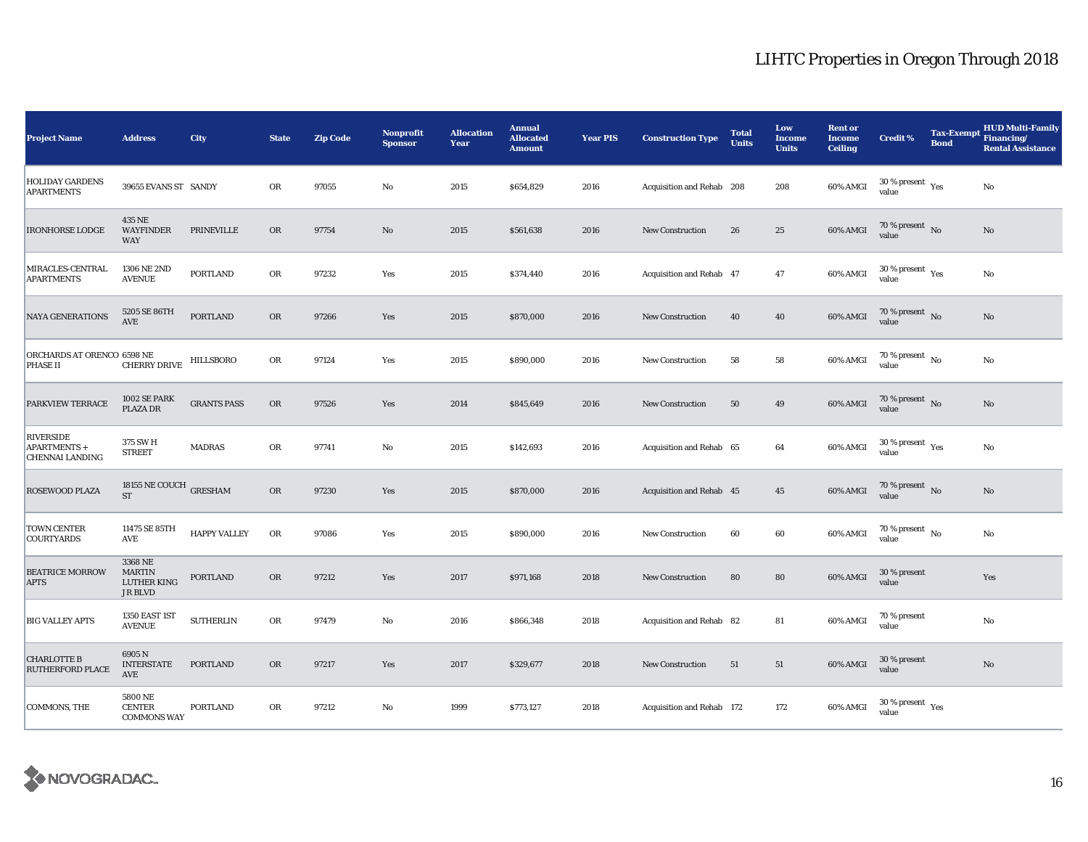| <b>Project Name</b>                                        | <b>Address</b>                                            | City                | <b>State</b> | <b>Zip Code</b> | <b>Nonprofit</b><br><b>Sponsor</b> | <b>Allocation</b><br>Year | <b>Annual</b><br><b>Allocated</b><br><b>Amount</b> | <b>Year PIS</b> | <b>Construction Type</b>  | <b>Total</b><br><b>Units</b> | Low<br><b>Income</b><br><b>Units</b> | <b>Rent or</b><br><b>Income</b><br><b>Ceiling</b> | <b>Credit %</b>                              | <b>Tax-Exempt</b><br><b>Bond</b> | <b>HUD Multi-Family</b><br>Financing/<br><b>Rental Assistance</b> |
|------------------------------------------------------------|-----------------------------------------------------------|---------------------|--------------|-----------------|------------------------------------|---------------------------|----------------------------------------------------|-----------------|---------------------------|------------------------------|--------------------------------------|---------------------------------------------------|----------------------------------------------|----------------------------------|-------------------------------------------------------------------|
| <b>HOLIDAY GARDENS</b><br><b>APARTMENTS</b>                | 39655 EVANS ST SANDY                                      |                     | OR           | 97055           | $\rm No$                           | 2015                      | \$654,829                                          | 2016            | Acquisition and Rehab 208 |                              | 208                                  | 60% AMGI                                          | $30$ % present $\rm\thinspace\,Yes$<br>value |                                  | No                                                                |
| <b>IRONHORSE LODGE</b>                                     | 435 NE<br><b>WAYFINDER</b><br><b>WAY</b>                  | PRINEVILLE          | OR           | 97754           | No                                 | 2015                      | \$561,638                                          | 2016            | New Construction          | 26                           | 25                                   | 60% AMGI                                          | 70 % present No<br>value                     |                                  | No                                                                |
| MIRACLES-CENTRAL<br><b>APARTMENTS</b>                      | 1306 NE 2ND<br><b>AVENUE</b>                              | <b>PORTLAND</b>     | OR           | 97232           | Yes                                | 2015                      | \$374,440                                          | 2016            | Acquisition and Rehab 47  |                              | 47                                   | 60% AMGI                                          | 30 % present $\rm\,Yes$<br>value             |                                  | No                                                                |
| <b>NAYA GENERATIONS</b>                                    | 5205 SE 86TH<br>AVE                                       | <b>PORTLAND</b>     | <b>OR</b>    | 97266           | Yes                                | 2015                      | \$870,000                                          | 2016            | <b>New Construction</b>   | 40                           | 40                                   | 60% AMGI                                          | 70 % present $\hbox{~No}$<br>value           |                                  | $\mathbf{No}$                                                     |
| ORCHARDS AT ORENCO 6598 NE<br><b>PHASE II</b>              | <b>CHERRY DRIVE</b>                                       | HILLSBORO           | OR           | 97124           | Yes                                | 2015                      | \$890,000                                          | 2016            | <b>New Construction</b>   | 58                           | 58                                   | 60% AMGI                                          | 70 % present $\hbox{~No}$<br>value           |                                  | No                                                                |
| PARKVIEW TERRACE                                           | 1002 SE PARK<br>PLAZA DR                                  | <b>GRANTS PASS</b>  | OR           | 97526           | Yes                                | 2014                      | \$845,649                                          | 2016            | <b>New Construction</b>   | 50                           | 49                                   | 60% AMGI                                          | $70\,\%$ present $\,$ No value               |                                  | $\mathbf{No}$                                                     |
| <b>RIVERSIDE</b><br>APARTMENTS +<br><b>CHENNAI LANDING</b> | 375 SW H<br><b>STREET</b>                                 | <b>MADRAS</b>       | OR           | 97741           | No                                 | 2015                      | \$142,693                                          | 2016            | Acquisition and Rehab 65  |                              | 64                                   | 60% AMGI                                          | $30\,\%$ present $\,$ Yes value              |                                  | No                                                                |
| <b>ROSEWOOD PLAZA</b>                                      | 18155 NE COUCH GRESHAM<br><b>ST</b>                       |                     | OR           | 97230           | Yes                                | 2015                      | \$870,000                                          | 2016            | Acquisition and Rehab 45  |                              | 45                                   | 60% AMGI                                          | 70 % present No<br>value                     |                                  | No                                                                |
| <b>TOWN CENTER</b><br><b>COURTYARDS</b>                    | 11475 SE 85TH<br>$\operatorname{AVE}$                     | <b>HAPPY VALLEY</b> | OR           | 97086           | Yes                                | 2015                      | \$890,000                                          | 2016            | New Construction          | 60                           | 60                                   | 60% AMGI                                          | $70\,\%$ present $\,$ No value               |                                  | $\mathbf{No}$                                                     |
| <b>BEATRICE MORROW</b><br><b>APTS</b>                      | 3368 NE<br><b>MARTIN</b><br>LUTHER KING<br><b>JR BLVD</b> | PORTLAND            | OR           | 97212           | Yes                                | 2017                      | \$971,168                                          | 2018            | New Construction          | 80                           | 80                                   | 60% AMGI                                          | 30 % present<br>value                        |                                  | Yes                                                               |
| <b>BIG VALLEY APTS</b>                                     | 1350 EAST 1ST<br><b>AVENUE</b>                            | <b>SUTHERLIN</b>    | OR           | 97479           | No                                 | 2016                      | \$866,348                                          | 2018            | Acquisition and Rehab 82  |                              | 81                                   | 60% AMGI                                          | 70 % present<br>value                        |                                  | No                                                                |
| <b>CHARLOTTE B</b><br>RUTHERFORD PLACE                     | 6905N<br><b>INTERSTATE</b><br>AVE                         | PORTLAND            | <b>OR</b>    | 97217           | Yes                                | 2017                      | \$329,677                                          | 2018            | New Construction          | 51                           | 51                                   | 60% AMGI                                          | 30 % present<br>value                        |                                  | No                                                                |
| COMMONS, THE                                               | 5800 NE<br><b>CENTER</b><br><b>COMMONS WAY</b>            | PORTLAND            | OR           | 97212           | $\mathbf{No}$                      | 1999                      | \$773,127                                          | 2018            | Acquisition and Rehab 172 |                              | 172                                  | 60% AMGI                                          | $30$ % present $\rm\thinspace\,Yes$<br>value |                                  |                                                                   |

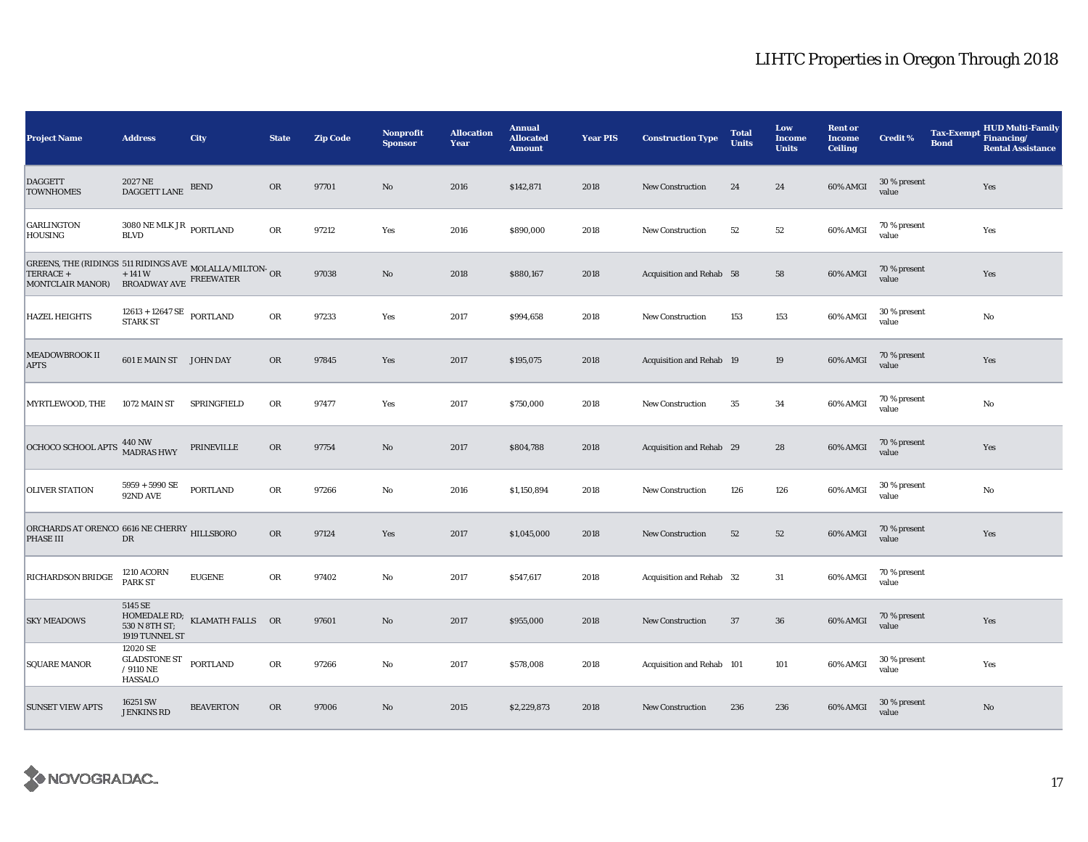| <b>Project Name</b>                                                                                       | <b>Address</b>                                                                                  | City                          | <b>State</b> | <b>Zip Code</b> | <b>Nonprofit</b><br><b>Sponsor</b> | <b>Allocation</b><br>Year | <b>Annual</b><br><b>Allocated</b><br><b>Amount</b> | <b>Year PIS</b> | <b>Construction Type</b>  | <b>Total</b><br><b>Units</b> | Low<br><b>Income</b><br><b>Units</b> | <b>Rent or</b><br><b>Income</b><br><b>Ceiling</b> | <b>Credit %</b>           | <b>Tax-Exempt</b><br><b>Bond</b> | <b>HUD Multi-Family</b><br>Financing/<br><b>Rental Assistance</b> |
|-----------------------------------------------------------------------------------------------------------|-------------------------------------------------------------------------------------------------|-------------------------------|--------------|-----------------|------------------------------------|---------------------------|----------------------------------------------------|-----------------|---------------------------|------------------------------|--------------------------------------|---------------------------------------------------|---------------------------|----------------------------------|-------------------------------------------------------------------|
| <b>DAGGETT</b><br><b>TOWNHOMES</b>                                                                        | 2027 NE<br>DAGGETT LANE                                                                         | <b>BEND</b>                   | <b>OR</b>    | 97701           | No                                 | 2016                      | \$142,871                                          | 2018            | <b>New Construction</b>   | 24                           | 24                                   | 60% AMGI                                          | 30 % present<br>value     |                                  | Yes                                                               |
| <b>GARLINGTON</b><br>HOUSING                                                                              | $3080$ NE MLK JR $_{\rm{PORTLAND}}$<br><b>BLVD</b>                                              |                               | OR           | 97212           | Yes                                | 2016                      | \$890,000                                          | 2018            | <b>New Construction</b>   | 52                           | 52                                   | 60% AMGI                                          | 70 % present<br>value     |                                  | Yes                                                               |
| GREENS, THE (RIDINGS 511 RIDINGS AVE MOLALLA/MILTON- OR TERRACE + $+$ 141 W FREEWATER<br>MONTCLAIR MANOR) | BROADWAY AVE FREEWATER                                                                          |                               |              | 97038           | $\rm No$                           | 2018                      | \$880,167                                          | 2018            | Acquisition and Rehab 58  |                              | 58                                   | 60% AMGI                                          | 70 % present<br>value     |                                  | Yes                                                               |
| <b>HAZEL HEIGHTS</b>                                                                                      | $\begin{array}{cl} 12613 + 12647 \text{ SE} & \text{PORTLAND} \\ \text{STARK ST} & \end{array}$ |                               | OR           | 97233           | Yes                                | 2017                      | \$994,658                                          | 2018            | <b>New Construction</b>   | 153                          | 153                                  | 60% AMGI                                          | 30 % present<br>value     |                                  | No                                                                |
| MEADOWBROOK II<br><b>APTS</b>                                                                             | 601 E MAIN ST JOHN DAY                                                                          |                               | <b>OR</b>    | 97845           | Yes                                | 2017                      | \$195,075                                          | 2018            | Acquisition and Rehab 19  |                              | 19                                   | 60% AMGI                                          | 70 % present<br>value     |                                  | Yes                                                               |
| MYRTLEWOOD, THE                                                                                           | 1072 MAIN ST                                                                                    | SPRINGFIELD                   | ${\rm OR}$   | 97477           | Yes                                | 2017                      | \$750,000                                          | 2018            | <b>New Construction</b>   | 35                           | 34                                   | 60% AMGI                                          | 70 % present<br>value     |                                  | No                                                                |
| OCHOCO SCHOOL APTS 440 NW                                                                                 |                                                                                                 | PRINEVILLE                    | OR           | 97754           | No                                 | 2017                      | \$804,788                                          | 2018            | Acquisition and Rehab 29  |                              | 28                                   | 60% AMGI                                          | 70 % present<br>value     |                                  | Yes                                                               |
| <b>OLIVER STATION</b>                                                                                     | $5959 + 5990$ SE<br>92ND AVE                                                                    | <b>PORTLAND</b>               | OR           | 97266           | $\rm No$                           | 2016                      | \$1,150,894                                        | 2018            | New Construction          | 126                          | 126                                  | 60% AMGI                                          | 30 % present<br>value     |                                  | No                                                                |
| ORCHARDS AT ORENCO 6616 NE CHERRY HILLSBORO<br>PHASE III                                                  | $_{\rm DR}$                                                                                     |                               | OR           | 97124           | Yes                                | 2017                      | \$1,045,000                                        | 2018            | <b>New Construction</b>   | 52                           | 52                                   | 60% AMGI                                          | 70 % present<br>value     |                                  | Yes                                                               |
| RICHARDSON BRIDGE                                                                                         | <b>1210 ACORN</b><br><b>PARK ST</b>                                                             | <b>EUGENE</b>                 | ${\sf OR}$   | 97402           | $\rm No$                           | 2017                      | \$547,617                                          | 2018            | Acquisition and Rehab 32  |                              | 31                                   | 60% AMGI                                          | 70 % present<br>value     |                                  |                                                                   |
| <b>SKY MEADOWS</b>                                                                                        | 5145 SE<br>530 N 8TH ST;<br>1919 TUNNEL ST                                                      | HOMEDALE RD; KLAMATH FALLS OR |              | 97601           | No                                 | 2017                      | \$955,000                                          | 2018            | <b>New Construction</b>   | 37                           | 36                                   | 60% AMGI                                          | 70 % present<br>value     |                                  | Yes                                                               |
| <b>SQUARE MANOR</b>                                                                                       | 12020 SE<br><b>GLADSTONE ST</b><br>/ $9110$ NE<br><b>HASSALO</b>                                | <b>PORTLAND</b>               | OR           | 97266           | No                                 | 2017                      | \$578,008                                          | 2018            | Acquisition and Rehab 101 |                              | 101                                  | 60% AMGI                                          | $30\,\%$ present<br>value |                                  | Yes                                                               |
| <b>SUNSET VIEW APTS</b>                                                                                   | 16251 SW<br><b>JENKINS RD</b>                                                                   | <b>BEAVERTON</b>              | <b>OR</b>    | 97006           | No                                 | 2015                      | \$2,229,873                                        | 2018            | <b>New Construction</b>   | 236                          | 236                                  | 60% AMGI                                          | 30 % present<br>value     |                                  | No                                                                |

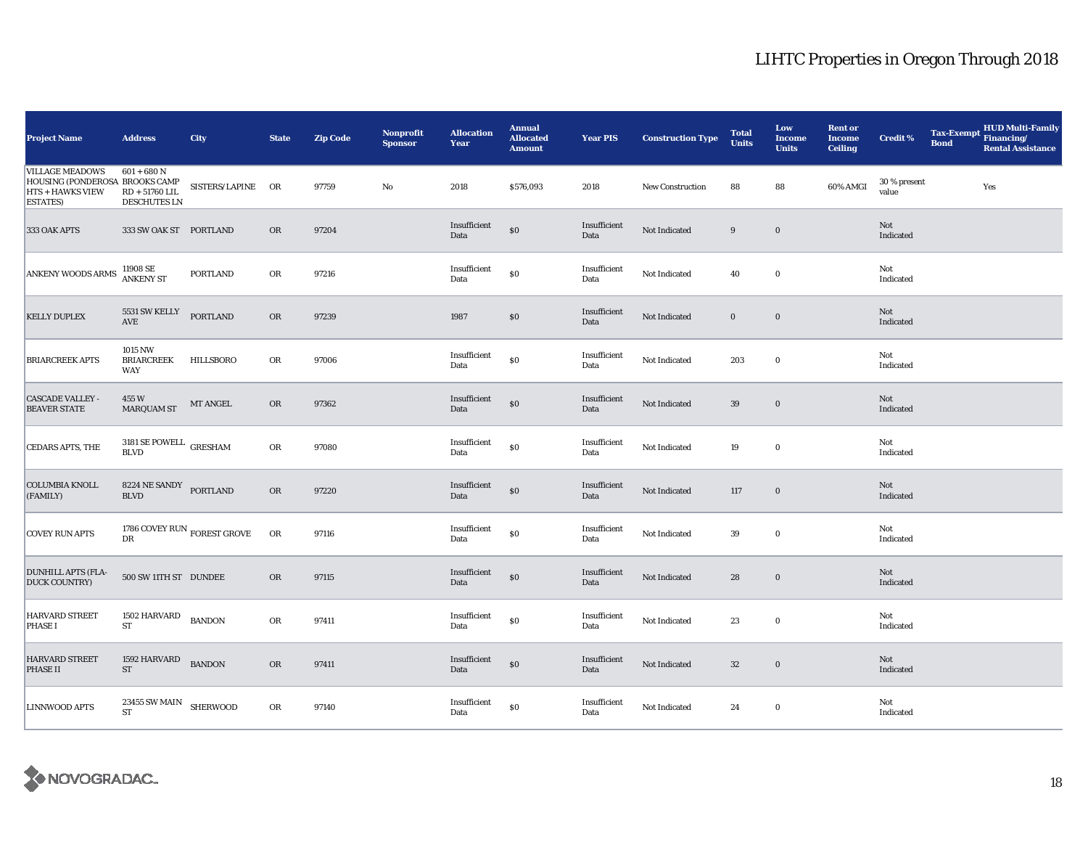| <b>Project Name</b>                                                                                    | <b>Address</b>                                           | City                                 | <b>State</b> | <b>Zip Code</b> | <b>Nonprofit</b><br><b>Sponsor</b> | <b>Allocation</b><br>Year | <b>Annual</b><br><b>Allocated</b><br><b>Amount</b> | <b>Year PIS</b>      | <b>Construction Type</b> | <b>Total</b><br><b>Units</b> | Low<br><b>Income</b><br><b>Units</b> | <b>Rent or</b><br><b>Income</b><br><b>Ceiling</b> | <b>Credit %</b>       | <b>Tax-Exempt</b><br><b>Bond</b> | HUD Multi-Family<br>Financing/<br><b>Rental Assistance</b> |
|--------------------------------------------------------------------------------------------------------|----------------------------------------------------------|--------------------------------------|--------------|-----------------|------------------------------------|---------------------------|----------------------------------------------------|----------------------|--------------------------|------------------------------|--------------------------------------|---------------------------------------------------|-----------------------|----------------------------------|------------------------------------------------------------|
| <b>VILLAGE MEADOWS</b><br>HOUSING (PONDEROSA BROOKS CAMP<br><b>HTS + HAWKS VIEW</b><br><b>ESTATES)</b> | $601 + 680$ N<br>$RD + 51760$ LIL<br><b>DESCHUTES LN</b> | SISTERS/LAPINE OR                    |              | 97759           | No                                 | 2018                      | \$576,093                                          | 2018                 | <b>New Construction</b>  | 88                           | 88                                   | 60% AMGI                                          | 30 % present<br>value |                                  | Yes                                                        |
| 333 OAK APTS                                                                                           | 333 SW OAK ST PORTLAND                                   |                                      | OR           | 97204           |                                    | Insufficient<br>Data      | $\$0$                                              | Insufficient<br>Data | Not Indicated            | 9                            | $\mathbf 0$                          |                                                   | Not<br>Indicated      |                                  |                                                            |
| <b>ANKENY WOODS ARMS</b>                                                                               | 11908 SE<br>ANKENY ST                                    | <b>PORTLAND</b>                      | OR           | 97216           |                                    | Insufficient<br>Data      | $\$0$                                              | Insufficient<br>Data | Not Indicated            | 40                           | $\mathbf 0$                          |                                                   | Not<br>Indicated      |                                  |                                                            |
| <b>KELLY DUPLEX</b>                                                                                    | 5531 SW KELLY<br>$\operatorname{AVE}$                    | <b>PORTLAND</b>                      | OR           | 97239           |                                    | 1987                      | \$0                                                | Insufficient<br>Data | Not Indicated            | $\bf{0}$                     | $\bf{0}$                             |                                                   | Not<br>Indicated      |                                  |                                                            |
| <b>BRIARCREEK APTS</b>                                                                                 | 1015 NW<br><b>BRIARCREEK</b><br>WAY                      | HILLSBORO                            | OR           | 97006           |                                    | Insufficient<br>Data      | $\$0$                                              | Insufficient<br>Data | Not Indicated            | 203                          | $\bf{0}$                             |                                                   | Not<br>Indicated      |                                  |                                                            |
| <b>CASCADE VALLEY -</b><br><b>BEAVER STATE</b>                                                         | 455 W<br><b>MARQUAM ST</b>                               | MT ANGEL                             | OR           | 97362           |                                    | Insufficient<br>Data      | $\$0$                                              | Insufficient<br>Data | Not Indicated            | 39                           | $\mathbf 0$                          |                                                   | Not<br>Indicated      |                                  |                                                            |
| CEDARS APTS, THE                                                                                       | 3181 SE POWELL $\,$ GRESHAM<br><b>BLVD</b>               |                                      | OR           | 97080           |                                    | Insufficient<br>Data      | $\$0$                                              | Insufficient<br>Data | Not Indicated            | 19                           | $\mathbf 0$                          |                                                   | Not<br>Indicated      |                                  |                                                            |
| <b>COLUMBIA KNOLL</b><br>(FAMILY)                                                                      | 8224 NE SANDY PORTLAND<br><b>BLVD</b>                    |                                      | OR           | 97220           |                                    | Insufficient<br>Data      | $\$0$                                              | Insufficient<br>Data | Not Indicated            | 117                          | $\mathbf 0$                          |                                                   | Not<br>Indicated      |                                  |                                                            |
| <b>COVEY RUN APTS</b>                                                                                  | DR                                                       | 1786 COVEY RUN $_{\rm FOREST}$ GROVE | ${\sf OR}$   | 97116           |                                    | Insufficient<br>Data      | $\$0$                                              | Insufficient<br>Data | Not Indicated            | 39                           | $\bf{0}$                             |                                                   | Not<br>Indicated      |                                  |                                                            |
| <b>DUNHILL APTS (FLA-</b><br><b>DUCK COUNTRY)</b>                                                      | 500 SW 11TH ST DUNDEE                                    |                                      | OR           | 97115           |                                    | Insufficient<br>Data      | $\$0$                                              | Insufficient<br>Data | Not Indicated            | 28                           | $\bf{0}$                             |                                                   | Not<br>Indicated      |                                  |                                                            |
| HARVARD STREET<br><b>PHASE I</b>                                                                       | 1502 HARVARD<br>${\rm ST}$                               | <b>BANDON</b>                        | OR           | 97411           |                                    | Insufficient<br>Data      | $\$0$                                              | Insufficient<br>Data | Not Indicated            | 23                           | $\bf{0}$                             |                                                   | Not<br>Indicated      |                                  |                                                            |
| <b>HARVARD STREET</b><br><b>PHASE II</b>                                                               | 1592 HARVARD<br>ST                                       | <b>BANDON</b>                        | OR           | 97411           |                                    | Insufficient<br>Data      | $\$0$                                              | Insufficient<br>Data | Not Indicated            | $32\,$                       | $\mathbf 0$                          |                                                   | Not<br>Indicated      |                                  |                                                            |
| LINNWOOD APTS                                                                                          | $23455$ SW MAIN $\,$ SHERWOOD<br>ST                      |                                      | OR           | 97140           |                                    | Insufficient<br>Data      | $\$0$                                              | Insufficient<br>Data | Not Indicated            | 24                           | $\bf{0}$                             |                                                   | Not<br>Indicated      |                                  |                                                            |

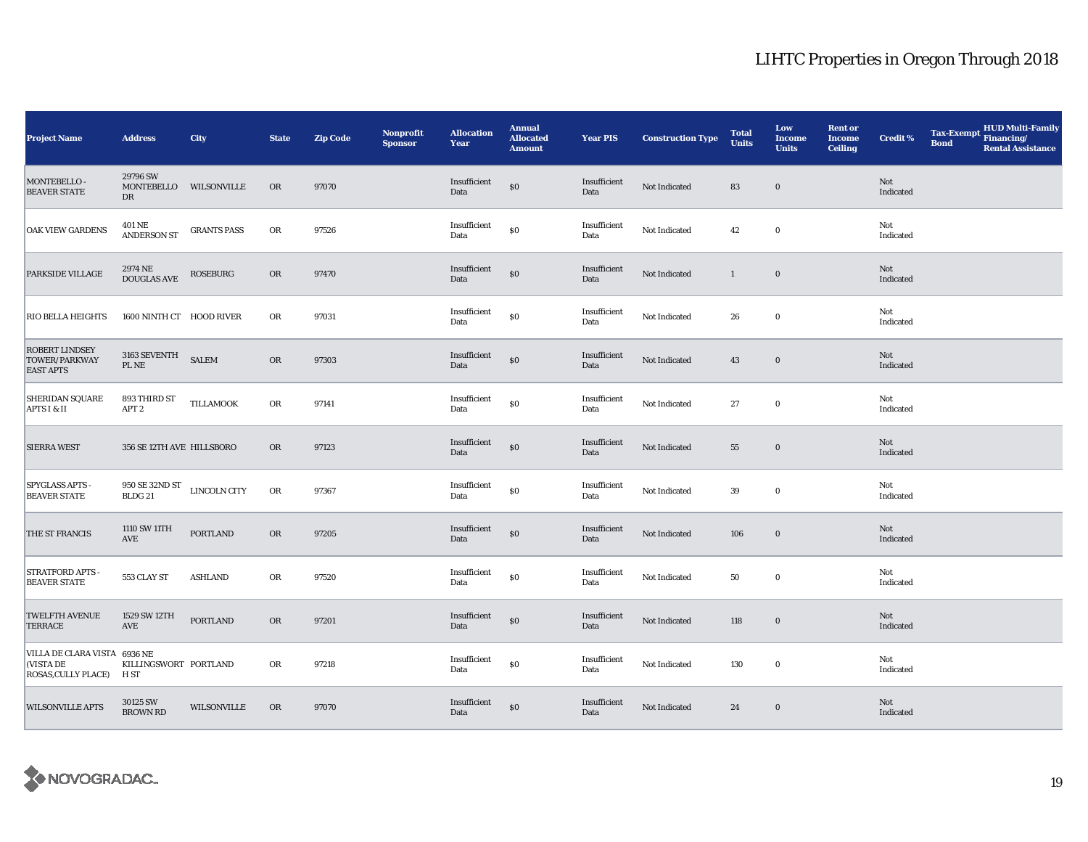| <b>Project Name</b>                                              | <b>Address</b>                                                               | City               | <b>State</b> | <b>Zip Code</b> | Nonprofit<br><b>Sponsor</b> | <b>Allocation</b><br>Year | <b>Annual</b><br><b>Allocated</b><br><b>Amount</b> | <b>Year PIS</b>      | <b>Construction Type</b> | <b>Total</b><br><b>Units</b> | Low<br><b>Income</b><br><b>Units</b> | <b>Rent or</b><br><b>Income</b><br><b>Ceiling</b> | <b>Credit %</b>  | <b>Tax-Exempt</b><br><b>Bond</b> | HUD Multi-Family<br>Financing/<br><b>Rental Assistance</b> |
|------------------------------------------------------------------|------------------------------------------------------------------------------|--------------------|--------------|-----------------|-----------------------------|---------------------------|----------------------------------------------------|----------------------|--------------------------|------------------------------|--------------------------------------|---------------------------------------------------|------------------|----------------------------------|------------------------------------------------------------|
| MONTEBELLO -<br><b>BEAVER STATE</b>                              | 29796 SW<br>MONTEBELLO<br>DR                                                 | WILSONVILLE        | <b>OR</b>    | 97070           |                             | Insufficient<br>Data      | $\$0$                                              | Insufficient<br>Data | Not Indicated            | 83                           | $\bf{0}$                             |                                                   | Not<br>Indicated |                                  |                                                            |
| <b>OAK VIEW GARDENS</b>                                          | 401 NE<br><b>ANDERSON ST</b>                                                 | <b>GRANTS PASS</b> | OR           | 97526           |                             | Insufficient<br>Data      | \$0                                                | Insufficient<br>Data | Not Indicated            | 42                           | $\bf{0}$                             |                                                   | Not<br>Indicated |                                  |                                                            |
| PARKSIDE VILLAGE                                                 | 2974 NE<br>DOUGLAS AVE                                                       | ROSEBURG           | ${\sf OR}$   | 97470           |                             | Insufficient<br>Data      | $\$0$                                              | Insufficient<br>Data | Not Indicated            | $\mathbf{1}$                 | $\boldsymbol{0}$                     |                                                   | Not<br>Indicated |                                  |                                                            |
| <b>RIO BELLA HEIGHTS</b>                                         | 1600 NINTH CT HOOD RIVER                                                     |                    | OR           | 97031           |                             | Insufficient<br>Data      | $\$0$                                              | Insufficient<br>Data | Not Indicated            | 26                           | $\bf{0}$                             |                                                   | Not<br>Indicated |                                  |                                                            |
| ROBERT LINDSEY<br>TOWER/PARKWAY<br><b>EAST APTS</b>              | $3163\ {\rm SEVENTH}$<br>PL NE                                               | <b>SALEM</b>       | OR           | 97303           |                             | Insufficient<br>Data      | $\$0$                                              | Insufficient<br>Data | Not Indicated            | 43                           | $\bf{0}$                             |                                                   | Not<br>Indicated |                                  |                                                            |
| <b>SHERIDAN SQUARE</b><br>APTS I & II                            | 893 THIRD ST<br>APT <sub>2</sub>                                             | TILLAMOOK          | OR           | 97141           |                             | Insufficient<br>Data      | $\$0$                                              | Insufficient<br>Data | Not Indicated            | 27                           | $\bf{0}$                             |                                                   | Not<br>Indicated |                                  |                                                            |
| <b>SIERRA WEST</b>                                               | 356 SE 12TH AVE HILLSBORO                                                    |                    | <b>OR</b>    | 97123           |                             | Insufficient<br>Data      | $\$0$                                              | Insufficient<br>Data | Not Indicated            | 55                           | $\bf{0}$                             |                                                   | Not<br>Indicated |                                  |                                                            |
| <b>SPYGLASS APTS</b><br><b>BEAVER STATE</b>                      | $950$ SE $32\mathrm{ND}\ \mathrm{ST}$ $$\blacksquare$ LINCOLN CITY BLDG $21$ |                    | ${\sf OR}$   | 97367           |                             | Insufficient<br>Data      | \$0                                                | Insufficient<br>Data | Not Indicated            | 39                           | $\mathbf 0$                          |                                                   | Not<br>Indicated |                                  |                                                            |
| THE ST FRANCIS                                                   | 1110 SW 11TH<br>AVE                                                          | PORTLAND           | OR           | 97205           |                             | Insufficient<br>Data      | $\$0$                                              | Insufficient<br>Data | Not Indicated            | 106                          | $\bf{0}$                             |                                                   | Not<br>Indicated |                                  |                                                            |
| STRATFORD APTS -<br><b>BEAVER STATE</b>                          | 553 CLAY ST                                                                  | <b>ASHLAND</b>     | OR           | 97520           |                             | Insufficient<br>Data      | $\$0$                                              | Insufficient<br>Data | Not Indicated            | 50                           | $\bf{0}$                             |                                                   | Not<br>Indicated |                                  |                                                            |
| <b>TWELFTH AVENUE</b><br><b>TERRACE</b>                          | 1529 SW 12TH<br>AVE                                                          | <b>PORTLAND</b>    | OR           | 97201           |                             | Insufficient<br>Data      | $\$0$                                              | Insufficient<br>Data | Not Indicated            | 118                          | $\bf{0}$                             |                                                   | Not<br>Indicated |                                  |                                                            |
| VILLA DE CLARA VISTA 6936 NE<br>(VISTA DE<br>ROSAS, CULLY PLACE) | KILLINGSWORT PORTLAND<br>H ST                                                |                    | OR           | 97218           |                             | Insufficient<br>Data      | \$0                                                | Insufficient<br>Data | Not Indicated            | 130                          | $\bf{0}$                             |                                                   | Not<br>Indicated |                                  |                                                            |
| <b>WILSONVILLE APTS</b>                                          | 30125 SW<br><b>BROWN RD</b>                                                  | <b>WILSONVILLE</b> | <b>OR</b>    | 97070           |                             | Insufficient<br>Data      | $\$0$                                              | Insufficient<br>Data | Not Indicated            | 24                           | $\bf{0}$                             |                                                   | Not<br>Indicated |                                  |                                                            |

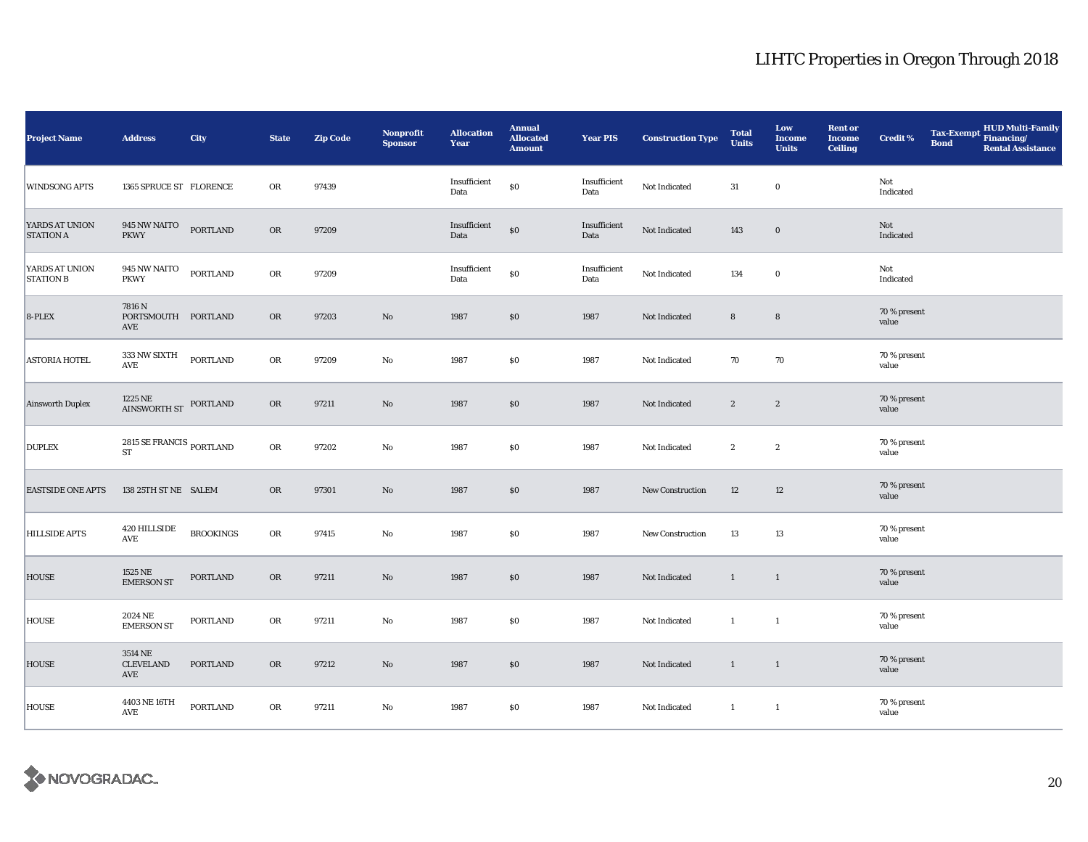| <b>Project Name</b>                | <b>Address</b>                                    | City             | <b>State</b> | <b>Zip Code</b> | <b>Nonprofit</b><br><b>Sponsor</b> | <b>Allocation</b><br>Year | <b>Annual</b><br><b>Allocated</b><br><b>Amount</b> | <b>Year PIS</b>      | <b>Construction Type</b> | <b>Total</b><br><b>Units</b> | Low<br><b>Income</b><br><b>Units</b> | <b>Rent or</b><br><b>Income</b><br><b>Ceiling</b> | Credit %              | <b>Tax-Exempt</b><br><b>Bond</b> | HUD Multi-Family<br>Financing/<br><b>Rental Assistance</b> |
|------------------------------------|---------------------------------------------------|------------------|--------------|-----------------|------------------------------------|---------------------------|----------------------------------------------------|----------------------|--------------------------|------------------------------|--------------------------------------|---------------------------------------------------|-----------------------|----------------------------------|------------------------------------------------------------|
| <b>WINDSONG APTS</b>               | 1365 SPRUCE ST FLORENCE                           |                  | OR           | 97439           |                                    | Insufficient<br>Data      | $\$0$                                              | Insufficient<br>Data | Not Indicated            | 31                           | $\bf{0}$                             |                                                   | Not<br>Indicated      |                                  |                                                            |
| YARDS AT UNION<br><b>STATION A</b> | 945 NW NAITO PORTLAND<br><b>PKWY</b>              |                  | ${\rm OR}$   | 97209           |                                    | Insufficient<br>Data      | \$0                                                | Insufficient<br>Data | Not Indicated            | 143                          | $\bf{0}$                             |                                                   | Not<br>Indicated      |                                  |                                                            |
| YARDS AT UNION<br><b>STATION B</b> | $945\,\mathrm{NW}\,\mathrm{NAITO}$<br><b>PKWY</b> | PORTLAND         | OR           | 97209           |                                    | Insufficient<br>Data      | $\$0$                                              | Insufficient<br>Data | Not Indicated            | 134                          | $\bf{0}$                             |                                                   | Not<br>Indicated      |                                  |                                                            |
| 8-PLEX                             | 7816 N<br>PORTSMOUTH PORTLAND<br>AVE              |                  | OR           | 97203           | No                                 | 1987                      | \$0                                                | 1987                 | Not Indicated            | $\bf 8$                      | $\bf 8$                              |                                                   | 70 % present<br>value |                                  |                                                            |
| <b>ASTORIA HOTEL</b>               | 333 NW SIXTH<br>AVE                               | <b>PORTLAND</b>  | OR           | 97209           | No                                 | 1987                      | \$0                                                | 1987                 | Not Indicated            | 70                           | 70                                   |                                                   | 70 % present<br>value |                                  |                                                            |
| <b>Ainsworth Duplex</b>            | $1225\,\mathrm{NE}$ PORTLAND AINSWORTH ST         |                  | OR           | 97211           | No                                 | 1987                      | \$0                                                | 1987                 | Not Indicated            | $\boldsymbol{2}$             | $\boldsymbol{2}$                     |                                                   | 70 % present<br>value |                                  |                                                            |
| <b>DUPLEX</b>                      | $2815$ SE FRANCIS $_{\rm PORTLAND}$<br>${\rm ST}$ |                  | OR           | 97202           | No                                 | 1987                      | \$0                                                | 1987                 | Not Indicated            | $\boldsymbol{2}$             | $\boldsymbol{2}$                     |                                                   | 70 % present<br>value |                                  |                                                            |
| <b>EASTSIDE ONE APTS</b>           | 138 25TH ST NE SALEM                              |                  | OR           | 97301           | $\mathbf {No}$                     | 1987                      | $\$0$                                              | 1987                 | New Construction         | 12                           | $12\phantom{.0}$                     |                                                   | 70 % present<br>value |                                  |                                                            |
| HILLSIDE APTS                      | 420 HILLSIDE<br>AVE                               | <b>BROOKINGS</b> | ${\sf OR}$   | 97415           | No                                 | 1987                      | \$0                                                | 1987                 | <b>New Construction</b>  | 13                           | 13                                   |                                                   | 70 % present<br>value |                                  |                                                            |
| HOUSE                              | 1525 NE<br><b>EMERSON ST</b>                      | PORTLAND         | OR           | 97211           | No                                 | 1987                      | \$0                                                | 1987                 | Not Indicated            | $\mathbf{1}$                 | $\mathbf{1}$                         |                                                   | 70 % present<br>value |                                  |                                                            |
| HOUSE                              | 2024 NE<br><b>EMERSON ST</b>                      | PORTLAND         | OR           | 97211           | No                                 | 1987                      | \$0                                                | 1987                 | Not Indicated            | $\mathbf{1}$                 | $\mathbf{1}$                         |                                                   | 70 % present<br>value |                                  |                                                            |
| HOUSE                              | 3514 NE<br><b>CLEVELAND</b><br>AVE                | <b>PORTLAND</b>  | OR           | 97212           | No                                 | 1987                      | \$0                                                | 1987                 | Not Indicated            | $\mathbf{1}$                 | $\overline{1}$                       |                                                   | 70 % present<br>value |                                  |                                                            |
| <b>HOUSE</b>                       | 4403 NE 16TH<br>AVE                               | <b>PORTLAND</b>  | OR           | 97211           | No                                 | 1987                      | \$0                                                | 1987                 | Not Indicated            | $\mathbf{1}$                 | $\mathbf{1}$                         |                                                   | 70 % present<br>value |                                  |                                                            |

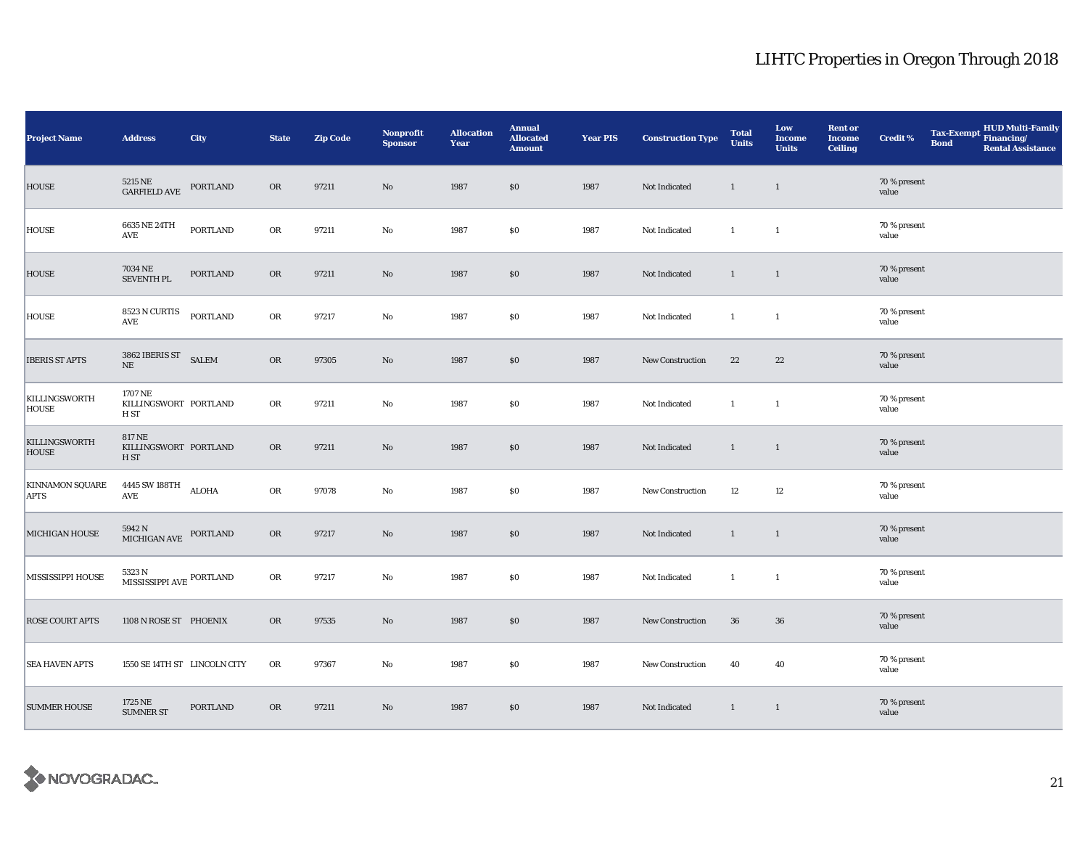| <b>Project Name</b>                   | <b>Address</b>                                 | City            | <b>State</b> | <b>Zip Code</b> | Nonprofit<br><b>Sponsor</b> | <b>Allocation</b><br>Year | <b>Annual</b><br><b>Allocated</b><br><b>Amount</b> | <b>Year PIS</b> | <b>Construction Type</b> | <b>Total</b><br><b>Units</b> | Low<br><b>Income</b><br><b>Units</b> | <b>Rent or</b><br><b>Income</b><br><b>Ceiling</b> | <b>Credit %</b>       | <b>Tax-Exempt</b><br><b>Bond</b> | HUD Multi-Family<br>Financing/<br><b>Rental Assistance</b> |
|---------------------------------------|------------------------------------------------|-----------------|--------------|-----------------|-----------------------------|---------------------------|----------------------------------------------------|-----------------|--------------------------|------------------------------|--------------------------------------|---------------------------------------------------|-----------------------|----------------------------------|------------------------------------------------------------|
| <b>HOUSE</b>                          | 5215 NE<br>GARFIELD AVE                        | PORTLAND        | OR           | 97211           | $\rm No$                    | 1987                      | $\$0$                                              | 1987            | Not Indicated            | $\mathbf{1}$                 | $\overline{1}$                       |                                                   | 70 % present<br>value |                                  |                                                            |
| <b>HOUSE</b>                          | 6635 NE 24TH<br>AVE                            | PORTLAND        | OR           | 97211           | No                          | 1987                      | $\$0$                                              | 1987            | Not Indicated            | $\mathbf{1}$                 | $\mathbf{1}$                         |                                                   | 70 % present<br>value |                                  |                                                            |
| <b>HOUSE</b>                          | 7034 NE<br>SEVENTH PL                          | PORTLAND        | OR           | 97211           | $\rm No$                    | 1987                      | \$0                                                | 1987            | Not Indicated            | $\mathbf{1}$                 | $\overline{1}$                       |                                                   | 70 % present<br>value |                                  |                                                            |
| HOUSE                                 | 8523 N CURTIS<br>$\operatorname{AVE}$          | PORTLAND        | OR           | 97217           | $\rm No$                    | 1987                      | \$0                                                | 1987            | Not Indicated            | $\mathbf{1}$                 | $\mathbf{1}$                         |                                                   | 70 % present<br>value |                                  |                                                            |
| <b>IBERIS ST APTS</b>                 | 3862 IBERIS ST<br>SALEM<br>$\rm NE$            |                 | OR           | 97305           | $\mathbf{N}\mathbf{o}$      | 1987                      | \$0                                                | 1987            | <b>New Construction</b>  | $\bf{22}$                    | 22                                   |                                                   | 70 % present<br>value |                                  |                                                            |
| KILLINGSWORTH<br>HOUSE                | 1707 NE<br>KILLINGSWORT PORTLAND<br>H ST       |                 | OR           | 97211           | $\rm No$                    | 1987                      | \$0                                                | 1987            | Not Indicated            | $\mathbf{1}$                 | $\mathbf{1}$                         |                                                   | 70 % present<br>value |                                  |                                                            |
| KILLINGSWORTH<br><b>HOUSE</b>         | <b>817 NE</b><br>KILLINGSWORT PORTLAND<br>H ST |                 | OR           | 97211           | $\rm No$                    | 1987                      | \$0                                                | 1987            | Not Indicated            | $\mathbf{1}$                 | $\mathbf{1}$                         |                                                   | 70 % present<br>value |                                  |                                                            |
| <b>KINNAMON SQUARE</b><br><b>APTS</b> | 4445 SW 188TH ALOHA<br>AVE                     |                 | OR           | 97078           | $\rm No$                    | 1987                      | \$0                                                | 1987            | New Construction         | 12                           | 12                                   |                                                   | 70 % present<br>value |                                  |                                                            |
| MICHIGAN HOUSE                        | $5942$ N<br>MICHIGAN AVE $\,$ PORTLAND         |                 | OR           | 97217           | $\rm No$                    | 1987                      | \$0                                                | 1987            | Not Indicated            | $\mathbf{1}$                 | $\overline{1}$                       |                                                   | 70 % present<br>value |                                  |                                                            |
| MISSISSIPPI HOUSE                     | 5323 N<br>MISSISSIPPI AVE PORTLAND             |                 | OR           | 97217           | $\rm No$                    | 1987                      | \$0                                                | 1987            | Not Indicated            | $\mathbf{1}$                 | $\mathbf{1}$                         |                                                   | 70 % present<br>value |                                  |                                                            |
| <b>ROSE COURT APTS</b>                | 1108 N ROSE ST PHOENIX                         |                 | <b>OR</b>    | 97535           | $\mathbf{N}\mathbf{o}$      | 1987                      | $\$0$                                              | 1987            | New Construction         | 36                           | 36                                   |                                                   | 70 % present<br>value |                                  |                                                            |
| <b>SEA HAVEN APTS</b>                 | 1550 SE 14TH ST LINCOLN CITY                   |                 | OR           | 97367           | No                          | 1987                      | \$0                                                | 1987            | <b>New Construction</b>  | 40                           | 40                                   |                                                   | 70 % present<br>value |                                  |                                                            |
| <b>SUMMER HOUSE</b>                   | 1725 NE<br><b>SUMNER ST</b>                    | <b>PORTLAND</b> | OR           | 97211           | $\mathbf{N}\mathbf{o}$      | 1987                      | \$0                                                | 1987            | Not Indicated            | $\mathbf{1}$                 | $\mathbf{1}$                         |                                                   | 70 % present<br>value |                                  |                                                            |

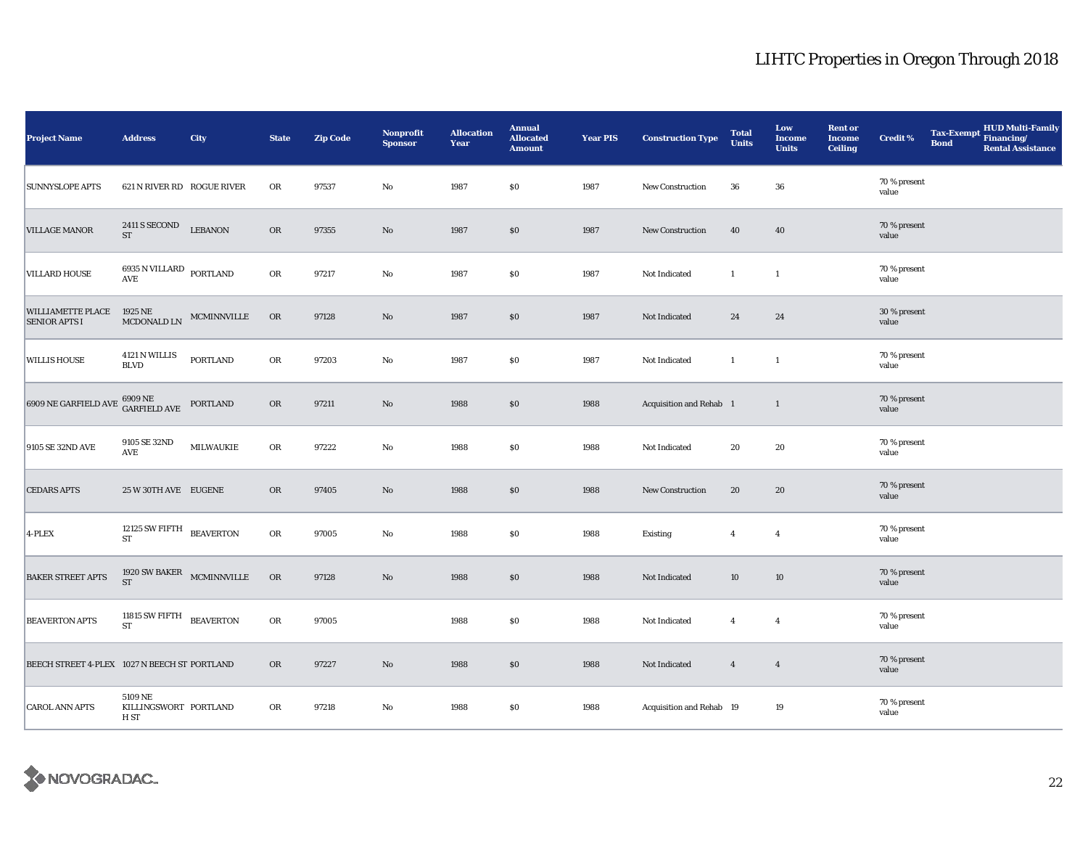| Project Name                                      | <b>Address</b>                                      | City                      | <b>State</b> | <b>Zip Code</b> | <b>Nonprofit</b><br><b>Sponsor</b> | <b>Allocation</b><br>Year | <b>Annual</b><br><b>Allocated</b><br><b>Amount</b> | <b>Year PIS</b> | <b>Construction Type</b> | <b>Total</b><br><b>Units</b> | Low<br><b>Income</b><br><b>Units</b> | <b>Rent or</b><br><b>Income</b><br><b>Ceiling</b> | <b>Credit %</b>       | <b>Tax-Exempt</b><br><b>Bond</b> | HUD Multi-Family<br>Financing/<br><b>Rental Assistance</b> |
|---------------------------------------------------|-----------------------------------------------------|---------------------------|--------------|-----------------|------------------------------------|---------------------------|----------------------------------------------------|-----------------|--------------------------|------------------------------|--------------------------------------|---------------------------------------------------|-----------------------|----------------------------------|------------------------------------------------------------|
| <b>SUNNYSLOPE APTS</b>                            | 621 N RIVER RD ROGUE RIVER                          |                           | OR           | 97537           | $\mathbf {No}$                     | 1987                      | \$0                                                | 1987            | New Construction         | 36                           | ${\bf 36}$                           |                                                   | 70 % present<br>value |                                  |                                                            |
| <b>VILLAGE MANOR</b>                              | 2411 S SECOND<br>$\operatorname{ST}$                | <b>LEBANON</b>            | ${\sf OR}$   | 97355           | $\rm No$                           | 1987                      | \$0                                                | 1987            | New Construction         | 40                           | 40                                   |                                                   | 70 % present<br>value |                                  |                                                            |
| <b>VILLARD HOUSE</b>                              | $6935$ N VILLARD $\,$ PORTLAND $\,$ AVE             |                           | ${\bf OR}$   | 97217           | $\rm No$                           | 1987                      | $\$0$                                              | 1987            | Not Indicated            | $\mathbf{1}$                 | $\mathbf{1}$                         |                                                   | 70 % present<br>value |                                  |                                                            |
| WILLIAMETTE PLACE 1925 NE<br><b>SENIOR APTS I</b> | MCDONALD LN                                         | MCMINNVILLE               | <b>OR</b>    | 97128           | No                                 | 1987                      | \$0                                                | 1987            | Not Indicated            | 24                           | 24                                   |                                                   | 30 % present<br>value |                                  |                                                            |
| <b>WILLIS HOUSE</b>                               | 4121 N WILLIS<br><b>BLVD</b>                        | <b>PORTLAND</b>           | OR           | 97203           | $\rm No$                           | 1987                      | \$0                                                | 1987            | Not Indicated            | $\mathbf{1}$                 | $\mathbf{1}$                         |                                                   | 70 % present<br>value |                                  |                                                            |
| 6909 NE GARFIELD AVE                              | 6909 NE<br>GARFIELD AVE                             | PORTLAND                  | ${\sf OR}$   | 97211           | No                                 | 1988                      | \$0                                                | 1988            | Acquisition and Rehab 1  |                              | $\mathbf{1}$                         |                                                   | 70 % present<br>value |                                  |                                                            |
| 9105 SE 32ND AVE                                  | 9105 SE 32ND<br>AVE                                 | <b>MILWAUKIE</b>          | ${\sf OR}$   | 97222           | $\mathbf {No}$                     | 1988                      | \$0                                                | 1988            | Not Indicated            | 20                           | 20                                   |                                                   | 70 % present<br>value |                                  |                                                            |
| <b>CEDARS APTS</b>                                | 25 W 30TH AVE EUGENE                                |                           | OR           | 97405           | $\rm No$                           | 1988                      | \$0                                                | 1988            | New Construction         | 20                           | 20                                   |                                                   | 70 % present<br>value |                                  |                                                            |
| 4-PLEX                                            | 12125 SW FIFTH BEAVERTON<br>${\rm ST}$              |                           | ${\sf OR}$   | 97005           | $\rm No$                           | 1988                      | $\$0$                                              | 1988            | Existing                 | $\overline{4}$               | $\overline{4}$                       |                                                   | 70 % present<br>value |                                  |                                                            |
| <b>BAKER STREET APTS</b>                          | <b>ST</b>                                           | 1920 SW BAKER MCMINNVILLE | OR           | 97128           | $\rm No$                           | 1988                      | $\$0$                                              | 1988            | Not Indicated            | 10                           | 10                                   |                                                   | 70 % present<br>value |                                  |                                                            |
| <b>BEAVERTON APTS</b>                             | 11815 SW FIFTH BEAVERTON<br><b>ST</b>               |                           | OR           | 97005           |                                    | 1988                      | \$0                                                | 1988            | Not Indicated            | $\overline{4}$               | $\overline{4}$                       |                                                   | 70 % present<br>value |                                  |                                                            |
| BEECH STREET 4-PLEX 1027 N BEECH ST PORTLAND      |                                                     |                           | OR           | 97227           | $\rm No$                           | 1988                      | \$0                                                | 1988            | Not Indicated            | $\overline{4}$               | $\overline{4}$                       |                                                   | 70 % present<br>value |                                  |                                                            |
| <b>CAROL ANN APTS</b>                             | 5109 NE<br>KILLINGSWORT PORTLAND<br>H <sub>ST</sub> |                           | OR           | 97218           | $\rm No$                           | 1988                      | $\$0$                                              | 1988            | Acquisition and Rehab 19 |                              | 19                                   |                                                   | 70 % present<br>value |                                  |                                                            |

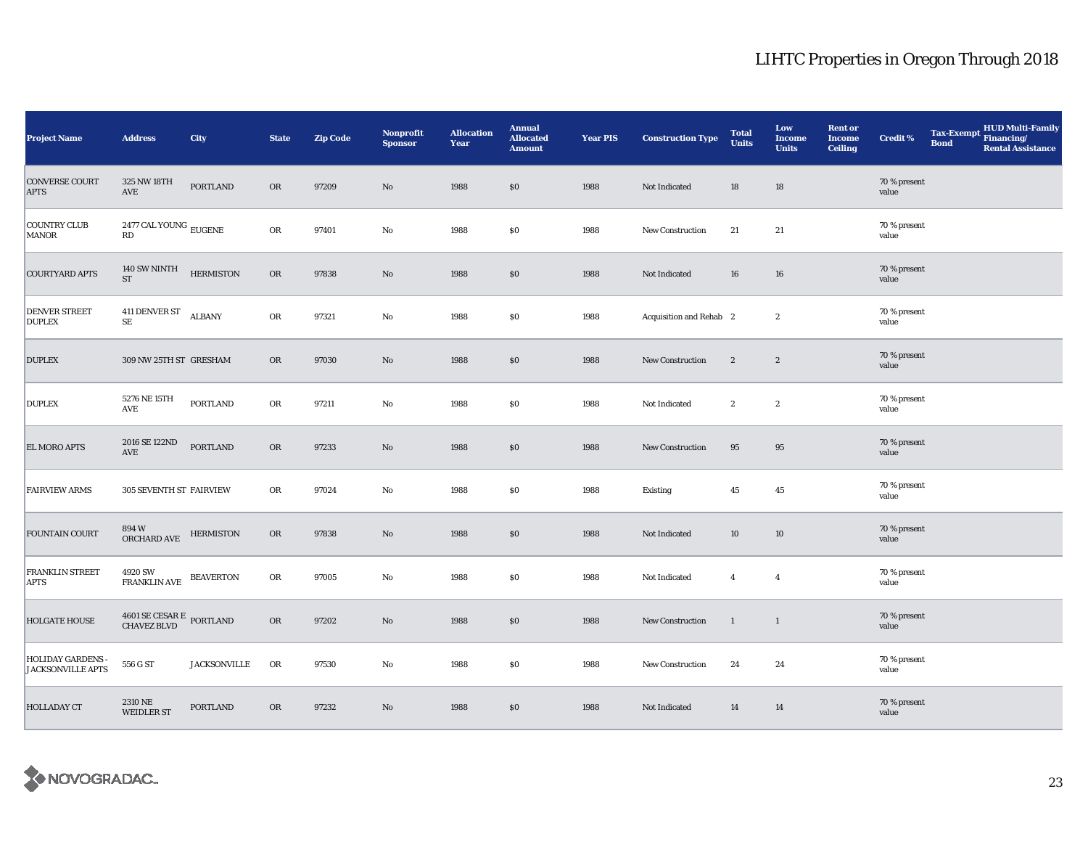| <b>Project Name</b>                                  | <b>Address</b>                              | City                | <b>State</b> | <b>Zip Code</b> | Nonprofit<br><b>Sponsor</b> | <b>Allocation</b><br>Year | <b>Annual</b><br><b>Allocated</b><br><b>Amount</b> | <b>Year PIS</b> | <b>Construction Type</b> | <b>Total</b><br><b>Units</b> | Low<br><b>Income</b><br><b>Units</b> | <b>Rent or</b><br><b>Income</b><br><b>Ceiling</b> | <b>Credit %</b>       | <b>Tax-Exempt</b><br><b>Bond</b> | <b>HUD Multi-Family</b><br>Financing/<br><b>Rental Assistance</b> |
|------------------------------------------------------|---------------------------------------------|---------------------|--------------|-----------------|-----------------------------|---------------------------|----------------------------------------------------|-----------------|--------------------------|------------------------------|--------------------------------------|---------------------------------------------------|-----------------------|----------------------------------|-------------------------------------------------------------------|
| <b>CONVERSE COURT</b><br><b>APTS</b>                 | 325 NW 18TH<br>$\operatorname{AVE}$         | <b>PORTLAND</b>     | <b>OR</b>    | 97209           | $\rm No$                    | 1988                      | \$0\$                                              | 1988            | Not Indicated            | 18                           | $18\,$                               |                                                   | 70 % present<br>value |                                  |                                                                   |
| <b>COUNTRY CLUB</b><br><b>MANOR</b>                  | 2477 CAL YOUNG $_{\rm EUGENE}$<br>RD        |                     | ${\sf OR}$   | 97401           | $\rm No$                    | 1988                      | $\$0$                                              | 1988            | New Construction         | 21                           | 21                                   |                                                   | 70 % present<br>value |                                  |                                                                   |
| <b>COURTYARD APTS</b>                                | $140$ SW NINTH $\,$<br>${\rm ST}$           | <b>HERMISTON</b>    | OR           | 97838           | No                          | 1988                      | \$0                                                | 1988            | Not Indicated            | 16                           | 16                                   |                                                   | 70 % present<br>value |                                  |                                                                   |
| <b>DENVER STREET</b><br><b>DUPLEX</b>                | 411 DENVER ST<br>$\rm SE$                   | <b>ALBANY</b>       | OR           | 97321           | No                          | 1988                      | $\$0$                                              | 1988            | Acquisition and Rehab 2  |                              | $\boldsymbol{2}$                     |                                                   | 70 % present<br>value |                                  |                                                                   |
| <b>DUPLEX</b>                                        | 309 NW 25TH ST GRESHAM                      |                     | <b>OR</b>    | 97030           | $\rm No$                    | 1988                      | \$0                                                | 1988            | <b>New Construction</b>  | $\boldsymbol{2}$             | $\boldsymbol{2}$                     |                                                   | 70 % present<br>value |                                  |                                                                   |
| <b>DUPLEX</b>                                        | 5276 NE 15TH<br>$\operatorname{AVE}$        | <b>PORTLAND</b>     | OR           | 97211           | No                          | 1988                      | $\$0$                                              | 1988            | Not Indicated            | $\mathbf{2}$                 | $\boldsymbol{2}$                     |                                                   | 70 % present<br>value |                                  |                                                                   |
| <b>EL MORO APTS</b>                                  | 2016 SE 122ND<br>$\operatorname{AVE}$       | <b>PORTLAND</b>     | <b>OR</b>    | 97233           | No                          | 1988                      | \$0                                                | 1988            | New Construction         | 95                           | 95                                   |                                                   | 70 % present<br>value |                                  |                                                                   |
| <b>FAIRVIEW ARMS</b>                                 | 305 SEVENTH ST FAIRVIEW                     |                     | OR           | 97024           | No                          | 1988                      | $\$0$                                              | 1988            | Existing                 | 45                           | $45\,$                               |                                                   | 70 % present<br>value |                                  |                                                                   |
| <b>FOUNTAIN COURT</b>                                | 894 W<br>ORCHARD AVE                        | <b>HERMISTON</b>    | OR           | 97838           | No                          | 1988                      | \$0                                                | 1988            | Not Indicated            | 10                           | 10                                   |                                                   | 70 % present<br>value |                                  |                                                                   |
| <b>FRANKLIN STREET</b><br><b>APTS</b>                | 4920 SW<br><b>FRANKLIN AVE</b>              | <b>BEAVERTON</b>    | OR           | 97005           | No                          | 1988                      | $\$0$                                              | 1988            | Not Indicated            | $\overline{4}$               | $\overline{4}$                       |                                                   | 70 % present<br>value |                                  |                                                                   |
| <b>HOLGATE HOUSE</b>                                 | $4601$ SE CESAR E $\,$ PORTLAND CHAVEZ BLVD |                     | OR           | 97202           | $\rm No$                    | 1988                      | \$0                                                | 1988            | New Construction         | $\mathbf{1}$                 | $\mathbf{1}$                         |                                                   | 70 % present<br>value |                                  |                                                                   |
| <b>HOLIDAY GARDENS -</b><br><b>JACKSONVILLE APTS</b> | 556 G ST                                    | <b>JACKSONVILLE</b> | OR           | 97530           | No                          | 1988                      | \$0                                                | 1988            | <b>New Construction</b>  | 24                           | 24                                   |                                                   | 70 % present<br>value |                                  |                                                                   |
| <b>HOLLADAY CT</b>                                   | 2310 NE<br><b>WEIDLER ST</b>                | <b>PORTLAND</b>     | <b>OR</b>    | 97232           | $\rm No$                    | 1988                      | \$0                                                | 1988            | Not Indicated            | 14                           | 14                                   |                                                   | 70 % present<br>value |                                  |                                                                   |

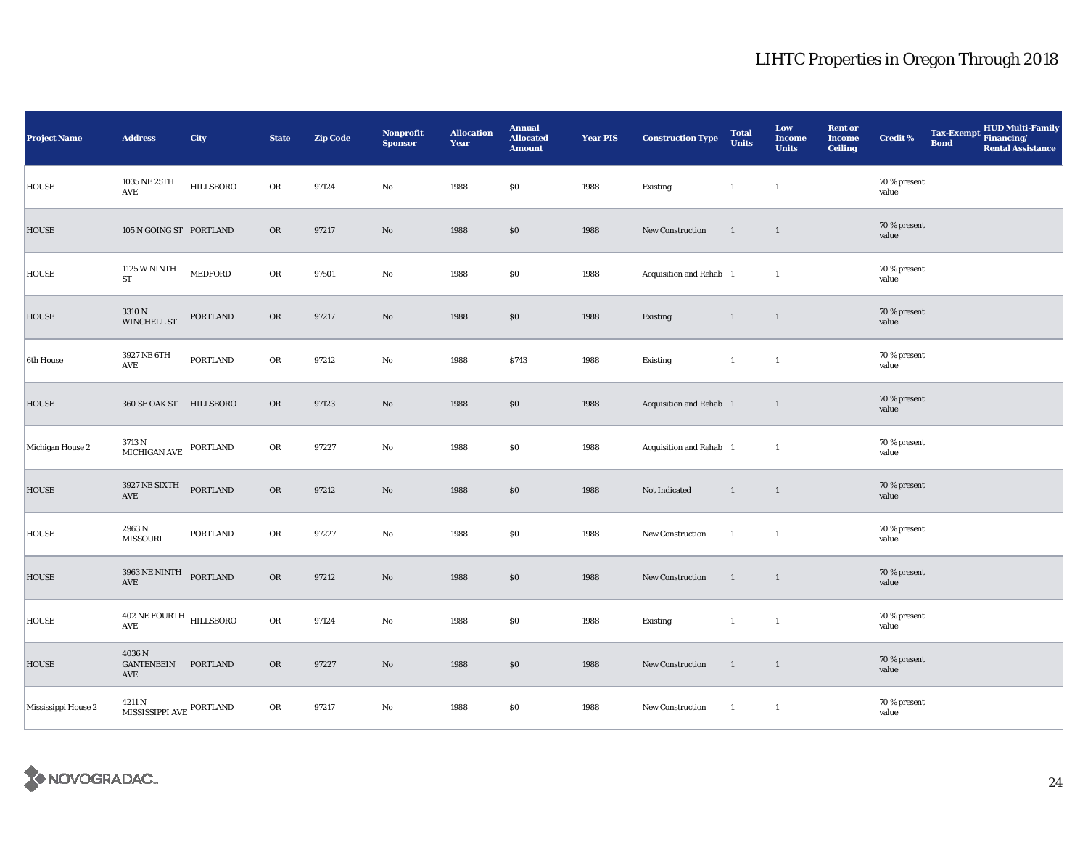| <b>Project Name</b> | <b>Address</b>                                 | <b>City</b>      | <b>State</b> | <b>Zip Code</b> | <b>Nonprofit</b><br><b>Sponsor</b> | <b>Allocation</b><br>Year | <b>Annual</b><br><b>Allocated</b><br><b>Amount</b> | <b>Year PIS</b> | <b>Construction Type</b> | <b>Total</b><br><b>Units</b> | Low<br><b>Income</b><br><b>Units</b> | <b>Rent or</b><br><b>Income</b><br><b>Ceiling</b> | <b>Credit %</b>       | <b>Tax-Exempt</b><br><b>Bond</b> | <b>HUD Multi-Family</b><br>Financing/<br><b>Rental Assistance</b> |
|---------------------|------------------------------------------------|------------------|--------------|-----------------|------------------------------------|---------------------------|----------------------------------------------------|-----------------|--------------------------|------------------------------|--------------------------------------|---------------------------------------------------|-----------------------|----------------------------------|-------------------------------------------------------------------|
| HOUSE               | 1035 NE 25TH<br>$\operatorname{AVE}$           | <b>HILLSBORO</b> | ${\rm OR}$   | 97124           | No                                 | 1988                      | \$0\$                                              | 1988            | Existing                 | $\mathbf{1}$                 | $\mathbf{1}$                         |                                                   | 70 % present<br>value |                                  |                                                                   |
| <b>HOUSE</b>        | 105 N GOING ST PORTLAND                        |                  | OR           | 97217           | No                                 | 1988                      | \$0                                                | 1988            | New Construction         | $\mathbf{1}$                 | $\mathbf{1}$                         |                                                   | 70 % present<br>value |                                  |                                                                   |
| HOUSE               | <b>1125 W NINTH</b><br>ST                      | MEDFORD          | OR           | 97501           | $\rm No$                           | 1988                      | \$0\$                                              | 1988            | Acquisition and Rehab 1  |                              | $\mathbf{1}$                         |                                                   | 70 % present<br>value |                                  |                                                                   |
| <b>HOUSE</b>        | 3310 N<br>WINCHELL ST                          | PORTLAND         | OR           | 97217           | No                                 | 1988                      | $\$0$                                              | 1988            | Existing                 | $\mathbf{1}$                 | $\mathbf{1}$                         |                                                   | 70 % present<br>value |                                  |                                                                   |
| 6th House           | 3927 NE 6TH<br>AVE                             | PORTLAND         | OR           | 97212           | No                                 | 1988                      | \$743                                              | 1988            | Existing                 | $\mathbf{1}$                 | $\mathbf{1}$                         |                                                   | 70 % present<br>value |                                  |                                                                   |
| <b>HOUSE</b>        | 360 SE OAK ST HILLSBORO                        |                  | OR           | 97123           | No                                 | 1988                      | \$0                                                | 1988            | Acquisition and Rehab 1  |                              | $\mathbf{1}$                         |                                                   | 70 % present<br>value |                                  |                                                                   |
| Michigan House 2    | $3713$ N<br>MICHIGAN AVE PORTLAND              |                  | OR           | 97227           | No                                 | 1988                      | \$0\$                                              | 1988            | Acquisition and Rehab 1  |                              | $\mathbf{1}$                         |                                                   | 70 % present<br>value |                                  |                                                                   |
| <b>HOUSE</b>        | 3927 NE SIXTH<br>$\operatorname{AVE}$          | <b>PORTLAND</b>  | OR           | 97212           | No                                 | 1988                      | $\$0$                                              | 1988            | Not Indicated            | $\mathbf{1}$                 | $\mathbf{1}$                         |                                                   | 70 % present<br>value |                                  |                                                                   |
| HOUSE               | 2963 N<br><b>MISSOURI</b>                      | PORTLAND         | OR           | 97227           | $\mathbf{N}\mathbf{o}$             | 1988                      | $\$0$                                              | 1988            | New Construction         | $\mathbf{1}$                 | $\mathbf{1}$                         |                                                   | 70 % present<br>value |                                  |                                                                   |
| HOUSE               | 3963 NE NINTH PORTLAND<br>$\operatorname{AVE}$ |                  | OR           | 97212           | No                                 | 1988                      | \$0                                                | 1988            | New Construction         | $\mathbf{1}$                 | $\mathbf{1}$                         |                                                   | 70 % present<br>value |                                  |                                                                   |
| <b>HOUSE</b>        | $402$ NE FOURTH $$\tt HILLSBORO$$<br>AVE       |                  | OR           | 97124           | No                                 | 1988                      | \$0\$                                              | 1988            | Existing                 | $\mathbf{1}$                 | $\mathbf{1}$                         |                                                   | 70 % present<br>value |                                  |                                                                   |
| HOUSE               | 4036 N<br>GANTENBEIN PORTLAND<br>AVE           |                  | OR           | 97227           | No                                 | 1988                      | \$0                                                | 1988            | New Construction         | $\overline{1}$               | $\overline{1}$                       |                                                   | 70 % present<br>value |                                  |                                                                   |
| Mississippi House 2 | 4211 N<br>MISSISSIPPI AVE PORTLAND             |                  | OR           | 97217           | No                                 | 1988                      | \$0\$                                              | 1988            | New Construction         | $\mathbf{1}$                 | $\mathbf{1}$                         |                                                   | 70 % present<br>value |                                  |                                                                   |

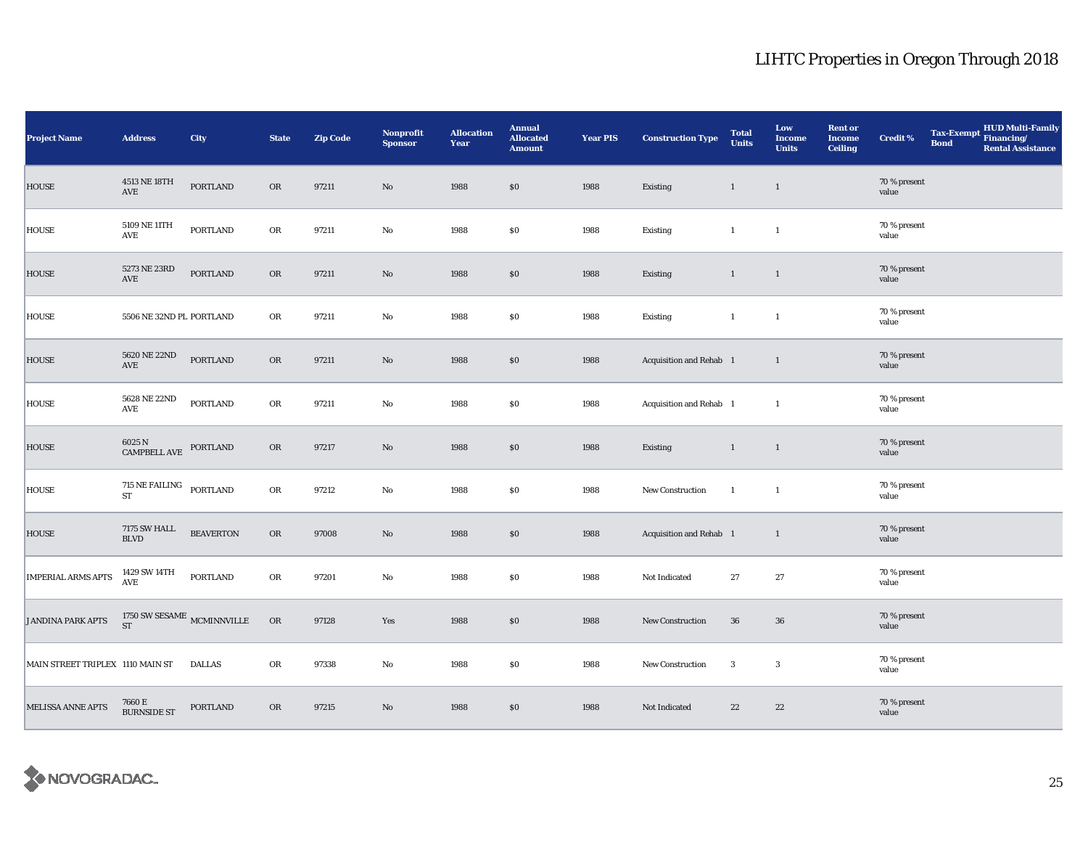| <b>Project Name</b>              | <b>Address</b>                                  | <b>City</b>                          | <b>State</b> | <b>Zip Code</b> | <b>Nonprofit</b><br><b>Sponsor</b> | <b>Allocation</b><br>Year | <b>Annual</b><br><b>Allocated</b><br><b>Amount</b> | <b>Year PIS</b> | <b>Construction Type</b> | <b>Total</b><br><b>Units</b> | Low<br><b>Income</b><br><b>Units</b> | <b>Rent or</b><br>Income<br><b>Ceiling</b> | <b>Credit %</b>       | <b>Tax-Exempt</b><br><b>Bond</b> | <b>HUD Multi-Family</b><br>Financing/<br><b>Rental Assistance</b> |
|----------------------------------|-------------------------------------------------|--------------------------------------|--------------|-----------------|------------------------------------|---------------------------|----------------------------------------------------|-----------------|--------------------------|------------------------------|--------------------------------------|--------------------------------------------|-----------------------|----------------------------------|-------------------------------------------------------------------|
| <b>HOUSE</b>                     | 4513 NE 18TH<br>$\operatorname{AVE}$            | <b>PORTLAND</b>                      | OR           | 97211           | $\rm No$                           | 1988                      | $\$0$                                              | 1988            | Existing                 | $\mathbf{1}$                 | $\mathbf{1}$                         |                                            | 70 % present<br>value |                                  |                                                                   |
| <b>HOUSE</b>                     | 5109 NE 11TH<br>AVE                             | <b>PORTLAND</b>                      | ${\sf OR}$   | 97211           | $\mathbf{No}$                      | 1988                      | $\$0$                                              | 1988            | Existing                 | $\mathbf{1}$                 | $\mathbf{1}$                         |                                            | 70 % present<br>value |                                  |                                                                   |
| <b>HOUSE</b>                     | 5273 NE 23RD<br>AVE                             | <b>PORTLAND</b>                      | ${\rm OR}$   | 97211           | $\mathbf{N}\mathbf{o}$             | 1988                      | \$0                                                | 1988            | Existing                 | $\mathbf{1}$                 | $\overline{1}$                       |                                            | 70 % present<br>value |                                  |                                                                   |
| <b>HOUSE</b>                     | 5506 NE 32ND PL PORTLAND                        |                                      | ${\rm OR}$   | 97211           | No                                 | 1988                      | \$0                                                | 1988            | Existing                 | $\mathbf{1}$                 | $\mathbf{1}$                         |                                            | 70 % present<br>value |                                  |                                                                   |
| <b>HOUSE</b>                     | 5620 NE 22ND<br>$\operatorname{AVE}$            | <b>PORTLAND</b>                      | OR           | 97211           | No                                 | 1988                      | $\$0$                                              | 1988            | Acquisition and Rehab 1  |                              | $\overline{1}$                       |                                            | 70 % present<br>value |                                  |                                                                   |
| <b>HOUSE</b>                     | 5628 NE 22ND<br>$\operatorname{AVE}$            | PORTLAND                             | OR           | 97211           | $\mathbf{No}$                      | 1988                      | \$0                                                | 1988            | Acquisition and Rehab 1  |                              | $\mathbf{1}$                         |                                            | 70 % present<br>value |                                  |                                                                   |
| <b>HOUSE</b>                     | $6025$ N $$\tt{COMPEELL}$ AVE $$\tt{PORTLAND}$$ |                                      | <b>OR</b>    | 97217           | $\mathbf{N}\mathbf{o}$             | 1988                      | \$0                                                | 1988            | Existing                 | $\mathbf{1}$                 | $\mathbf{1}$                         |                                            | 70 % present<br>value |                                  |                                                                   |
| <b>HOUSE</b>                     | $715$ NE FAILING $\_$ PORTLAND<br><b>ST</b>     |                                      | OR           | 97212           | $\rm No$                           | 1988                      | \$0                                                | 1988            | New Construction         | $\overline{1}$               | $\mathbf{1}$                         |                                            | 70 % present<br>value |                                  |                                                                   |
| <b>HOUSE</b>                     | <b>7175 SW HALL</b><br>$\operatorname{BLVD}$    | <b>BEAVERTON</b>                     | OR           | 97008           | No                                 | 1988                      | \$0                                                | 1988            | Acquisition and Rehab 1  |                              | $\overline{1}$                       |                                            | 70 % present<br>value |                                  |                                                                   |
| <b>IMPERIAL ARMS APTS</b>        | 1429 SW 14TH<br>$\operatorname{\mathsf{AVE}}$   | PORTLAND                             | OR           | 97201           | No                                 | 1988                      | \$0                                                | 1988            | Not Indicated            | 27                           | $\bf 27$                             |                                            | 70 % present<br>value |                                  |                                                                   |
| <b>JANDINA PARK APTS</b>         | <b>ST</b>                                       | 1750 SW SESAME $_{\rm{MCMINNVILLE}}$ | OR           | 97128           | Yes                                | 1988                      | $\$0$                                              | 1988            | New Construction         | 36                           | ${\bf 36}$                           |                                            | 70 % present<br>value |                                  |                                                                   |
| MAIN STREET TRIPLEX 1110 MAIN ST |                                                 | <b>DALLAS</b>                        | OR           | 97338           | No                                 | 1988                      | \$0                                                | 1988            | New Construction         | $\boldsymbol{3}$             | $\boldsymbol{3}$                     |                                            | 70 % present<br>value |                                  |                                                                   |
| <b>MELISSA ANNE APTS</b>         | $7660\,\mathrm{E}$ BURNSIDE ST                  | PORTLAND                             | OR           | 97215           | $\mathbf{N}\mathbf{o}$             | 1988                      | $\$0$                                              | 1988            | Not Indicated            | $\bf{22}$                    | $\bf 22$                             |                                            | 70 % present<br>value |                                  |                                                                   |

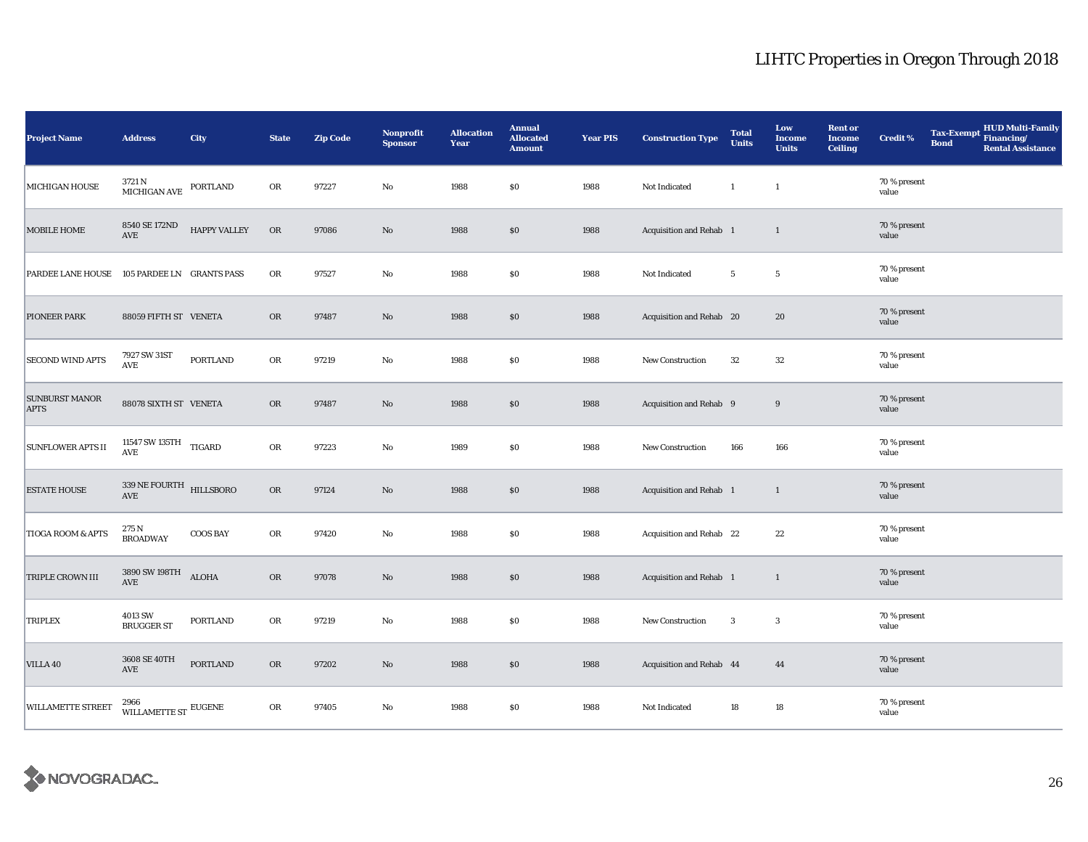| <b>Project Name</b>                  | <b>Address</b>                                  | City                | <b>State</b>  | <b>Zip Code</b> | <b>Nonprofit</b><br><b>Sponsor</b> | <b>Allocation</b><br>Year | <b>Annual</b><br><b>Allocated</b><br><b>Amount</b> | <b>Year PIS</b> | <b>Construction Type</b> | <b>Total</b><br><b>Units</b> | Low<br><b>Income</b><br><b>Units</b> | <b>Rent or</b><br><b>Income</b><br><b>Ceiling</b> | <b>Credit %</b>       | <b>Tax-Exempt</b><br><b>Bond</b> | <b>HUD Multi-Family</b><br>Financing/<br><b>Rental Assistance</b> |
|--------------------------------------|-------------------------------------------------|---------------------|---------------|-----------------|------------------------------------|---------------------------|----------------------------------------------------|-----------------|--------------------------|------------------------------|--------------------------------------|---------------------------------------------------|-----------------------|----------------------------------|-------------------------------------------------------------------|
| MICHIGAN HOUSE                       | 3721 N<br>MICHIGAN AVE                          | PORTLAND            | OR            | 97227           | $\rm No$                           | 1988                      | \$0                                                | 1988            | Not Indicated            | $\mathbf{1}$                 | $\mathbf{1}$                         |                                                   | 70 % present<br>value |                                  |                                                                   |
| <b>MOBILE HOME</b>                   | 8540 SE 172ND<br>AVE                            | <b>HAPPY VALLEY</b> | OR            | 97086           | $\rm No$                           | 1988                      | \$0                                                | 1988            | Acquisition and Rehab 1  |                              | $\mathbf{1}$                         |                                                   | 70 % present<br>value |                                  |                                                                   |
| <b>PARDEE LANE HOUSE</b>             | 105 PARDEE LN GRANTS PASS                       |                     | ${\rm OR}$    | 97527           | $\rm No$                           | 1988                      | $\$0$                                              | 1988            | Not Indicated            | $5\phantom{.0}$              | $5\phantom{.0}$                      |                                                   | 70 % present<br>value |                                  |                                                                   |
| PIONEER PARK                         | 88059 FIFTH ST VENETA                           |                     | OR            | 97487           | $\rm No$                           | 1988                      | \$0                                                | 1988            | Acquisition and Rehab 20 |                              | 20                                   |                                                   | 70 % present<br>value |                                  |                                                                   |
| <b>SECOND WIND APTS</b>              | 7927 SW 31ST<br>$\operatorname{AVE}$            | <b>PORTLAND</b>     | OR            | 97219           | $\mathbf{No}$                      | 1988                      | \$0                                                | 1988            | <b>New Construction</b>  | 32                           | 32                                   |                                                   | 70 % present<br>value |                                  |                                                                   |
| <b>SUNBURST MANOR</b><br><b>APTS</b> | 88078 SIXTH ST VENETA                           |                     | <b>OR</b>     | 97487           | $\rm No$                           | 1988                      | \$0                                                | 1988            | Acquisition and Rehab 9  |                              | 9                                    |                                                   | 70 % present<br>value |                                  |                                                                   |
| <b>SUNFLOWER APTS II</b>             | 11547 SW 135TH $\,$ TIGARD<br>AVE               |                     | OR            | 97223           | No                                 | 1989                      | \$0                                                | 1988            | New Construction         | 166                          | 166                                  |                                                   | 70 % present<br>value |                                  |                                                                   |
| <b>ESTATE HOUSE</b>                  | 339 NE FOURTH HILLSBORO<br>$\operatorname{AVE}$ |                     | $\mathbf{OR}$ | 97124           | $\rm No$                           | 1988                      | $\$0$                                              | 1988            | Acquisition and Rehab 1  |                              | $\mathbf{1}$                         |                                                   | 70 % present<br>value |                                  |                                                                   |
| <b>TIOGA ROOM &amp; APTS</b>         | 275 N<br><b>BROADWAY</b>                        | <b>COOS BAY</b>     | ${\rm OR}$    | 97420           | $\rm No$                           | 1988                      | $\$0$                                              | 1988            | Acquisition and Rehab 22 |                              | 22                                   |                                                   | 70 % present<br>value |                                  |                                                                   |
| TRIPLE CROWN III                     | 3890 SW 198TH<br>$\operatorname{AVE}$           | <b>ALOHA</b>        | OR            | 97078           | $\rm No$                           | 1988                      | \$0                                                | 1988            | Acquisition and Rehab 1  |                              | $\mathbf{1}$                         |                                                   | 70 % present<br>value |                                  |                                                                   |
| TRIPLEX                              | 4013 SW<br><b>BRUGGER ST</b>                    | <b>PORTLAND</b>     | OR            | 97219           | $\rm No$                           | 1988                      | $\$0$                                              | 1988            | New Construction         | $\overline{3}$               | $\boldsymbol{3}$                     |                                                   | 70 % present<br>value |                                  |                                                                   |
| VILLA 40                             | 3608 SE 40TH<br>AVE                             | <b>PORTLAND</b>     | <b>OR</b>     | 97202           | $\rm No$                           | 1988                      | \$0                                                | 1988            | Acquisition and Rehab 44 |                              | 44                                   |                                                   | 70 % present<br>value |                                  |                                                                   |
| <b>WILLAMETTE STREET</b>             | 2966<br>WILLAMETTE ST $^{\text{EUGENE}}$        |                     | OR            | 97405           | No                                 | 1988                      | \$0                                                | 1988            | Not Indicated            | 18                           | $18\,$                               |                                                   | 70 % present<br>value |                                  |                                                                   |

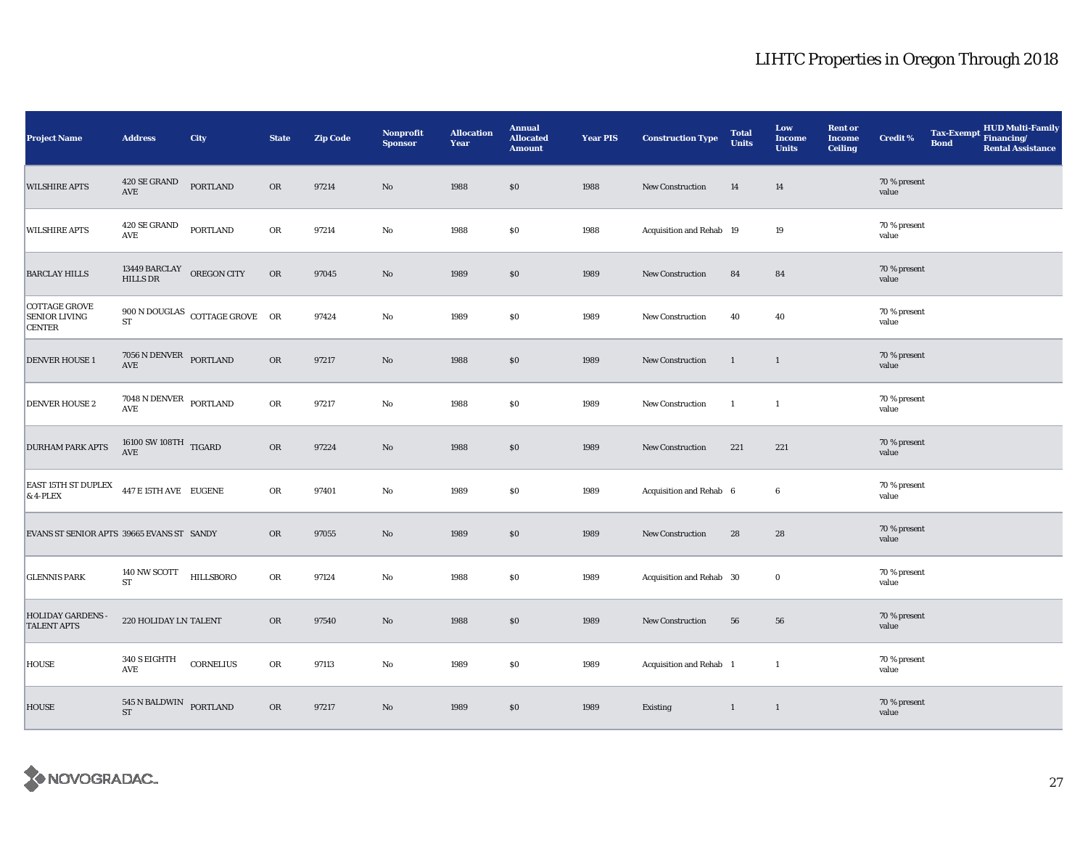| <b>Project Name</b>                                           | <b>Address</b>                                             | City                                                                                        | <b>State</b> | <b>Zip Code</b> | <b>Nonprofit</b><br><b>Sponsor</b> | <b>Allocation</b><br>Year | <b>Annual</b><br><b>Allocated</b><br><b>Amount</b> | <b>Year PIS</b> | <b>Construction Type</b> | <b>Total</b><br><b>Units</b> | Low<br><b>Income</b><br><b>Units</b> | <b>Rent or</b><br><b>Income</b><br><b>Ceiling</b> | <b>Credit %</b>       | <b>Tax-Exempt</b><br><b>Bond</b> | <b>HUD Multi-Family</b><br>Financing/<br><b>Rental Assistance</b> |
|---------------------------------------------------------------|------------------------------------------------------------|---------------------------------------------------------------------------------------------|--------------|-----------------|------------------------------------|---------------------------|----------------------------------------------------|-----------------|--------------------------|------------------------------|--------------------------------------|---------------------------------------------------|-----------------------|----------------------------------|-------------------------------------------------------------------|
| <b>WILSHIRE APTS</b>                                          | 420 SE GRAND<br>AVE                                        | <b>PORTLAND</b>                                                                             | <b>OR</b>    | 97214           | $\rm No$                           | 1988                      | $\$0$                                              | 1988            | New Construction         | 14                           | 14                                   |                                                   | 70 % present<br>value |                                  |                                                                   |
| <b>WILSHIRE APTS</b>                                          | 420 SE GRAND<br>AVE                                        | <b>PORTLAND</b>                                                                             | OR           | 97214           | No                                 | 1988                      | $\$0$                                              | 1988            | Acquisition and Rehab 19 |                              | 19                                   |                                                   | 70 % present<br>value |                                  |                                                                   |
| <b>BARCLAY HILLS</b>                                          | $13449$ $\rm BARCLAY$ $\;$ OREGON CITY HILLS DR            |                                                                                             | OR           | 97045           | $\rm No$                           | 1989                      | \$0                                                | 1989            | New Construction         | 84                           | 84                                   |                                                   | 70 % present<br>value |                                  |                                                                   |
| <b>COTTAGE GROVE</b><br><b>SENIOR LIVING</b><br><b>CENTER</b> | <b>ST</b>                                                  | $900 \, \text{N} \, \text{DOUGLAS} \quad \text{COTTAGE} \, \text{GROVE} \quad \, \text{OR}$ |              | 97424           | No                                 | 1989                      | \$0                                                | 1989            | New Construction         | 40                           | 40                                   |                                                   | 70 % present<br>value |                                  |                                                                   |
| <b>DENVER HOUSE1</b>                                          | $7056$ N DENVER $\,$ PORTLAND<br>AVE                       |                                                                                             | <b>OR</b>    | 97217           | $\rm No$                           | 1988                      | \$0                                                | 1989            | <b>New Construction</b>  | $\mathbf{1}$                 | 1                                    |                                                   | 70 % present<br>value |                                  |                                                                   |
| <b>DENVER HOUSE 2</b>                                         | $7048$ N DENVER $_{\rm{PORTLAND}}$<br>$\operatorname{AVE}$ |                                                                                             | ${\bf OR}$   | 97217           | $\mathbf{No}$                      | 1988                      | \$0                                                | 1989            | New Construction         | $\mathbf{1}$                 | $\mathbf{1}$                         |                                                   | 70 % present<br>value |                                  |                                                                   |
| <b>DURHAM PARK APTS</b>                                       | $16100$ SW $108\mathrm{TH}$ $_\mathrm{TIGARD}$<br>AVE      |                                                                                             | <b>OR</b>    | 97224           | $\rm No$                           | 1988                      | \$0                                                | 1989            | New Construction         | 221                          | 221                                  |                                                   | 70 % present<br>value |                                  |                                                                   |
| <b>EAST 15TH ST DUPLEX</b><br>$& 4$ -PLEX                     | 447 E 15TH AVE EUGENE                                      |                                                                                             | OR           | 97401           | $\rm No$                           | 1989                      | \$0                                                | 1989            | Acquisition and Rehab 6  |                              | $\boldsymbol{6}$                     |                                                   | 70 % present<br>value |                                  |                                                                   |
| EVANS ST SENIOR APTS 39665 EVANS ST SANDY                     |                                                            |                                                                                             | <b>OR</b>    | 97055           | No                                 | 1989                      | \$0                                                | 1989            | New Construction         | 28                           | 28                                   |                                                   | 70 % present<br>value |                                  |                                                                   |
| <b>GLENNIS PARK</b>                                           | 140 NW SCOTT<br><b>ST</b>                                  | HILLSBORO                                                                                   | OR           | 97124           | No                                 | 1988                      | $\$0$                                              | 1989            | Acquisition and Rehab 30 |                              | $\bf{0}$                             |                                                   | 70 % present<br>value |                                  |                                                                   |
| <b>HOLIDAY GARDENS -</b><br><b>TALENT APTS</b>                | 220 HOLIDAY LN TALENT                                      |                                                                                             | OR           | 97540           | $\rm No$                           | 1988                      | \$0\$                                              | 1989            | New Construction         | 56                           | 56                                   |                                                   | 70 % present<br>value |                                  |                                                                   |
| <b>HOUSE</b>                                                  | 340 S EIGHTH<br>AVE                                        | CORNELIUS                                                                                   | OR           | 97113           | No                                 | 1989                      | \$0                                                | 1989            | Acquisition and Rehab 1  |                              | $\mathbf{1}$                         |                                                   | 70 % present<br>value |                                  |                                                                   |
| <b>HOUSE</b>                                                  | 545 N BALDWIN<br>${\rm ST}$                                | PORTLAND                                                                                    | OR           | 97217           | $\rm No$                           | 1989                      | $\$0$                                              | 1989            | Existing                 | $\mathbf{1}$                 | $\overline{1}$                       |                                                   | 70 % present<br>value |                                  |                                                                   |

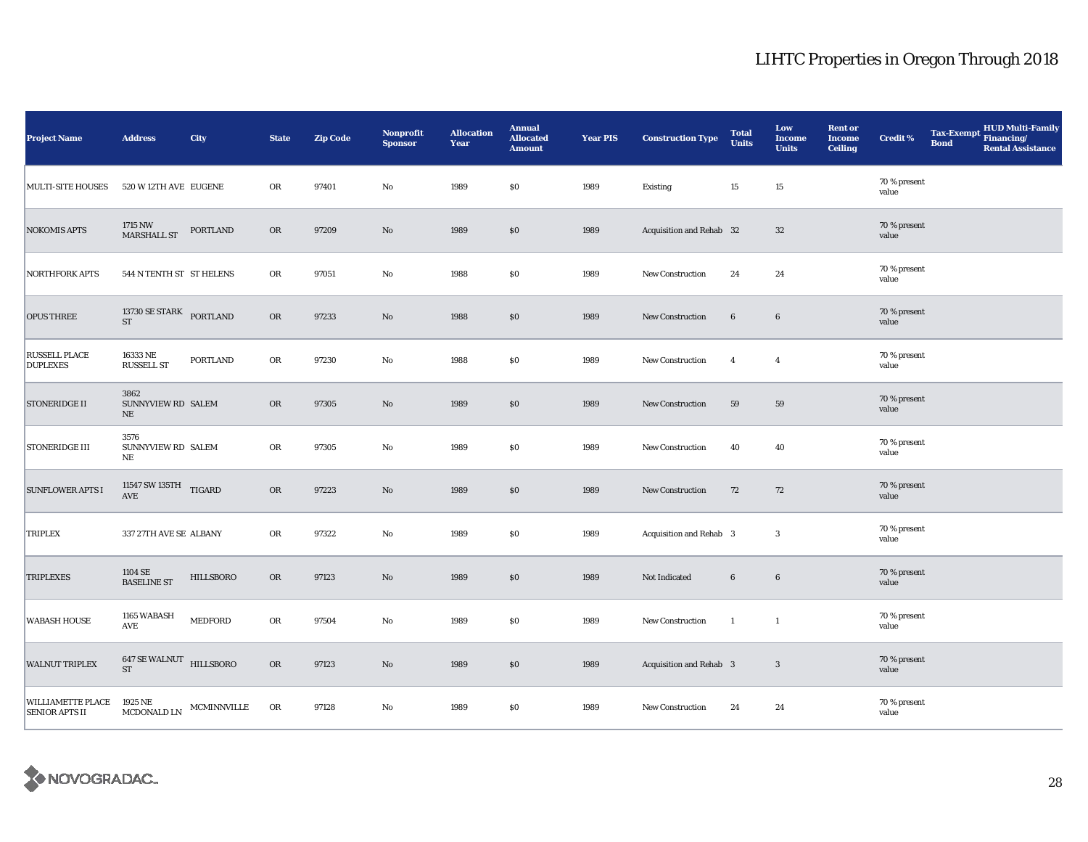| <b>Project Name</b>                               | <b>Address</b>                               | City             | <b>State</b> | <b>Zip Code</b> | Nonprofit<br><b>Sponsor</b> | <b>Allocation</b><br>Year | <b>Annual</b><br><b>Allocated</b><br><b>Amount</b> | <b>Year PIS</b> | <b>Construction Type</b>       | <b>Total</b><br><b>Units</b> | Low<br><b>Income</b><br><b>Units</b> | <b>Rent or</b><br><b>Income</b><br><b>Ceiling</b> | <b>Credit %</b>       | <b>Tax-Exempt</b><br><b>Bond</b> | <b>HUD Multi-Family</b><br>Financing/<br><b>Rental Assistance</b> |
|---------------------------------------------------|----------------------------------------------|------------------|--------------|-----------------|-----------------------------|---------------------------|----------------------------------------------------|-----------------|--------------------------------|------------------------------|--------------------------------------|---------------------------------------------------|-----------------------|----------------------------------|-------------------------------------------------------------------|
| <b>MULTI-SITE HOUSES</b>                          | 520 W 12TH AVE EUGENE                        |                  | OR           | 97401           | $\rm No$                    | 1989                      | \$0\$                                              | 1989            | Existing                       | 15                           | $15\,$                               |                                                   | 70 % present<br>value |                                  |                                                                   |
| <b>NOKOMIS APTS</b>                               | 1715 NW<br><b>MARSHALL ST</b>                | PORTLAND         | OR           | 97209           | $\rm No$                    | 1989                      | \$0                                                | 1989            | Acquisition and Rehab 32       |                              | 32                                   |                                                   | 70 % present<br>value |                                  |                                                                   |
| <b>NORTHFORK APTS</b>                             | 544 N TENTH ST ST HELENS                     |                  | ${\rm OR}$   | 97051           | $\rm No$                    | 1988                      | \$0\$                                              | 1989            | New Construction               | 24                           | 24                                   |                                                   | 70 % present<br>value |                                  |                                                                   |
| <b>OPUS THREE</b>                                 | 13730 SE STARK PORTLAND<br><b>ST</b>         |                  | OR           | 97233           | $\rm No$                    | 1988                      | $\$0$                                              | 1989            | New Construction               | $6\phantom{.}6$              | $6\phantom{.}6$                      |                                                   | 70 % present<br>value |                                  |                                                                   |
| <b>RUSSELL PLACE</b><br><b>DUPLEXES</b>           | 16333 NE<br><b>RUSSELL ST</b>                | <b>PORTLAND</b>  | OR           | 97230           | $\mathbf{No}$               | 1988                      | \$0                                                | 1989            | <b>New Construction</b>        | $\overline{4}$               | $\overline{4}$                       |                                                   | 70 % present<br>value |                                  |                                                                   |
| STONERIDGE II                                     | 3862<br>SUNNYVIEW RD SALEM<br>NE             |                  | <b>OR</b>    | 97305           | $\rm No$                    | 1989                      | \$0                                                | 1989            | New Construction               | 59                           | 59                                   |                                                   | 70 % present<br>value |                                  |                                                                   |
| <b>STONERIDGE III</b>                             | 3576<br>SUNNYVIEW RD SALEM<br>$_{\rm NE}$    |                  | OR           | 97305           | No                          | 1989                      | \$0                                                | 1989            | New Construction               | 40                           | 40                                   |                                                   | 70 % present<br>value |                                  |                                                                   |
| <b>SUNFLOWER APTS I</b>                           | 11547 SW 135TH $\,$ TIGARD<br>AVE            |                  | OR           | 97223           | $\rm No$                    | 1989                      | \$0\$                                              | 1989            | New Construction               | 72                           | 72                                   |                                                   | 70 % present<br>value |                                  |                                                                   |
| TRIPLEX                                           | 337 27TH AVE SE ALBANY                       |                  | OR           | 97322           | $\rm No$                    | 1989                      | $\$0$                                              | 1989            | Acquisition and Rehab 3        |                              | $\boldsymbol{3}$                     |                                                   | 70 % present<br>value |                                  |                                                                   |
| <b>TRIPLEXES</b>                                  | 1104 SE<br><b>BASELINE ST</b>                | <b>HILLSBORO</b> | <b>OR</b>    | 97123           | $\rm No$                    | 1989                      | \$0                                                | 1989            | Not Indicated                  | $\bf 6$                      | $\boldsymbol{6}$                     |                                                   | 70 % present<br>value |                                  |                                                                   |
| <b>WABASH HOUSE</b>                               | 1165 WABASH<br>AVE                           | <b>MEDFORD</b>   | OR           | 97504           | $\rm No$                    | 1989                      | $\$0$                                              | 1989            | New Construction               | $\mathbf{1}$                 | $\mathbf{1}$                         |                                                   | 70 % present<br>value |                                  |                                                                   |
| <b>WALNUT TRIPLEX</b>                             | <b>647 SE WALNUT HILLSBORO</b><br>${\rm ST}$ |                  | $_{\rm OR}$  | 97123           | $\rm No$                    | 1989                      | \$0                                                | 1989            | <b>Acquisition and Rehab 3</b> |                              | $\mathbf{3}$                         |                                                   | 70 % present<br>value |                                  |                                                                   |
| <b>WILLIAMETTE PLACE</b><br><b>SENIOR APTS II</b> | 1925 NE<br>MCDONALD LN                       | MCMINNVILLE      | OR           | 97128           | No                          | 1989                      | \$0                                                | 1989            | New Construction               | 24                           | 24                                   |                                                   | 70 % present<br>value |                                  |                                                                   |

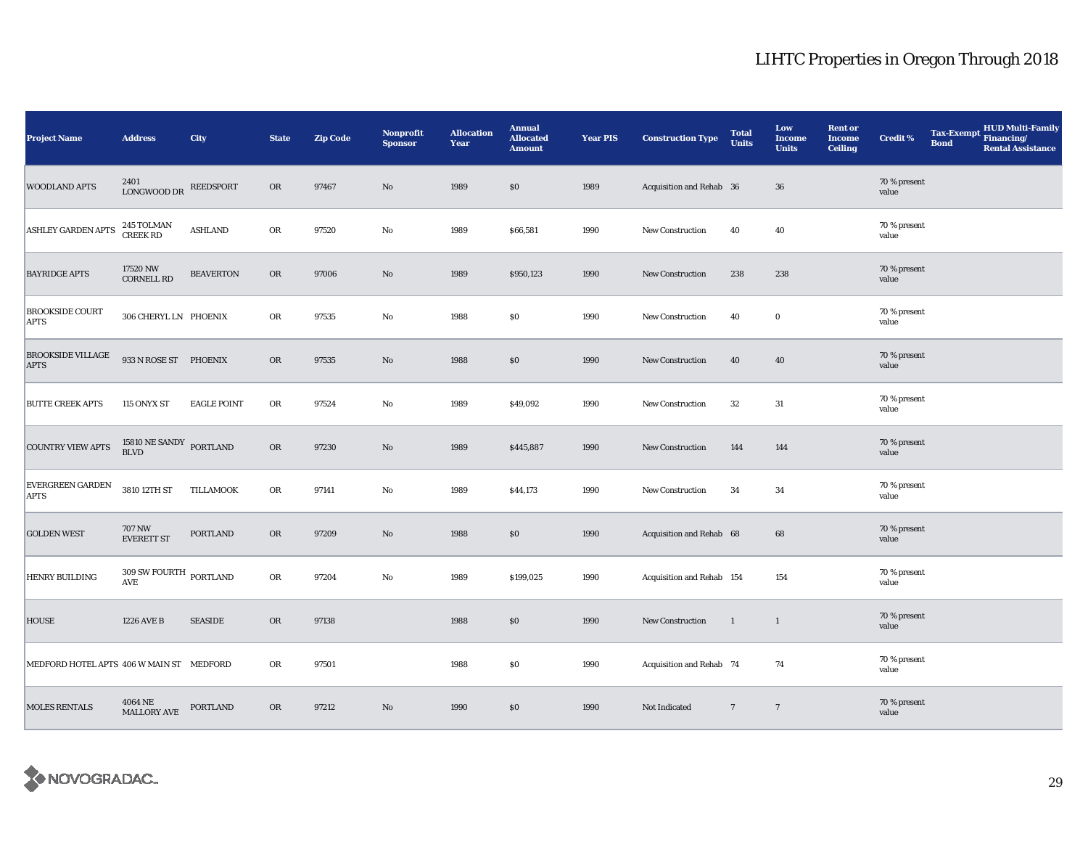| <b>Project Name</b>                      | <b>Address</b>                                             | City               | <b>State</b> | <b>Zip Code</b> | <b>Nonprofit</b><br><b>Sponsor</b> | <b>Allocation</b><br>Year | <b>Annual</b><br><b>Allocated</b><br><b>Amount</b> | <b>Year PIS</b> | <b>Construction Type</b>  | <b>Total</b><br><b>Units</b> | Low<br><b>Income</b><br><b>Units</b> | <b>Rent or</b><br><b>Income</b><br><b>Ceiling</b> | <b>Credit %</b>       | <b>Tax-Exempt</b><br><b>Bond</b> | <b>HUD Multi-Family</b><br>Financing/<br><b>Rental Assistance</b> |
|------------------------------------------|------------------------------------------------------------|--------------------|--------------|-----------------|------------------------------------|---------------------------|----------------------------------------------------|-----------------|---------------------------|------------------------------|--------------------------------------|---------------------------------------------------|-----------------------|----------------------------------|-------------------------------------------------------------------|
| <b>WOODLAND APTS</b>                     | 2401<br><b>LONGWOOD DR</b>                                 | <b>REEDSPORT</b>   | <b>OR</b>    | 97467           | $\rm No$                           | 1989                      | \$0\$                                              | 1989            | Acquisition and Rehab 36  |                              | ${\bf 36}$                           |                                                   | 70 % present<br>value |                                  |                                                                   |
| <b>ASHLEY GARDEN APTS</b>                | 245 TOLMAN<br>CREEK RD                                     | <b>ASHLAND</b>     | OR           | 97520           | $\mathbf{No}$                      | 1989                      | \$66,581                                           | 1990            | New Construction          | 40                           | 40                                   |                                                   | 70 % present<br>value |                                  |                                                                   |
| <b>BAYRIDGE APTS</b>                     | 17520 NW<br>CORNELL RD                                     | <b>BEAVERTON</b>   | <b>OR</b>    | 97006           | $\rm No$                           | 1989                      | \$950,123                                          | 1990            | New Construction          | 238                          | 238                                  |                                                   | 70 % present<br>value |                                  |                                                                   |
| <b>BROOKSIDE COURT</b><br><b>APTS</b>    | 306 CHERYL LN PHOENIX                                      |                    | OR           | 97535           | No                                 | 1988                      | \$0                                                | 1990            | New Construction          | 40                           | $\bf{0}$                             |                                                   | 70 % present<br>value |                                  |                                                                   |
| <b>BROOKSIDE VILLAGE</b><br><b>APTS</b>  | 933 N ROSE ST PHOENIX                                      |                    | <b>OR</b>    | 97535           | No                                 | 1988                      | \$0                                                | 1990            | <b>New Construction</b>   | 40                           | 40                                   |                                                   | 70 % present<br>value |                                  |                                                                   |
| <b>BUTTE CREEK APTS</b>                  | 115 ONYX ST                                                | <b>EAGLE POINT</b> | OR           | 97524           | No                                 | 1989                      | \$49,092                                           | 1990            | New Construction          | 32                           | 31                                   |                                                   | 70 % present<br>value |                                  |                                                                   |
| <b>COUNTRY VIEW APTS</b>                 | 15810 NE SANDY PORTLAND<br><b>BLVD</b>                     |                    | OR           | 97230           | $\rm No$                           | 1989                      | \$445,887                                          | 1990            | New Construction          | 144                          | 144                                  |                                                   | 70 % present<br>value |                                  |                                                                   |
| <b>EVERGREEN GARDEN</b><br><b>APTS</b>   | 3810 12TH ST                                               | <b>TILLAMOOK</b>   | OR           | 97141           | No                                 | 1989                      | \$44,173                                           | 1990            | New Construction          | 34                           | 34                                   |                                                   | 70 % present<br>value |                                  |                                                                   |
| <b>GOLDEN WEST</b>                       | <b>707 NW</b><br><b>EVERETT ST</b>                         | PORTLAND           | OR           | 97209           | $\rm No$                           | 1988                      | \$0                                                | 1990            | Acquisition and Rehab 68  |                              | 68                                   |                                                   | 70 % present<br>value |                                  |                                                                   |
| HENRY BUILDING                           | $309$ SW FOURTH $_{\rm{PORTLAND}}$<br>$\operatorname{AVE}$ |                    | ${\sf OR}$   | 97204           | No                                 | 1989                      | \$199,025                                          | 1990            | Acquisition and Rehab 154 |                              | 154                                  |                                                   | 70 % present<br>value |                                  |                                                                   |
| <b>HOUSE</b>                             | 1226 AVE B                                                 | <b>SEASIDE</b>     | <b>OR</b>    | 97138           |                                    | 1988                      | $\$0$                                              | 1990            | New Construction          | 1                            | $\mathbf{1}$                         |                                                   | 70 % present<br>value |                                  |                                                                   |
| MEDFORD HOTEL APTS 406 W MAIN ST MEDFORD |                                                            |                    | OR           | 97501           |                                    | 1988                      | \$0                                                | 1990            | Acquisition and Rehab 74  |                              | 74                                   |                                                   | 70 % present<br>value |                                  |                                                                   |
| <b>MOLES RENTALS</b>                     | 4064 NE<br><b>MALLORY AVE</b>                              | <b>PORTLAND</b>    | OR           | 97212           | $\rm No$                           | 1990                      | $\$0$                                              | 1990            | Not Indicated             | $7\phantom{.0}$              | $7\phantom{.0}$                      |                                                   | 70 % present<br>value |                                  |                                                                   |

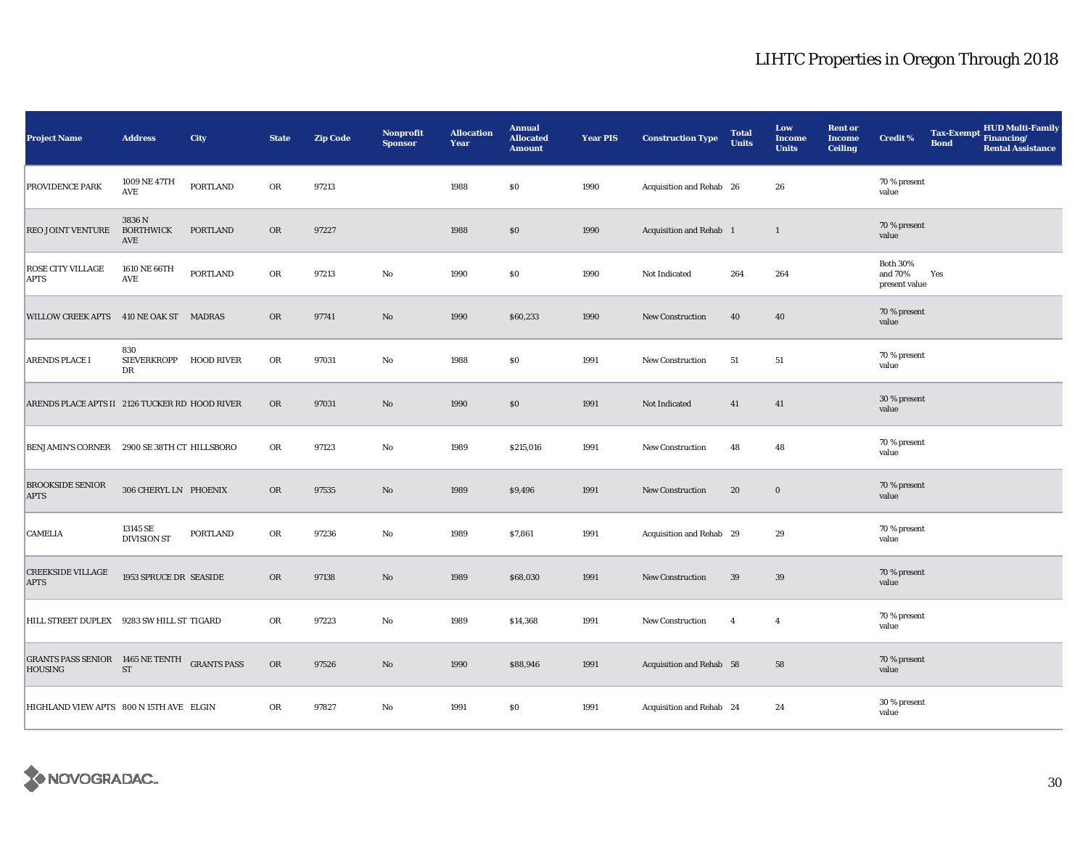| Project Name                                              | <b>Address</b>                      | City               | <b>State</b> | <b>Zip Code</b> | Nonprofit<br><b>Sponsor</b> | <b>Allocation</b><br>Year | <b>Annual</b><br><b>Allocated</b><br><b>Amount</b> | <b>Year PIS</b> | <b>Construction Type</b> | <b>Total</b><br><b>Units</b> | Low<br><b>Income</b><br><b>Units</b> | <b>Rent or</b><br><b>Income</b><br><b>Ceiling</b> | <b>Credit %</b>                         | <b>Tax-Exempt</b><br><b>Bond</b> | <b>HUD Multi-Family</b><br>Financing/<br><b>Rental Assistance</b> |
|-----------------------------------------------------------|-------------------------------------|--------------------|--------------|-----------------|-----------------------------|---------------------------|----------------------------------------------------|-----------------|--------------------------|------------------------------|--------------------------------------|---------------------------------------------------|-----------------------------------------|----------------------------------|-------------------------------------------------------------------|
| PROVIDENCE PARK                                           | 1009 NE 47TH<br>AVE                 | <b>PORTLAND</b>    | OR           | 97213           |                             | 1988                      | \$0                                                | 1990            | Acquisition and Rehab 26 |                              | 26                                   |                                                   | 70 % present<br>value                   |                                  |                                                                   |
| REO JOINT VENTURE                                         | 3836 N<br><b>BORTHWICK</b><br>AVE   | <b>PORTLAND</b>    | OR           | 97227           |                             | 1988                      | \$0                                                | 1990            | Acquisition and Rehab 1  |                              | $\mathbf{1}$                         |                                                   | 70 % present<br>value                   |                                  |                                                                   |
| ROSE CITY VILLAGE<br><b>APTS</b>                          | 1610 NE 66TH<br>AVE                 | <b>PORTLAND</b>    | OR           | 97213           | $\mathbf{No}$               | 1990                      | \$0                                                | 1990            | Not Indicated            | 264                          | 264                                  |                                                   | Both $30\%$<br>and 70%<br>present value | Yes                              |                                                                   |
| <b>WILLOW CREEK APTS</b>                                  | 410 NE OAK ST MADRAS                |                    | <b>OR</b>    | 97741           | $\mathbf{N}\mathbf{o}$      | 1990                      | \$60,233                                           | 1990            | <b>New Construction</b>  | 40                           | 40                                   |                                                   | 70 % present<br>value                   |                                  |                                                                   |
| <b>ARENDS PLACE I</b>                                     | 830<br>SIEVERKROPP HOOD RIVER<br>DR |                    | OR           | 97031           | $\rm No$                    | 1988                      | \$0                                                | 1991            | <b>New Construction</b>  | 51                           | 51                                   |                                                   | 70 % present<br>value                   |                                  |                                                                   |
| ARENDS PLACE APTS II 2126 TUCKER RD HOOD RIVER            |                                     |                    | <b>OR</b>    | 97031           | $\mathbf{N}\mathbf{o}$      | 1990                      | \$0                                                | 1991            | Not Indicated            | 41                           | 41                                   |                                                   | 30 % present<br>value                   |                                  |                                                                   |
| <b>BENJAMIN'S CORNER</b>                                  | 2900 SE 38TH CT HILLSBORO           |                    | OR           | 97123           | No                          | 1989                      | \$215,016                                          | 1991            | <b>New Construction</b>  | 48                           | 48                                   |                                                   | 70 % present<br>value                   |                                  |                                                                   |
| <b>BROOKSIDE SENIOR</b><br><b>APTS</b>                    | 306 CHERYL LN PHOENIX               |                    | OR           | 97535           | $\mathbf{N}\mathbf{o}$      | 1989                      | \$9,496                                            | 1991            | New Construction         | 20                           | $\bf{0}$                             |                                                   | 70 % present<br>value                   |                                  |                                                                   |
| <b>CAMELIA</b>                                            | 13145 SE<br><b>DIVISION ST</b>      | <b>PORTLAND</b>    | OR           | 97236           | No                          | 1989                      | \$7,861                                            | 1991            | Acquisition and Rehab 29 |                              | 29                                   |                                                   | 70 % present<br>value                   |                                  |                                                                   |
| <b>CREEKSIDE VILLAGE</b><br><b>APTS</b>                   | 1953 SPRUCE DR SEASIDE              |                    | OR           | 97138           | No                          | 1989                      | \$68,030                                           | 1991            | New Construction         | 39                           | 39                                   |                                                   | 70 % present<br>value                   |                                  |                                                                   |
| HILL STREET DUPLEX                                        | 9283 SW HILL ST TIGARD              |                    | OR           | 97223           | No                          | 1989                      | \$14,368                                           | 1991            | New Construction         | $\overline{4}$               | $\overline{4}$                       |                                                   | 70 % present<br>value                   |                                  |                                                                   |
| <b>GRANTS PASS SENIOR 1465 NE TENTH</b><br><b>HOUSING</b> | ${\rm ST}$                          | <b>GRANTS PASS</b> | OR           | 97526           | $\rm No$                    | 1990                      | \$88,946                                           | 1991            | Acquisition and Rehab 58 |                              | 58                                   |                                                   | 70 % present<br>value                   |                                  |                                                                   |
| HIGHLAND VIEW APTS 800 N 15TH AVE ELGIN                   |                                     |                    | OR           | 97827           | $\mathbf{No}$               | 1991                      | \$0                                                | 1991            | Acquisition and Rehab 24 |                              | 24                                   |                                                   | 30 % present<br>value                   |                                  |                                                                   |

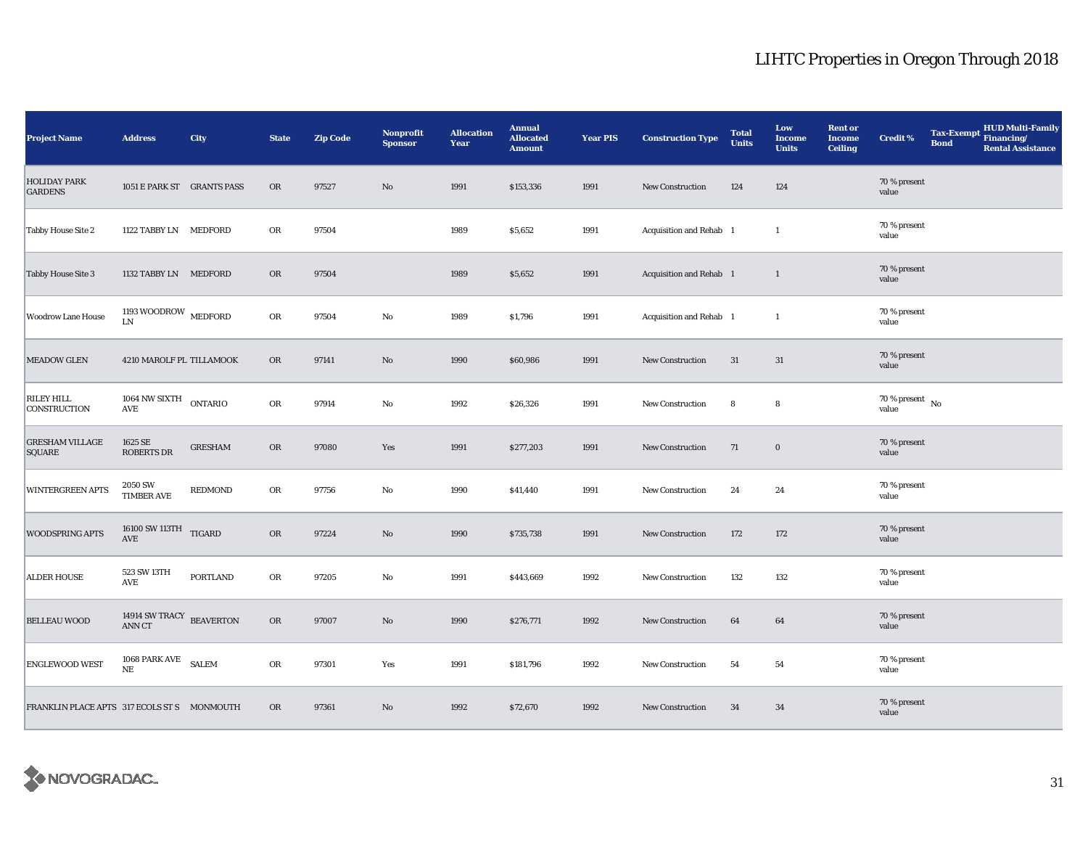| <b>Project Name</b>                         | <b>Address</b>                                                         | City           | <b>State</b> | <b>Zip Code</b> | Nonprofit<br><b>Sponsor</b> | <b>Allocation</b><br>Year | <b>Annual</b><br><b>Allocated</b><br><b>Amount</b> | <b>Year PIS</b> | <b>Construction Type</b> | <b>Total</b><br><b>Units</b> | Low<br><b>Income</b><br><b>Units</b> | <b>Rent or</b><br><b>Income</b><br><b>Ceiling</b> | <b>Credit %</b>                                       | <b>Tax-Exempt</b><br><b>Bond</b> | <b>HUD Multi-Family</b><br>Financing/<br><b>Rental Assistance</b> |
|---------------------------------------------|------------------------------------------------------------------------|----------------|--------------|-----------------|-----------------------------|---------------------------|----------------------------------------------------|-----------------|--------------------------|------------------------------|--------------------------------------|---------------------------------------------------|-------------------------------------------------------|----------------------------------|-------------------------------------------------------------------|
| <b>HOLIDAY PARK</b><br><b>GARDENS</b>       | 1051 E PARK ST GRANTS PASS                                             |                | <b>OR</b>    | 97527           | $\rm No$                    | 1991                      | \$153,336                                          | 1991            | <b>New Construction</b>  | 124                          | 124                                  |                                                   | 70 % present<br>value                                 |                                  |                                                                   |
| <b>Tabby House Site 2</b>                   | 1122 TABBY LN MEDFORD                                                  |                | OR           | 97504           |                             | 1989                      | \$5,652                                            | 1991            | Acquisition and Rehab 1  |                              | $\mathbf{1}$                         |                                                   | 70 % present<br>value                                 |                                  |                                                                   |
| <b>Tabby House Site 3</b>                   | 1132 TABBY LN MEDFORD                                                  |                | OR           | 97504           |                             | 1989                      | \$5,652                                            | 1991            | Acquisition and Rehab 1  |                              | $\mathbf{1}$                         |                                                   | 70 % present<br>value                                 |                                  |                                                                   |
| <b>Woodrow Lane House</b>                   | 1193 WOODROW $\,$ MEDFORD<br><b>LN</b>                                 |                | OR           | 97504           | $\rm No$                    | 1989                      | \$1,796                                            | 1991            | Acquisition and Rehab 1  |                              | 1                                    |                                                   | 70 % present<br>value                                 |                                  |                                                                   |
| <b>MEADOW GLEN</b>                          | 4210 MAROLF PL TILLAMOOK                                               |                | <b>OR</b>    | 97141           | No                          | 1990                      | \$60,986                                           | 1991            | <b>New Construction</b>  | 31                           | 31                                   |                                                   | 70 % present<br>value                                 |                                  |                                                                   |
| RILEY HILL<br>CONSTRUCTION                  | 1064 NW SIXTH ONTARIO<br>AVE                                           |                | OR           | 97914           | No                          | 1992                      | \$26,326                                           | 1991            | New Construction         | 8                            | 8                                    |                                                   | $70\,\%$ present $\overline{\phantom{1}}$ No<br>value |                                  |                                                                   |
| <b>GRESHAM VILLAGE</b><br><b>SQUARE</b>     | 1625 SE<br><b>ROBERTS DR</b>                                           | <b>GRESHAM</b> | <b>OR</b>    | 97080           | Yes                         | 1991                      | \$277,203                                          | 1991            | New Construction         | 71                           | $\bf{0}$                             |                                                   | 70 % present<br>value                                 |                                  |                                                                   |
| <b>WINTERGREEN APTS</b>                     | 2050 SW<br><b>TIMBER AVE</b>                                           | <b>REDMOND</b> | OR           | 97756           | No                          | 1990                      | \$41,440                                           | 1991            | New Construction         | 24                           | 24                                   |                                                   | 70 % present<br>value                                 |                                  |                                                                   |
| WOODSPRING APTS                             | $16100$ SW $113\mathrm{TH}$ $_\mathrm{TIGARD}$<br>$\operatorname{AVE}$ |                | OR           | 97224           | $\rm No$                    | 1990                      | \$735,738                                          | 1991            | New Construction         | 172                          | 172                                  |                                                   | 70 % present<br>value                                 |                                  |                                                                   |
| <b>ALDER HOUSE</b>                          | 523 SW 13TH<br>AVE                                                     | PORTLAND       | OR           | 97205           | $\rm No$                    | 1991                      | \$443,669                                          | 1992            | New Construction         | 132                          | 132                                  |                                                   | 70 % present<br>value                                 |                                  |                                                                   |
| <b>BELLEAU WOOD</b>                         | 14914 SW TRACY BEAVERTON<br><b>ANN CT</b>                              |                | OR           | 97007           | $\mathbf{No}$               | 1990                      | \$276,771                                          | 1992            | <b>New Construction</b>  | 64                           | 64                                   |                                                   | 70 % present<br>value                                 |                                  |                                                                   |
| ENGLEWOOD WEST                              | 1068 PARK AVE SALEM<br>NE                                              |                | OR           | 97301           | Yes                         | 1991                      | \$181,796                                          | 1992            | <b>New Construction</b>  | 54                           | 54                                   |                                                   | 70 % present<br>value                                 |                                  |                                                                   |
| FRANKLIN PLACE APTS 317 ECOLS ST S MONMOUTH |                                                                        |                | <b>OR</b>    | 97361           | No                          | 1992                      | \$72,670                                           | 1992            | <b>New Construction</b>  | 34                           | 34                                   |                                                   | 70 % present<br>value                                 |                                  |                                                                   |

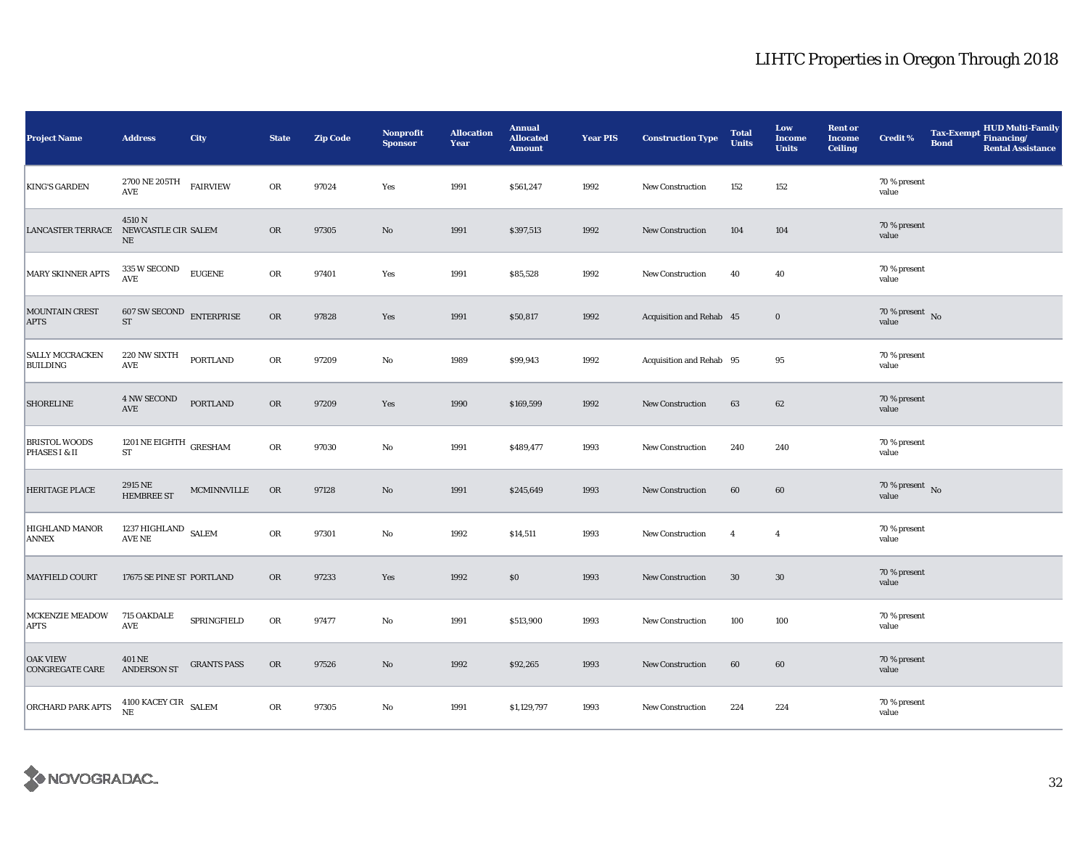| <b>Project Name</b>                       | <b>Address</b>                                   | City               | <b>State</b> | <b>Zip Code</b> | <b>Nonprofit</b><br><b>Sponsor</b> | <b>Allocation</b><br>Year | <b>Annual</b><br><b>Allocated</b><br><b>Amount</b> | <b>Year PIS</b> | <b>Construction Type</b> | <b>Total</b><br><b>Units</b> | Low<br><b>Income</b><br><b>Units</b> | <b>Rent or</b><br><b>Income</b><br><b>Ceiling</b> | Credit %                            | <b>Tax-Exempt</b><br><b>Bond</b> | <b>HUD Multi-Family</b><br>Financing/<br><b>Rental Assistance</b> |
|-------------------------------------------|--------------------------------------------------|--------------------|--------------|-----------------|------------------------------------|---------------------------|----------------------------------------------------|-----------------|--------------------------|------------------------------|--------------------------------------|---------------------------------------------------|-------------------------------------|----------------------------------|-------------------------------------------------------------------|
| <b>KING'S GARDEN</b>                      | $2700$ NE $205\mathrm{TH}$<br>AVE                | <b>FAIRVIEW</b>    | OR           | 97024           | Yes                                | 1991                      | \$561,247                                          | 1992            | New Construction         | 152                          | 152                                  |                                                   | 70 % present<br>value               |                                  |                                                                   |
| <b>LANCASTER TERRACE</b>                  | 4510N<br>NEWCASTLE CIR SALEM<br>$\rm NE$         |                    | <b>OR</b>    | 97305           | No                                 | 1991                      | \$397,513                                          | 1992            | New Construction         | 104                          | 104                                  |                                                   | 70 % present<br>value               |                                  |                                                                   |
| <b>MARY SKINNER APTS</b>                  | 335 W SECOND<br>$\mathbf{AVE}$                   | <b>EUGENE</b>      | ${\rm OR}$   | 97401           | Yes                                | 1991                      | \$85,528                                           | 1992            | New Construction         | 40                           | 40                                   |                                                   | 70 % present<br>value               |                                  |                                                                   |
| MOUNTAIN CREST<br><b>APTS</b>             | $607$ SW SECOND $\quad$ ENTERPRISE<br>${\rm ST}$ |                    | OR           | 97828           | Yes                                | 1991                      | \$50,817                                           | 1992            | Acquisition and Rehab 45 |                              | $\bf{0}$                             |                                                   | $70\,\%$ present $${\rm No}$$ value |                                  |                                                                   |
| <b>SALLY MCCRACKEN</b><br><b>BUILDING</b> | 220 NW SIXTH<br>$\operatorname{AVE}$             | <b>PORTLAND</b>    | OR           | 97209           | No                                 | 1989                      | \$99,943                                           | 1992            | Acquisition and Rehab 95 |                              | 95                                   |                                                   | 70 % present<br>value               |                                  |                                                                   |
| <b>SHORELINE</b>                          | <b>4 NW SECOND</b><br>$\operatorname{AVE}$       | <b>PORTLAND</b>    | OR           | 97209           | Yes                                | 1990                      | \$169,599                                          | 1992            | New Construction         | 63                           | 62                                   |                                                   | 70 % present<br>value               |                                  |                                                                   |
| <b>BRISTOL WOODS</b><br>PHASES I & II     | 1201 NE EIGHTH $\,$ GRESHAM<br>${\rm ST}$        |                    | OR           | 97030           | No                                 | 1991                      | \$489,477                                          | 1993            | New Construction         | 240                          | 240                                  |                                                   | 70 % present<br>value               |                                  |                                                                   |
| <b>HERITAGE PLACE</b>                     | 2915 NE<br><b>HEMBREE ST</b>                     | <b>MCMINNVILLE</b> | <b>OR</b>    | 97128           | $\rm No$                           | 1991                      | \$245,649                                          | 1993            | New Construction         | 60                           | 60                                   |                                                   | 70 % present $\,$ No $\,$<br>value  |                                  |                                                                   |
| HIGHLAND MANOR<br><b>ANNEX</b>            | $1237\,\mathrm{HIGHLAND}$ SALEM AVE NE           |                    | OR           | 97301           | $\mathbf{No}$                      | 1992                      | \$14,511                                           | 1993            | New Construction         | $\overline{4}$               | $\overline{4}$                       |                                                   | 70 % present<br>value               |                                  |                                                                   |
| <b>MAYFIELD COURT</b>                     | 17675 SE PINE ST PORTLAND                        |                    | <b>OR</b>    | 97233           | Yes                                | 1992                      | \$0                                                | 1993            | <b>New Construction</b>  | 30                           | 30                                   |                                                   | 70 % present<br>value               |                                  |                                                                   |
| MCKENZIE MEADOW<br><b>APTS</b>            | 715 OAKDALE<br>AVE                               | SPRINGFIELD        | OR           | 97477           | No                                 | 1991                      | \$513,900                                          | 1993            | New Construction         | 100                          | 100                                  |                                                   | 70 % present<br>value               |                                  |                                                                   |
| <b>OAK VIEW</b><br><b>CONGREGATE CARE</b> | 401 NE<br><b>ANDERSON ST</b>                     | <b>GRANTS PASS</b> | <b>OR</b>    | 97526           | No                                 | 1992                      | \$92,265                                           | 1993            | New Construction         | 60                           | 60                                   |                                                   | 70 % present<br>value               |                                  |                                                                   |
| <b>ORCHARD PARK APTS</b>                  | 4100 KACEY CIR SALEM<br>NE                       |                    | OR           | 97305           | No                                 | 1991                      | \$1,129,797                                        | 1993            | New Construction         | 224                          | 224                                  |                                                   | 70 % present<br>value               |                                  |                                                                   |

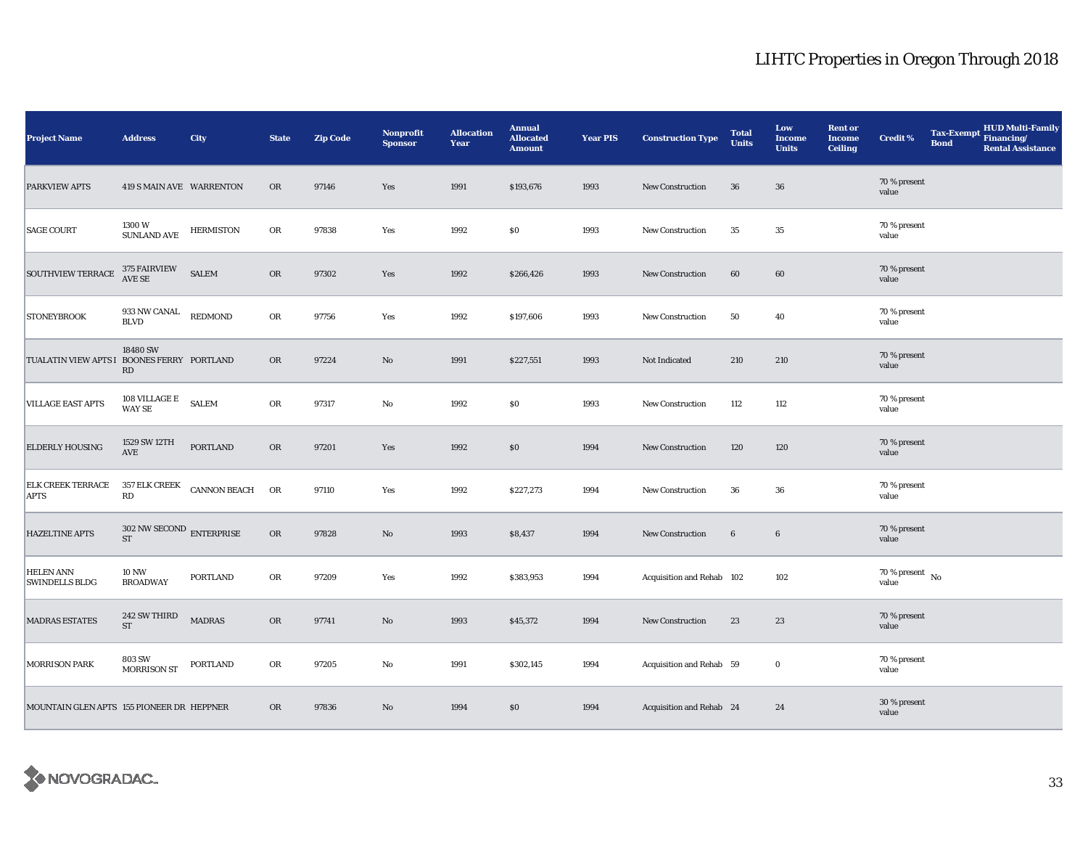| <b>Project Name</b>                        | <b>Address</b>                      | City                | <b>State</b> | <b>Zip Code</b> | Nonprofit<br><b>Sponsor</b> | <b>Allocation</b><br>Year | <b>Annual</b><br><b>Allocated</b><br><b>Amount</b> | <b>Year PIS</b> | <b>Construction Type</b>  | <b>Total</b><br><b>Units</b> | Low<br><b>Income</b><br><b>Units</b> | <b>Rent or</b><br><b>Income</b><br><b>Ceiling</b> | <b>Credit %</b>                                       | <b>Tax-Exempt</b><br><b>Bond</b> | <b>HUD Multi-Family</b><br>Financing/<br><b>Rental Assistance</b> |
|--------------------------------------------|-------------------------------------|---------------------|--------------|-----------------|-----------------------------|---------------------------|----------------------------------------------------|-----------------|---------------------------|------------------------------|--------------------------------------|---------------------------------------------------|-------------------------------------------------------|----------------------------------|-------------------------------------------------------------------|
| <b>PARKVIEW APTS</b>                       | 419 S MAIN AVE WARRENTON            |                     | <b>OR</b>    | 97146           | Yes                         | 1991                      | \$193,676                                          | 1993            | <b>New Construction</b>   | 36                           | ${\bf 36}$                           |                                                   | 70 % present<br>value                                 |                                  |                                                                   |
| <b>SAGE COURT</b>                          | 1300 W<br>SUNLAND AVE               | <b>HERMISTON</b>    | OR           | 97838           | Yes                         | 1992                      | \$0                                                | 1993            | New Construction          | $35\,$                       | $35\,$                               |                                                   | 70 % present<br>value                                 |                                  |                                                                   |
| <b>SOUTHVIEW TERRACE</b>                   | 375 FAIRVIEW<br>AVE SE              | <b>SALEM</b>        | ${\sf OR}$   | 97302           | Yes                         | 1992                      | \$266,426                                          | 1993            | New Construction          | 60                           | 60                                   |                                                   | 70 % present<br>value                                 |                                  |                                                                   |
| <b>STONEYBROOK</b>                         | 933 NW CANAL<br><b>BLVD</b>         | REDMOND             | OR           | 97756           | Yes                         | 1992                      | \$197,606                                          | 1993            | New Construction          | 50                           | 40                                   |                                                   | 70 % present<br>value                                 |                                  |                                                                   |
| TUALATIN VIEW APTS I BOONES FERRY PORTLAND | 18480 SW<br>RD                      |                     | <b>OR</b>    | 97224           | $\mathbf{No}$               | 1991                      | \$227,551                                          | 1993            | Not Indicated             | 210                          | 210                                  |                                                   | 70 % present<br>value                                 |                                  |                                                                   |
| VILLAGE EAST APTS                          | 108 VILLAGE E<br>WAY SE             | <b>SALEM</b>        | OR           | 97317           | $\rm No$                    | 1992                      | \$0                                                | 1993            | New Construction          | 112                          | 112                                  |                                                   | 70 % present<br>value                                 |                                  |                                                                   |
| <b>ELDERLY HOUSING</b>                     | 1529 SW 12TH<br>AVE                 | <b>PORTLAND</b>     | OR           | 97201           | Yes                         | 1992                      | \$0                                                | 1994            | New Construction          | 120                          | 120                                  |                                                   | 70 % present<br>value                                 |                                  |                                                                   |
| <b>ELK CREEK TERRACE</b><br><b>APTS</b>    | <b>357 ELK CREEK</b><br>RD          | <b>CANNON BEACH</b> | OR           | 97110           | Yes                         | 1992                      | \$227,273                                          | 1994            | New Construction          | ${\bf 36}$                   | ${\bf 36}$                           |                                                   | 70 % present<br>value                                 |                                  |                                                                   |
| HAZELTINE APTS                             | $302$ NW SECOND $\,$ ENTERPRISE ST  |                     | OR           | 97828           | $\rm No$                    | 1993                      | \$8,437                                            | 1994            | New Construction          | $\bf 6$                      | $6\phantom{.0}$                      |                                                   | 70 % present<br>value                                 |                                  |                                                                   |
| <b>HELEN ANN</b><br><b>SWINDELLS BLDG</b>  | <b>10 NW</b><br><b>BROADWAY</b>     | PORTLAND            | OR           | 97209           | Yes                         | 1992                      | \$383,953                                          | 1994            | Acquisition and Rehab 102 |                              | 102                                  |                                                   | $70\,\%$ present $\overline{\phantom{1}}$ No<br>value |                                  |                                                                   |
| <b>MADRAS ESTATES</b>                      | 242 SW THIRD<br>$\operatorname{ST}$ | <b>MADRAS</b>       | OR           | 97741           | No                          | 1993                      | \$45,372                                           | 1994            | New Construction          | 23                           | 23                                   |                                                   | 70 % present<br>value                                 |                                  |                                                                   |
| <b>MORRISON PARK</b>                       | <b>803 SW</b><br><b>MORRISON ST</b> | PORTLAND            | OR           | 97205           | $\mathbf{No}$               | 1991                      | \$302,145                                          | 1994            | Acquisition and Rehab 59  |                              | $\bf{0}$                             |                                                   | 70 % present<br>value                                 |                                  |                                                                   |
| MOUNTAIN GLEN APTS 155 PIONEER DR HEPPNER  |                                     |                     | <b>OR</b>    | 97836           | $\mathbf{N}\mathbf{o}$      | 1994                      | \$0                                                | 1994            | Acquisition and Rehab 24  |                              | 24                                   |                                                   | 30 % present<br>value                                 |                                  |                                                                   |

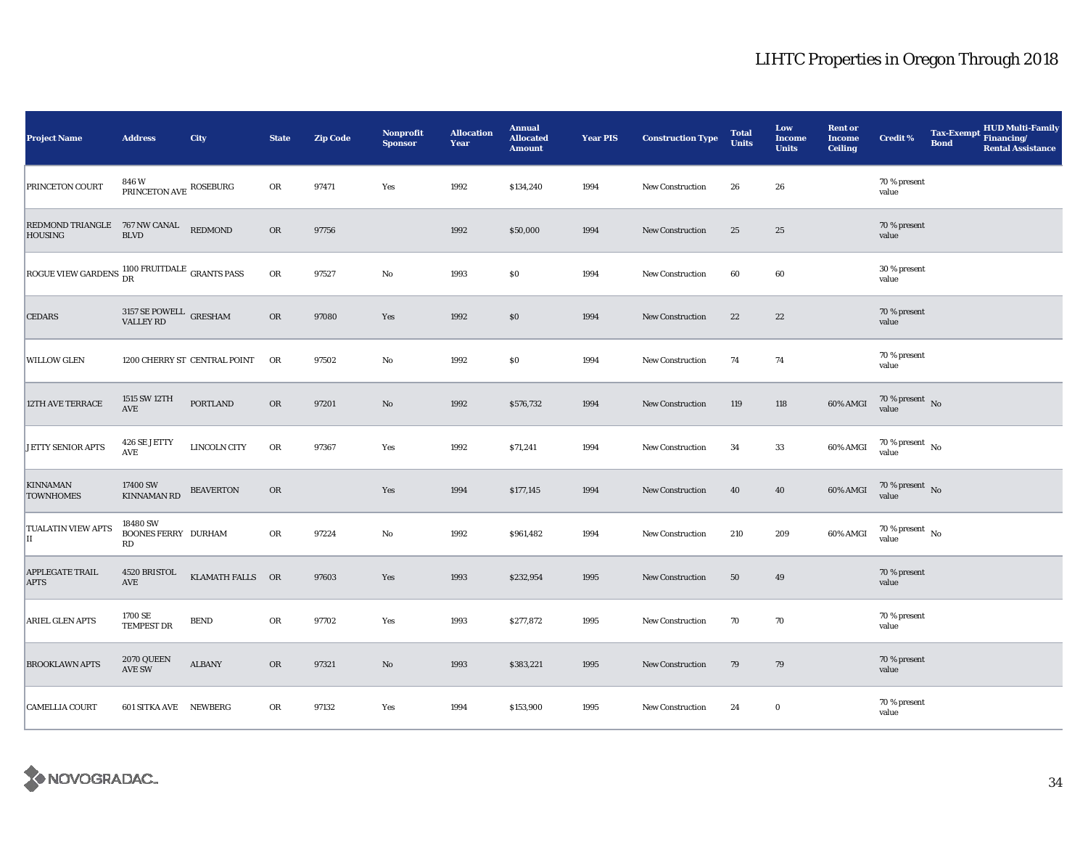| <b>Project Name</b>                                               | <b>Address</b>                                  | City                         | <b>State</b> | <b>Zip Code</b> | Nonprofit<br><b>Sponsor</b> | <b>Allocation</b><br>Year | <b>Annual</b><br><b>Allocated</b><br><b>Amount</b> | <b>Year PIS</b> | <b>Construction Type</b> | <b>Total</b><br><b>Units</b> | Low<br><b>Income</b><br><b>Units</b> | <b>Rent or</b><br><b>Income</b><br><b>Ceiling</b> | Credit %                                 | <b>Tax-Exempt</b><br><b>Bond</b> | <b>HUD Multi-Family</b><br>Financing/<br><b>Rental Assistance</b> |
|-------------------------------------------------------------------|-------------------------------------------------|------------------------------|--------------|-----------------|-----------------------------|---------------------------|----------------------------------------------------|-----------------|--------------------------|------------------------------|--------------------------------------|---------------------------------------------------|------------------------------------------|----------------------------------|-------------------------------------------------------------------|
| <b>PRINCETON COURT</b>                                            | $846\,\mathrm{W}$ PRINCETON AVE ROSEBURG        |                              | OR           | 97471           | Yes                         | 1992                      | \$134,240                                          | 1994            | <b>New Construction</b>  | 26                           | 26                                   |                                                   | 70 % present<br>value                    |                                  |                                                                   |
| REDMOND TRIANGLE<br><b>HOUSING</b>                                | 767 NW CANAL<br><b>BLVD</b>                     | <b>REDMOND</b>               | <b>OR</b>    | 97756           |                             | 1992                      | \$50,000                                           | 1994            | New Construction         | 25                           | $\bf 25$                             |                                                   | 70 % present<br>value                    |                                  |                                                                   |
| ROGUE VIEW GARDENS $\frac{1100 \text{ FRUTDALE}}{DR}$ GRANTS PASS |                                                 |                              | ${\sf OR}$   | 97527           | $\rm No$                    | 1993                      | \$0                                                | 1994            | <b>New Construction</b>  | 60                           | 60                                   |                                                   | 30 % present<br>value                    |                                  |                                                                   |
| <b>CEDARS</b>                                                     | $3157$ SE POWELL $\:$ GRESHAM VALLEY ${\rm RD}$ |                              | $_{\rm OR}$  | 97080           | Yes                         | 1992                      | \$0                                                | 1994            | New Construction         | 22                           | $\bf{22}$                            |                                                   | 70 % present<br>value                    |                                  |                                                                   |
| <b>WILLOW GLEN</b>                                                |                                                 | 1200 CHERRY ST CENTRAL POINT | <b>OR</b>    | 97502           | No                          | 1992                      | $\$0$                                              | 1994            | <b>New Construction</b>  | 74                           | 74                                   |                                                   | 70 % present<br>value                    |                                  |                                                                   |
| 12TH AVE TERRACE                                                  | 1515 SW 12TH<br>$\operatorname{AVE}$            | PORTLAND                     | <b>OR</b>    | 97201           | No                          | 1992                      | \$576,732                                          | 1994            | New Construction         | 119                          | 118                                  | 60% AMGI                                          | $70\%$ present No<br>value               |                                  |                                                                   |
| <b>JETTY SENIOR APTS</b>                                          | 426 SE JETTY<br>AVE                             | LINCOLN CITY                 | OR           | 97367           | Yes                         | 1992                      | \$71,241                                           | 1994            | New Construction         | 34                           | $33\,$                               | 60% AMGI                                          | $70\,\%$ present $\,$ No $\,$<br>value   |                                  |                                                                   |
| <b>KINNAMAN</b><br><b>TOWNHOMES</b>                               | 17400 SW<br><b>KINNAMAN RD</b>                  | <b>BEAVERTON</b>             | OR           |                 | Yes                         | 1994                      | \$177,145                                          | 1994            | New Construction         | 40                           | 40                                   | 60% AMGI                                          | $70\%$ present No<br>value               |                                  |                                                                   |
| <b>TUALATIN VIEW APTS</b><br>II                                   | 18480 SW<br><b>BOONES FERRY DURHAM</b><br>RD    |                              | OR           | 97224           | No                          | 1992                      | \$961,482                                          | 1994            | <b>New Construction</b>  | 210                          | 209                                  | 60% AMGI                                          | $70\,\%$ present $_{\, \rm No}$<br>value |                                  |                                                                   |
| <b>APPLEGATE TRAIL</b><br><b>APTS</b>                             | 4520 BRISTOL<br>AVE                             | KLAMATH FALLS OR             |              | 97603           | Yes                         | 1993                      | \$232,954                                          | 1995            | <b>New Construction</b>  | 50                           | 49                                   |                                                   | 70 % present<br>value                    |                                  |                                                                   |
| ARIEL GLEN APTS                                                   | 1700 SE<br><b>TEMPEST DR</b>                    | <b>BEND</b>                  | ${\rm OR}$   | 97702           | Yes                         | 1993                      | \$277,872                                          | 1995            | New Construction         | 70                           | 70                                   |                                                   | 70 % present<br>value                    |                                  |                                                                   |
| <b>BROOKLAWN APTS</b>                                             | 2070 QUEEN<br>AVE SW                            | <b>ALBANY</b>                | <b>OR</b>    | 97321           | $\rm No$                    | 1993                      | \$383,221                                          | 1995            | New Construction         | 79                           | 79                                   |                                                   | 70 % present<br>value                    |                                  |                                                                   |
| <b>CAMELLIA COURT</b>                                             | 601 SITKA AVE NEWBERG                           |                              | OR           | 97132           | Yes                         | 1994                      | \$153,900                                          | 1995            | New Construction         | 24                           | $\bf{0}$                             |                                                   | 70 % present<br>value                    |                                  |                                                                   |

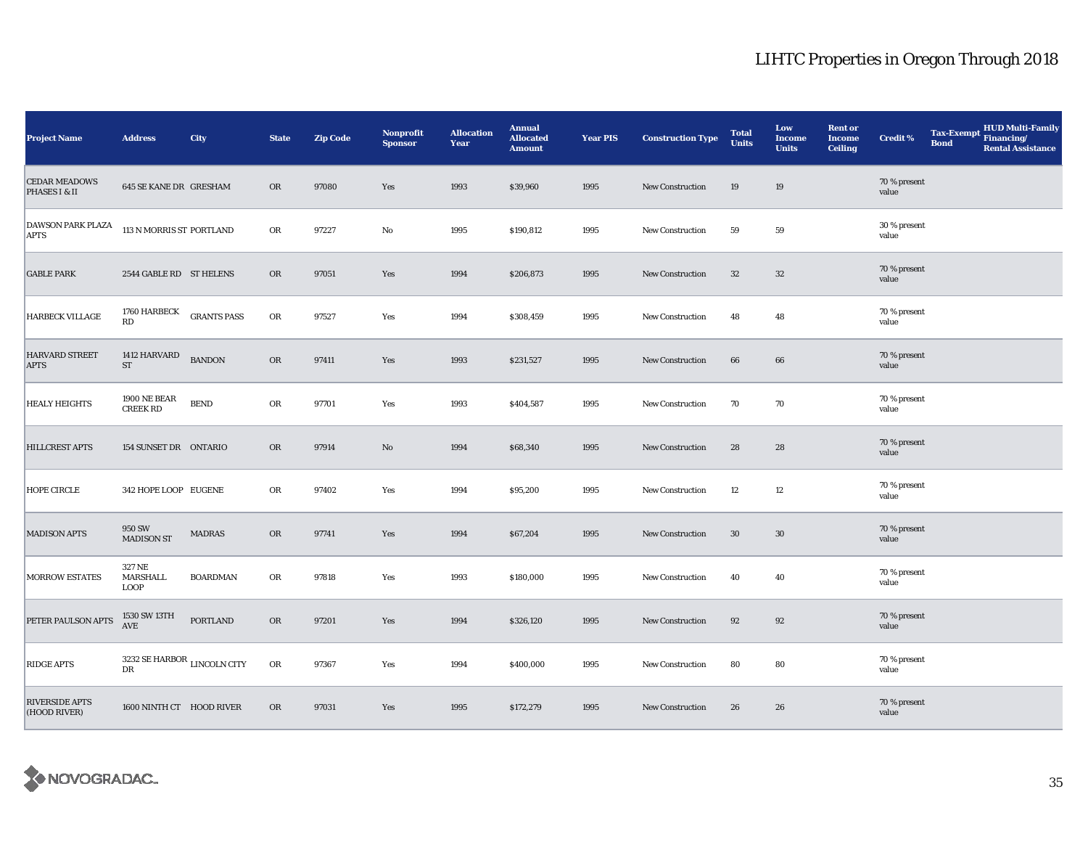| <b>Project Name</b>                     | <b>Address</b>                             | City               | <b>State</b> | <b>Zip Code</b> | Nonprofit<br><b>Sponsor</b> | <b>Allocation</b><br>Year | <b>Annual</b><br><b>Allocated</b><br><b>Amount</b> | <b>Year PIS</b> | <b>Construction Type</b> | <b>Total</b><br><b>Units</b> | Low<br><b>Income</b><br><b>Units</b> | <b>Rent or</b><br><b>Income</b><br><b>Ceiling</b> | <b>Credit %</b>       | <b>Tax-Exempt</b><br><b>Bond</b> | <b>HUD Multi-Family</b><br>Financing/<br><b>Rental Assistance</b> |
|-----------------------------------------|--------------------------------------------|--------------------|--------------|-----------------|-----------------------------|---------------------------|----------------------------------------------------|-----------------|--------------------------|------------------------------|--------------------------------------|---------------------------------------------------|-----------------------|----------------------------------|-------------------------------------------------------------------|
| <b>CEDAR MEADOWS</b><br>PHASES I & II   | <b>645 SE KANE DR GRESHAM</b>              |                    | <b>OR</b>    | 97080           | Yes                         | 1993                      | \$39,960                                           | 1995            | New Construction         | 19                           | 19                                   |                                                   | 70 % present<br>value |                                  |                                                                   |
| <b>DAWSON PARK PLAZA</b><br><b>APTS</b> | 113 N MORRIS ST PORTLAND                   |                    | ${\sf OR}$   | 97227           | $\mathbf{No}$               | 1995                      | \$190,812                                          | 1995            | New Construction         | 59                           | 59                                   |                                                   | 30 % present<br>value |                                  |                                                                   |
| <b>GABLE PARK</b>                       | 2544 GABLE RD ST HELENS                    |                    | <b>OR</b>    | 97051           | Yes                         | 1994                      | \$206,873                                          | 1995            | New Construction         | $32\,$                       | 32                                   |                                                   | 70 % present<br>value |                                  |                                                                   |
| <b>HARBECK VILLAGE</b>                  | 1760 HARBECK<br>RD                         | <b>GRANTS PASS</b> | OR           | 97527           | Yes                         | 1994                      | \$308,459                                          | 1995            | New Construction         | 48                           | 48                                   |                                                   | 70 % present<br>value |                                  |                                                                   |
| <b>HARVARD STREET</b><br><b>APTS</b>    | 1412 HARVARD<br>ST                         | <b>BANDON</b>      | OR           | 97411           | Yes                         | 1993                      | \$231,527                                          | 1995            | <b>New Construction</b>  | 66                           | 66                                   |                                                   | 70 % present<br>value |                                  |                                                                   |
| <b>HEALY HEIGHTS</b>                    | 1900 NE BEAR<br><b>CREEK RD</b>            | <b>BEND</b>        | ${\rm OR}$   | 97701           | Yes                         | 1993                      | \$404,587                                          | 1995            | New Construction         | 70                           | 70                                   |                                                   | 70 % present<br>value |                                  |                                                                   |
| <b>HILLCREST APTS</b>                   | 154 SUNSET DR ONTARIO                      |                    | <b>OR</b>    | 97914           | $\rm No$                    | 1994                      | \$68,340                                           | 1995            | New Construction         | 28                           | 28                                   |                                                   | 70 % present<br>value |                                  |                                                                   |
| <b>HOPE CIRCLE</b>                      | 342 HOPE LOOP EUGENE                       |                    | OR           | 97402           | Yes                         | 1994                      | \$95,200                                           | 1995            | New Construction         | 12                           | $12\,$                               |                                                   | 70 % present<br>value |                                  |                                                                   |
| <b>MADISON APTS</b>                     | <b>950 SW</b><br><b>MADISON ST</b>         | <b>MADRAS</b>      | OR           | 97741           | Yes                         | 1994                      | \$67,204                                           | 1995            | New Construction         | $30\,$                       | 30                                   |                                                   | 70 % present<br>value |                                  |                                                                   |
| <b>MORROW ESTATES</b>                   | 327 NE<br>MARSHALL<br><b>LOOP</b>          | <b>BOARDMAN</b>    | OR           | 97818           | Yes                         | 1993                      | \$180,000                                          | 1995            | <b>New Construction</b>  | 40                           | 40                                   |                                                   | 70 % present<br>value |                                  |                                                                   |
| PETER PAULSON APTS                      | 1530 SW 13TH<br><b>AVE</b>                 | <b>PORTLAND</b>    | OR           | 97201           | Yes                         | 1994                      | \$326,120                                          | 1995            | New Construction         | 92                           | 92                                   |                                                   | 70 % present<br>value |                                  |                                                                   |
| <b>RIDGE APTS</b>                       | 3232 SE HARBOR $_{\rm LINCOLN}$ CITY<br>DR |                    | OR           | 97367           | Yes                         | 1994                      | \$400,000                                          | 1995            | <b>New Construction</b>  | 80                           | 80                                   |                                                   | 70 % present<br>value |                                  |                                                                   |
| <b>RIVERSIDE APTS</b><br>(HOOD RIVER)   | 1600 NINTH CT HOOD RIVER                   |                    | <b>OR</b>    | 97031           | Yes                         | 1995                      | \$172,279                                          | 1995            | New Construction         | 26                           | 26                                   |                                                   | 70 % present<br>value |                                  |                                                                   |

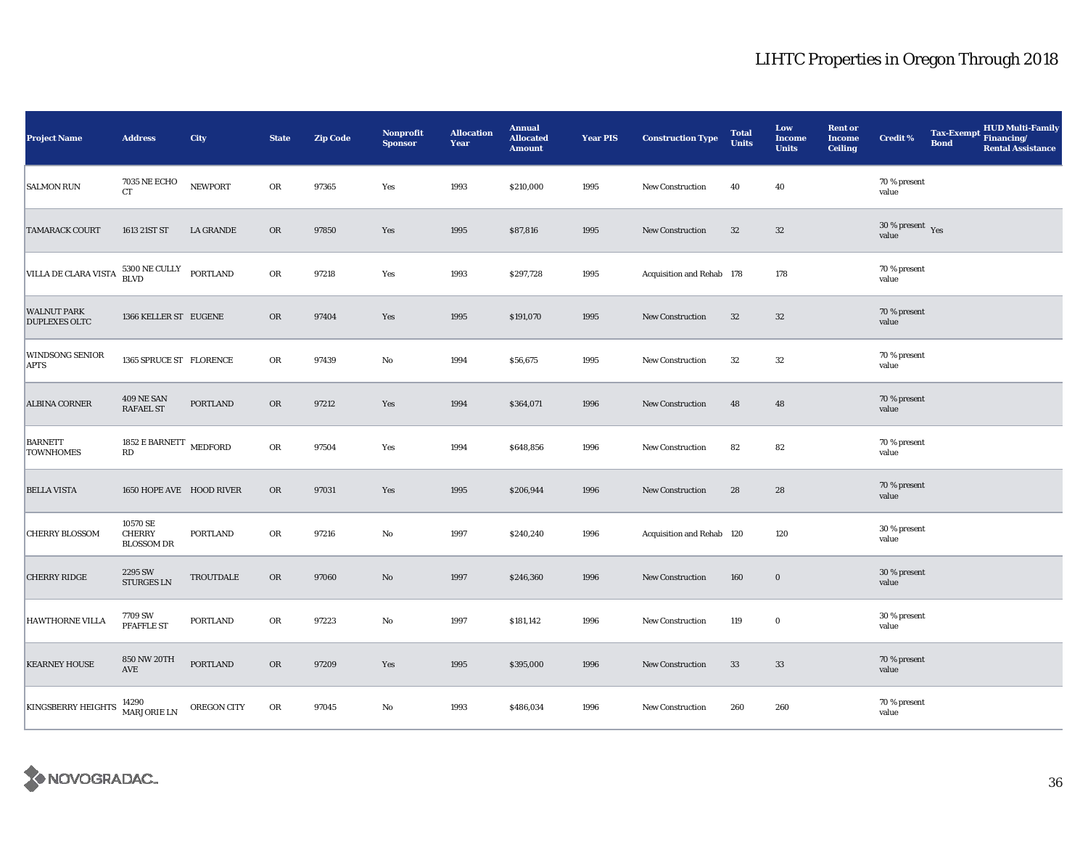| <b>Project Name</b>                        | <b>Address</b>                                   | City             | <b>State</b> | <b>Zip Code</b> | <b>Nonprofit</b><br><b>Sponsor</b> | <b>Allocation</b><br>Year | <b>Annual</b><br><b>Allocated</b><br><b>Amount</b> | <b>Year PIS</b> | <b>Construction Type</b>  | <b>Total</b><br><b>Units</b> | Low<br><b>Income</b><br><b>Units</b> | <b>Rent or</b><br><b>Income</b><br><b>Ceiling</b> | <b>Credit %</b>                        | <b>Tax-Exempt</b><br><b>Bond</b> | <b>HUD Multi-Family</b><br>Financing/<br><b>Rental Assistance</b> |
|--------------------------------------------|--------------------------------------------------|------------------|--------------|-----------------|------------------------------------|---------------------------|----------------------------------------------------|-----------------|---------------------------|------------------------------|--------------------------------------|---------------------------------------------------|----------------------------------------|----------------------------------|-------------------------------------------------------------------|
| <b>SALMON RUN</b>                          | <b>7035 NE ECHO</b><br>CT.                       | <b>NEWPORT</b>   | OR           | 97365           | Yes                                | 1993                      | \$210,000                                          | 1995            | New Construction          | 40                           | 40                                   |                                                   | 70 % present<br>value                  |                                  |                                                                   |
| <b>TAMARACK COURT</b>                      | 1613 21ST ST                                     | <b>LA GRANDE</b> | OR           | 97850           | Yes                                | 1995                      | \$87,816                                           | 1995            | New Construction          | $32\,$                       | 32                                   |                                                   | $30$ % present $\,$ $\rm Yes$<br>value |                                  |                                                                   |
| VILLA DE CLARA VISTA                       | 5300 NE CULLY<br>BLVD                            | <b>PORTLAND</b>  | ${\rm OR}$   | 97218           | Yes                                | 1993                      | \$297,728                                          | 1995            | Acquisition and Rehab 178 |                              | 178                                  |                                                   | 70 % present<br>value                  |                                  |                                                                   |
| <b>WALNUT PARK</b><br><b>DUPLEXES OLTC</b> | 1366 KELLER ST EUGENE                            |                  | OR           | 97404           | Yes                                | 1995                      | \$191,070                                          | 1995            | New Construction          | 32                           | $32\,$                               |                                                   | 70 % present<br>value                  |                                  |                                                                   |
| <b>WINDSONG SENIOR</b><br><b>APTS</b>      | 1365 SPRUCE ST FLORENCE                          |                  | OR           | 97439           | No                                 | 1994                      | \$56,675                                           | 1995            | <b>New Construction</b>   | 32                           | 32                                   |                                                   | 70 % present<br>value                  |                                  |                                                                   |
| ALBINA CORNER                              | <b>409 NE SAN</b><br><b>RAFAEL ST</b>            | PORTLAND         | OR           | 97212           | Yes                                | 1994                      | \$364,071                                          | 1996            | New Construction          | 48                           | 48                                   |                                                   | 70 % present<br>value                  |                                  |                                                                   |
| <b>BARNETT</b><br><b>TOWNHOMES</b>         | 1852 E BARNETT MEDFORD<br>$\mathbb{R}\mathbb{D}$ |                  | OR           | 97504           | Yes                                | 1994                      | \$648,856                                          | 1996            | New Construction          | 82                           | 82                                   |                                                   | 70 % present<br>value                  |                                  |                                                                   |
| <b>BELLA VISTA</b>                         | 1650 HOPE AVE HOOD RIVER                         |                  | OR           | 97031           | Yes                                | 1995                      | \$206,944                                          | 1996            | New Construction          | 28                           | 28                                   |                                                   | 70 % present<br>value                  |                                  |                                                                   |
| <b>CHERRY BLOSSOM</b>                      | 10570 SE<br><b>CHERRY</b><br><b>BLOSSOM DR</b>   | <b>PORTLAND</b>  | OR           | 97216           | $\rm No$                           | 1997                      | \$240,240                                          | 1996            | Acquisition and Rehab 120 |                              | 120                                  |                                                   | 30 % present<br>value                  |                                  |                                                                   |
| <b>CHERRY RIDGE</b>                        | 2295 SW<br>STURGES LN                            | <b>TROUTDALE</b> | <b>OR</b>    | 97060           | $\rm No$                           | 1997                      | \$246,360                                          | 1996            | <b>New Construction</b>   | 160                          | $\bf{0}$                             |                                                   | 30 % present<br>value                  |                                  |                                                                   |
| <b>HAWTHORNE VILLA</b>                     | 7709 SW<br><b>PFAFFLE ST</b>                     | <b>PORTLAND</b>  | OR           | 97223           | No                                 | 1997                      | \$181,142                                          | 1996            | New Construction          | 119                          | $\bf{0}$                             |                                                   | 30 % present<br>value                  |                                  |                                                                   |
| <b>KEARNEY HOUSE</b>                       | <b>850 NW 20TH</b><br>AVE                        | <b>PORTLAND</b>  | <b>OR</b>    | 97209           | Yes                                | 1995                      | \$395,000                                          | 1996            | New Construction          | 33                           | 33                                   |                                                   | 70 % present<br>value                  |                                  |                                                                   |
| <b>KINGSBERRY HEIGHTS</b>                  | 14290<br>MARJORIE LN                             | OREGON CITY      | OR           | 97045           | No                                 | 1993                      | \$486,034                                          | 1996            | New Construction          | 260                          | 260                                  |                                                   | 70 % present<br>value                  |                                  |                                                                   |

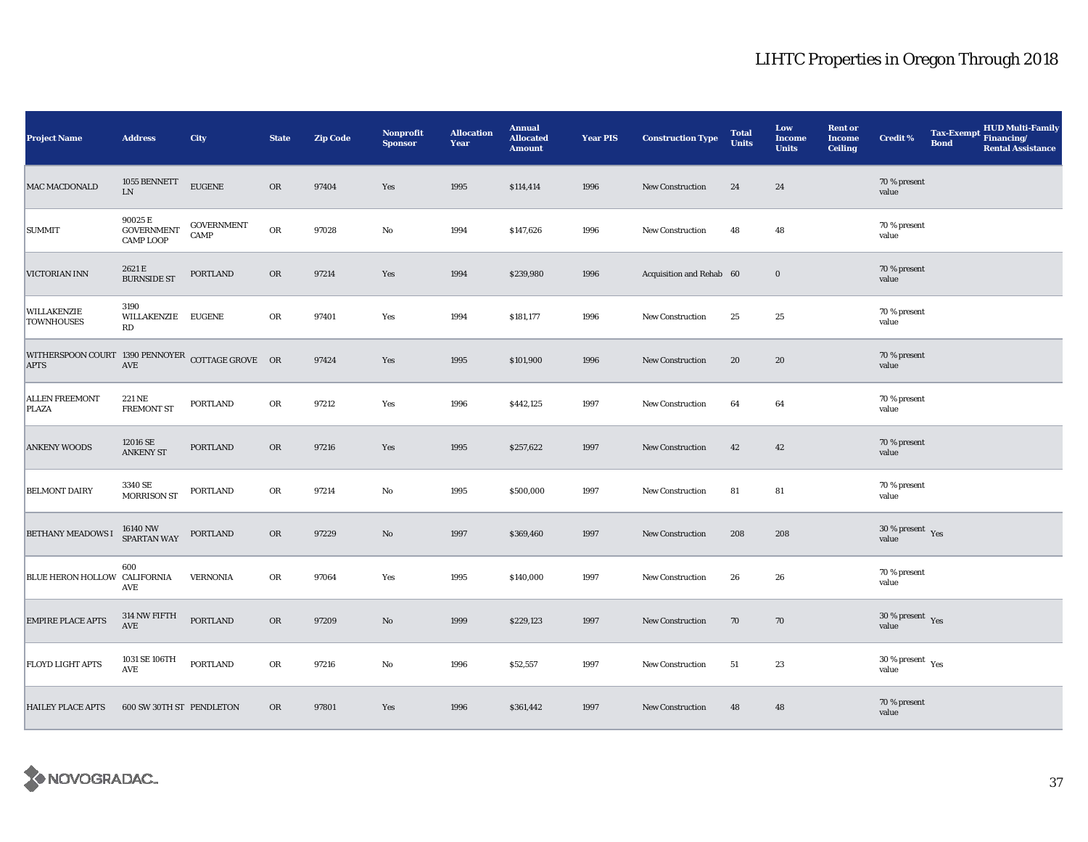| <b>Project Name</b>                                             | <b>Address</b>                                   | City                      | <b>State</b> | <b>Zip Code</b> | Nonprofit<br><b>Sponsor</b> | <b>Allocation</b><br>Year | <b>Annual</b><br><b>Allocated</b><br><b>Amount</b> | <b>Year PIS</b> | <b>Construction Type</b> | <b>Total</b><br><b>Units</b> | Low<br><b>Income</b><br><b>Units</b> | <b>Rent or</b><br><b>Income</b><br><b>Ceiling</b> | <b>Credit %</b>                           | <b>Tax-Exempt</b><br><b>Bond</b> | <b>HUD Multi-Family</b><br>Financing/<br><b>Rental Assistance</b> |
|-----------------------------------------------------------------|--------------------------------------------------|---------------------------|--------------|-----------------|-----------------------------|---------------------------|----------------------------------------------------|-----------------|--------------------------|------------------------------|--------------------------------------|---------------------------------------------------|-------------------------------------------|----------------------------------|-------------------------------------------------------------------|
| MAC MACDONALD                                                   | 1055 BENNETT<br>${\rm LN}$                       | <b>EUGENE</b>             | OR           | 97404           | Yes                         | 1995                      | \$114,414                                          | 1996            | <b>New Construction</b>  | 24                           | 24                                   |                                                   | 70 % present<br>value                     |                                  |                                                                   |
| <b>SUMMIT</b>                                                   | 90025 E<br><b>GOVERNMENT</b><br><b>CAMP LOOP</b> | <b>GOVERNMENT</b><br>CAMP | OR           | 97028           | No                          | 1994                      | \$147,626                                          | 1996            | New Construction         | 48                           | 48                                   |                                                   | 70 % present<br>value                     |                                  |                                                                   |
| VICTORIAN INN                                                   | 2621 E<br><b>BURNSIDE ST</b>                     | PORTLAND                  | <b>OR</b>    | 97214           | Yes                         | 1994                      | \$239,980                                          | 1996            | Acquisition and Rehab 60 |                              | $\bf{0}$                             |                                                   | 70 % present<br>value                     |                                  |                                                                   |
| <b>WILLAKENZIE</b><br><b>TOWNHOUSES</b>                         | 3190<br>WILLAKENZIE EUGENE<br>RD                 |                           | OR           | 97401           | Yes                         | 1994                      | \$181,177                                          | 1996            | New Construction         | 25                           | $25\,$                               |                                                   | 70 % present<br>value                     |                                  |                                                                   |
| WITHERSPOON COURT 1390 PENNOYER COTTAGE GROVE OR<br><b>APTS</b> | $\operatorname{AVE}$                             |                           |              | 97424           | Yes                         | 1995                      | \$101,900                                          | 1996            | <b>New Construction</b>  | 20                           | 20                                   |                                                   | 70 % present<br>value                     |                                  |                                                                   |
| <b>ALLEN FREEMONT</b><br><b>PLAZA</b>                           | 221 NE<br><b>FREMONT ST</b>                      | PORTLAND                  | OR           | 97212           | Yes                         | 1996                      | \$442,125                                          | 1997            | New Construction         | 64                           | 64                                   |                                                   | 70 % present<br>value                     |                                  |                                                                   |
| <b>ANKENY WOODS</b>                                             | 12016 SE<br><b>ANKENY ST</b>                     | <b>PORTLAND</b>           | <b>OR</b>    | 97216           | Yes                         | 1995                      | \$257,622                                          | 1997            | New Construction         | 42                           | 42                                   |                                                   | 70 % present<br>value                     |                                  |                                                                   |
| <b>BELMONT DAIRY</b>                                            | 3340 SE<br><b>MORRISON ST</b>                    | <b>PORTLAND</b>           | OR           | 97214           | $\mathbf{No}$               | 1995                      | \$500,000                                          | 1997            | New Construction         | 81                           | 81                                   |                                                   | 70 % present<br>value                     |                                  |                                                                   |
| <b>BETHANY MEADOWS I</b>                                        | 16140 NW<br>SPARTAN WAY                          | PORTLAND                  | OR           | 97229           | No                          | 1997                      | \$369,460                                          | 1997            | New Construction         | 208                          | 208                                  |                                                   | $30\,\%$ present $\,$ Yes value           |                                  |                                                                   |
| BLUE HERON HOLLOW CALIFORNIA                                    | 600<br>AVE                                       | <b>VERNONIA</b>           | OR           | 97064           | Yes                         | 1995                      | \$140,000                                          | 1997            | <b>New Construction</b>  | 26                           | 26                                   |                                                   | 70 % present<br>value                     |                                  |                                                                   |
| <b>EMPIRE PLACE APTS</b>                                        | 314 NW FIFTH<br>AVE                              | <b>PORTLAND</b>           | OR           | 97209           | $\rm No$                    | 1999                      | \$229,123                                          | 1997            | <b>New Construction</b>  | 70                           | 70                                   |                                                   | $30\,\%$ present $\,$ Yes value           |                                  |                                                                   |
| <b>FLOYD LIGHT APTS</b>                                         | 1031 SE 106TH<br>AVE                             | <b>PORTLAND</b>           | OR           | 97216           | No                          | 1996                      | \$52,557                                           | 1997            | <b>New Construction</b>  | 51                           | 23                                   |                                                   | $30\,\%$ present $\,$ $\rm{Yes}$<br>value |                                  |                                                                   |
| <b>HAILEY PLACE APTS</b>                                        | 600 SW 30TH ST PENDLETON                         |                           | <b>OR</b>    | 97801           | Yes                         | 1996                      | \$361,442                                          | 1997            | New Construction         | 48                           | 48                                   |                                                   | 70 % present<br>value                     |                                  |                                                                   |

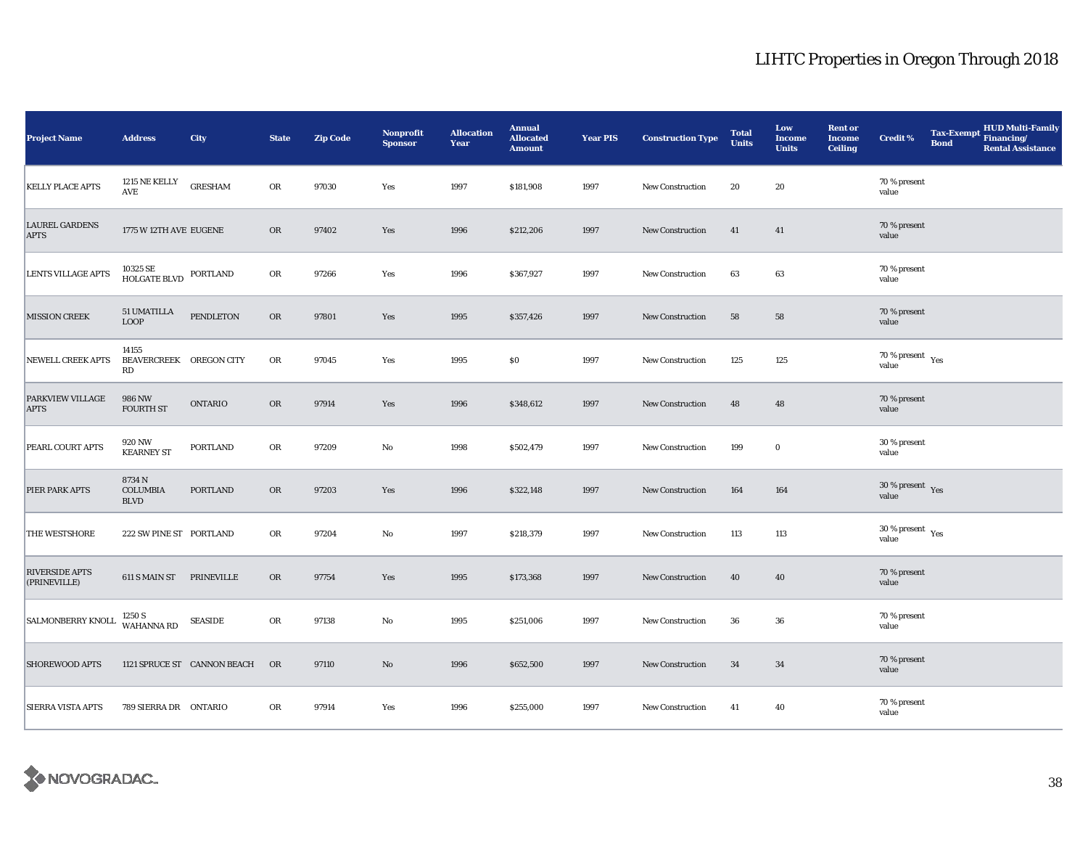| <b>Project Name</b>                    | <b>Address</b>                                             | City                        | <b>State</b> | <b>Zip Code</b> | Nonprofit<br><b>Sponsor</b> | <b>Allocation</b><br>Year | <b>Annual</b><br><b>Allocated</b><br><b>Amount</b> | <b>Year PIS</b> | <b>Construction Type</b> | <b>Total</b><br><b>Units</b> | Low<br><b>Income</b><br><b>Units</b> | <b>Rent or</b><br><b>Income</b><br><b>Ceiling</b> | <b>Credit %</b>                              | <b>Tax-Exempt</b><br><b>Bond</b> | <b>HUD Multi-Family</b><br>Financing/<br><b>Rental Assistance</b> |
|----------------------------------------|------------------------------------------------------------|-----------------------------|--------------|-----------------|-----------------------------|---------------------------|----------------------------------------------------|-----------------|--------------------------|------------------------------|--------------------------------------|---------------------------------------------------|----------------------------------------------|----------------------------------|-------------------------------------------------------------------|
| <b>KELLY PLACE APTS</b>                | 1215 NE KELLY<br>$\operatorname{AVE}$                      | <b>GRESHAM</b>              | OR           | 97030           | Yes                         | 1997                      | \$181,908                                          | 1997            | New Construction         | 20                           | 20                                   |                                                   | 70 % present<br>value                        |                                  |                                                                   |
| <b>LAUREL GARDENS</b><br><b>APTS</b>   | 1775 W 12TH AVE EUGENE                                     |                             | <b>OR</b>    | 97402           | Yes                         | 1996                      | \$212,206                                          | 1997            | <b>New Construction</b>  | 41                           | 41                                   |                                                   | 70 % present<br>value                        |                                  |                                                                   |
| <b>LENTS VILLAGE APTS</b>              | 10325 SE<br>HOLGATE BLVD                                   | PORTLAND                    | OR           | 97266           | Yes                         | 1996                      | \$367,927                                          | 1997            | New Construction         | 63                           | 63                                   |                                                   | 70 % present<br>value                        |                                  |                                                                   |
| <b>MISSION CREEK</b>                   | 51 UMATILLA<br><b>LOOP</b>                                 | PENDLETON                   | <b>OR</b>    | 97801           | Yes                         | 1995                      | \$357,426                                          | 1997            | <b>New Construction</b>  | 58                           | 58                                   |                                                   | 70 % present<br>value                        |                                  |                                                                   |
| <b>NEWELL CREEK APTS</b>               | 14155<br>BEAVERCREEK OREGON CITY<br>$\mathbf{R}\mathbf{D}$ |                             | OR           | 97045           | Yes                         | 1995                      | $\$0$                                              | 1997            | <b>New Construction</b>  | 125                          | 125                                  |                                                   | 70 % present $\rm\thinspace_{Yes}$<br>value  |                                  |                                                                   |
| <b>PARKVIEW VILLAGE</b><br><b>APTS</b> | 986 NW<br><b>FOURTH ST</b>                                 | <b>ONTARIO</b>              | <b>OR</b>    | 97914           | Yes                         | 1996                      | \$348,612                                          | 1997            | New Construction         | 48                           | 48                                   |                                                   | 70 % present<br>value                        |                                  |                                                                   |
| PEARL COURT APTS                       | 920 NW<br><b>KEARNEY ST</b>                                | <b>PORTLAND</b>             | OR           | 97209           | $\rm No$                    | 1998                      | \$502,479                                          | 1997            | <b>New Construction</b>  | 199                          | $\bf{0}$                             |                                                   | 30 % present<br>value                        |                                  |                                                                   |
| PIER PARK APTS                         | 8734N<br><b>COLUMBIA</b><br><b>BLVD</b>                    | <b>PORTLAND</b>             | <b>OR</b>    | 97203           | Yes                         | 1996                      | \$322,148                                          | 1997            | <b>New Construction</b>  | 164                          | 164                                  |                                                   | $30\,\%$ present $\,$ Yes value              |                                  |                                                                   |
| THE WESTSHORE                          | 222 SW PINE ST PORTLAND                                    |                             | OR           | 97204           | No                          | 1997                      | \$218,379                                          | 1997            | New Construction         | 113                          | 113                                  |                                                   | $30$ % present $\rm\thinspace\,Yes$<br>value |                                  |                                                                   |
| <b>RIVERSIDE APTS</b><br>(PRINEVILLE)  | 611 S MAIN ST PRINEVILLE                                   |                             | <b>OR</b>    | 97754           | Yes                         | 1995                      | \$173,368                                          | 1997            | New Construction         | 40                           | 40                                   |                                                   | 70 % present<br>value                        |                                  |                                                                   |
| SALMONBERRY KNOLL                      | 1250 S<br><b>WAHANNA RD</b>                                | <b>SEASIDE</b>              | OR           | 97138           | No                          | 1995                      | \$251,006                                          | 1997            | <b>New Construction</b>  | 36                           | 36                                   |                                                   | 70 % present<br>value                        |                                  |                                                                   |
| <b>SHOREWOOD APTS</b>                  |                                                            | 1121 SPRUCE ST CANNON BEACH | OR           | 97110           | $\rm No$                    | 1996                      | \$652,500                                          | 1997            | <b>New Construction</b>  | 34                           | 34                                   |                                                   | 70 % present<br>value                        |                                  |                                                                   |
| SIERRA VISTA APTS                      | 789 SIERRA DR ONTARIO                                      |                             | OR           | 97914           | Yes                         | 1996                      | \$255,000                                          | 1997            | New Construction         | 41                           | 40                                   |                                                   | 70 % present<br>value                        |                                  |                                                                   |

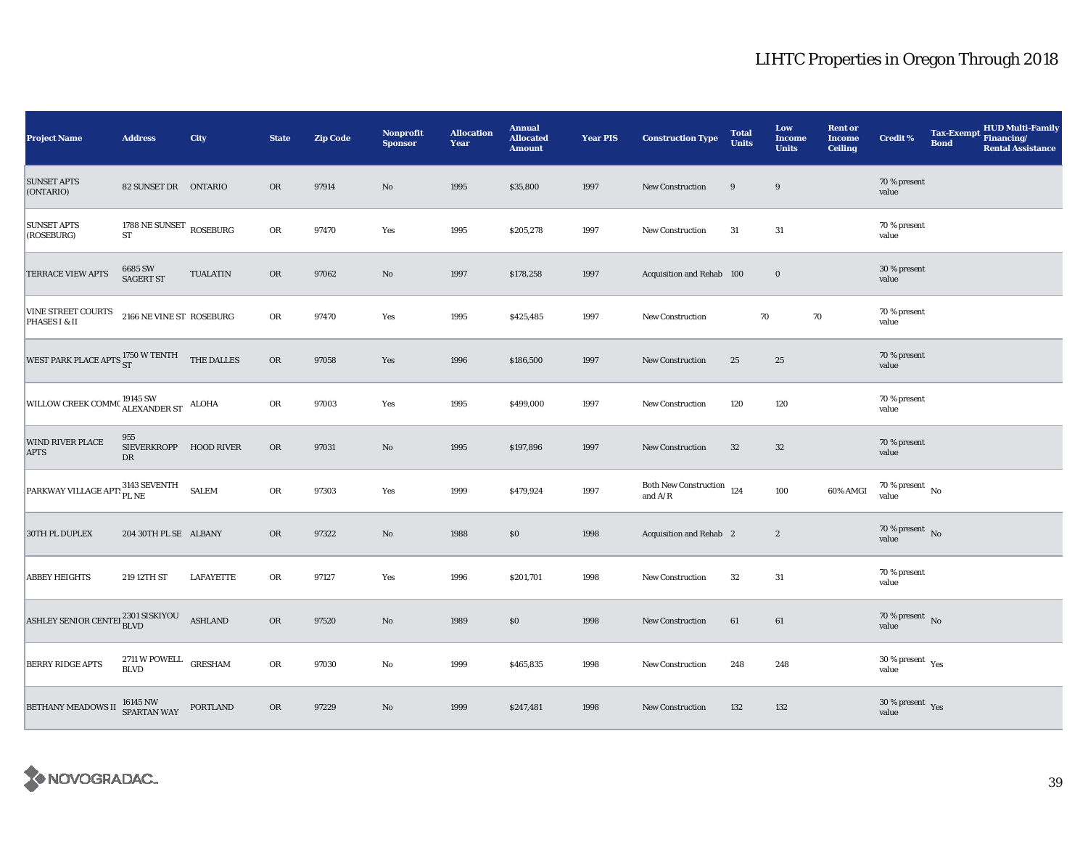| <b>Project Name</b>                                                 | <b>Address</b>                                   | City             | <b>State</b> | <b>Zip Code</b> | Nonprofit<br><b>Sponsor</b> | <b>Allocation</b><br>Year | <b>Annual</b><br><b>Allocated</b><br><b>Amount</b> | <b>Year PIS</b> | <b>Construction Type</b>                                                           | <b>Total</b><br><b>Units</b> | Low<br><b>Income</b><br><b>Units</b> | <b>Rent or</b><br><b>Income</b><br><b>Ceiling</b> | <b>Credit %</b>                           | <b>Tax-Exempt</b><br><b>Bond</b> | <b>HUD Multi-Family</b><br>Financing/<br><b>Rental Assistance</b> |
|---------------------------------------------------------------------|--------------------------------------------------|------------------|--------------|-----------------|-----------------------------|---------------------------|----------------------------------------------------|-----------------|------------------------------------------------------------------------------------|------------------------------|--------------------------------------|---------------------------------------------------|-------------------------------------------|----------------------------------|-------------------------------------------------------------------|
| <b>SUNSET APTS</b><br>(ONTARIO)                                     | 82 SUNSET DR ONTARIO                             |                  | <b>OR</b>    | 97914           | $\rm No$                    | 1995                      | \$35,800                                           | 1997            | <b>New Construction</b>                                                            | 9                            | 9                                    |                                                   | 70 % present<br>value                     |                                  |                                                                   |
| <b>SUNSET APTS</b><br>(ROSEBURG)                                    | 1788 NE SUNSET ROSEBURG<br><b>ST</b>             |                  | OR           | 97470           | Yes                         | 1995                      | \$205,278                                          | 1997            | New Construction                                                                   | 31                           | 31                                   |                                                   | 70 % present<br>value                     |                                  |                                                                   |
| <b>TERRACE VIEW APTS</b>                                            | 6685 SW<br><b>SAGERT ST</b>                      | <b>TUALATIN</b>  | <b>OR</b>    | 97062           | $\rm No$                    | 1997                      | \$178,258                                          | 1997            | Acquisition and Rehab 100                                                          |                              | $\bf{0}$                             |                                                   | 30 % present<br>value                     |                                  |                                                                   |
| VINE STREET COURTS<br>PHASES I & II                                 | 2166 NE VINE ST ROSEBURG                         |                  | OR           | 97470           | Yes                         | 1995                      | \$425,485                                          | 1997            | New Construction                                                                   | 70                           | 70                                   |                                                   | 70 % present<br>value                     |                                  |                                                                   |
| WEST PARK PLACE APTS $_{\rm ST}^{1750\ {\rm W\, TENTH}}$ THE DALLES |                                                  |                  | $_{\rm OR}$  | 97058           | Yes                         | 1996                      | \$186,500                                          | 1997            | <b>New Construction</b>                                                            | 25                           | 25                                   |                                                   | 70 % present<br>value                     |                                  |                                                                   |
| WILLOW CREEK COMMO ALEXANDER ST ALOHA                               |                                                  |                  | ${\rm OR}$   | 97003           | Yes                         | 1995                      | \$499,000                                          | 1997            | New Construction                                                                   | 120                          | 120                                  |                                                   | 70 % present<br>value                     |                                  |                                                                   |
| <b>WIND RIVER PLACE</b><br><b>APTS</b>                              | 955<br>SIEVERKROPP HOOD RIVER<br>DR              |                  | <b>OR</b>    | 97031           | $\rm No$                    | 1995                      | \$197,896                                          | 1997            | New Construction                                                                   | 32                           | 32                                   |                                                   | 70 % present<br>value                     |                                  |                                                                   |
| PARKWAY VILLAGE APT: <sup>3143</sup> SEVENTH                        |                                                  | <b>SALEM</b>     | OR           | 97303           | Yes                         | 1999                      | \$479,924                                          | 1997            | Both New Construction 124<br>and $\ensuremath{\mathrm{A}}/\ensuremath{\mathrm{R}}$ |                              | 100                                  | 60% AMGI                                          | 70 % present $\,$ No $\,$<br>value        |                                  |                                                                   |
| 30TH PL DUPLEX                                                      | 204 30TH PL SE ALBANY                            |                  | <b>OR</b>    | 97322           | No                          | 1988                      | \$0                                                | 1998            | <b>Acquisition and Rehab</b> 2                                                     |                              | $\boldsymbol{2}$                     |                                                   | 70 % present $\,$ No $\,$<br>value        |                                  |                                                                   |
| <b>ABBEY HEIGHTS</b>                                                | 219 12TH ST                                      | <b>LAFAYETTE</b> | OR           | 97127           | Yes                         | 1996                      | \$201,701                                          | 1998            | <b>New Construction</b>                                                            | $32\,$                       | 31                                   |                                                   | 70 % present<br>value                     |                                  |                                                                   |
| ASHLEY SENIOR CENTEI 2301 SISKIYOU                                  |                                                  | <b>ASHLAND</b>   | $_{\rm OR}$  | 97520           | $\rm No$                    | 1989                      | $\$0$                                              | 1998            | New Construction                                                                   | 61                           | 61                                   |                                                   | $70\,\%$ present $\,$ No value            |                                  |                                                                   |
| <b>BERRY RIDGE APTS</b>                                             | $2711\,\mathrm{W}$ POWELL GRESHAM<br><b>BLVD</b> |                  | OR           | 97030           | No                          | 1999                      | \$465,835                                          | 1998            | <b>New Construction</b>                                                            | 248                          | 248                                  |                                                   | $30\,\%$ present $\,$ $\rm{Yes}$<br>value |                                  |                                                                   |
| BETHANY MEADOWS II 16145 NW WAY                                     |                                                  | PORTLAND         | OR           | 97229           | $\rm No$                    | 1999                      | \$247,481                                          | 1998            | New Construction                                                                   | 132                          | 132                                  |                                                   | $30\,\%$ present $\,$ Yes value           |                                  |                                                                   |

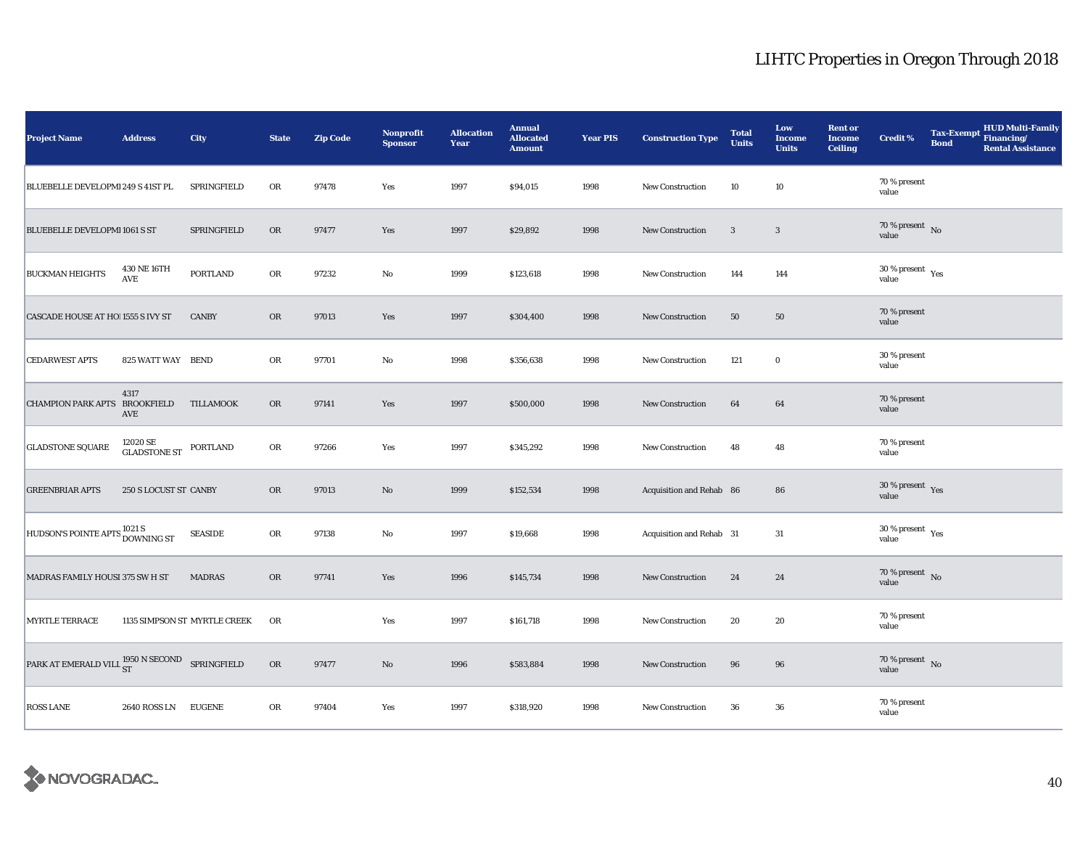| <b>Project Name</b>                                               | <b>Address</b>                      | City                         | <b>State</b> | <b>Zip Code</b> | Nonprofit<br><b>Sponsor</b> | <b>Allocation</b><br>Year | <b>Annual</b><br><b>Allocated</b><br><b>Amount</b> | <b>Year PIS</b> | <b>Construction Type</b> | <b>Total</b><br><b>Units</b> | Low<br><b>Income</b><br><b>Units</b> | <b>Rent or</b><br><b>Income</b><br><b>Ceiling</b> | Credit %                                  | <b>Tax-Exempt</b><br><b>Bond</b> | <b>HUD Multi-Family</b><br>Financing/<br><b>Rental Assistance</b> |
|-------------------------------------------------------------------|-------------------------------------|------------------------------|--------------|-----------------|-----------------------------|---------------------------|----------------------------------------------------|-----------------|--------------------------|------------------------------|--------------------------------------|---------------------------------------------------|-------------------------------------------|----------------------------------|-------------------------------------------------------------------|
| BLUEBELLE DEVELOPMI 249 S 41ST PL                                 |                                     | SPRINGFIELD                  | OR           | 97478           | Yes                         | 1997                      | \$94,015                                           | 1998            | <b>New Construction</b>  | 10                           | 10                                   |                                                   | 70 % present<br>value                     |                                  |                                                                   |
| BLUEBELLE DEVELOPMI 1061 S ST                                     |                                     | SPRINGFIELD                  | <b>OR</b>    | 97477           | Yes                         | 1997                      | \$29,892                                           | 1998            | <b>New Construction</b>  | 3                            | $\mathbf{3}$                         |                                                   | $70\,\%$ present $\,$ No value            |                                  |                                                                   |
| <b>BUCKMAN HEIGHTS</b>                                            | 430 NE 16TH<br>$\operatorname{AVE}$ | <b>PORTLAND</b>              | OR           | 97232           | $\rm No$                    | 1999                      | \$123,618                                          | 1998            | New Construction         | 144                          | 144                                  |                                                   | $30$ % present $\,$ $\rm Yes$<br>value    |                                  |                                                                   |
| CASCADE HOUSE AT HO! 1555 S IVY ST                                |                                     | <b>CANBY</b>                 | <b>OR</b>    | 97013           | Yes                         | 1997                      | \$304,400                                          | 1998            | <b>New Construction</b>  | 50                           | 50                                   |                                                   | 70 % present<br>value                     |                                  |                                                                   |
| <b>CEDARWEST APTS</b>                                             | 825 WATT WAY BEND                   |                              | OR           | 97701           | No                          | 1998                      | \$356,638                                          | 1998            | <b>New Construction</b>  | 121                          | $\bf{0}$                             |                                                   | 30 % present<br>value                     |                                  |                                                                   |
| CHAMPION PARK APTS BROOKFIELD                                     | 4317<br>AVE                         | TILLAMOOK                    | OR           | 97141           | Yes                         | 1997                      | \$500,000                                          | 1998            | New Construction         | 64                           | 64                                   |                                                   | 70 % present<br>value                     |                                  |                                                                   |
| <b>GLADSTONE SQUARE</b>                                           | 12020 SE<br><b>GLADSTONE ST</b>     | PORTLAND                     | ${\rm OR}$   | 97266           | Yes                         | 1997                      | \$345,292                                          | 1998            | <b>New Construction</b>  | 48                           | 48                                   |                                                   | 70 % present<br>value                     |                                  |                                                                   |
| <b>GREENBRIAR APTS</b>                                            | 250 S LOCUST ST CANBY               |                              | <b>OR</b>    | 97013           | No                          | 1999                      | \$152,534                                          | 1998            | Acquisition and Rehab 86 |                              | 86                                   |                                                   | 30 % present $\gamma_{\rm e s}$<br>value  |                                  |                                                                   |
| HUDSON'S POINTE APTS 1021 S<br>DOWNING ST                         |                                     | <b>SEASIDE</b>               | OR           | 97138           | $\mathbf{No}$               | 1997                      | \$19,668                                           | 1998            | Acquisition and Rehab 31 |                              | 31                                   |                                                   | $30\,\%$ present $\,$ $\rm{Yes}$<br>value |                                  |                                                                   |
| MADRAS FAMILY HOUSI 375 SW H ST                                   |                                     | <b>MADRAS</b>                | <b>OR</b>    | 97741           | Yes                         | 1996                      | \$145,734                                          | 1998            | <b>New Construction</b>  | 24                           | 24                                   |                                                   | $70\,\%$ present $\,$ No value            |                                  |                                                                   |
| <b>MYRTLE TERRACE</b>                                             |                                     | 1135 SIMPSON ST MYRTLE CREEK | OR           |                 | Yes                         | 1997                      | \$161,718                                          | 1998            | New Construction         | 20                           | $20\,$                               |                                                   | 70 % present<br>value                     |                                  |                                                                   |
| PARK AT EMERALD VILL $_{ST}^{1950\,N\,\text{SECOND}}$ SPRINGFIELD |                                     |                              | ${\rm OR}$   | 97477           | $\rm No$                    | 1996                      | \$583,884                                          | 1998            | <b>New Construction</b>  | 96                           | 96                                   |                                                   | $70\,\%$ present $\,$ No value            |                                  |                                                                   |
| <b>ROSS LANE</b>                                                  | 2640 ROSS LN                        | <b>EUGENE</b>                | OR           | 97404           | Yes                         | 1997                      | \$318,920                                          | 1998            | <b>New Construction</b>  | 36                           | 36                                   |                                                   | 70 % present<br>value                     |                                  |                                                                   |

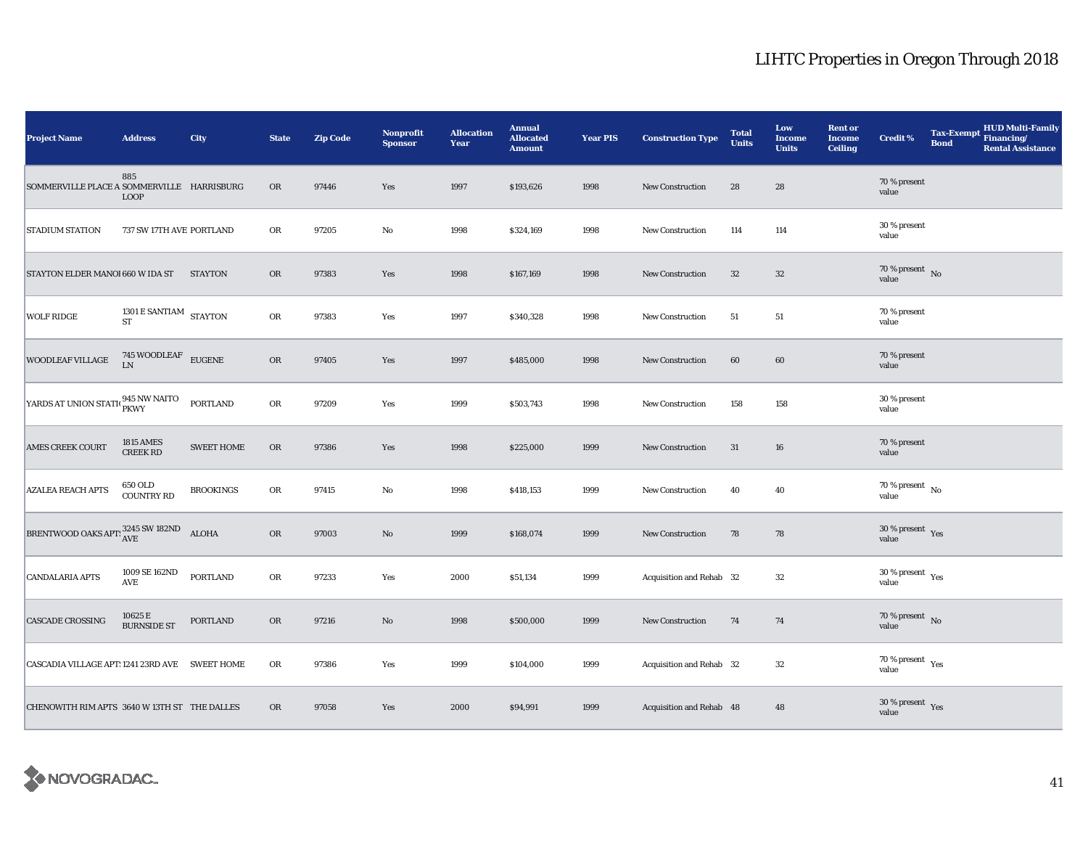| <b>Project Name</b>                                 | <b>Address</b>                      | City              | <b>State</b> | <b>Zip Code</b> | <b>Nonprofit</b><br><b>Sponsor</b> | <b>Allocation</b><br>Year | <b>Annual</b><br><b>Allocated</b><br><b>Amount</b> | <b>Year PIS</b> | <b>Construction Type</b> | <b>Total</b><br><b>Units</b> | Low<br><b>Income</b><br><b>Units</b> | <b>Rent or</b><br><b>Income</b><br><b>Ceiling</b> | <b>Credit %</b>                             | <b>Tax-Exempt</b><br><b>Bond</b> | <b>HUD Multi-Family</b><br>Financing/<br><b>Rental Assistance</b> |
|-----------------------------------------------------|-------------------------------------|-------------------|--------------|-----------------|------------------------------------|---------------------------|----------------------------------------------------|-----------------|--------------------------|------------------------------|--------------------------------------|---------------------------------------------------|---------------------------------------------|----------------------------------|-------------------------------------------------------------------|
| SOMMERVILLE PLACE A SOMMERVILLE HARRISBURG          | 885<br><b>LOOP</b>                  |                   | <b>OR</b>    | 97446           | Yes                                | 1997                      | \$193,626                                          | 1998            | <b>New Construction</b>  | 28                           | 28                                   |                                                   | 70 % present<br>value                       |                                  |                                                                   |
| <b>STADIUM STATION</b>                              | 737 SW 17TH AVE PORTLAND            |                   | OR           | 97205           | $\rm No$                           | 1998                      | \$324,169                                          | 1998            | <b>New Construction</b>  | 114                          | 114                                  |                                                   | 30 % present<br>value                       |                                  |                                                                   |
| STAYTON ELDER MANOI 660 W IDA ST                    |                                     | <b>STAYTON</b>    | <b>OR</b>    | 97383           | Yes                                | 1998                      | \$167,169                                          | 1998            | New Construction         | 32                           | $32\,$                               |                                                   | 70 % present $\hbox{~No}$<br>value          |                                  |                                                                   |
| <b>WOLF RIDGE</b>                                   | 1301 E SANTIAM $$\rm STAYTON$$      |                   | OR           | 97383           | Yes                                | 1997                      | \$340,328                                          | 1998            | New Construction         | 51                           | 51                                   |                                                   | 70 % present<br>value                       |                                  |                                                                   |
| <b>WOODLEAF VILLAGE</b>                             | $745\,$ WOODLEAF LN                 | <b>EUGENE</b>     | OR           | 97405           | Yes                                | 1997                      | \$485,000                                          | 1998            | <b>New Construction</b>  | 60                           | 60                                   |                                                   | 70 % present<br>value                       |                                  |                                                                   |
| YARDS AT UNION STATI( PKWY                          |                                     | PORTLAND          | OR           | 97209           | Yes                                | 1999                      | \$503,743                                          | 1998            | New Construction         | 158                          | 158                                  |                                                   | 30 % present<br>value                       |                                  |                                                                   |
| <b>AMES CREEK COURT</b>                             | <b>1815 AMES</b><br><b>CREEK RD</b> | <b>SWEET HOME</b> | OR           | 97386           | Yes                                | 1998                      | \$225,000                                          | 1999            | New Construction         | 31                           | 16                                   |                                                   | 70 % present<br>value                       |                                  |                                                                   |
| <b>AZALEA REACH APTS</b>                            | 650 OLD<br><b>COUNTRY RD</b>        | <b>BROOKINGS</b>  | OR           | 97415           | $\rm No$                           | 1998                      | \$418,153                                          | 1999            | New Construction         | 40                           | 40                                   |                                                   | $70$ % present $\,$ No $\,$<br>value        |                                  |                                                                   |
| BRENTWOOD OAKS APT: $^{3245}_{\mbox{AVE}}$ SW 182ND |                                     | <b>ALOHA</b>      | OR           | 97003           | No                                 | 1999                      | \$168,074                                          | 1999            | New Construction         | 78                           | 78                                   |                                                   | $30\,\%$ present $\,$ Yes value             |                                  |                                                                   |
| <b>CANDALARIA APTS</b>                              | 1009 SE 162ND<br>AVE                | <b>PORTLAND</b>   | OR           | 97233           | Yes                                | 2000                      | \$51,134                                           | 1999            | Acquisition and Rehab 32 |                              | $32\,$                               |                                                   | $30\,\%$ present $\,$ $_{\rm Yes}$<br>value |                                  |                                                                   |
| <b>CASCADE CROSSING</b>                             | 10625 E<br><b>BURNSIDE ST</b>       | <b>PORTLAND</b>   | <b>OR</b>    | 97216           | $\rm\thinspace No$                 | 1998                      | \$500,000                                          | 1999            | New Construction         | 74                           | 74                                   |                                                   | $70\,\%$ present $\,$ No value              |                                  |                                                                   |
| CASCADIA VILLAGE APT: 1241 23RD AVE SWEET HOME      |                                     |                   | OR           | 97386           | Yes                                | 1999                      | \$104,000                                          | 1999            | Acquisition and Rehab 32 |                              | 32                                   |                                                   | 70 % present $\rm\thinspace_{Yes}$<br>value |                                  |                                                                   |
| CHENOWITH RIM APTS 3640 W 13TH ST THE DALLES        |                                     |                   | <b>OR</b>    | 97058           | Yes                                | 2000                      | \$94,991                                           | 1999            | Acquisition and Rehab 48 |                              | 48                                   |                                                   | $30\,\%$ present $\,$ Yes value             |                                  |                                                                   |

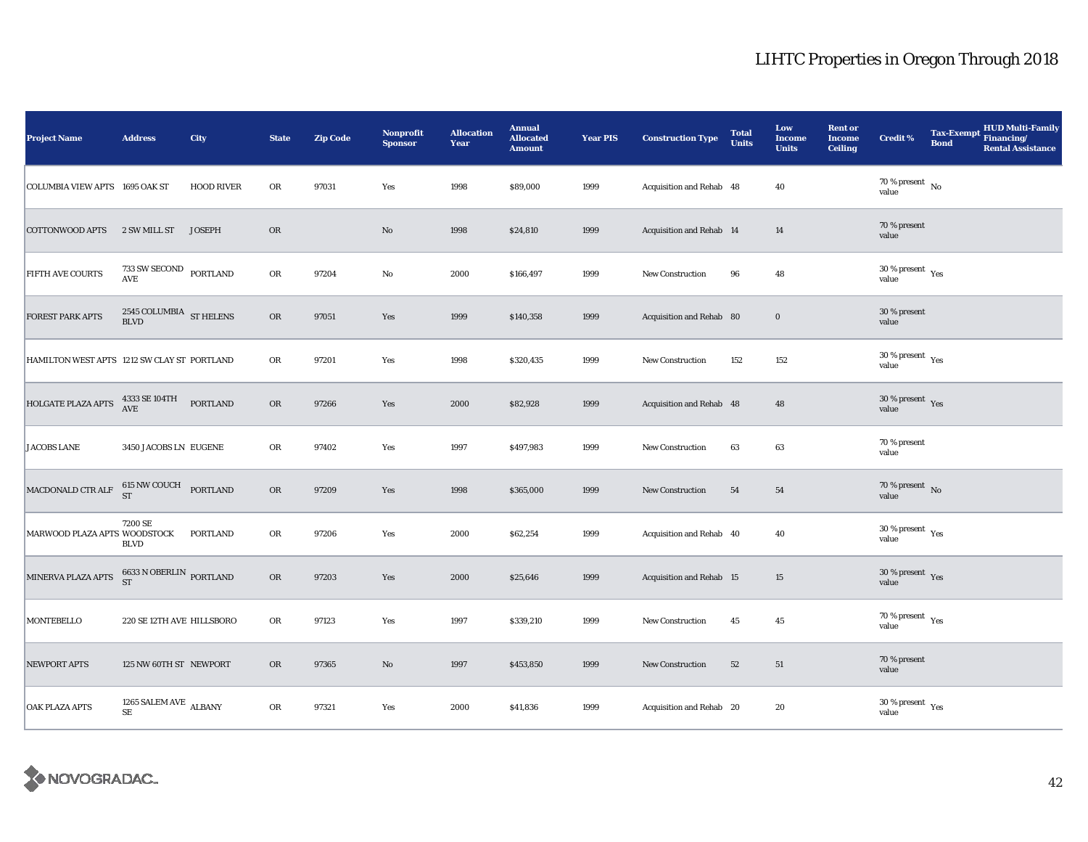| <b>Project Name</b>                         | <b>Address</b>                                  | City              | <b>State</b> | <b>Zip Code</b> | Nonprofit<br><b>Sponsor</b> | <b>Allocation</b><br>Year | <b>Annual</b><br><b>Allocated</b><br><b>Amount</b> | <b>Year PIS</b> | <b>Construction Type</b> | <b>Total</b><br><b>Units</b> | Low<br><b>Income</b><br><b>Units</b> | <b>Rent or</b><br><b>Income</b><br><b>Ceiling</b> | <b>Credit %</b>                             | <b>Tax-Exempt</b><br><b>Bond</b> | <b>HUD Multi-Family</b><br>Financing/<br><b>Rental Assistance</b> |
|---------------------------------------------|-------------------------------------------------|-------------------|--------------|-----------------|-----------------------------|---------------------------|----------------------------------------------------|-----------------|--------------------------|------------------------------|--------------------------------------|---------------------------------------------------|---------------------------------------------|----------------------------------|-------------------------------------------------------------------|
| COLUMBIA VIEW APTS 1695 OAK ST              |                                                 | <b>HOOD RIVER</b> | OR           | 97031           | Yes                         | 1998                      | \$89,000                                           | 1999            | Acquisition and Rehab 48 |                              | 40                                   |                                                   | $70\,\%$ present $\,$ No value              |                                  |                                                                   |
| <b>COTTONWOOD APTS</b>                      | 2 SW MILL ST                                    | <b>JOSEPH</b>     | OR           |                 | $\rm No$                    | 1998                      | \$24,810                                           | 1999            | Acquisition and Rehab 14 |                              | 14                                   |                                                   | 70 % present<br>value                       |                                  |                                                                   |
| FIFTH AVE COURTS                            | $733$ SW SECOND $\;$ PORTLAND AVE               |                   | ${\rm OR}$   | 97204           | $\rm No$                    | 2000                      | \$166,497                                          | 1999            | New Construction         | 96                           | 48                                   |                                                   | 30 % present $\rm\,Yes$<br>value            |                                  |                                                                   |
| <b>FOREST PARK APTS</b>                     | $2545$ COLUMBIA $$\rm{ST}\,\text{HELENS}$$ BLVD |                   | OR           | 97051           | Yes                         | 1999                      | \$140,358                                          | 1999            | Acquisition and Rehab 80 |                              | $\boldsymbol{0}$                     |                                                   | 30 % present<br>value                       |                                  |                                                                   |
| HAMILTON WEST APTS 1212 SW CLAY ST PORTLAND |                                                 |                   | OR           | 97201           | Yes                         | 1998                      | \$320,435                                          | 1999            | <b>New Construction</b>  | 152                          | 152                                  |                                                   | $30\,\%$ present $\,$ Yes value             |                                  |                                                                   |
| HOLGATE PLAZA APTS                          | 4333 SE 104TH<br>AVE                            | <b>PORTLAND</b>   | ${\rm OR}$   | 97266           | Yes                         | 2000                      | \$82,928                                           | 1999            | Acquisition and Rehab 48 |                              | 48                                   |                                                   | 30 % present $Yes$<br>value                 |                                  |                                                                   |
| <b>JACOBS LANE</b>                          | 3450 JACOBS LN EUGENE                           |                   | OR           | 97402           | Yes                         | 1997                      | \$497,983                                          | 1999            | New Construction         | 63                           | 63                                   |                                                   | 70 % present<br>value                       |                                  |                                                                   |
| MACDONALD CTR ALF                           | <b>615 NW COUCH PORTLAND</b><br><b>ST</b>       |                   | OR           | 97209           | Yes                         | 1998                      | \$365,000                                          | 1999            | New Construction         | 54                           | ${\bf 54}$                           |                                                   | $70\,\%$ present $\,$ No value              |                                  |                                                                   |
| MARWOOD PLAZA APTS WOODSTOCK                | 7200 SE<br><b>BLVD</b>                          | PORTLAND          | ${\rm OR}$   | 97206           | Yes                         | 2000                      | \$62,254                                           | 1999            | Acquisition and Rehab 40 |                              | 40                                   |                                                   | $30\,\%$ present $\,$ Yes value             |                                  |                                                                   |
| MINERVA PLAZA APTS                          | $6633$ N OBERLIN $\,$ PORTLAND ST               |                   | ${\rm OR}$   | 97203           | Yes                         | 2000                      | \$25,646                                           | 1999            | Acquisition and Rehab 15 |                              | 15                                   |                                                   | $30\,\%$ present $\,$ Yes value             |                                  |                                                                   |
| <b>MONTEBELLO</b>                           | 220 SE 12TH AVE HILLSBORO                       |                   | OR           | 97123           | Yes                         | 1997                      | \$339,210                                          | 1999            | New Construction         | 45                           | 45                                   |                                                   | $70\,\%$ present $\;\gamma_{\rm e s}$ value |                                  |                                                                   |
| <b>NEWPORT APTS</b>                         | 125 NW 60TH ST NEWPORT                          |                   | <b>OR</b>    | 97365           | No                          | 1997                      | \$453,850                                          | 1999            | New Construction         | 52                           | 51                                   |                                                   | 70 % present<br>value                       |                                  |                                                                   |
| <b>OAK PLAZA APTS</b>                       | 1265 SALEM AVE $\,$ ALBANY $\,$<br><b>SE</b>    |                   | OR           | 97321           | Yes                         | 2000                      | \$41,836                                           | 1999            | Acquisition and Rehab 20 |                              | 20                                   |                                                   | $30\,\%$ present $\,$ Yes value             |                                  |                                                                   |

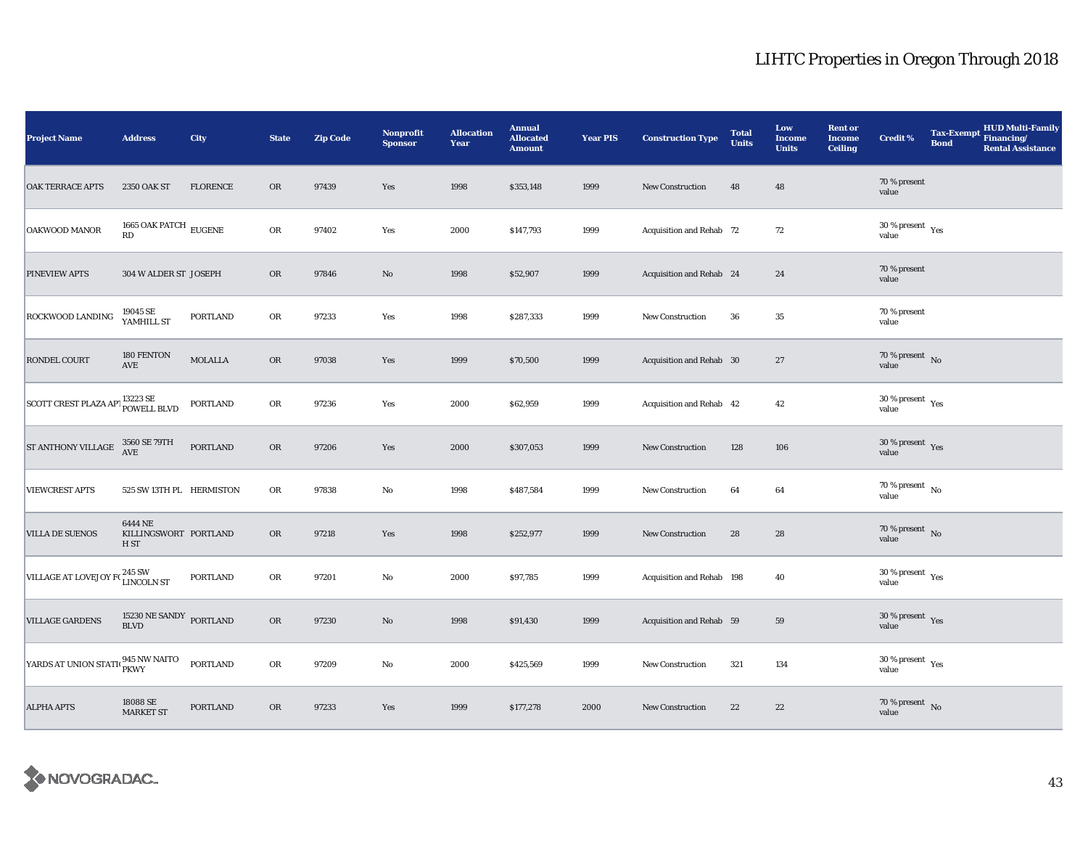| <b>Project Name</b>                                      | <b>Address</b>                                      | City            | <b>State</b>  | <b>Zip Code</b> | <b>Nonprofit</b><br><b>Sponsor</b> | <b>Allocation</b><br>Year | <b>Annual</b><br><b>Allocated</b><br><b>Amount</b> | <b>Year PIS</b> | <b>Construction Type</b>  | <b>Total</b><br><b>Units</b> | Low<br>Income<br><b>Units</b> | <b>Rent or</b><br><b>Income</b><br><b>Ceiling</b> | <b>Credit %</b>                          | <b>Tax-Exempt</b><br><b>Bond</b> | <b>HUD Multi-Family</b><br>Financing/<br><b>Rental Assistance</b> |
|----------------------------------------------------------|-----------------------------------------------------|-----------------|---------------|-----------------|------------------------------------|---------------------------|----------------------------------------------------|-----------------|---------------------------|------------------------------|-------------------------------|---------------------------------------------------|------------------------------------------|----------------------------------|-------------------------------------------------------------------|
| <b>OAK TERRACE APTS</b>                                  | 2350 OAK ST                                         | <b>FLORENCE</b> | OR            | 97439           | Yes                                | 1998                      | \$353,148                                          | 1999            | <b>New Construction</b>   | 48                           | 48                            |                                                   | 70 % present<br>value                    |                                  |                                                                   |
| <b>OAKWOOD MANOR</b>                                     | 1665 OAK PATCH $\,$ EUGENE<br>RD                    |                 | ${\sf OR}$    | 97402           | Yes                                | 2000                      | \$147,793                                          | 1999            | Acquisition and Rehab 72  |                              | 72                            |                                                   | $30\,\%$ present $\,$ Yes value          |                                  |                                                                   |
| PINEVIEW APTS                                            | 304 W ALDER ST JOSEPH                               |                 | <b>OR</b>     | 97846           | $\rm No$                           | 1998                      | \$52,907                                           | 1999            | Acquisition and Rehab 24  |                              | 24                            |                                                   | 70 % present<br>value                    |                                  |                                                                   |
| <b>ROCKWOOD LANDING</b>                                  | 19045 SE<br>YAMHILL ST                              | <b>PORTLAND</b> | OR            | 97233           | Yes                                | 1998                      | \$287,333                                          | 1999            | New Construction          | 36                           | $\bf 35$                      |                                                   | 70 % present<br>value                    |                                  |                                                                   |
| RONDEL COURT                                             | 180 FENTON<br>AVE                                   | MOLALLA         | $\mathbf{OR}$ | 97038           | Yes                                | 1999                      | \$70,500                                           | 1999            | Acquisition and Rehab 30  |                              | $\sqrt{27}$                   |                                                   | 70 % present $\hbox{~No}$<br>value       |                                  |                                                                   |
| SCOTT CREST PLAZA APT <sup>13223</sup> SE<br>POWELL BLVD |                                                     | <b>PORTLAND</b> | ${\sf OR}$    | 97236           | Yes                                | 2000                      | \$62,959                                           | 1999            | Acquisition and Rehab 42  |                              | 42                            |                                                   | $30\,\%$ present $\,$ Yes value          |                                  |                                                                   |
| ST ANTHONY VILLAGE                                       | 3560 SE 79TH<br>AVE                                 | <b>PORTLAND</b> | <b>OR</b>     | 97206           | Yes                                | 2000                      | \$307,053                                          | 1999            | <b>New Construction</b>   | 128                          | 106                           |                                                   | $30\,\%$ present $\,$ Yes value          |                                  |                                                                   |
| <b>VIEWCREST APTS</b>                                    | 525 SW 13TH PL HERMISTON                            |                 | OR            | 97838           | No                                 | 1998                      | \$487,584                                          | 1999            | New Construction          | 64                           | 64                            |                                                   | $70$ % present $\,$ No $\,$<br>value     |                                  |                                                                   |
| <b>VILLA DE SUENOS</b>                                   | 6444 NE<br>KILLINGSWORT PORTLAND<br>H <sub>ST</sub> |                 | OR            | 97218           | Yes                                | 1998                      | \$252,977                                          | 1999            | New Construction          | 28                           | 28                            |                                                   | 70 % present $\hbox{~No}$<br>value       |                                  |                                                                   |
| VILLAGE AT LOVEJOY F(245 SW<br>LINCOLN ST                |                                                     | <b>PORTLAND</b> | ${\sf OR}$    | 97201           | No                                 | 2000                      | \$97,785                                           | 1999            | Acquisition and Rehab 198 |                              | 40                            |                                                   | $30\,\%$ present $\,$ $\rm Yes$<br>value |                                  |                                                                   |
| <b>VILLAGE GARDENS</b>                                   | 15230 NE SANDY PORTLAND<br><b>BLVD</b>              |                 | <b>OR</b>     | 97230           | $\rm No$                           | 1998                      | \$91,430                                           | 1999            | Acquisition and Rehab 59  |                              | 59                            |                                                   | $30\,\%$ present $\,$ Yes value          |                                  |                                                                   |
| YARDS AT UNION STATI <sup>045</sup> NW NAITO             |                                                     | PORTLAND        | OR            | 97209           | $\mathbf{No}$                      | 2000                      | \$425,569                                          | 1999            | New Construction          | 321                          | 134                           |                                                   | $30$ % present $\,$ $\rm Yes$<br>value   |                                  |                                                                   |
| <b>ALPHA APTS</b>                                        | 18088 SE<br><b>MARKET ST</b>                        | <b>PORTLAND</b> | OR            | 97233           | Yes                                | 1999                      | \$177,278                                          | 2000            | New Construction          | 22                           | $\bf{22}$                     |                                                   | $70\,\%$ present $\;$ No value           |                                  |                                                                   |

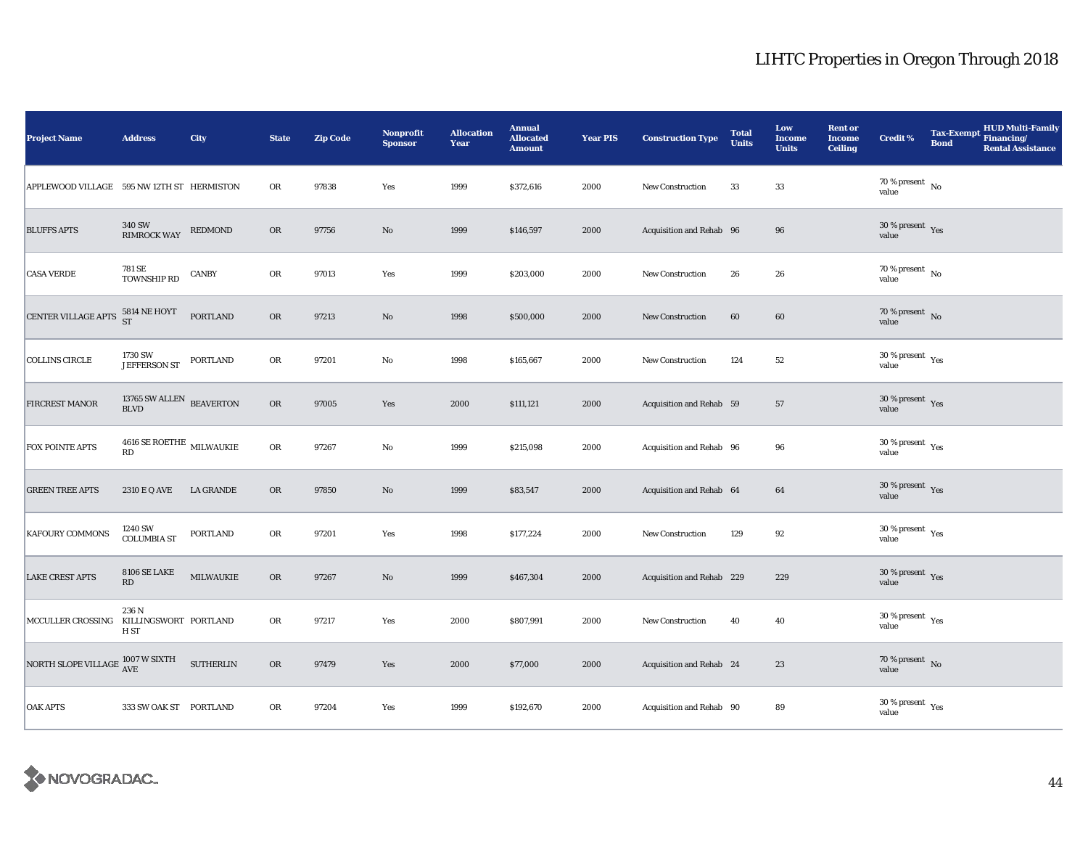| <b>Project Name</b>                                     | <b>Address</b>                         | City             | <b>State</b> | <b>Zip Code</b> | Nonprofit<br><b>Sponsor</b> | <b>Allocation</b><br>Year | <b>Annual</b><br><b>Allocated</b><br><b>Amount</b> | <b>Year PIS</b> | <b>Construction Type</b>  | <b>Total</b><br><b>Units</b> | Low<br><b>Income</b><br><b>Units</b> | <b>Rent or</b><br><b>Income</b><br><b>Ceiling</b> | <b>Credit %</b>                     | <b>Tax-Exempt</b><br><b>Bond</b> | <b>HUD Multi-Family</b><br>Financing/<br><b>Rental Assistance</b> |
|---------------------------------------------------------|----------------------------------------|------------------|--------------|-----------------|-----------------------------|---------------------------|----------------------------------------------------|-----------------|---------------------------|------------------------------|--------------------------------------|---------------------------------------------------|-------------------------------------|----------------------------------|-------------------------------------------------------------------|
| APPLEWOOD VILLAGE 595 NW 12TH ST HERMISTON              |                                        |                  | OR           | 97838           | Yes                         | 1999                      | \$372,616                                          | 2000            | <b>New Construction</b>   | 33                           | 33                                   |                                                   | $70\,\%$ present $\,$ No value      |                                  |                                                                   |
| <b>BLUFFS APTS</b>                                      | 340 SW<br>RIMROCK WAY                  | <b>REDMOND</b>   | ${\sf OR}$   | 97756           | $\mathbf{N}\mathbf{o}$      | 1999                      | \$146,597                                          | 2000            | Acquisition and Rehab 96  |                              | 96                                   |                                                   | $30\,\%$ present $\,$ Yes value     |                                  |                                                                   |
| <b>CASA VERDE</b>                                       | 781 SE<br>TOWNSHIP RD                  | CANBY            | OR           | 97013           | Yes                         | 1999                      | \$203,000                                          | 2000            | New Construction          | 26                           | 26                                   |                                                   | 70 % present $\hbox{~No}$<br>value  |                                  |                                                                   |
| CENTER VILLAGE APTS 5814 NE HOYT                        |                                        | <b>PORTLAND</b>  | OR           | 97213           | $\rm No$                    | 1998                      | \$500,000                                          | 2000            | <b>New Construction</b>   | 60                           | 60                                   |                                                   | $70\,\%$ present $${\rm No}$$ value |                                  |                                                                   |
| <b>COLLINS CIRCLE</b>                                   | 1730 SW<br>JEFFERSON ST                | PORTLAND         | ${\bf OR}$   | 97201           | $\rm No$                    | 1998                      | \$165,667                                          | 2000            | <b>New Construction</b>   | 124                          | $52\,$                               |                                                   | $30\,\%$ present $\,$ Yes value     |                                  |                                                                   |
| FIRCREST MANOR                                          | $13765$ SW ALLEN $\,$ BEAVERTON BLVD   |                  | OR           | 97005           | Yes                         | 2000                      | \$111,121                                          | 2000            | Acquisition and Rehab 59  |                              | 57                                   |                                                   | $30\,\%$ present $\,$ Yes value     |                                  |                                                                   |
| FOX POINTE APTS                                         | $4616$ SE ROETHE $\,$ MILWAUKIE<br>RD  |                  | ${\rm OR}$   | 97267           | $\rm No$                    | 1999                      | \$215,098                                          | 2000            | Acquisition and Rehab 96  |                              | ${\bf 96}$                           |                                                   | $30\ \%$ present $\;$ Yes value     |                                  |                                                                   |
| <b>GREEN TREE APTS</b>                                  | 2310 E Q AVE                           | LA GRANDE        | OR           | 97850           | $\rm No$                    | 1999                      | \$83,547                                           | 2000            | Acquisition and Rehab 64  |                              | 64                                   |                                                   | $30\,\%$ present $\,$ Yes value     |                                  |                                                                   |
| KAFOURY COMMONS                                         | 1240 SW<br><b>COLUMBIA ST</b>          | <b>PORTLAND</b>  | OR           | 97201           | Yes                         | 1998                      | \$177,224                                          | 2000            | <b>New Construction</b>   | 129                          | 92                                   |                                                   | $30\,\%$ present $\,$ Yes value     |                                  |                                                                   |
| <b>LAKE CREST APTS</b>                                  | <b>8106 SE LAKE</b><br>RD              | <b>MILWAUKIE</b> | OR           | 97267           | $\rm No$                    | 1999                      | \$467,304                                          | 2000            | Acquisition and Rehab 229 |                              | 229                                  |                                                   | $30\,\%$ present $\,$ Yes value     |                                  |                                                                   |
| MCCULLER CROSSING                                       | 236 N<br>KILLINGSWORT PORTLAND<br>H ST |                  | OR           | 97217           | Yes                         | 2000                      | \$807,991                                          | 2000            | New Construction          | 40                           | 40                                   |                                                   | $30\,\%$ present $\,$ Yes value     |                                  |                                                                   |
| NORTH SLOPE VILLAGE $_{\rm AVE}^{1007\ {\rm W\,SIXTH}}$ |                                        | <b>SUTHERLIN</b> | $_{\rm OR}$  | 97479           | Yes                         | 2000                      | \$77,000                                           | 2000            | Acquisition and Rehab 24  |                              | 23                                   |                                                   | $70\,\%$ present $\,$ No value      |                                  |                                                                   |
| <b>OAK APTS</b>                                         | 333 SW OAK ST PORTLAND                 |                  | OR           | 97204           | Yes                         | 1999                      | \$192,670                                          | 2000            | Acquisition and Rehab 90  |                              | 89                                   |                                                   | $30\,\%$ present $\,$ Yes value     |                                  |                                                                   |

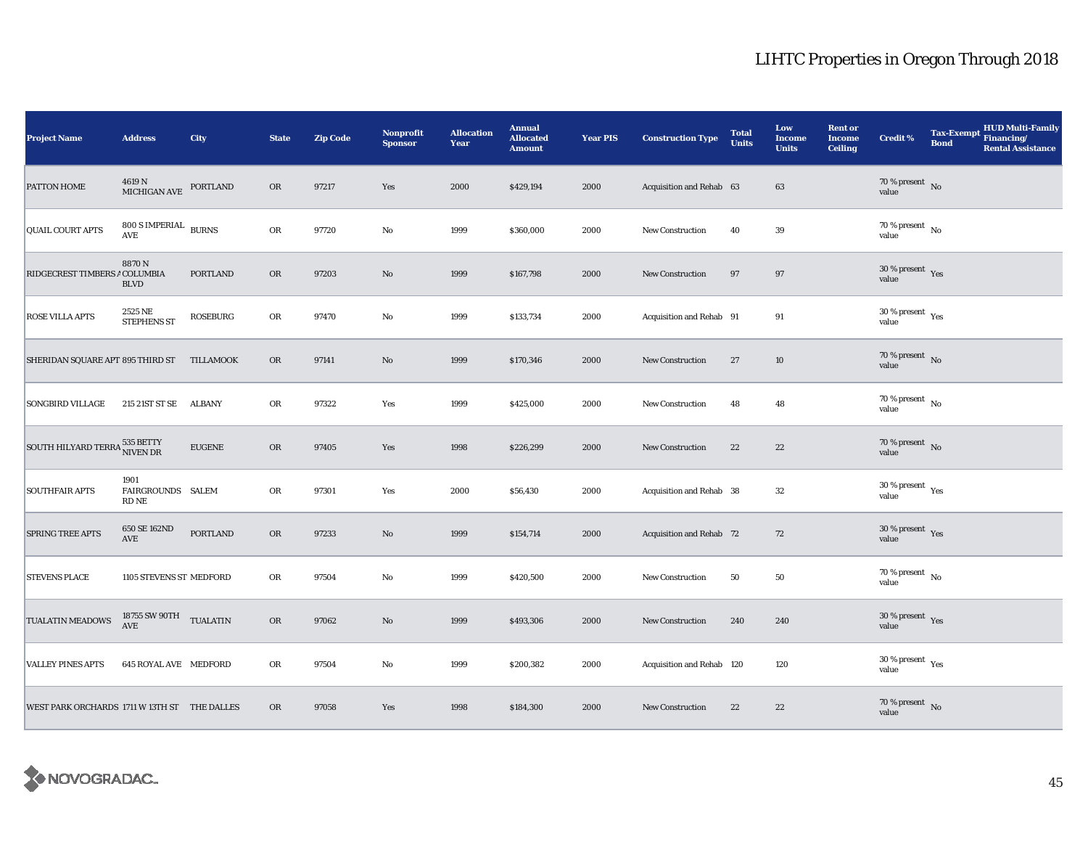| <b>Project Name</b>                          | <b>Address</b>                        | City             | <b>State</b> | <b>Zip Code</b> | Nonprofit<br><b>Sponsor</b> | <b>Allocation</b><br>Year | <b>Annual</b><br><b>Allocated</b><br><b>Amount</b> | <b>Year PIS</b> | <b>Construction Type</b>  | <b>Total</b><br><b>Units</b> | Low<br><b>Income</b><br><b>Units</b> | <b>Rent or</b><br><b>Income</b><br><b>Ceiling</b> | Credit %                                 | <b>Tax-Exempt</b><br><b>Bond</b> | <b>HUD Multi-Family</b><br>Financing/<br><b>Rental Assistance</b> |
|----------------------------------------------|---------------------------------------|------------------|--------------|-----------------|-----------------------------|---------------------------|----------------------------------------------------|-----------------|---------------------------|------------------------------|--------------------------------------|---------------------------------------------------|------------------------------------------|----------------------------------|-------------------------------------------------------------------|
| PATTON HOME                                  | 4619 N<br>MICHIGAN AVE                | PORTLAND         | <b>OR</b>    | 97217           | Yes                         | 2000                      | \$429,194                                          | 2000            | Acquisition and Rehab 63  |                              | 63                                   |                                                   | $70\,\%$ present $\,$ No value           |                                  |                                                                   |
| <b>QUAIL COURT APTS</b>                      | $800$ S IMPERIAL $\,$ BURNS<br>AVE    |                  | ${\sf OR}$   | 97720           | No                          | 1999                      | \$360,000                                          | 2000            | <b>New Construction</b>   | 40                           | $39\,$                               |                                                   | 70 % present $\,$ No $\,$<br>value       |                                  |                                                                   |
| RIDGECREST TIMBERS A COLUMBIA                | 8870N<br><b>BLVD</b>                  | <b>PORTLAND</b>  | OR           | 97203           | $\rm No$                    | 1999                      | \$167,798                                          | 2000            | New Construction          | 97                           | 97                                   |                                                   | $30\,\%$ present $\,$ Yes value          |                                  |                                                                   |
| <b>ROSE VILLA APTS</b>                       | 2525 NE<br><b>STEPHENS ST</b>         | <b>ROSEBURG</b>  | OR           | 97470           | No                          | 1999                      | \$133,734                                          | 2000            | Acquisition and Rehab 91  |                              | 91                                   |                                                   | $30\,\%$ present $\,$ Yes value          |                                  |                                                                   |
| SHERIDAN SQUARE APT 895 THIRD ST             |                                       | <b>TILLAMOOK</b> | $_{\rm OR}$  | 97141           | $\rm No$                    | 1999                      | \$170,346                                          | 2000            | <b>New Construction</b>   | 27                           | $10\,$                               |                                                   | $70\,\%$ present $\,$ No value           |                                  |                                                                   |
| <b>SONGBIRD VILLAGE</b>                      | 215 21ST ST SE ALBANY                 |                  | ${\rm OR}$   | 97322           | Yes                         | 1999                      | \$425,000                                          | 2000            | <b>New Construction</b>   | 48                           | 48                                   |                                                   | $70\,\%$ present $\,$ No value           |                                  |                                                                   |
| SOUTH HILYARD TERRA 535 BETTY                |                                       | <b>EUGENE</b>    | OR           | 97405           | Yes                         | 1998                      | \$226,299                                          | 2000            | <b>New Construction</b>   | 22                           | $\bf{22}$                            |                                                   | $70\,\%$ present $\,$ No value           |                                  |                                                                   |
| <b>SOUTHFAIR APTS</b>                        | 1901<br>FAIRGROUNDS SALEM<br>RD NE    |                  | OR           | 97301           | Yes                         | 2000                      | \$56,430                                           | 2000            | Acquisition and Rehab 38  |                              | 32                                   |                                                   | $30\,\%$ present $\,$ $\rm Yes$<br>value |                                  |                                                                   |
| SPRING TREE APTS                             | 650 SE 162ND<br>$\operatorname{AVE}$  | PORTLAND         | OR           | 97233           | $\rm No$                    | 1999                      | \$154,714                                          | 2000            | Acquisition and Rehab 72  |                              | 72                                   |                                                   | $30\,\%$ present $\,$ Yes value          |                                  |                                                                   |
| <b>STEVENS PLACE</b>                         | 1105 STEVENS ST MEDFORD               |                  | OR           | 97504           | $\mathbf{No}$               | 1999                      | \$420,500                                          | 2000            | <b>New Construction</b>   | 50                           | 50                                   |                                                   | $70\,\%$ present $\,$ No value           |                                  |                                                                   |
| TUALATIN MEADOWS                             | 18755 SW 90TH $\quad$ TUALATIN<br>AVE |                  | OR           | 97062           | $\rm No$                    | 1999                      | \$493,306                                          | 2000            | New Construction          | 240                          | 240                                  |                                                   | $30\,\%$ present $\,$ Yes value          |                                  |                                                                   |
| <b>VALLEY PINES APTS</b>                     | <b>645 ROYAL AVE MEDFORD</b>          |                  | OR           | 97504           | No                          | 1999                      | \$200,382                                          | 2000            | Acquisition and Rehab 120 |                              | 120                                  |                                                   | $30\,\%$ present $\,$ Yes value          |                                  |                                                                   |
| WEST PARK ORCHARDS 1711 W 13TH ST THE DALLES |                                       |                  | <b>OR</b>    | 97058           | Yes                         | 1998                      | \$184,300                                          | 2000            | <b>New Construction</b>   | 22                           | 22                                   |                                                   | $70\,\%$ present $\,$ No value           |                                  |                                                                   |

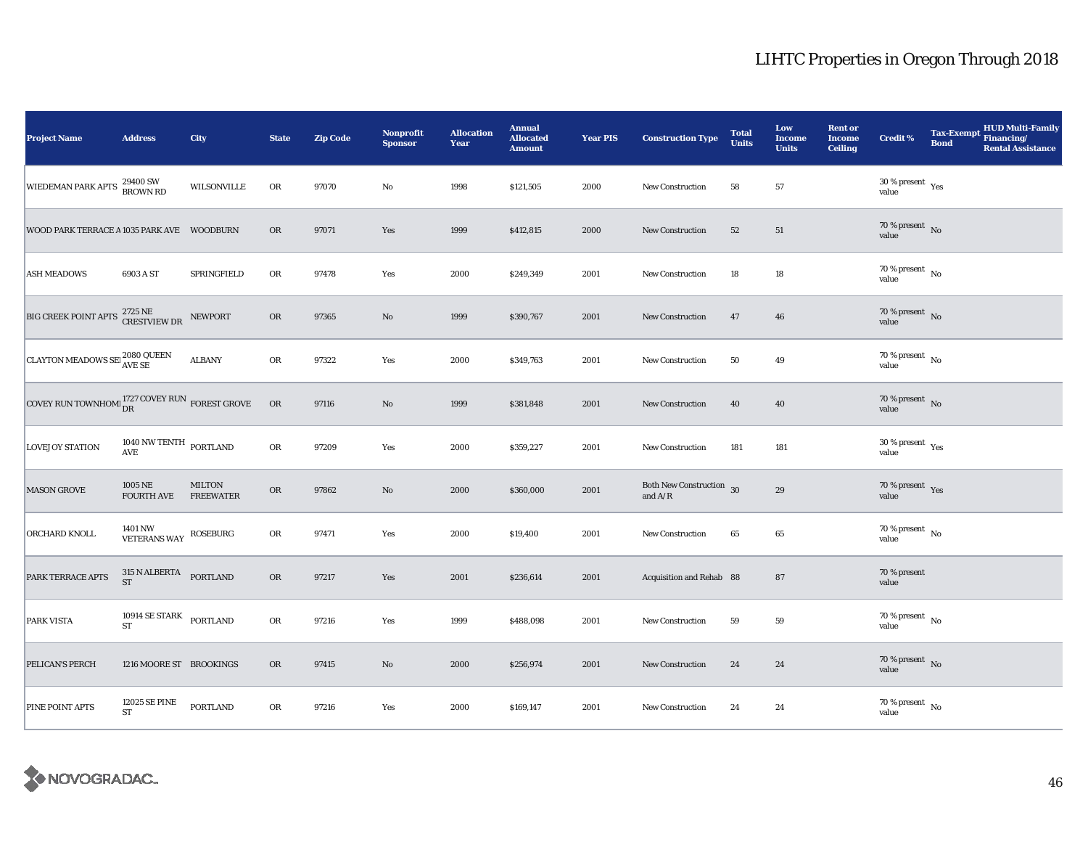| <b>Project Name</b>                                                      | <b>Address</b>                       | <b>City</b>                       | <b>State</b> | <b>Zip Code</b> | <b>Nonprofit</b><br><b>Sponsor</b> | <b>Allocation</b><br>Year | <b>Annual</b><br><b>Allocated</b><br><b>Amount</b> | <b>Year PIS</b> | <b>Construction Type</b>                                                          | <b>Total</b><br><b>Units</b> | Low<br><b>Income</b><br><b>Units</b> | <b>Rent or</b><br><b>Income</b><br><b>Ceiling</b> | Credit %                           | <b>Tax-Exempt</b><br><b>Bond</b> | <b>HUD Multi-Family</b><br>Financing/<br><b>Rental Assistance</b> |
|--------------------------------------------------------------------------|--------------------------------------|-----------------------------------|--------------|-----------------|------------------------------------|---------------------------|----------------------------------------------------|-----------------|-----------------------------------------------------------------------------------|------------------------------|--------------------------------------|---------------------------------------------------|------------------------------------|----------------------------------|-------------------------------------------------------------------|
| WIEDEMAN PARK APTS 29400 SW                                              |                                      | <b>WILSONVILLE</b>                | OR           | 97070           | $\rm No$                           | 1998                      | \$121,505                                          | 2000            | New Construction                                                                  | 58                           | 57                                   |                                                   | $30\,\%$ present $\,$ Yes value    |                                  |                                                                   |
| WOOD PARK TERRACE A 1035 PARK AVE WOODBURN                               |                                      |                                   | <b>OR</b>    | 97071           | Yes                                | 1999                      | \$412,815                                          | 2000            | New Construction                                                                  | 52                           | 51                                   |                                                   | $70\,\%$ present $\,$ No value     |                                  |                                                                   |
| <b>ASH MEADOWS</b>                                                       | 6903 A ST                            | SPRINGFIELD                       | OR           | 97478           | Yes                                | 2000                      | \$249,349                                          | 2001            | New Construction                                                                  | 18                           | 18                                   |                                                   | 70 % present $\hbox{~No}$<br>value |                                  |                                                                   |
| BIG CREEK POINT APTS $^{2725}_{\text{CRESTVIEW DR}}$                     |                                      | NEWPORT                           | <b>OR</b>    | 97365           | No                                 | 1999                      | \$390,767                                          | 2001            | <b>New Construction</b>                                                           | 47                           | 46                                   |                                                   | $70\,\%$ present $\,$ No value     |                                  |                                                                   |
| <b>CLAYTON MEADOWS SET AVE SE</b>                                        |                                      | <b>ALBANY</b>                     | OR           | 97322           | Yes                                | 2000                      | \$349,763                                          | 2001            | <b>New Construction</b>                                                           | 50                           | 49                                   |                                                   | $70\,\%$ present $\,$ No value     |                                  |                                                                   |
| COVEY RUN TOWNHOM $_{\text{DR}}^{1727 \, \text{COVER}}$ RUN FOREST GROVE |                                      |                                   | <b>OR</b>    | 97116           | $\mathbf{No}$                      | 1999                      | \$381,848                                          | 2001            | New Construction                                                                  | 40                           | 40                                   |                                                   | $70\,\%$ present $\,$ No value     |                                  |                                                                   |
| <b>LOVEJOY STATION</b>                                                   | $1040$ NW TENTH $\,$ PORTLAND AVE    |                                   | OR           | 97209           | Yes                                | 2000                      | \$359,227                                          | 2001            | New Construction                                                                  | 181                          | 181                                  |                                                   | $30\,\%$ present $\,$ Yes value    |                                  |                                                                   |
| <b>MASON GROVE</b>                                                       | 1005 NE<br><b>FOURTH AVE</b>         | <b>MILTON</b><br><b>FREEWATER</b> | ${\bf OR}$   | 97862           | $\rm No$                           | 2000                      | \$360,000                                          | 2001            | Both New Construction 30<br>and $\ensuremath{\mathrm{A}}/\ensuremath{\mathrm{R}}$ |                              | 29                                   |                                                   | $70\,\%$ present $\,$ Yes value    |                                  |                                                                   |
| ORCHARD KNOLL                                                            | 1401 NW<br>VETERANS WAY              | <b>ROSEBURG</b>                   | OR           | 97471           | Yes                                | 2000                      | \$19,400                                           | 2001            | <b>New Construction</b>                                                           | 65                           | 65                                   |                                                   | 70 % present $\hbox{~No}$<br>value |                                  |                                                                   |
| PARK TERRACE APTS                                                        | $315$ N ALBERTA<br>PORTLAND ST       |                                   | OR           | 97217           | Yes                                | 2001                      | \$236,614                                          | 2001            | Acquisition and Rehab 88                                                          |                              | 87                                   |                                                   | 70 % present<br>value              |                                  |                                                                   |
| PARK VISTA                                                               | 10914 SE STARK PORTLAND<br><b>ST</b> |                                   | ${\rm OR}$   | 97216           | Yes                                | 1999                      | \$488,098                                          | 2001            | New Construction                                                                  | 59                           | 59                                   |                                                   | $70\,\%$ present $\,$ No value     |                                  |                                                                   |
| PELICAN'S PERCH                                                          | 1216 MOORE ST BROOKINGS              |                                   | ${\rm OR}$   | 97415           | $\mathbf{No}$                      | 2000                      | \$256,974                                          | 2001            | New Construction                                                                  | 24                           | 24                                   |                                                   | $70\,\%$ present $\,$ No value     |                                  |                                                                   |
| PINE POINT APTS                                                          | <b>12025 SE PINE</b><br>${\rm ST}$   | <b>PORTLAND</b>                   | OR           | 97216           | Yes                                | 2000                      | \$169,147                                          | 2001            | New Construction                                                                  | 24                           | 24                                   |                                                   | $70\,\%$ present $\,$ No value     |                                  |                                                                   |

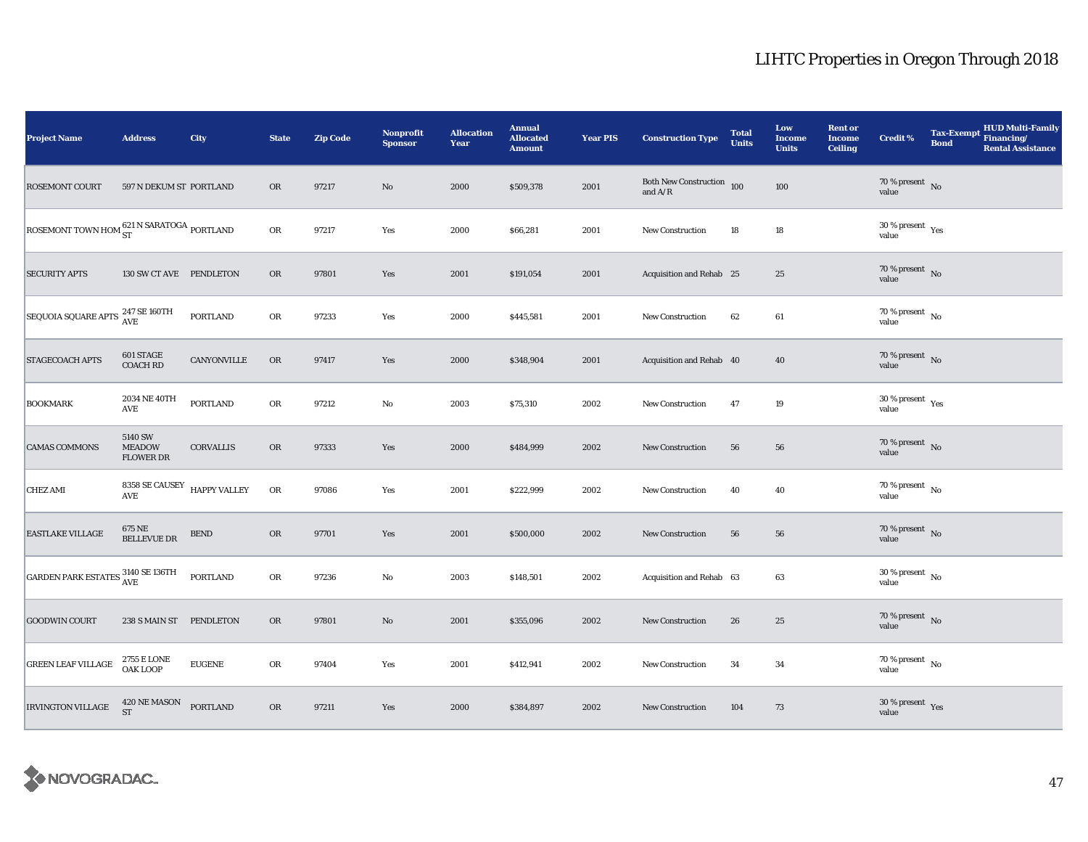| <b>Project Name</b>                                                    | <b>Address</b>                               | City             | <b>State</b> | <b>Zip Code</b> | Nonprofit<br><b>Sponsor</b> | <b>Allocation</b><br>Year | <b>Annual</b><br><b>Allocated</b><br><b>Amount</b> | <b>Year PIS</b> | <b>Construction Type</b>                    | <b>Total</b><br><b>Units</b> | Low<br><b>Income</b><br><b>Units</b> | <b>Rent or</b><br><b>Income</b><br><b>Ceiling</b> | Credit %                             | <b>Tax-Exempt</b><br><b>Bond</b> | HUD Multi-Family<br>Financing/<br><b>Rental Assistance</b> |
|------------------------------------------------------------------------|----------------------------------------------|------------------|--------------|-----------------|-----------------------------|---------------------------|----------------------------------------------------|-----------------|---------------------------------------------|------------------------------|--------------------------------------|---------------------------------------------------|--------------------------------------|----------------------------------|------------------------------------------------------------|
| <b>ROSEMONT COURT</b>                                                  | 597 N DEKUM ST PORTLAND                      |                  | <b>OR</b>    | 97217           | No                          | 2000                      | \$509,378                                          | 2001            | Both New Construction $\,$ 100 $\,$ and A/R |                              | 100                                  |                                                   | $70\,\%$ present $\;$ No value       |                                  |                                                            |
| ROSEMONT TOWN HOM $_{\rm ST}^{621\, \rm N\,SARATOGA}$ PORTLAND         |                                              |                  | ${\sf OR}$   | 97217           | Yes                         | 2000                      | \$66,281                                           | 2001            | <b>New Construction</b>                     | 18                           | $18\,$                               |                                                   | $30\,\%$ present $\,$ Yes value      |                                  |                                                            |
| <b>SECURITY APTS</b>                                                   | 130 SW CT AVE PENDLETON                      |                  | OR           | 97801           | Yes                         | 2001                      | \$191,054                                          | 2001            | Acquisition and Rehab 25                    |                              | $25\,$                               |                                                   | $70\,\%$ present $\,$ No value       |                                  |                                                            |
| SEQUOIA SQUARE APTS <sup>247</sup> SE 160TH                            |                                              | <b>PORTLAND</b>  | OR           | 97233           | Yes                         | 2000                      | \$445,581                                          | 2001            | New Construction                            | 62                           | 61                                   |                                                   | $70\,\%$ present $\,$ No value       |                                  |                                                            |
| <b>STAGECOACH APTS</b>                                                 | 601 STAGE<br><b>COACH RD</b>                 | CANYONVILLE      | OR           | 97417           | Yes                         | 2000                      | \$348,904                                          | 2001            | Acquisition and Rehab 40                    |                              | $40\,$                               |                                                   | $70\,\%$ present $\,$ No value       |                                  |                                                            |
| <b>BOOKMARK</b>                                                        | 2034 NE 40TH<br>$\operatorname{AVE}$         | <b>PORTLAND</b>  | ${\rm OR}$   | 97212           | No                          | 2003                      | \$75,310                                           | 2002            | New Construction                            | 47                           | 19                                   |                                                   | $30\,\%$ present $\,$ Yes value      |                                  |                                                            |
| <b>CAMAS COMMONS</b>                                                   | 5140 SW<br><b>MEADOW</b><br><b>FLOWER DR</b> | <b>CORVALLIS</b> | OR           | 97333           | Yes                         | 2000                      | \$484,999                                          | 2002            | <b>New Construction</b>                     | 56                           | 56                                   |                                                   | $70\,\%$ present $\,$ No value       |                                  |                                                            |
| <b>CHEZ AMI</b>                                                        | 8358 SE CAUSEY HAPPY VALLEY<br><b>AVE</b>    |                  | OR           | 97086           | Yes                         | 2001                      | \$222,999                                          | 2002            | New Construction                            | 40                           | 40                                   |                                                   | $70$ % present $\,$ No $\,$<br>value |                                  |                                                            |
| <b>EASTLAKE VILLAGE</b>                                                | $675\,\mathrm{NE}$ BELLEVUE DR               | <b>BEND</b>      | OR           | 97701           | Yes                         | 2001                      | \$500,000                                          | 2002            | New Construction                            | 56                           | 56                                   |                                                   | $70\,\%$ present $\,$ No value       |                                  |                                                            |
| GARDEN PARK ESTATES $\frac{3140 \text{ SE }136 \text{TH}}{\text{AVE}}$ |                                              | <b>PORTLAND</b>  | OR           | 97236           | $\rm No$                    | 2003                      | \$148,501                                          | 2002            | Acquisition and Rehab 63                    |                              | 63                                   |                                                   | $30\,\%$ present $\,$ No value       |                                  |                                                            |
| <b>GOODWIN COURT</b>                                                   | 238 S MAIN ST PENDLETON                      |                  | <b>OR</b>    | 97801           | $\rm No$                    | 2001                      | \$355,096                                          | 2002            | New Construction                            | 26                           | 25                                   |                                                   | $70\,\%$ present $\;$ No value       |                                  |                                                            |
| <b>GREEN LEAF VILLAGE</b>                                              | <b>2755 E LONE</b><br>OAK LOOP               | <b>EUGENE</b>    | OR           | 97404           | Yes                         | 2001                      | \$412,941                                          | 2002            | <b>New Construction</b>                     | 34                           | 34                                   |                                                   | $70\,\%$ present $\,$ No value       |                                  |                                                            |
| <b>IRVINGTON VILLAGE</b>                                               | 420 NE MASON PORTLAND<br><b>ST</b>           |                  | OR           | 97211           | Yes                         | 2000                      | \$384,897                                          | 2002            | <b>New Construction</b>                     | 104                          | 73                                   |                                                   | $30\,\%$ present $\,$ Yes value      |                                  |                                                            |

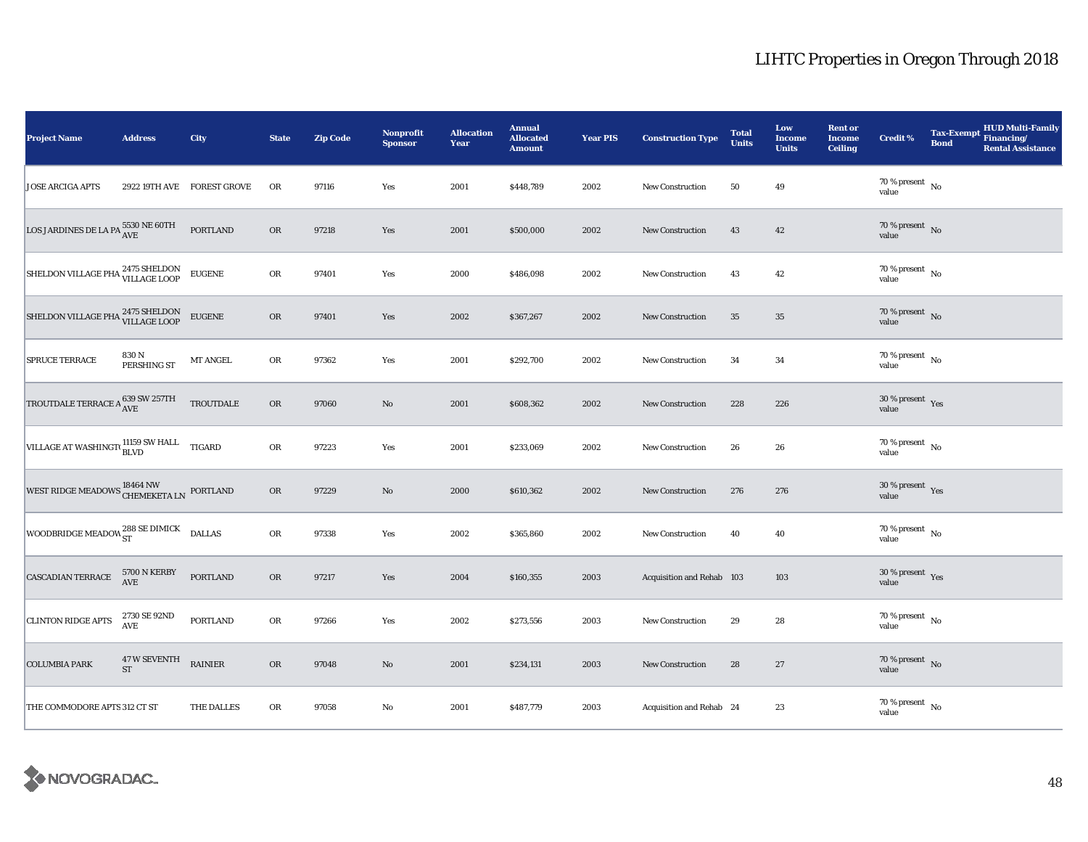| <b>Project Name</b>                                                  | <b>Address</b>              | City                       | <b>State</b> | <b>Zip Code</b> | Nonprofit<br><b>Sponsor</b> | <b>Allocation</b><br>Year | <b>Annual</b><br><b>Allocated</b><br><b>Amount</b> | <b>Year PIS</b> | <b>Construction Type</b>  | <b>Total</b><br><b>Units</b> | Low<br><b>Income</b><br><b>Units</b> | <b>Rent or</b><br><b>Income</b><br><b>Ceiling</b> | <b>Credit %</b>                                       | <b>Tax-Exempt</b><br><b>Bond</b> | <b>HUD Multi-Family</b><br>Financing/<br><b>Rental Assistance</b> |
|----------------------------------------------------------------------|-----------------------------|----------------------------|--------------|-----------------|-----------------------------|---------------------------|----------------------------------------------------|-----------------|---------------------------|------------------------------|--------------------------------------|---------------------------------------------------|-------------------------------------------------------|----------------------------------|-------------------------------------------------------------------|
| <b>JOSE ARCIGA APTS</b>                                              |                             | 2922 19TH AVE FOREST GROVE | OR           | 97116           | Yes                         | 2001                      | \$448,789                                          | 2002            | <b>New Construction</b>   | 50                           | 49                                   |                                                   | $70$ % present $\,$ No $\,$<br>value                  |                                  |                                                                   |
| LOS JARDINES DE LA PA $^{5530}_{\rm AVE}$ NE 60TH                    |                             | <b>PORTLAND</b>            | <b>OR</b>    | 97218           | Yes                         | 2001                      | \$500,000                                          | 2002            | New Construction          | 43                           | 42                                   |                                                   | $70\,\%$ present $\,$ No value                        |                                  |                                                                   |
| SHELDON VILLAGE PHA 2475 SHELDON EUGENE                              |                             |                            | ${\rm OR}$   | 97401           | Yes                         | 2000                      | \$486,098                                          | 2002            | <b>New Construction</b>   | 43                           | 42                                   |                                                   | $70$ % present $\,$ No $\,$<br>value                  |                                  |                                                                   |
| SHELDON VILLAGE PHA 2475 SHELDON<br>VILLAGE LOOP                     |                             | <b>EUGENE</b>              | OR           | 97401           | Yes                         | 2002                      | \$367,267                                          | 2002            | New Construction          | 35                           | $35\,$                               |                                                   | $70\,\%$ present $${\rm No}$$ value                   |                                  |                                                                   |
| SPRUCE TERRACE                                                       | 830 N<br>PERSHING ST        | MT ANGEL                   | OR           | 97362           | Yes                         | 2001                      | \$292,700                                          | 2002            | <b>New Construction</b>   | 34                           | 34                                   |                                                   | $70\,\%$ present $\,$ No value                        |                                  |                                                                   |
| TROUTDALE TERRACE A $^{639}_{\rm{AVE}}$ SW 257TH                     |                             | TROUTDALE                  | OR           | 97060           | No                          | 2001                      | \$608,362                                          | 2002            | New Construction          | 228                          | 226                                  |                                                   | $30\,\%$ present $\,$ $\rm Yes$<br>value              |                                  |                                                                   |
| VILLAGE AT WASHINGT( $_{\text{BLVD}}^{11159 \text{ SW HALL}}$ TIGARD |                             |                            | OR           | 97223           | Yes                         | 2001                      | \$233,069                                          | 2002            | New Construction          | 26                           | 26                                   |                                                   | 70 % present $\hbox{~No}$<br>value                    |                                  |                                                                   |
| WEST RIDGE MEADOWS CHEMEKETA LN PORTLAND                             |                             |                            | OR           | 97229           | $\rm No$                    | 2000                      | \$610,362                                          | 2002            | New Construction          | 276                          | 276                                  |                                                   | $30\,\%$ present $\,$ $\rm Yes$<br>value              |                                  |                                                                   |
| WOODBRIDGE MEADOW ST                                                 |                             | <b>DALLAS</b>              | OR           | 97338           | Yes                         | 2002                      | \$365,860                                          | 2002            | New Construction          | 40                           | 40                                   |                                                   | $70\,\%$ present $\overline{\phantom{1}}$ No<br>value |                                  |                                                                   |
| CASCADIAN TERRACE                                                    | 5700 N KERBY<br>AVE         | PORTLAND                   | OR           | 97217           | Yes                         | 2004                      | \$160,355                                          | 2003            | Acquisition and Rehab 103 |                              | 103                                  |                                                   | $30\,\%$ present $\,$ Yes value                       |                                  |                                                                   |
| <b>CLINTON RIDGE APTS</b>                                            | 2730 SE 92ND<br>AVE         | PORTLAND                   | OR           | 97266           | Yes                         | 2002                      | \$273,556                                          | 2003            | New Construction          | 29                           | 28                                   |                                                   | $70$ % present $\,$ No $\,$<br>value                  |                                  |                                                                   |
| <b>COLUMBIA PARK</b>                                                 | $47\,\mathrm{W}$ SEVENTH ST | <b>RAINIER</b>             | OR           | 97048           | $\mathbf{N}\mathbf{o}$      | 2001                      | \$234,131                                          | 2003            | New Construction          | 28                           | 27                                   |                                                   | $70\,\%$ present $\,$ No value                        |                                  |                                                                   |
| THE COMMODORE APTS 312 CT ST                                         |                             | THE DALLES                 | ${\rm OR}$   | 97058           | No                          | 2001                      | \$487,779                                          | 2003            | Acquisition and Rehab 24  |                              | 23                                   |                                                   | 70 % present $\hbox{~No}$<br>value                    |                                  |                                                                   |

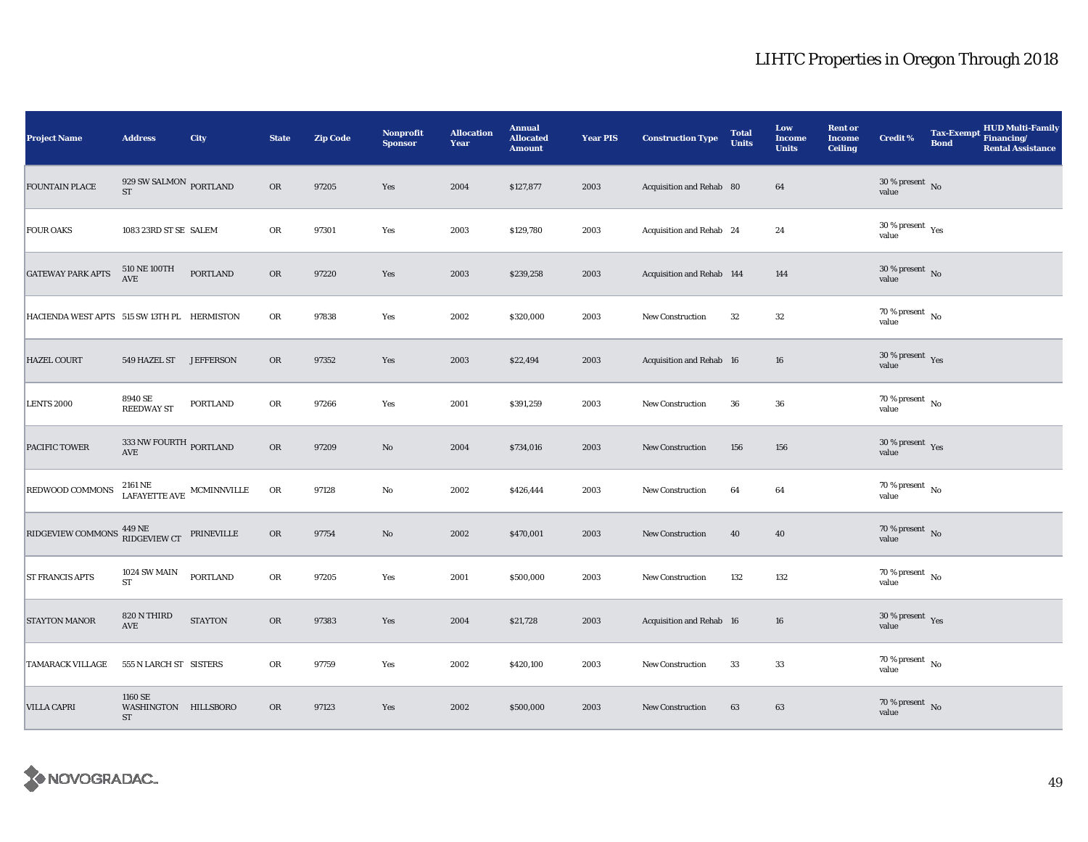| <b>Project Name</b>                         | <b>Address</b>                                                 | City             | <b>State</b> | <b>Zip Code</b> | Nonprofit<br><b>Sponsor</b> | <b>Allocation</b><br>Year | <b>Annual</b><br><b>Allocated</b><br><b>Amount</b> | <b>Year PIS</b> | <b>Construction Type</b>  | <b>Total</b><br><b>Units</b> | Low<br><b>Income</b><br><b>Units</b> | <b>Rent or</b><br><b>Income</b><br><b>Ceiling</b> | Credit %                               | <b>Tax-Exempt</b><br><b>Bond</b> | <b>HUD Multi-Family</b><br>Financing/<br><b>Rental Assistance</b> |
|---------------------------------------------|----------------------------------------------------------------|------------------|--------------|-----------------|-----------------------------|---------------------------|----------------------------------------------------|-----------------|---------------------------|------------------------------|--------------------------------------|---------------------------------------------------|----------------------------------------|----------------------------------|-------------------------------------------------------------------|
| <b>FOUNTAIN PLACE</b>                       | 929 SW SALMON $_{\rm{PORTLAND}}$<br><b>ST</b>                  |                  | <b>OR</b>    | 97205           | Yes                         | 2004                      | \$127,877                                          | 2003            | Acquisition and Rehab 80  |                              | 64                                   |                                                   | $30\,\%$ present $\,$ No value         |                                  |                                                                   |
| <b>FOUR OAKS</b>                            | 1083 23RD ST SE SALEM                                          |                  | OR           | 97301           | Yes                         | 2003                      | \$129,780                                          | 2003            | Acquisition and Rehab 24  |                              | 24                                   |                                                   | $30$ % present $\,$ $\rm Yes$<br>value |                                  |                                                                   |
| <b>GATEWAY PARK APTS</b>                    | 510 NE 100TH<br>$\operatorname{AVE}$                           | <b>PORTLAND</b>  | OR           | 97220           | Yes                         | 2003                      | \$239,258                                          | 2003            | Acquisition and Rehab 144 |                              | 144                                  |                                                   | $30\,\%$ present $\,$ No value         |                                  |                                                                   |
| HACIENDA WEST APTS 515 SW 13TH PL HERMISTON |                                                                |                  | OR           | 97838           | Yes                         | 2002                      | \$320,000                                          | 2003            | New Construction          | 32                           | $32\,$                               |                                                   | 70 % present $\hbox{~No}$<br>value     |                                  |                                                                   |
| <b>HAZEL COURT</b>                          | 549 HAZEL ST                                                   | <b>JEFFERSON</b> | OR           | 97352           | Yes                         | 2003                      | \$22,494                                           | 2003            | Acquisition and Rehab 16  |                              | 16                                   |                                                   | $30\,\%$ present $\,$ Yes value        |                                  |                                                                   |
| <b>LENTS 2000</b>                           | 8940 SE<br><b>REEDWAY ST</b>                                   | PORTLAND         | ${\rm OR}$   | 97266           | Yes                         | 2001                      | \$391,259                                          | 2003            | <b>New Construction</b>   | 36                           | 36                                   |                                                   | $70\,\%$ present $\,$ No value         |                                  |                                                                   |
| PACIFIC TOWER                               | $333\,\mathrm{NW}$ FOURTH $_{\rm{PORTLAND}}$                   |                  | OR           | 97209           | $\rm No$                    | 2004                      | \$734,016                                          | 2003            | <b>New Construction</b>   | 156                          | 156                                  |                                                   | $30\,\%$ present $\,$ Yes value        |                                  |                                                                   |
| REDWOOD COMMONS                             | $2161\,\mathrm{NE}$ MCMINNVILLE LAFAYETTE AVE $\,$ MCMINNVILLE |                  | OR           | 97128           | No                          | 2002                      | \$426,444                                          | 2003            | New Construction          | 64                           | 64                                   |                                                   | $70$ % present $\,$ No $\,$<br>value   |                                  |                                                                   |
| RIDGEVIEW COMMONS 449 NE<br>RIDGEVIEW CT    |                                                                | PRINEVILLE       | OR           | 97754           | $\rm No$                    | 2002                      | \$470,001                                          | 2003            | New Construction          | 40                           | 40                                   |                                                   | $70\,\%$ present $\,$ No value         |                                  |                                                                   |
| <b>ST FRANCIS APTS</b>                      | 1024 SW MAIN<br><b>ST</b>                                      | <b>PORTLAND</b>  | OR           | 97205           | Yes                         | 2001                      | \$500,000                                          | 2003            | <b>New Construction</b>   | 132                          | 132                                  |                                                   | $70\,\%$ present $\,$ No value         |                                  |                                                                   |
| <b>STAYTON MANOR</b>                        | 820 N THIRD<br>AVE                                             | <b>STAYTON</b>   | OR           | 97383           | Yes                         | 2004                      | \$21,728                                           | 2003            | Acquisition and Rehab 16  |                              | 16                                   |                                                   | $30\,\%$ present $\,$ Yes value        |                                  |                                                                   |
| <b>TAMARACK VILLAGE</b>                     | 555 N LARCH ST SISTERS                                         |                  | OR           | 97759           | Yes                         | 2002                      | \$420,100                                          | 2003            | <b>New Construction</b>   | 33                           | 33                                   |                                                   | $70\,\%$ present $\,$ No value         |                                  |                                                                   |
| <b>VILLA CAPRI</b>                          | 1160 SE<br>WASHINGTON HILLSBORO<br>ST                          |                  | <b>OR</b>    | 97123           | Yes                         | 2002                      | \$500,000                                          | 2003            | <b>New Construction</b>   | 63                           | 63                                   |                                                   | $70\,\%$ present $\,$ No value         |                                  |                                                                   |

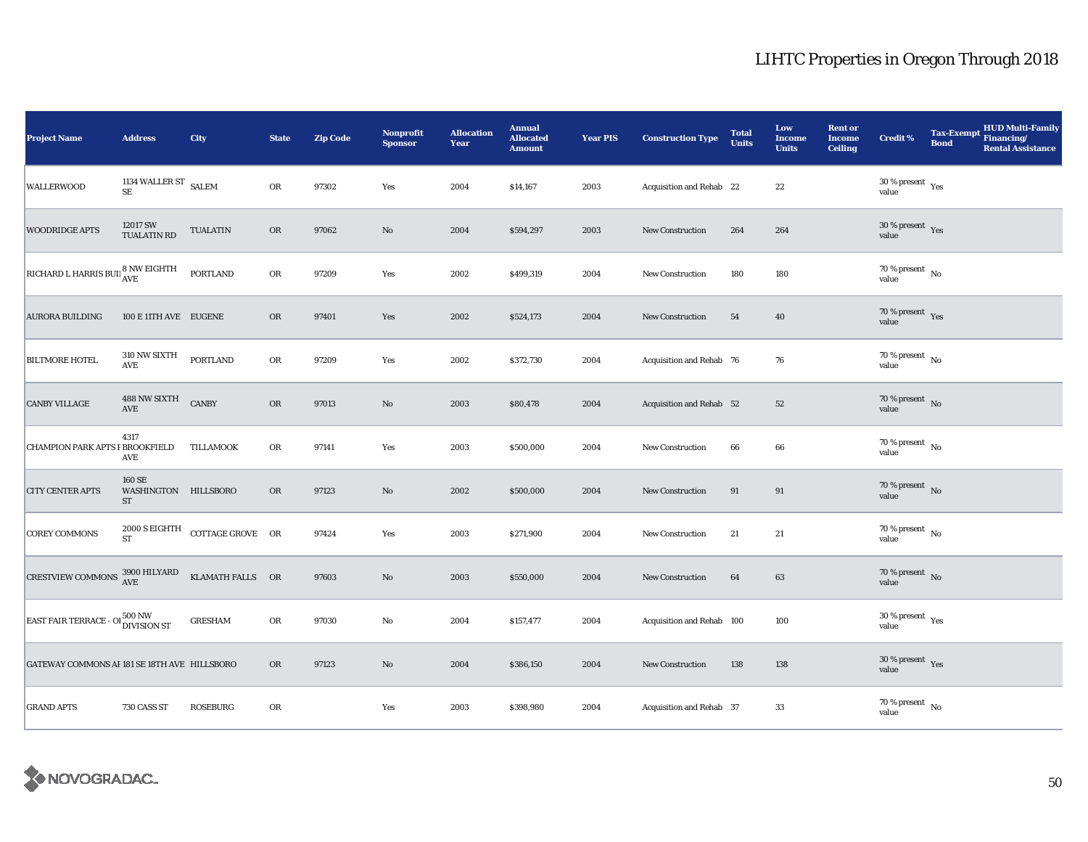| <b>Project Name</b>                                                       | <b>Address</b>                       | City                                             | <b>State</b> | <b>Zip Code</b> | Nonprofit<br><b>Sponsor</b> | <b>Allocation</b><br>Year | <b>Annual</b><br><b>Allocated</b><br><b>Amount</b> | <b>Year PIS</b> | <b>Construction Type</b>  | <b>Total</b><br><b>Units</b> | Low<br><b>Income</b><br><b>Units</b> | <b>Rent or</b><br><b>Income</b><br><b>Ceiling</b> | <b>Credit %</b>                      | <b>Tax-Exempt</b><br><b>Bond</b> | <b>HUD Multi-Family</b><br>Financing/<br><b>Rental Assistance</b> |
|---------------------------------------------------------------------------|--------------------------------------|--------------------------------------------------|--------------|-----------------|-----------------------------|---------------------------|----------------------------------------------------|-----------------|---------------------------|------------------------------|--------------------------------------|---------------------------------------------------|--------------------------------------|----------------------------------|-------------------------------------------------------------------|
| <b>WALLERWOOD</b>                                                         | 1134 WALLER ST $$\rm SALEM$$         |                                                  | OR           | 97302           | Yes                         | 2004                      | \$14,167                                           | 2003            | Acquisition and Rehab 22  |                              | $\bf{22}$                            |                                                   | $30\,\%$ present $\,$ Yes value      |                                  |                                                                   |
| <b>WOODRIDGE APTS</b>                                                     | 12017 SW<br>TUALATIN RD              | <b>TUALATIN</b>                                  | OR           | 97062           | $\rm No$                    | 2004                      | \$594,297                                          | 2003            | <b>New Construction</b>   | 264                          | 264                                  |                                                   | $30\,\%$ present $\,$ Yes value      |                                  |                                                                   |
| RICHARD L HARRIS BUIL <sup>8</sup> NW EIGHTH                              |                                      | <b>PORTLAND</b>                                  | OR           | 97209           | Yes                         | 2002                      | \$499,319                                          | 2004            | New Construction          | 180                          | 180                                  |                                                   | 70 % present $\hbox{~No}$<br>value   |                                  |                                                                   |
| <b>AURORA BUILDING</b>                                                    | 100 E 11TH AVE EUGENE                |                                                  | <b>OR</b>    | 97401           | Yes                         | 2002                      | \$524,173                                          | 2004            | New Construction          | 54                           | 40                                   |                                                   | $70\,\%$ present $\,$ Yes value      |                                  |                                                                   |
| <b>BILTMORE HOTEL</b>                                                     | 310 NW SIXTH<br>AVE                  | <b>PORTLAND</b>                                  | OR           | 97209           | Yes                         | 2002                      | \$372,730                                          | 2004            | Acquisition and Rehab 76  |                              | 76                                   |                                                   | 70 % present $\hbox{~No}$<br>value   |                                  |                                                                   |
| <b>CANBY VILLAGE</b>                                                      | 488 NW SIXTH<br>AVE                  | <b>CANBY</b>                                     | ${\rm OR}$   | 97013           | No                          | 2003                      | \$80,478                                           | 2004            | Acquisition and Rehab 52  |                              | 52                                   |                                                   | $70\,\%$ present $${\rm No}$$ value  |                                  |                                                                   |
| <b>CHAMPION PARK APTS F BROOKFIELD</b>                                    | 4317<br>AVE                          | TILLAMOOK                                        | OR           | 97141           | Yes                         | 2003                      | \$500,000                                          | 2004            | <b>New Construction</b>   | 66                           | 66                                   |                                                   | $70\,\%$ present $\,$ No value       |                                  |                                                                   |
| <b>CITY CENTER APTS</b>                                                   | 160 SE<br>WASHINGTON HILLSBORO<br>ST |                                                  | OR           | 97123           | No                          | 2002                      | \$500,000                                          | 2004            | New Construction          | 91                           | 91                                   |                                                   | 70 % present No<br>value             |                                  |                                                                   |
| <b>COREY COMMONS</b>                                                      | ${\rm ST}$                           | $2000$ S EIGHTH $\quad$ COTTAGE GROVE $\quad$ OR |              | 97424           | Yes                         | 2003                      | \$271,900                                          | 2004            | New Construction          | 21                           | 21                                   |                                                   | $70$ % present $\,$ No $\,$<br>value |                                  |                                                                   |
| CRESTVIEW COMMONS $^{3900}_{AVE}$ HILYARD                                 |                                      | KLAMATH FALLS OR                                 |              | 97603           | $\rm No$                    | 2003                      | \$550,000                                          | 2004            | <b>New Construction</b>   | 64                           | 63                                   |                                                   | $70\,\%$ present $\,$ No value       |                                  |                                                                   |
| <b>EAST FAIR TERRACE - OI</b> $\frac{500 \text{ NW}}{\text{DIVISION ST}}$ |                                      | <b>GRESHAM</b>                                   | OR           | 97030           | No                          | 2004                      | \$157,477                                          | 2004            | Acquisition and Rehab 100 |                              | 100                                  |                                                   | $30\,\%$ present $\,$ Yes value      |                                  |                                                                   |
| GATEWAY COMMONS AF 181 SE 18TH AVE HILLSBORO                              |                                      |                                                  | <b>OR</b>    | 97123           | $\rm No$                    | 2004                      | \$386,150                                          | 2004            | <b>New Construction</b>   | 138                          | 138                                  |                                                   | $30\,\%$ present $\,$ Yes value      |                                  |                                                                   |
| <b>GRAND APTS</b>                                                         | 730 CASS ST                          | <b>ROSEBURG</b>                                  | OR           |                 | Yes                         | 2003                      | \$398,980                                          | 2004            | Acquisition and Rehab 37  |                              | 33                                   |                                                   | $70$ % present $\,$ No $\,$<br>value |                                  |                                                                   |

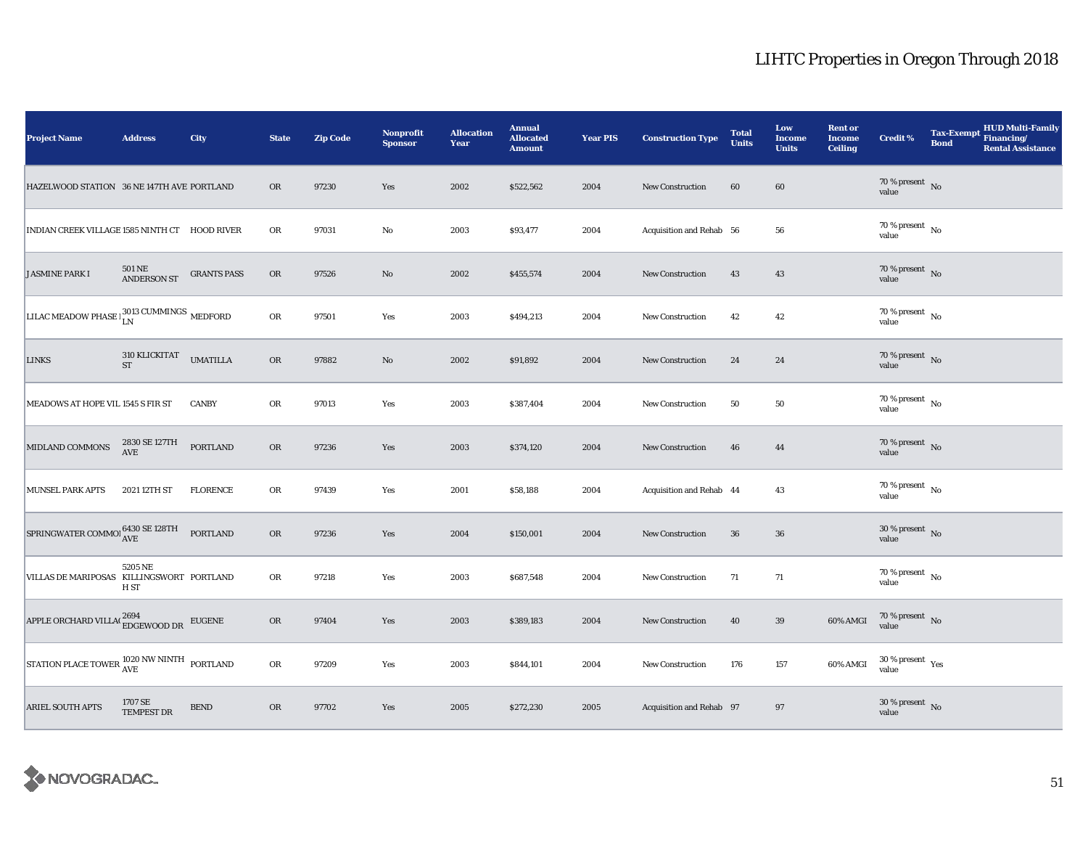| <b>Project Name</b>                                                                                      | <b>Address</b>                 | City               | <b>State</b> | <b>Zip Code</b> | <b>Nonprofit</b><br><b>Sponsor</b> | <b>Allocation</b><br>Year | <b>Annual</b><br><b>Allocated</b><br><b>Amount</b> | <b>Year PIS</b> | <b>Construction Type</b> | <b>Total</b><br><b>Units</b> | Low<br><b>Income</b><br><b>Units</b> | <b>Rent or</b><br><b>Income</b><br><b>Ceiling</b> | Credit %                             | <b>Tax-Exempt</b><br><b>Bond</b> | <b>HUD Multi-Family</b><br>Financing/<br><b>Rental Assistance</b> |
|----------------------------------------------------------------------------------------------------------|--------------------------------|--------------------|--------------|-----------------|------------------------------------|---------------------------|----------------------------------------------------|-----------------|--------------------------|------------------------------|--------------------------------------|---------------------------------------------------|--------------------------------------|----------------------------------|-------------------------------------------------------------------|
| HAZELWOOD STATION 36 NE 147TH AVE PORTLAND                                                               |                                |                    | <b>OR</b>    | 97230           | Yes                                | 2002                      | \$522,562                                          | 2004            | <b>New Construction</b>  | 60                           | $\bf{60}$                            |                                                   | $70\,\%$ present $\,$ No value       |                                  |                                                                   |
| INDIAN CREEK VILLAGE 1585 NINTH CT HOOD RIVER                                                            |                                |                    | OR           | 97031           | $\rm No$                           | 2003                      | \$93,477                                           | 2004            | Acquisition and Rehab 56 |                              | 56                                   |                                                   | $70$ % present $\,$ No $\,$<br>value |                                  |                                                                   |
| <b>JASMINE PARK I</b>                                                                                    | $501\,\mathrm{NE}$ ANDERSON ST | <b>GRANTS PASS</b> | ${\sf OR}$   | 97526           | $\rm No$                           | 2002                      | \$455,574                                          | 2004            | New Construction         | 43                           | 43                                   |                                                   | $70\,\%$ present $\,$ No value       |                                  |                                                                   |
| LILAC MEADOW PHASE $\frac{3013}{LN}$ CUMMINGS MEDFORD                                                    |                                |                    | OR           | 97501           | Yes                                | 2003                      | \$494,213                                          | 2004            | <b>New Construction</b>  | 42                           | $42\,$                               |                                                   | $70\,\%$ present $\,$ No value       |                                  |                                                                   |
| LINKS                                                                                                    | 310 KLICKITAT<br>ST            | <b>UMATILLA</b>    | ${\rm OR}$   | 97882           | $\mathbf{No}$                      | 2002                      | \$91,892                                           | 2004            | <b>New Construction</b>  | 24                           | 24                                   |                                                   | $70\,\%$ present $\,$ No value       |                                  |                                                                   |
| MEADOWS AT HOPE VIL 1545 S FIR ST                                                                        |                                | <b>CANBY</b>       | OR           | 97013           | Yes                                | 2003                      | \$387,404                                          | 2004            | New Construction         | 50                           | 50                                   |                                                   | $70$ % present $\,$ No $\,$<br>value |                                  |                                                                   |
| MIDLAND COMMONS                                                                                          | 2830 SE 127TH<br>AVE           | <b>PORTLAND</b>    | <b>OR</b>    | 97236           | Yes                                | 2003                      | \$374,120                                          | 2004            | New Construction         | 46                           | 44                                   |                                                   | $70\,\%$ present $\,$ No value       |                                  |                                                                   |
| <b>MUNSEL PARK APTS</b>                                                                                  | 2021 12TH ST                   | <b>FLORENCE</b>    | OR           | 97439           | Yes                                | 2001                      | \$58,188                                           | 2004            | Acquisition and Rehab 44 |                              | 43                                   |                                                   | $70\,\%$ present $\,$ No value       |                                  |                                                                   |
| $\boxed{\text{SPRINGWATER}\text{COMMOI}\xspace_{\text{AVE}}^{6430\text{ SE 128TH}}$                      |                                | <b>PORTLAND</b>    | OR           | 97236           | Yes                                | 2004                      | \$150,001                                          | 2004            | New Construction         | 36                           | 36                                   |                                                   | $30\,\%$ present $\,$ No value       |                                  |                                                                   |
| VILLAS DE MARIPOSAS KILLINGSWORT PORTLAND                                                                | 5205 NE<br>H ST                |                    | OR           | 97218           | Yes                                | 2003                      | \$687,548                                          | 2004            | <b>New Construction</b>  | 71                           | 71                                   |                                                   | $70\,\%$ present $\,$ No value       |                                  |                                                                   |
| ${\large\bf APPLE\,ORCHARD\,VILLA(^{\textstyle 2694}\ {\small\bf EDCEWOOD\,DR} \quad {\small\bf EUGENE}$ |                                |                    | OR           | 97404           | Yes                                | 2003                      | \$389,183                                          | 2004            | <b>New Construction</b>  | 40                           | 39                                   | 60% AMGI                                          | $70\,\%$ present $\,$ No value       |                                  |                                                                   |
| STATION PLACE TOWER $^{1020}_{\rm AVE}$ NW NINTH PORTLAND                                                |                                |                    | OR           | 97209           | Yes                                | 2003                      | \$844,101                                          | 2004            | <b>New Construction</b>  | 176                          | 157                                  | 60% AMGI                                          | $30\,\%$ present $\,$ Yes value      |                                  |                                                                   |
| <b>ARIEL SOUTH APTS</b>                                                                                  | 1707 SE<br>TEMPEST DR          | ${\tt BEND}$       | OR           | 97702           | Yes                                | 2005                      | \$272,230                                          | 2005            | Acquisition and Rehab 97 |                              | 97                                   |                                                   | $30\,\%$ present $\,$ No value       |                                  |                                                                   |

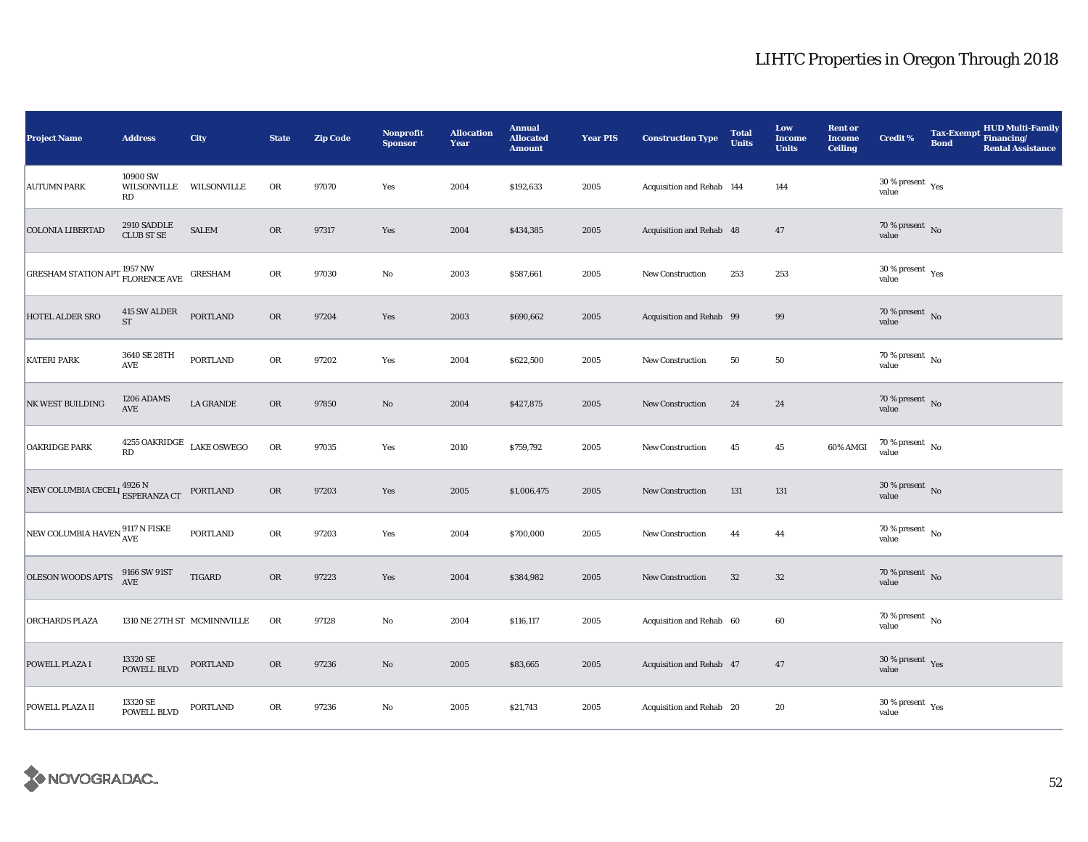| <b>Project Name</b>                                                   | <b>Address</b>                                             | City                        | <b>State</b> | <b>Zip Code</b> | <b>Nonprofit</b><br><b>Sponsor</b> | <b>Allocation</b><br>Year | <b>Annual</b><br><b>Allocated</b><br><b>Amount</b> | <b>Year PIS</b> | <b>Construction Type</b>  | <b>Total</b><br><b>Units</b> | Low<br><b>Income</b><br><b>Units</b> | <b>Rent or</b><br><b>Income</b><br><b>Ceiling</b> | <b>Credit %</b>                          | <b>Tax-Exempt</b><br><b>Bond</b> | <b>HUD Multi-Family</b><br>Financing/<br><b>Rental Assistance</b> |
|-----------------------------------------------------------------------|------------------------------------------------------------|-----------------------------|--------------|-----------------|------------------------------------|---------------------------|----------------------------------------------------|-----------------|---------------------------|------------------------------|--------------------------------------|---------------------------------------------------|------------------------------------------|----------------------------------|-------------------------------------------------------------------|
| <b>AUTUMN PARK</b>                                                    | 10900 SW<br>WILSONVILLE WILSONVILLE<br>RD                  |                             | OR           | 97070           | Yes                                | 2004                      | \$192,633                                          | 2005            | Acquisition and Rehab 144 |                              | 144                                  |                                                   | $30\,\%$ present $\,$ Yes value          |                                  |                                                                   |
| <b>COLONIA LIBERTAD</b>                                               | 2910 SADDLE<br><b>CLUB ST SE</b>                           | <b>SALEM</b>                | OR           | 97317           | Yes                                | 2004                      | \$434,385                                          | 2005            | Acquisition and Rehab 48  |                              | $\bf 47$                             |                                                   | $70\,\%$ present $\,$ No value           |                                  |                                                                   |
| GRESHAM STATION APT $^{1957\, {\rm NW}}_{\rm FLORENCE\, AVE}$ GRESHAM |                                                            |                             | ${\rm OR}$   | 97030           | $\rm No$                           | 2003                      | \$587,661                                          | 2005            | New Construction          | 253                          | 253                                  |                                                   | $30\,\%$ present $\,$ $\rm Yes$<br>value |                                  |                                                                   |
| HOTEL ALDER SRO                                                       | 415 SW ALDER<br><b>ST</b>                                  | <b>PORTLAND</b>             | OR           | 97204           | Yes                                | 2003                      | \$690,662                                          | 2005            | Acquisition and Rehab 99  |                              | $\bf{99}$                            |                                                   | $70\,\%$ present $${\rm No}$$ value      |                                  |                                                                   |
| <b>KATERI PARK</b>                                                    | 3640 SE 28TH<br>$\operatorname{AVE}$                       | <b>PORTLAND</b>             | OR           | 97202           | Yes                                | 2004                      | \$622,500                                          | 2005            | <b>New Construction</b>   | 50                           | 50                                   |                                                   | $70\,\%$ present $\,$ No value           |                                  |                                                                   |
| NK WEST BUILDING                                                      | 1206 ADAMS<br>$\operatorname{AVE}$                         | LA GRANDE                   | OR           | 97850           | No                                 | 2004                      | \$427,875                                          | 2005            | New Construction          | 24                           | ${\bf 24}$                           |                                                   | 70 % present $\overline{N}$<br>value     |                                  |                                                                   |
| <b>OAKRIDGE PARK</b>                                                  | $4255$ OAKRIDGE $\,$ LAKE OSWEGO<br>$\mathbf{R}\mathbf{D}$ |                             | OR           | 97035           | Yes                                | 2010                      | \$759,792                                          | 2005            | New Construction          | 45                           | $45\,$                               | 60% AMGI                                          | $70\,\%$ present $\,$ No value           |                                  |                                                                   |
| NEW COLUMBIA CECELI 4926 N<br>ESPERANZA CT                            |                                                            | <b>PORTLAND</b>             | OR           | 97203           | Yes                                | 2005                      | \$1,006,475                                        | 2005            | New Construction          | 131                          | 131                                  |                                                   | $30\,\%$ present $\,$ No value           |                                  |                                                                   |
| NEW COLUMBIA HAVEN $_{\rm AVE}^{9117 \text{ N FISKE}}$                |                                                            | PORTLAND                    | ${\rm OR}$   | 97203           | Yes                                | 2004                      | \$700,000                                          | 2005            | <b>New Construction</b>   | 44                           | 44                                   |                                                   | $70$ % present $\,$ No $\,$<br>value     |                                  |                                                                   |
| <b>OLESON WOODS APTS</b>                                              | $9166$ SW $91\rm{ST}$ AVE                                  | <b>TIGARD</b>               | ${\rm OR}$   | 97223           | Yes                                | 2004                      | \$384,982                                          | 2005            | <b>New Construction</b>   | $32\,$                       | $32\,$                               |                                                   | $70\,\%$ present $\,$ No value           |                                  |                                                                   |
| <b>ORCHARDS PLAZA</b>                                                 |                                                            | 1310 NE 27TH ST MCMINNVILLE | OR           | 97128           | No                                 | 2004                      | \$116,117                                          | 2005            | Acquisition and Rehab 60  |                              | 60                                   |                                                   | $70$ % present $\,$ No $\,$<br>value     |                                  |                                                                   |
| POWELL PLAZA I                                                        | 13320 SE<br><b>POWELL BLVD</b>                             | <b>PORTLAND</b>             | <b>OR</b>    | 97236           | No                                 | 2005                      | \$83,665                                           | 2005            | Acquisition and Rehab 47  |                              | 47                                   |                                                   | $30\,\%$ present $\,$ Yes value          |                                  |                                                                   |
| POWELL PLAZA II                                                       | 13320 SE<br>POWELL BLVD                                    | <b>PORTLAND</b>             | OR           | 97236           | $\rm No$                           | 2005                      | \$21,743                                           | 2005            | Acquisition and Rehab 20  |                              | 20                                   |                                                   | $30\,\%$ present $\,$ Yes value          |                                  |                                                                   |

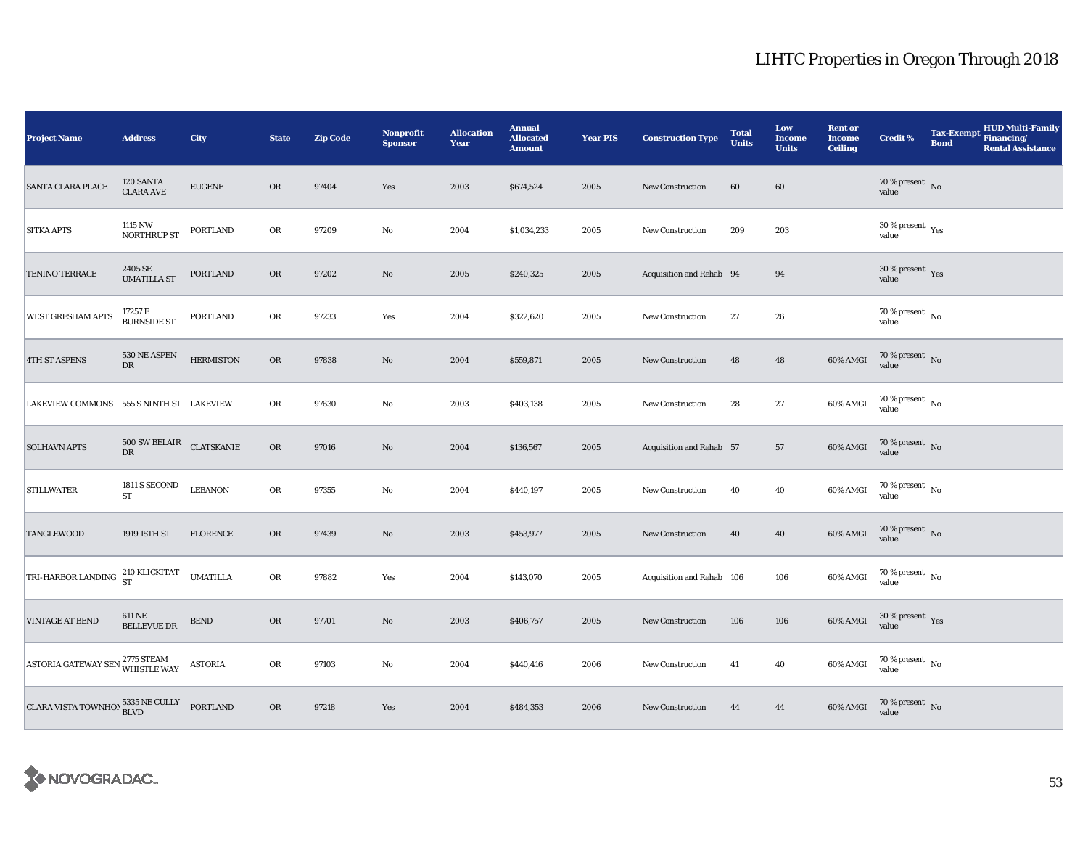| <b>Project Name</b>                                                  | <b>Address</b>                           | City             | <b>State</b> | <b>Zip Code</b> | <b>Nonprofit</b><br><b>Sponsor</b> | <b>Allocation</b><br>Year | <b>Annual</b><br><b>Allocated</b><br><b>Amount</b> | <b>Year PIS</b> | <b>Construction Type</b>  | <b>Total</b><br><b>Units</b> | Low<br><b>Income</b><br><b>Units</b> | <b>Rent or</b><br><b>Income</b><br><b>Ceiling</b> | Credit %                        | <b>Tax-Exempt</b><br><b>Bond</b> | HUD Multi-Family<br>Financing/<br><b>Rental Assistance</b> |
|----------------------------------------------------------------------|------------------------------------------|------------------|--------------|-----------------|------------------------------------|---------------------------|----------------------------------------------------|-----------------|---------------------------|------------------------------|--------------------------------------|---------------------------------------------------|---------------------------------|----------------------------------|------------------------------------------------------------|
| <b>SANTA CLARA PLACE</b>                                             | 120 SANTA<br><b>CLARA AVE</b>            | <b>EUGENE</b>    | <b>OR</b>    | 97404           | Yes                                | 2003                      | \$674,524                                          | 2005            | <b>New Construction</b>   | 60                           | 60                                   |                                                   | $70\,\%$ present $\,$ No value  |                                  |                                                            |
| <b>SITKA APTS</b>                                                    | 1115 NW<br><b>NORTHRUP ST</b>            | <b>PORTLAND</b>  | OR           | 97209           | $\rm No$                           | 2004                      | \$1,034,233                                        | 2005            | New Construction          | 209                          | 203                                  |                                                   | $30\,\%$ present $\,$ Yes value |                                  |                                                            |
| <b>TENINO TERRACE</b>                                                | 2405 SE<br><b>UMATILLA ST</b>            | <b>PORTLAND</b>  | OR           | 97202           | $\rm No$                           | 2005                      | \$240,325                                          | 2005            | Acquisition and Rehab 94  |                              | 94                                   |                                                   | $30\,\%$ present $\,$ Yes value |                                  |                                                            |
| WEST GRESHAM APTS                                                    | 17257 E<br>BURNSIDE ST                   | PORTLAND         | OR           | 97233           | Yes                                | 2004                      | \$322,620                                          | 2005            | New Construction          | 27                           | $\bf 26$                             |                                                   | $70\,\%$ present $\,$ No value  |                                  |                                                            |
| <b>4TH ST ASPENS</b>                                                 | 530 NE ASPEN<br>${\rm DR}$               | <b>HERMISTON</b> | OR           | 97838           | $\rm No$                           | 2004                      | \$559,871                                          | 2005            | <b>New Construction</b>   | 48                           | ${\bf 48}$                           | 60% AMGI                                          | $70\,\%$ present $\,$ No value  |                                  |                                                            |
| LAKEVIEW COMMONS 555 S NINTH ST LAKEVIEW                             |                                          |                  | ${\rm OR}$   | 97630           | No                                 | 2003                      | \$403,138                                          | 2005            | <b>New Construction</b>   | 28                           | $\bf 27$                             | 60% AMGI                                          | $70\,\%$ present $\,$ No value  |                                  |                                                            |
| <b>SOLHAVN APTS</b>                                                  | $500$ SW BELAIR $\quad$ CLATSKANIE<br>DR |                  | OR           | 97016           | $\mathbf{No}$                      | 2004                      | \$136,567                                          | 2005            | Acquisition and Rehab 57  |                              | 57                                   | 60% AMGI                                          | $70\,\%$ present $\,$ No value  |                                  |                                                            |
| <b>STILLWATER</b>                                                    | 1811 S SECOND<br><b>ST</b>               | <b>LEBANON</b>   | OR           | 97355           | $\rm No$                           | 2004                      | \$440,197                                          | 2005            | New Construction          | 40                           | 40                                   | 60% AMGI                                          | $70\,\%$ present $\,$ No value  |                                  |                                                            |
| <b>TANGLEWOOD</b>                                                    | 1919 15TH ST                             | <b>FLORENCE</b>  | ${\sf OR}$   | 97439           | $\rm No$                           | 2003                      | \$453,977                                          | 2005            | New Construction          | 40                           | 40                                   | $60\%$ AMGI                                       | $70\,\%$ present $\,$ No value  |                                  |                                                            |
| TRI-HARBOR LANDING 210 KLICKITAT                                     |                                          | <b>UMATILLA</b>  | OR           | 97882           | Yes                                | 2004                      | \$143,070                                          | 2005            | Acquisition and Rehab 106 |                              | 106                                  | 60% AMGI                                          | $70\,\%$ present $\,$ No value  |                                  |                                                            |
| <b>VINTAGE AT BEND</b>                                               | 611 NE<br><b>BELLEVUE DR</b>             | ${\tt BEND}$     | OR           | 97701           | $\rm No$                           | 2003                      | \$406,757                                          | 2005            | New Construction          | 106                          | 106                                  | $60\%$ AMGI                                       | $30\,\%$ present $\,$ Yes value |                                  |                                                            |
| ASTORIA GATEWAY SEN 2775 STEAM                                       |                                          | <b>ASTORIA</b>   | OR           | 97103           | No                                 | 2004                      | \$440,416                                          | 2006            | <b>New Construction</b>   | 41                           | 40                                   | 60% AMGI                                          | $70\,\%$ present $\,$ No value  |                                  |                                                            |
| CLARA VISTA TOWNHON $_{\hbox{BLVD}}^{5335\hbox{ NE CULLY}}$ PORTLAND |                                          |                  | OR           | 97218           | Yes                                | 2004                      | \$484,353                                          | 2006            | New Construction          | 44                           | 44                                   | 60% AMGI                                          | $70\,\%$ present $\,$ No value  |                                  |                                                            |

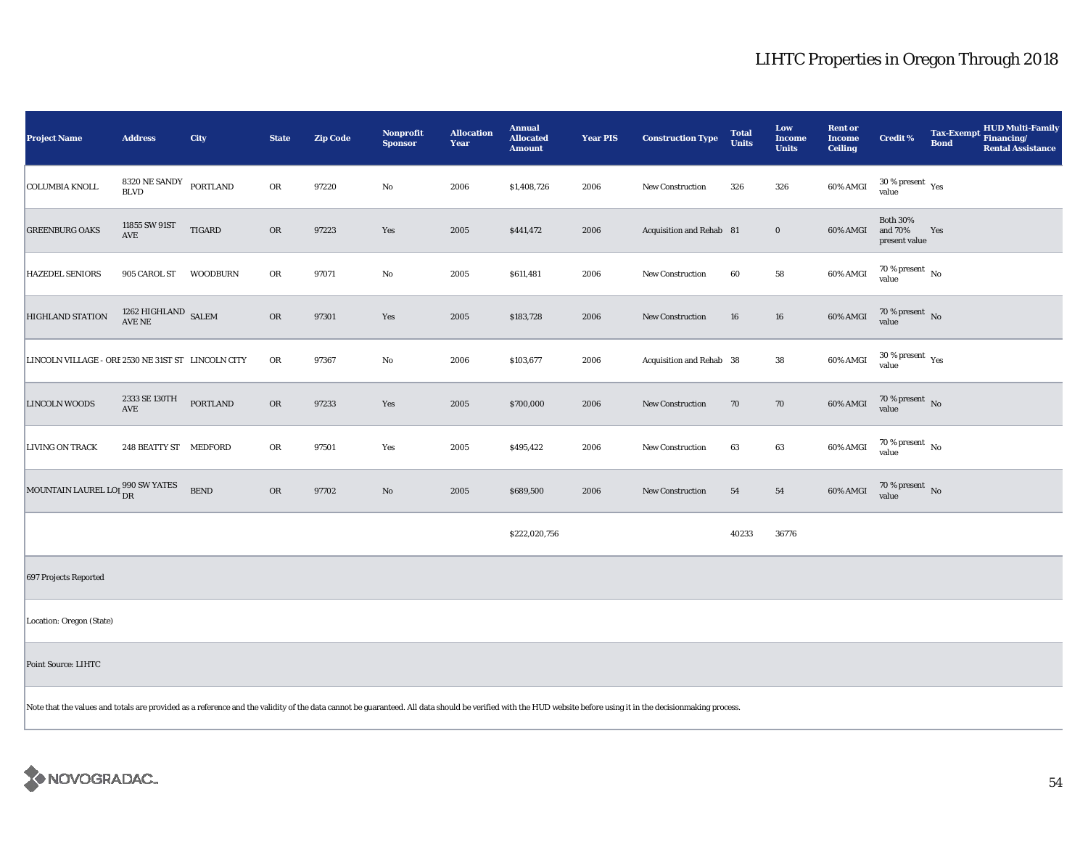| <b>Project Name</b>                                                                                                                                                                                            | <b>Address</b>                    | City            | <b>State</b> | <b>Zip Code</b> | Nonprofit<br><b>Sponsor</b> | <b>Allocation</b><br>Year | <b>Annual</b><br><b>Allocated</b><br><b>Amount</b> | <b>Year PIS</b> | <b>Construction Type</b> | <b>Total</b><br><b>Units</b> | Low<br><b>Income</b><br><b>Units</b> | <b>Rent or</b><br><b>Income</b><br><b>Ceiling</b> | <b>Credit %</b>                               | <b>Tax-Exempt</b><br><b>Bond</b> | <b>HUD Multi-Family</b><br>Financing/<br><b>Rental Assistance</b> |
|----------------------------------------------------------------------------------------------------------------------------------------------------------------------------------------------------------------|-----------------------------------|-----------------|--------------|-----------------|-----------------------------|---------------------------|----------------------------------------------------|-----------------|--------------------------|------------------------------|--------------------------------------|---------------------------------------------------|-----------------------------------------------|----------------------------------|-------------------------------------------------------------------|
| <b>COLUMBIA KNOLL</b>                                                                                                                                                                                          | 8320 NE SANDY<br><b>BLVD</b>      | <b>PORTLAND</b> | OR           | 97220           | No                          | 2006                      | \$1,408,726                                        | 2006            | <b>New Construction</b>  | 326                          | 326                                  | 60% AMGI                                          | $30$ % present $\rm \gamma_{\rm PS}$<br>value |                                  |                                                                   |
| <b>GREENBURG OAKS</b>                                                                                                                                                                                          | 11855 SW 91ST<br>AVE              | <b>TIGARD</b>   | ${\rm OR}$   | 97223           | Yes                         | 2005                      | \$441,472                                          | 2006            | Acquisition and Rehab 81 |                              | $\boldsymbol{0}$                     | 60% AMGI                                          | <b>Both 30%</b><br>and 70%<br>present value   | Yes                              |                                                                   |
| <b>HAZEDEL SENIORS</b>                                                                                                                                                                                         | 905 CAROL ST                      | <b>WOODBURN</b> | OR           | 97071           | $\rm No$                    | 2005                      | \$611,481                                          | 2006            | New Construction         | 60                           | ${\bf 58}$                           | 60% AMGI                                          | 70 % present $\hbox{~No}$<br>value            |                                  |                                                                   |
| <b>HIGHLAND STATION</b>                                                                                                                                                                                        | $1262$ HIGHLAND $\,$ SALEM AVE NE |                 | <b>OR</b>    | 97301           | Yes                         | 2005                      | \$183,728                                          | 2006            | New Construction         | 16                           | 16                                   | 60% AMGI                                          | $70\,\%$ present $${\rm No}$$ value           |                                  |                                                                   |
| LINCOLN VILLAGE - ORE 2530 NE 31ST ST LINCOLN CITY                                                                                                                                                             |                                   |                 | ${\rm OR}$   | 97367           | No                          | 2006                      | \$103,677                                          | 2006            | Acquisition and Rehab 38 |                              | 38                                   | 60% AMGI                                          | $30\,\%$ present $\,$ Yes value               |                                  |                                                                   |
| <b>LINCOLN WOODS</b>                                                                                                                                                                                           | 2333 SE 130TH<br>AVE              | <b>PORTLAND</b> | OR           | 97233           | Yes                         | 2005                      | \$700,000                                          | 2006            | New Construction         | 70                           | 70                                   | 60% AMGI                                          | $70\,\%$ present $\,$ No value                |                                  |                                                                   |
| <b>LIVING ON TRACK</b>                                                                                                                                                                                         | 248 BEATTY ST MEDFORD             |                 | OR           | 97501           | Yes                         | 2005                      | \$495,422                                          | 2006            | New Construction         | 63                           | 63                                   | 60% AMGI                                          | 70 % present $\hbox{~No}$<br>value            |                                  |                                                                   |
| MOUNTAIN LAUREL LOI 990 SW YATES                                                                                                                                                                               |                                   | <b>BEND</b>     | OR           | 97702           | $\rm No$                    | 2005                      | \$689,500                                          | 2006            | <b>New Construction</b>  | 54                           | 54                                   | 60% AMGI                                          | $70\,\%$ present $\,$ No value                |                                  |                                                                   |
|                                                                                                                                                                                                                |                                   |                 |              |                 |                             |                           | \$222,020,756                                      |                 |                          | 40233                        | 36776                                |                                                   |                                               |                                  |                                                                   |
| 697 Projects Reported                                                                                                                                                                                          |                                   |                 |              |                 |                             |                           |                                                    |                 |                          |                              |                                      |                                                   |                                               |                                  |                                                                   |
| Location: Oregon (State)                                                                                                                                                                                       |                                   |                 |              |                 |                             |                           |                                                    |                 |                          |                              |                                      |                                                   |                                               |                                  |                                                                   |
| Point Source: LIHTC                                                                                                                                                                                            |                                   |                 |              |                 |                             |                           |                                                    |                 |                          |                              |                                      |                                                   |                                               |                                  |                                                                   |
| Note that the values and totals are provided as a reference and the validity of the data cannot be guaranteed. All data should be verified with the HUD website before using it in the decisionmaking process. |                                   |                 |              |                 |                             |                           |                                                    |                 |                          |                              |                                      |                                                   |                                               |                                  |                                                                   |